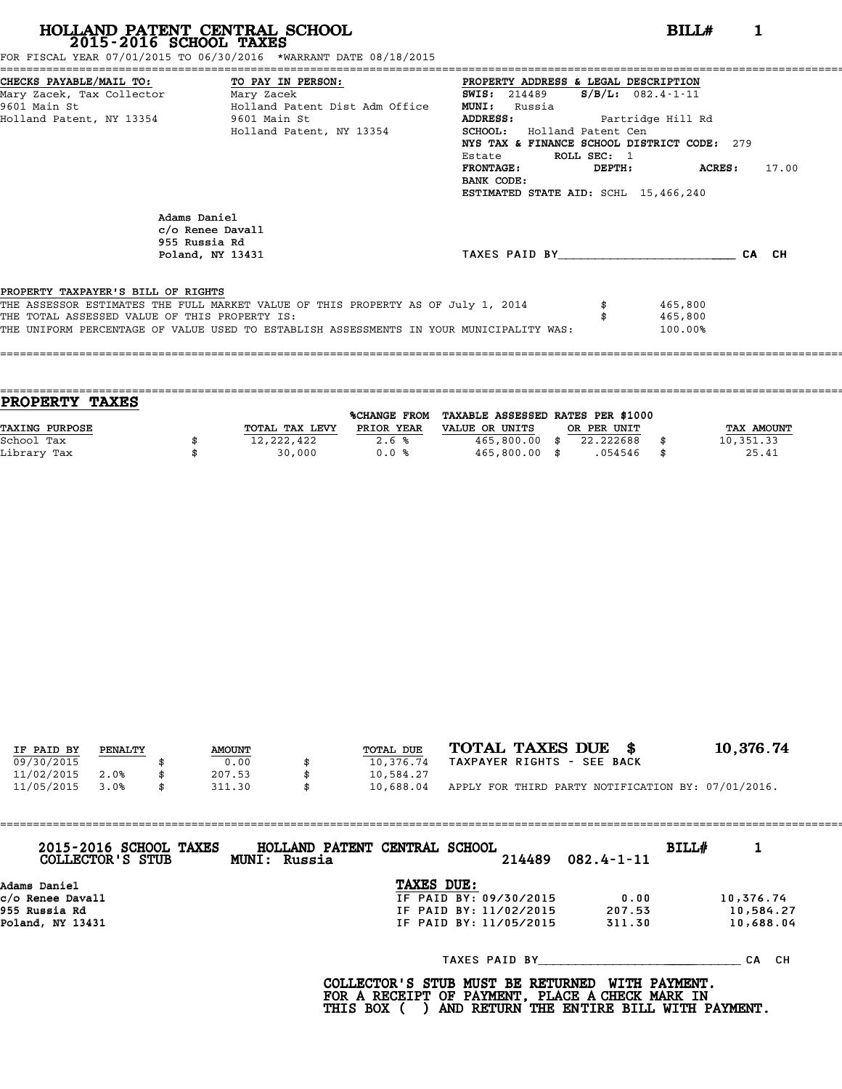FOR FISCAL YEAR 07/01/2015 TO 06/30/2016 \*WARRANT DATE 08/18/2015

| CHECKS PAYABLE/MAIL TO: TO PAY IN PERSON:     |                                                                                         | PROPERTY ADDRESS & LEGAL DESCRIPTION        |             |                         |       |  |  |
|-----------------------------------------------|-----------------------------------------------------------------------------------------|---------------------------------------------|-------------|-------------------------|-------|--|--|
| Mary Zacek, Tax Collector Mary Zacek          |                                                                                         | <b>SWIS:</b> 214489                         |             | $S/B/L: 082.4 - 1 - 11$ |       |  |  |
| 9601 Main St                                  | Holland Patent Dist Adm Office                                                          | <b>MUNI:</b><br>Russia                      |             |                         |       |  |  |
| Holland Patent, NY 13354 9601 Main St         |                                                                                         | <b>ADDRESS:</b><br>Partridge Hill Rd        |             |                         |       |  |  |
|                                               | Holland Patent, NY 13354                                                                | <b>SCHOOL:</b> Holland Patent Cen           |             |                         |       |  |  |
|                                               |                                                                                         | NYS TAX & FINANCE SCHOOL DISTRICT CODE: 279 |             |                         |       |  |  |
|                                               |                                                                                         | Estate                                      | ROLL SEC: 1 |                         |       |  |  |
|                                               |                                                                                         | <b>FRONTAGE:</b>                            |             | DEPTH: ACRES:           | 17.00 |  |  |
|                                               |                                                                                         | BANK CODE:                                  |             |                         |       |  |  |
|                                               |                                                                                         | ESTIMATED STATE AID: SCHL 15,466,240        |             |                         |       |  |  |
|                                               |                                                                                         |                                             |             |                         |       |  |  |
| Adams Daniel                                  |                                                                                         |                                             |             |                         |       |  |  |
|                                               | c/o Renee Davall                                                                        |                                             |             |                         |       |  |  |
|                                               | 955 Russia Rd<br>Poland, NY 13431                                                       | TAXES PAID BY TAXES                         |             |                         | CA CH |  |  |
|                                               |                                                                                         |                                             |             |                         |       |  |  |
| PROPERTY TAXPAYER'S BILL OF RIGHTS            |                                                                                         |                                             |             |                         |       |  |  |
|                                               | THE ASSESSOR ESTIMATES THE FULL MARKET VALUE OF THIS PROPERTY AS OF July 1, 2014        |                                             |             | 465,800                 |       |  |  |
| THE TOTAL ASSESSED VALUE OF THIS PROPERTY IS: |                                                                                         |                                             |             | 465,800                 |       |  |  |
|                                               | THE UNIFORM PERCENTAGE OF VALUE USED TO ESTABLISH ASSESSMENTS IN YOUR MUNICIPALITY WAS: |                                             |             | 100.00%                 |       |  |  |
|                                               |                                                                                         |                                             |             |                         |       |  |  |
|                                               |                                                                                         |                                             |             |                         |       |  |  |

| <b>PROPERTY TAXES</b> |                |              |                                   |             |                   |
|-----------------------|----------------|--------------|-----------------------------------|-------------|-------------------|
|                       |                | %CHANGE FROM | TAXABLE ASSESSED RATES PER \$1000 |             |                   |
| TAXING PURPOSE        | TOTAL TAX LEVY | PRIOR YEAR   | VALUE OR UNITS                    | OR PER UNIT | <b>TAX AMOUNT</b> |
| School Tax            | 12,222,422     | 2.6%         | 465,800.00 \$                     | 22.222688   | 10,351.33         |
| Library Tax           | 30,000         | 0.0%         | 465,800.00 \$                     | .054546     | 25.41             |
|                       |                |              |                                   |             |                   |

| IF PAID BY | PENALTY | <b>AMOUNT</b> | TOTAL DUE | TOTAL TAXES DUE \$                                 | 10,376.74 |
|------------|---------|---------------|-----------|----------------------------------------------------|-----------|
| 09/30/2015 |         | 0.00          | 10,376.74 | TAXPAYER RIGHTS - SEE BACK                         |           |
| 11/02/2015 | 2.0%    | \$<br>207.53  | 10,584.27 |                                                    |           |
| 11/05/2015 | 3.0%    | \$<br>311.30  | 10,688.04 | APPLY FOR THIRD PARTY NOTIFICATION BY: 07/01/2016. |           |
|            |         |               |           |                                                    |           |

| 2015-2016 SCHOOL TAXES<br>COLLECTOR'S STUB | HOLLAND PATENT CENTRAL SCHOOL<br>BILL#<br>214489<br>$082.4 - 1 - 11$<br>MUNI: Russia |           |
|--------------------------------------------|--------------------------------------------------------------------------------------|-----------|
| Adams Daniel                               | TAXES DUE:                                                                           |           |
| c/o Renee Davall                           | IF PAID BY: 09/30/2015<br>0.00                                                       | 10,376.74 |
| 955 Russia Rd                              | IF PAID BY: 11/02/2015<br>207.53                                                     | 10,584.27 |
| Poland, NY 13431                           | IF PAID BY: 11/05/2015<br>311.30                                                     | 10,688.04 |
|                                            | TAXES PAID BY                                                                        | CA CH     |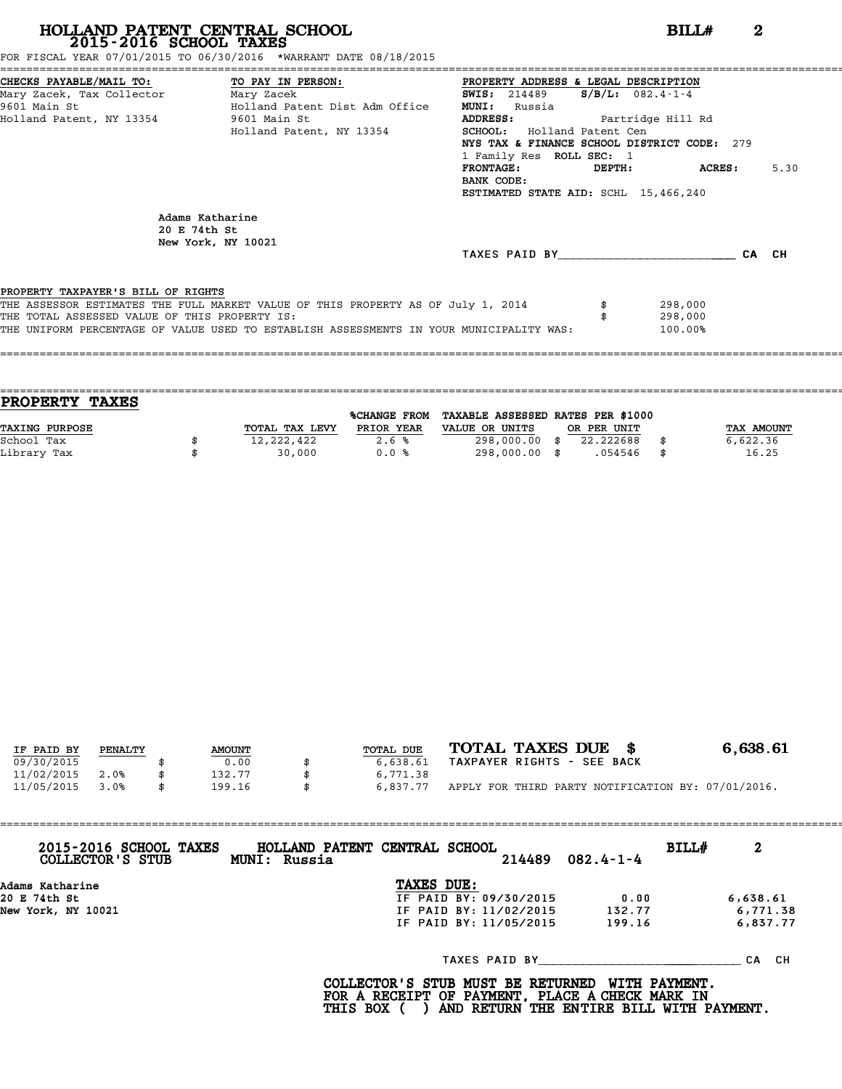FOR FISCAL YEAR 07/01/2015 TO 06/30/2016 \*WARRANT DATE 08/18/2015

| CHECKS PAYABLE/MAIL TO: TO PAY IN PERSON:     |                                                                                         | PROPERTY ADDRESS & LEGAL DESCRIPTION        |                     |      |
|-----------------------------------------------|-----------------------------------------------------------------------------------------|---------------------------------------------|---------------------|------|
| Mary Zacek, Tax Collector ________ Mary Zacek |                                                                                         | <b>SWIS:</b> 214489                         | $S/B/L$ : 082.4-1-4 |      |
| 9601 Main St                                  | Holland Patent Dist Adm Office                                                          | <b>MUNI:</b><br>Russia                      |                     |      |
| Holland Patent, NY 13354 9601 Main St         |                                                                                         | <b>ADDRESS:</b>                             | Partridge Hill Rd   |      |
|                                               | Holland Patent, NY 13354                                                                | <b>SCHOOL:</b> Holland Patent Cen           |                     |      |
|                                               |                                                                                         | NYS TAX & FINANCE SCHOOL DISTRICT CODE: 279 |                     |      |
|                                               |                                                                                         | 1 Family Res ROLL SEC: 1                    |                     |      |
|                                               |                                                                                         | <b>FRONTAGE:</b>                            | $DEPTH:$ $ACRES:$   | 5.30 |
|                                               |                                                                                         | BANK CODE:                                  |                     |      |
|                                               |                                                                                         | ESTIMATED STATE AID: SCHL 15,466,240        |                     |      |
| 20 E 74th St                                  | Adams Katharine<br>New York, NY 10021                                                   |                                             |                     |      |
|                                               |                                                                                         | TAXES PAID BY CA CH                         |                     |      |
| PROPERTY TAXPAYER'S BILL OF RIGHTS            |                                                                                         |                                             |                     |      |
|                                               | THE ASSESSOR ESTIMATES THE FULL MARKET VALUE OF THIS PROPERTY AS OF July 1, 2014        |                                             | 298,000             |      |
| THE TOTAL ASSESSED VALUE OF THIS PROPERTY IS: |                                                                                         |                                             | 298,000             |      |
|                                               | THE UNIFORM PERCENTAGE OF VALUE USED TO ESTABLISH ASSESSMENTS IN YOUR MUNICIPALITY WAS: |                                             | 100.00%             |      |
|                                               |                                                                                         |                                             |                     |      |

| <b>PROPERTY TAXES</b> |                |                     |                                   |             |            |
|-----------------------|----------------|---------------------|-----------------------------------|-------------|------------|
|                       |                | <b>%CHANGE FROM</b> | TAXABLE ASSESSED RATES PER \$1000 |             |            |
| <b>TAXING PURPOSE</b> | TOTAL TAX LEVY | PRIOR YEAR          | VALUE OR UNITS                    | OR PER UNIT | TAX AMOUNT |
| School Tax            | 12,222,422     | 2.6%                | 298,000.00 \$                     | 22.222688   | 6,622.36   |
| Library Tax           | 30,000         | 0.0%                | 298,000.00 \$                     | .054546     | 16.25      |
|                       |                |                     |                                   |             |            |

| IF PAID BY | PENALTY | <b>AMOUNT</b> | TOTAL DUE      | TOTAL TAXES DUE \$                                 | 6,638.61 |
|------------|---------|---------------|----------------|----------------------------------------------------|----------|
| 09/30/2015 |         | 0.00          | 6,638.61       | TAXPAYER RIGHTS - SEE BACK                         |          |
| 11/02/2015 | 2.0%    | 132.77        | 6,771.38       |                                                    |          |
| 11/05/2015 | 3.0%    | 199.16        | \$<br>6,837.77 | APPLY FOR THIRD PARTY NOTIFICATION BY: 07/01/2016. |          |

| 2015-2016 SCHOOL TAXES<br>COLLECTOR'S STUB | HOLLAND PATENT CENTRAL SCHOOL<br>MUNI: Russia |                        | 214489 | $082.4 - 1 - 4$ | BILL# | 2        |
|--------------------------------------------|-----------------------------------------------|------------------------|--------|-----------------|-------|----------|
| Adams Katharine                            |                                               | TAXES DUE:             |        |                 |       |          |
| 20 E 74th St                               |                                               | IF PAID BY: 09/30/2015 |        | 0.00            |       | 6,638.61 |
| New York, NY 10021                         |                                               | IF PAID BY: 11/02/2015 |        | 132.77          |       | 6,771.38 |
|                                            |                                               | IF PAID BY: 11/05/2015 |        | 199.16          |       | 6,837.77 |
|                                            |                                               |                        |        | TAXES PAID BY   |       | CA CH    |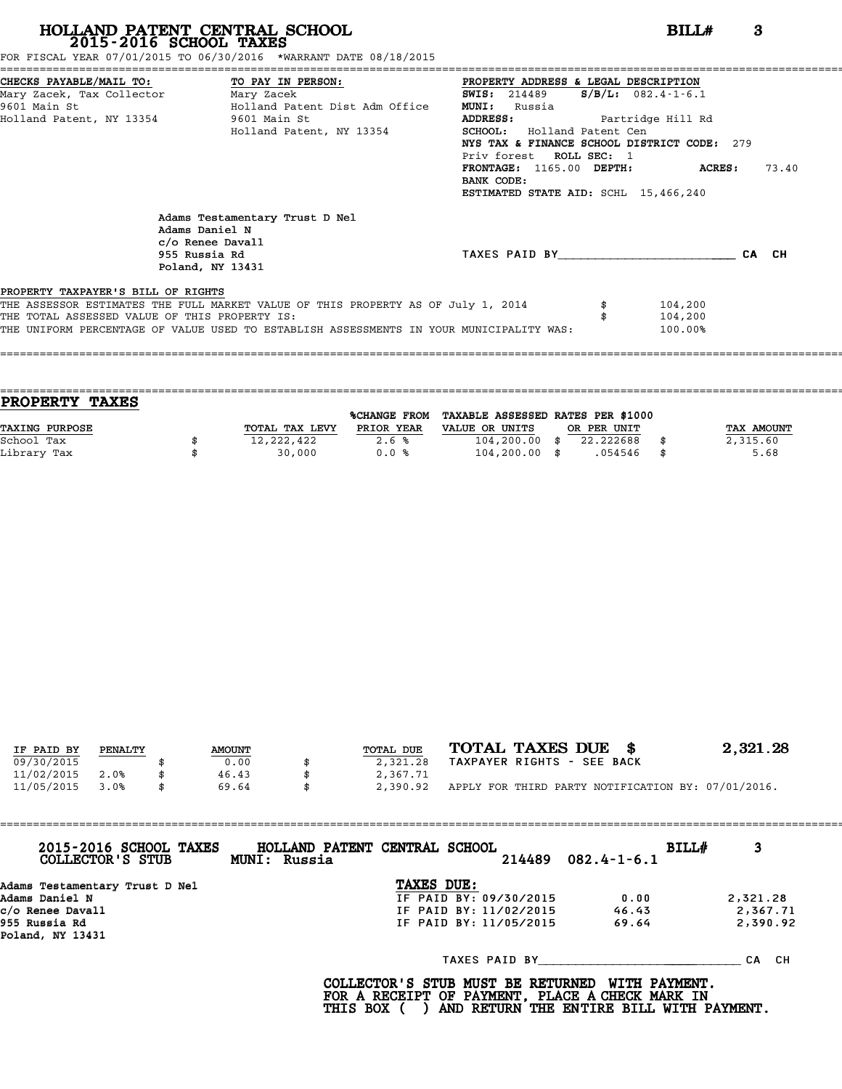FOR FISCAL YEAR 07/01/2015 TO 06/30/2016 \*WARRANT DATE 08/18/2015

| CHECKS PAYABLE/MAIL TO: TO PAY IN PERSON:     |                                                                                                           | PROPERTY ADDRESS & LEGAL DESCRIPTION        |                          |       |
|-----------------------------------------------|-----------------------------------------------------------------------------------------------------------|---------------------------------------------|--------------------------|-------|
| Mary Zacek, Tax Collector Mary Zacek          |                                                                                                           | <b>SWIS:</b> 214489                         | $S/B/L: 082.4 - 1 - 6.1$ |       |
| 9601 Main St                                  | Holland Patent Dist Adm Office                                                                            | <b>MUNI:</b><br>Russia                      |                          |       |
| Holland Patent, NY 13354 5601 Main St         |                                                                                                           | <b>ADDRESS:</b>                             | Partridge Hill Rd        |       |
|                                               | Holland Patent, NY 13354                                                                                  | <b>SCHOOL:</b> Holland Patent Cen           |                          |       |
|                                               |                                                                                                           | NYS TAX & FINANCE SCHOOL DISTRICT CODE: 279 |                          |       |
|                                               |                                                                                                           | Priv forest ROLL SEC: 1                     |                          |       |
|                                               |                                                                                                           | FRONTAGE: 1165.00 DEPTH: ACRES:             |                          | 73.40 |
|                                               |                                                                                                           | BANK CODE:                                  |                          |       |
|                                               |                                                                                                           | ESTIMATED STATE AID: SCHL 15,466,240        |                          |       |
|                                               | Adams Testamentary Trust D Nel<br>Adams Daniel N<br>c/o Renee Davall<br>955 Russia Rd<br>Poland, NY 13431 | TAXES PAID BY                               |                          | CA CH |
| PROPERTY TAXPAYER'S BILL OF RIGHTS            |                                                                                                           |                                             |                          |       |
|                                               | THE ASSESSOR ESTIMATES THE FULL MARKET VALUE OF THIS PROPERTY AS OF July 1, 2014                          |                                             | 104,200                  |       |
| THE TOTAL ASSESSED VALUE OF THIS PROPERTY IS: |                                                                                                           |                                             | 104,200                  |       |
|                                               | THE UNIFORM PERCENTAGE OF VALUE USED TO ESTABLISH ASSESSMENTS IN YOUR MUNICIPALITY WAS:                   |                                             | 100.00%                  |       |

| PROPERTY TAXES        |                |                     |                                   |             |      |                   |
|-----------------------|----------------|---------------------|-----------------------------------|-------------|------|-------------------|
|                       |                | <b>%CHANGE FROM</b> | TAXABLE ASSESSED RATES PER \$1000 |             |      |                   |
| <b>TAXING PURPOSE</b> | TOTAL TAX LEVY | PRIOR YEAR          | VALUE OR UNITS                    | OR PER UNIT |      | <b>TAX AMOUNT</b> |
| School Tax            | 12,222,422     | 2.6%                | $104, 200.00$ \$                  | 22.222688   |      | 2,315.60          |
| Library Tax           | 30,000         | 0.0%                | $104, 200.00$ \$                  | .054546     | - \$ | 5.68              |
|                       |                |                     |                                   |             |      |                   |

====================================================================================================================================

| IF PAID BY | PENALTY | <b>AMOUNT</b> | TOTAL DUE | TOTAL TAXES DUE \$                                 | 2,321.28 |
|------------|---------|---------------|-----------|----------------------------------------------------|----------|
| 09/30/2015 |         | 0.00          | 2,321.28  | TAXPAYER RIGHTS - SEE BACK                         |          |
| 11/02/2015 | 2.0%    | 46.43         | 2,367.71  |                                                    |          |
| 11/05/2015 | 3.0%    | \$<br>69.64   | 2,390.92  | APPLY FOR THIRD PARTY NOTIFICATION BY: 07/01/2016. |          |

| 2015-2016 SCHOOL TAXES<br>COLLECTOR'S STUB | MUNI: Russia | HOLLAND PATENT CENTRAL SCHOOL |                        | 214489 | $082.4 - 1 - 6.1$ | BILL# | 3        |
|--------------------------------------------|--------------|-------------------------------|------------------------|--------|-------------------|-------|----------|
| Adams Testamentary Trust D Nel             |              |                               | TAXES DUE:             |        |                   |       |          |
| Adams Daniel N                             |              |                               | IF PAID BY: 09/30/2015 |        | 0.00              |       | 2,321.28 |
| c/o Renee Davall                           |              |                               | IF PAID BY: 11/02/2015 |        | 46.43             |       | 2,367.71 |
| 955 Russia Rd<br>Poland, NY 13431          |              |                               | IF PAID BY: 11/05/2015 |        | 69.64             |       | 2,390.92 |
|                                            |              |                               |                        |        | TAXES PAID BY     |       | CA CH    |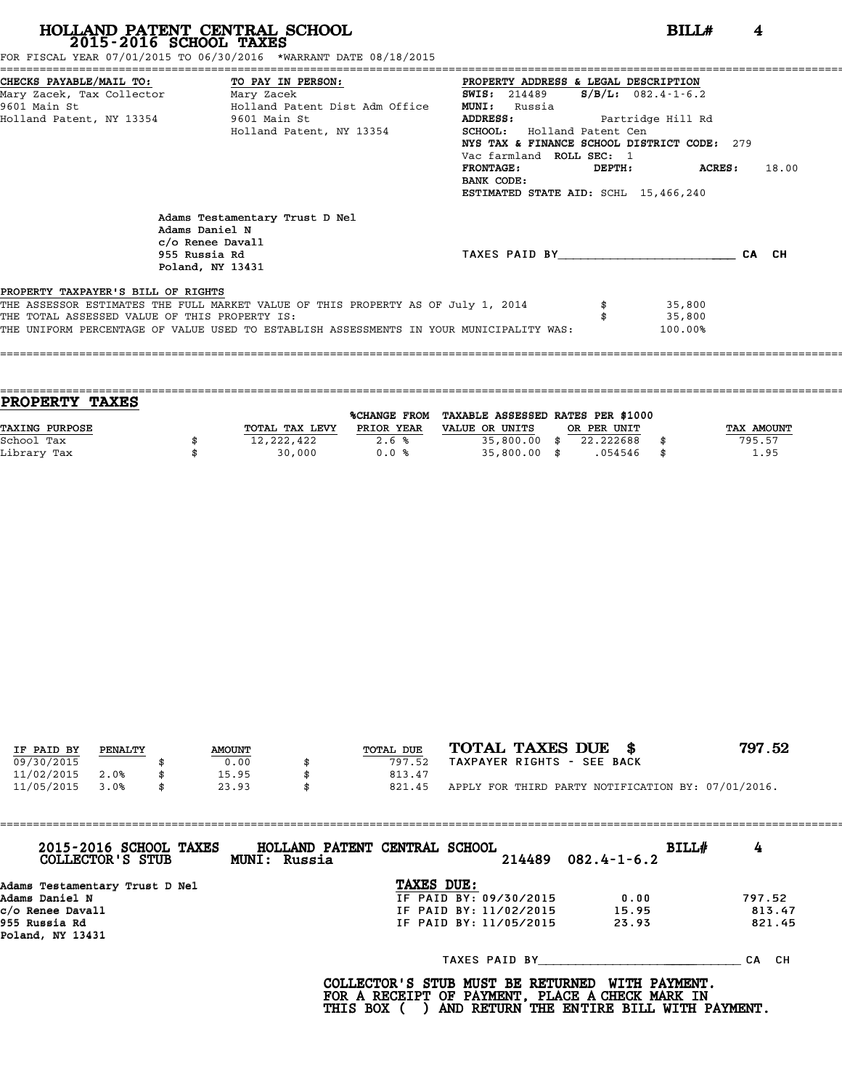FOR FISCAL YEAR 07/01/2015 TO 06/30/2016 \*WARRANT DATE 08/18/2015

|                                               | CHECKS PAYABLE/MAIL TO: TO PAY IN PERSON:                                                                 | PROPERTY ADDRESS & LEGAL DESCRIPTION        |                       |  |  |  |
|-----------------------------------------------|-----------------------------------------------------------------------------------------------------------|---------------------------------------------|-----------------------|--|--|--|
| Mary Zacek, Tax Collector Mary Zacek          |                                                                                                           | <b>SWIS:</b> 214489                         | $S/B/L$ : 082.4-1-6.2 |  |  |  |
|                                               | 9601 Main St                           Holland Patent Dist Adm Office                                     | <b>MUNI:</b><br>Russia                      |                       |  |  |  |
| Holland Patent, NY 13354 9601 Main St         |                                                                                                           | <b>ADDRESS:</b><br>Partridge Hill Rd        |                       |  |  |  |
|                                               | Holland Patent, NY 13354                                                                                  | <b>SCHOOL:</b> Holland Patent Cen           |                       |  |  |  |
|                                               |                                                                                                           | NYS TAX & FINANCE SCHOOL DISTRICT CODE: 279 |                       |  |  |  |
|                                               |                                                                                                           | Vac farmland ROLL SEC: 1                    |                       |  |  |  |
|                                               |                                                                                                           | <b>FRONTAGE:</b><br>DEPTH:                  | ACRES :<br>18.00      |  |  |  |
|                                               |                                                                                                           | BANK CODE:                                  |                       |  |  |  |
|                                               |                                                                                                           | ESTIMATED STATE AID: SCHL 15,466,240        |                       |  |  |  |
|                                               | Adams Testamentary Trust D Nel<br>Adams Daniel N<br>c/o Renee Davall<br>955 Russia Rd<br>Poland, NY 13431 | TAXES PAID BY                               | CA CH                 |  |  |  |
| PROPERTY TAXPAYER'S BILL OF RIGHTS            | THE ASSESSOR ESTIMATES THE FULL MARKET VALUE OF THIS PROPERTY AS OF July 1, 2014                          |                                             | 35,800                |  |  |  |
| THE TOTAL ASSESSED VALUE OF THIS PROPERTY IS: |                                                                                                           |                                             | 35,800                |  |  |  |
|                                               | THE UNIFORM PERCENTAGE OF VALUE USED TO ESTABLISH ASSESSMENTS IN YOUR MUNICIPALITY WAS:                   |                                             | 100.00%               |  |  |  |
|                                               |                                                                                                           |                                             |                       |  |  |  |

==================================================================================================================================== **PROPERTY TAXES** %CHANGE FROM TAXABLE ASSESSED RATES PER \$1000 **PROPERTY TAXES**<br>
TAXING PURPOSE TOTAL TAX LEVY PRIOR YEAR VALUE OR UNITS OR PER UNIT TAX AMOUNT<br>
School Tax = TOTAL TAX LEVY PRIOR YEAR VALUE OR UNITS OR PER UNIT TAX AMOUNT School Tax \$ 12,222,422 2.6 % 35,800.00 \$ 22.222688 \$ 795.57 Library Tax \$ 30,000 0.0 % 35,800.00 \$ .054546 \$ 1.95

====================================================================================================================================

| IF PAID BY | PENALTY | <b>AMOUNT</b> | TOTAL DUE | TOTAL TAXES DUE \$                                 | 797.52 |
|------------|---------|---------------|-----------|----------------------------------------------------|--------|
|            |         |               |           |                                                    |        |
| 09/30/2015 |         | 0.00          | 797.52    | TAXPAYER RIGHTS - SEE BACK                         |        |
| 11/02/2015 | 2.0%    | 15.95         | 813.47    |                                                    |        |
| 11/05/2015 | 3.0%    | \$<br>23.93   | 821.45    | APPLY FOR THIRD PARTY NOTIFICATION BY: 07/01/2016. |        |

| 2015-2016 SCHOOL TAXES<br>COLLECTOR'S STUB | HOLLAND PATENT CENTRAL SCHOOL<br>MUNI: Russia |                        | $214489$ $082.4 - 1 - 6.2$ | 4<br>BILL# |
|--------------------------------------------|-----------------------------------------------|------------------------|----------------------------|------------|
| Adams Testamentary Trust D Nel             |                                               | TAXES DUE:             |                            |            |
| Adams Daniel N                             |                                               | IF PAID BY: 09/30/2015 | 0.00                       | 797.52     |
| c/o Renee Davall                           |                                               | IF PAID BY: 11/02/2015 | 15.95                      | 813.47     |
| 955 Russia Rd<br>Poland, NY 13431          |                                               | IF PAID BY: 11/05/2015 | 23.93                      | 821.45     |
|                                            |                                               | TAXES PAID BY          |                            | CA CH      |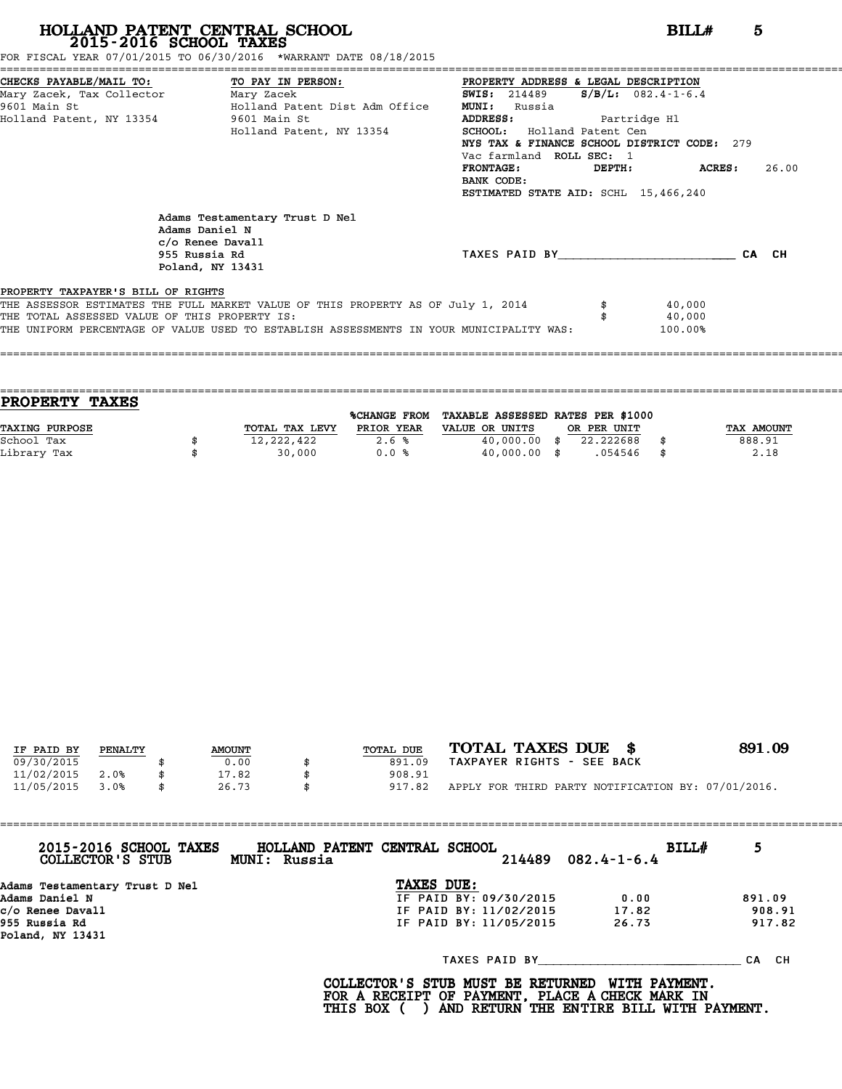FOR FISCAL YEAR 07/01/2015 TO 06/30/2016 \*WARRANT DATE 08/18/2015

|                                               | CHECKS PAYABLE/MAIL TO: TO PAY IN PERSON:                                                                 | PROPERTY ADDRESS & LEGAL DESCRIPTION        |                          |
|-----------------------------------------------|-----------------------------------------------------------------------------------------------------------|---------------------------------------------|--------------------------|
| Mary Zacek, Tax Collector Mary Zacek          |                                                                                                           | SWIS: 214489                                | $S/B/L: 082.4 - 1 - 6.4$ |
| 9601 Main St                                  | Holland Patent Dist Adm Office                                                                            | <b>MUNI:</b><br>Russia                      |                          |
|                                               | Holland Patent, NY 13354 9601 Main St                                                                     | <b>ADDRESS:</b><br>Partridge Hl             |                          |
|                                               | Holland Patent, NY 13354                                                                                  | <b>SCHOOL:</b> Holland Patent Cen           |                          |
|                                               |                                                                                                           | NYS TAX & FINANCE SCHOOL DISTRICT CODE: 279 |                          |
|                                               |                                                                                                           | Vac farmland ROLL SEC: 1                    |                          |
|                                               |                                                                                                           | <b>FRONTAGE:</b><br>DEPTH:                  | ACRES :<br>26.00         |
|                                               |                                                                                                           | BANK CODE:                                  |                          |
|                                               |                                                                                                           | ESTIMATED STATE AID: SCHL 15,466,240        |                          |
|                                               | Adams Testamentary Trust D Nel<br>Adams Daniel N<br>c/o Renee Davall<br>955 Russia Rd<br>Poland, NY 13431 | TAXES PAID BY                               | CA CH                    |
| PROPERTY TAXPAYER'S BILL OF RIGHTS            | THE ASSESSOR ESTIMATES THE FULL MARKET VALUE OF THIS PROPERTY AS OF July 1, 2014                          |                                             | 40,000                   |
| THE TOTAL ASSESSED VALUE OF THIS PROPERTY IS: |                                                                                                           |                                             | 40,000                   |
|                                               | THE UNIFORM PERCENTAGE OF VALUE USED TO ESTABLISH ASSESSMENTS IN YOUR MUNICIPALITY WAS:                   |                                             | 100.00%                  |
|                                               |                                                                                                           |                                             |                          |

==================================================================================================================================== **PROPERTY TAXES** %CHANGE FROM TAXABLE ASSESSED RATES PER \$1000 **PROPERTY TAXES**<br>
TAXING PURPOSE TOTAL TAX LEVY PRIOR YEAR VALUE OR UNITS OR PER UNIT TAX AMOUNT<br>
School Tax = 388 91 School Tax \$ 12,222,422 2.6 % 40,000.00 \$ 22.222688 \$ 888.91 Library Tax \$ 30,000 0.0 % 40,000.00 \$ .054546 \$ 2.18

====================================================================================================================================

| TOTAL TAXES DUE \$<br>891.09                       |
|----------------------------------------------------|
| TAXPAYER RIGHTS - SEE BACK                         |
|                                                    |
| APPLY FOR THIRD PARTY NOTIFICATION BY: 07/01/2016. |
|                                                    |

| 2015-2016 SCHOOL TAXES<br>COLLECTOR'S STUB | HOLLAND PATENT CENTRAL SCHOOL<br>BILL#<br>$214489$ $082.4 - 1 - 6.4$<br>MUNI: Russia | 5      |
|--------------------------------------------|--------------------------------------------------------------------------------------|--------|
| Adams Testamentary Trust D Nel             | TAXES DUE:                                                                           |        |
| Adams Daniel N                             | IF PAID BY: 09/30/2015<br>0.00                                                       | 891.09 |
| c/o Renee Davall                           | IF PAID BY: 11/02/2015<br>17.82                                                      | 908.91 |
| 955 Russia Rd<br>Poland, NY 13431          | IF PAID BY: 11/05/2015<br>26.73                                                      | 917.82 |
|                                            | TAXES PAID BY                                                                        | CA CH  |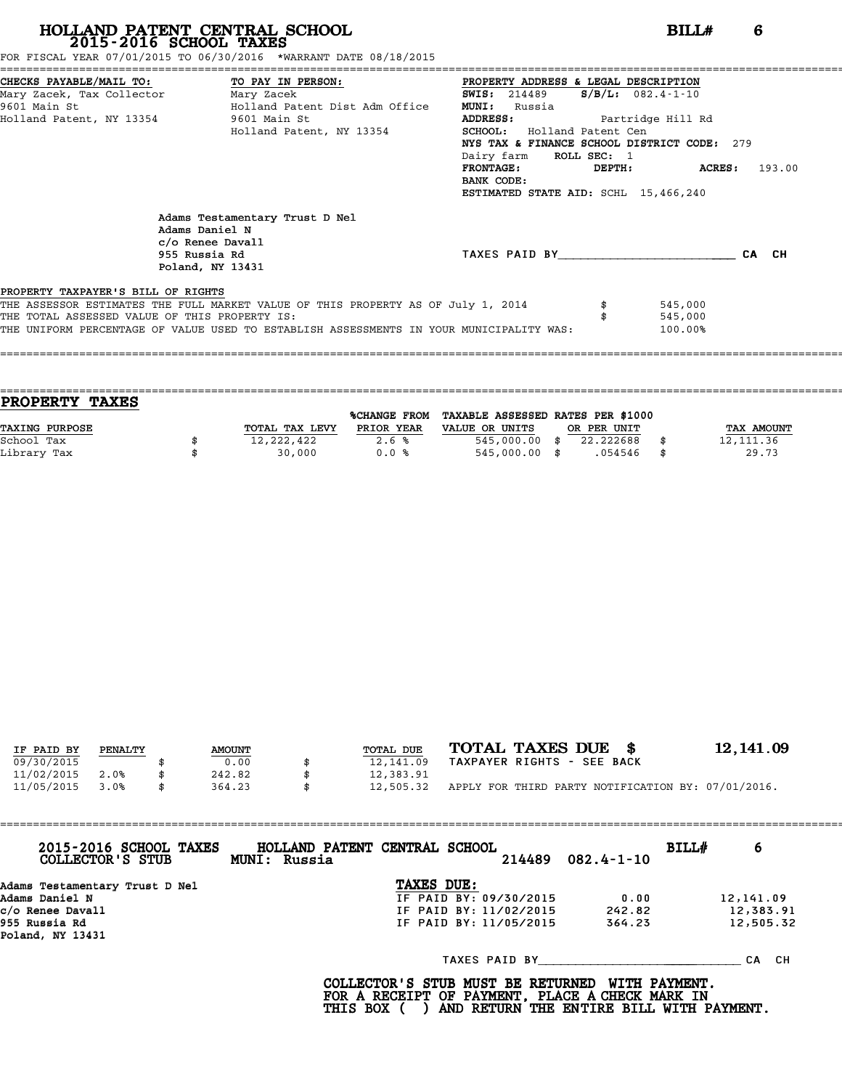FOR FISCAL YEAR 07/01/2015 TO 06/30/2016 \*WARRANT DATE 08/18/2015

|                                               | CHECKS PAYABLE/MAIL TO: TO PAY IN PERSON:                                                                 | PROPERTY ADDRESS & LEGAL DESCRIPTION        |         |                         |
|-----------------------------------------------|-----------------------------------------------------------------------------------------------------------|---------------------------------------------|---------|-------------------------|
| Mary Zacek, Tax Collector ________ Mary Zacek |                                                                                                           | <b>SWIS:</b> 214489 $S/B/L$ : 082.4-1-10    |         |                         |
| 9601 Main St                                  | Holland Patent Dist Adm Office                                                                            | <b>MUNI:</b><br>Russia                      |         |                         |
| Holland Patent, NY 13354 9601 Main St         |                                                                                                           | ADDRESS: Partridge Hill Rd                  |         |                         |
|                                               | Holland Patent, NY 13354                                                                                  | <b>SCHOOL:</b> Holland Patent Cen           |         |                         |
|                                               |                                                                                                           | NYS TAX & FINANCE SCHOOL DISTRICT CODE: 279 |         |                         |
|                                               |                                                                                                           | Dairy farm ROLL SEC: 1                      |         |                         |
|                                               |                                                                                                           | FRONTAGE:                                   | DEPTH:  | <b>ACRES:</b><br>193.00 |
|                                               |                                                                                                           | BANK CODE:                                  |         |                         |
|                                               |                                                                                                           | ESTIMATED STATE AID: SCHL 15,466,240        |         |                         |
|                                               | Adams Testamentary Trust D Nel<br>Adams Daniel N<br>c/o Renee Davall<br>955 Russia Rd<br>Poland, NY 13431 | TAXES PAID BY                               |         | CA CH                   |
| PROPERTY TAXPAYER'S BILL OF RIGHTS            |                                                                                                           |                                             |         |                         |
|                                               | THE ASSESSOR ESTIMATES THE FULL MARKET VALUE OF THIS PROPERTY AS OF July 1, 2014                          |                                             | 545,000 |                         |
| THE TOTAL ASSESSED VALUE OF THIS PROPERTY IS: |                                                                                                           |                                             | 545,000 |                         |
|                                               | THE UNIFORM PERCENTAGE OF VALUE USED TO ESTABLISH ASSESSMENTS IN YOUR MUNICIPALITY WAS:                   |                                             | 100.00% |                         |
|                                               |                                                                                                           |                                             |         |                         |

==================================================================================================================================== **PROPERTY TAXES** %CHANGE FROM TAXABLE ASSESSED RATES PER \$1000 **PROPERTY TAXES**<br>
TAXING PURPOSE TOTAL TAX LEVY PRIOR YEAR VALUE OR UNITS OR PER UNIT TAX AMOUNT<br>
School Tax = 12 111 36 School Tax \$ 12,222,422 2.6 % 545,000.00 \$ 22.222688 \$ 12,111.36 Library Tax \$ 30,000 0.0 % 545,000.00 \$ .054546 \$ 29.73

====================================================================================================================================

| IF PAID BY | PENALTY | <b>AMOUNT</b> | TOTAL DUE       | TOTAL TAXES DUE \$                                 | 12, 141.09 |
|------------|---------|---------------|-----------------|----------------------------------------------------|------------|
| 09/30/2015 |         | 0.00          | 12,141.09       | TAXPAYER RIGHTS - SEE BACK                         |            |
|            |         |               |                 |                                                    |            |
| 11/02/2015 | 2.0%    | \$<br>242.82  | \$<br>12,383.91 |                                                    |            |
| 11/05/2015 | 3.0%    | 364.23        | 12,505.32       | APPLY FOR THIRD PARTY NOTIFICATION BY: 07/01/2016. |            |
|            |         |               |                 |                                                    |            |

|                                   | 2015-2016 SCHOOL TAXES<br>COLLECTOR'S STUB |  | HOLLAND PATENT CENTRAL SCHOOL<br>MUNI: Russia |            | 214489                 | $082.4 - 1 - 10$ | BILL# | 6         |
|-----------------------------------|--------------------------------------------|--|-----------------------------------------------|------------|------------------------|------------------|-------|-----------|
|                                   | Adams Testamentary Trust D Nel             |  |                                               | TAXES DUE: |                        |                  |       |           |
|                                   | Adams Daniel N                             |  |                                               |            | IF PAID BY: 09/30/2015 | 0.00             |       | 12,141.09 |
|                                   | c/o Renee Davall                           |  |                                               |            | IF PAID BY: 11/02/2015 | 242.82           |       | 12,383.91 |
| 955 Russia Rd<br>Poland, NY 13431 |                                            |  | IF PAID BY: 11/05/2015                        | 364.23     |                        | 12,505.32        |       |           |
|                                   |                                            |  |                                               |            |                        | TAXES PAID BY    |       | CA CH     |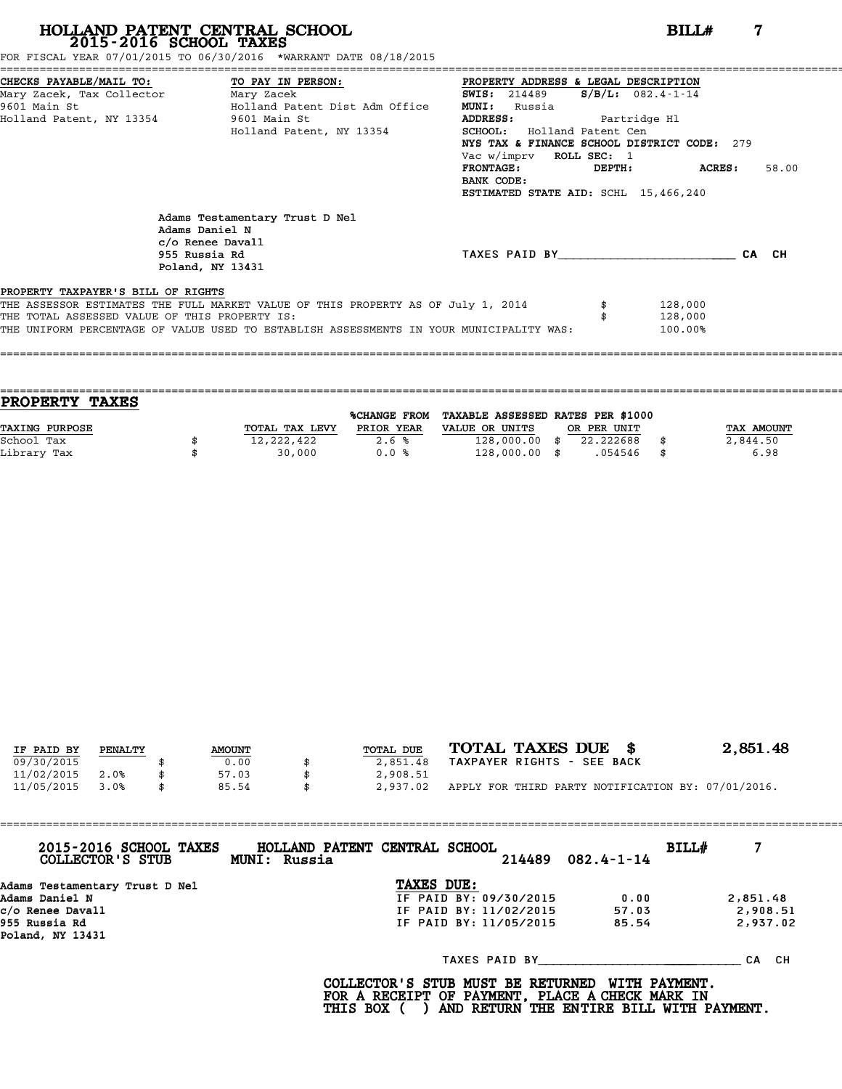FOR FISCAL YEAR 07/01/2015 TO 06/30/2016 \*WARRANT DATE 08/18/2015

|                                               | CHECKS PAYABLE/MAIL TO: TO PAY IN PERSON:                                                                 | PROPERTY ADDRESS & LEGAL DESCRIPTION        |        |                    |       |
|-----------------------------------------------|-----------------------------------------------------------------------------------------------------------|---------------------------------------------|--------|--------------------|-------|
| Mary Zacek, Tax Collector ________ Mary Zacek |                                                                                                           | SWIS: $214489$ S/B/L: $082.4 - 1 - 14$      |        |                    |       |
| 9601 Main St                                  | Holland Patent Dist Adm Office                                                                            | <b>MUNI:</b><br>Russia                      |        |                    |       |
| Holland Patent, NY 13354 9601 Main St         |                                                                                                           | ADDRESS: Partridge Hl                       |        |                    |       |
|                                               | Holland Patent, NY 13354                                                                                  | <b>SCHOOL:</b> Holland Patent Cen           |        |                    |       |
|                                               |                                                                                                           | NYS TAX & FINANCE SCHOOL DISTRICT CODE: 279 |        |                    |       |
|                                               |                                                                                                           | Vac w/imprv ROLL SEC: 1                     |        |                    |       |
|                                               |                                                                                                           | FRONTAGE:                                   | DEPTH: | ACRES :            | 58.00 |
|                                               |                                                                                                           | BANK CODE:                                  |        |                    |       |
|                                               |                                                                                                           | ESTIMATED STATE AID: SCHL 15,466,240        |        |                    |       |
|                                               | Adams Testamentary Trust D Nel<br>Adams Daniel N<br>c/o Renee Davall<br>955 Russia Rd<br>Poland, NY 13431 | TAXES PAID BY                               |        |                    | CA CH |
| PROPERTY TAXPAYER'S BILL OF RIGHTS            |                                                                                                           |                                             |        |                    |       |
| THE TOTAL ASSESSED VALUE OF THIS PROPERTY IS: | THE ASSESSOR ESTIMATES THE FULL MARKET VALUE OF THIS PROPERTY AS OF July 1, 2014                          |                                             |        | 128,000<br>128,000 |       |
|                                               | THE UNIFORM PERCENTAGE OF VALUE USED TO ESTABLISH ASSESSMENTS IN YOUR MUNICIPALITY WAS:                   |                                             |        | 100.00%            |       |
|                                               |                                                                                                           |                                             |        |                    |       |

==================================================================================================================================== **PROPERTY TAXES** %CHANGE FROM TAXABLE ASSESSED RATES PER \$1000 **PROPERTY TAXES**<br>
TAXING PURPOSE TOTAL TAX LEVY PRIOR YEAR VALUE OR UNITS OR PER UNIT TAX AMOUNT<br>
School Tax = 3844 50 School Tax \$ 12,222,422 2.6 % 128,000.00 \$ 22.222688 \$ 2,844.50 Library Tax \$ 30,000 0.0 % 128,000.00 \$ .054546 \$ 6.98

====================================================================================================================================

| IF PAID BY | PENALTY | <b>AMOUNT</b> | TOTAL DUE      | TOTAL TAXES DUE \$                                 | 2,851.48 |
|------------|---------|---------------|----------------|----------------------------------------------------|----------|
| 09/30/2015 |         | 0.00          | 2,851.48       | TAXPAYER RIGHTS - SEE BACK                         |          |
| 11/02/2015 | 2.0%    | 57.03         | 2,908.51       |                                                    |          |
| 11/05/2015 | 3.0%    | \$<br>85.54   | \$<br>2,937.02 | APPLY FOR THIRD PARTY NOTIFICATION BY: 07/01/2016. |          |

| 2015-2016 SCHOOL TAXES<br>COLLECTOR'S STUB | HOLLAND PATENT CENTRAL SCHOOL<br>MUNI: Russia | 214489                 | $082.4 - 1 - 14$ | BILL#    |
|--------------------------------------------|-----------------------------------------------|------------------------|------------------|----------|
| Adams Testamentary Trust D Nel             |                                               | TAXES DUE:             |                  |          |
| Adams Daniel N                             |                                               | IF PAID BY: 09/30/2015 | 0.00             | 2,851.48 |
| c/o Renee Davall                           |                                               | IF PAID BY: 11/02/2015 | 57.03            | 2,908.51 |
| 955 Russia Rd<br>Poland, NY 13431          |                                               | IF PAID BY: 11/05/2015 | 85.54            | 2,937.02 |
|                                            |                                               | TAXES PAID BY          |                  | CA CH    |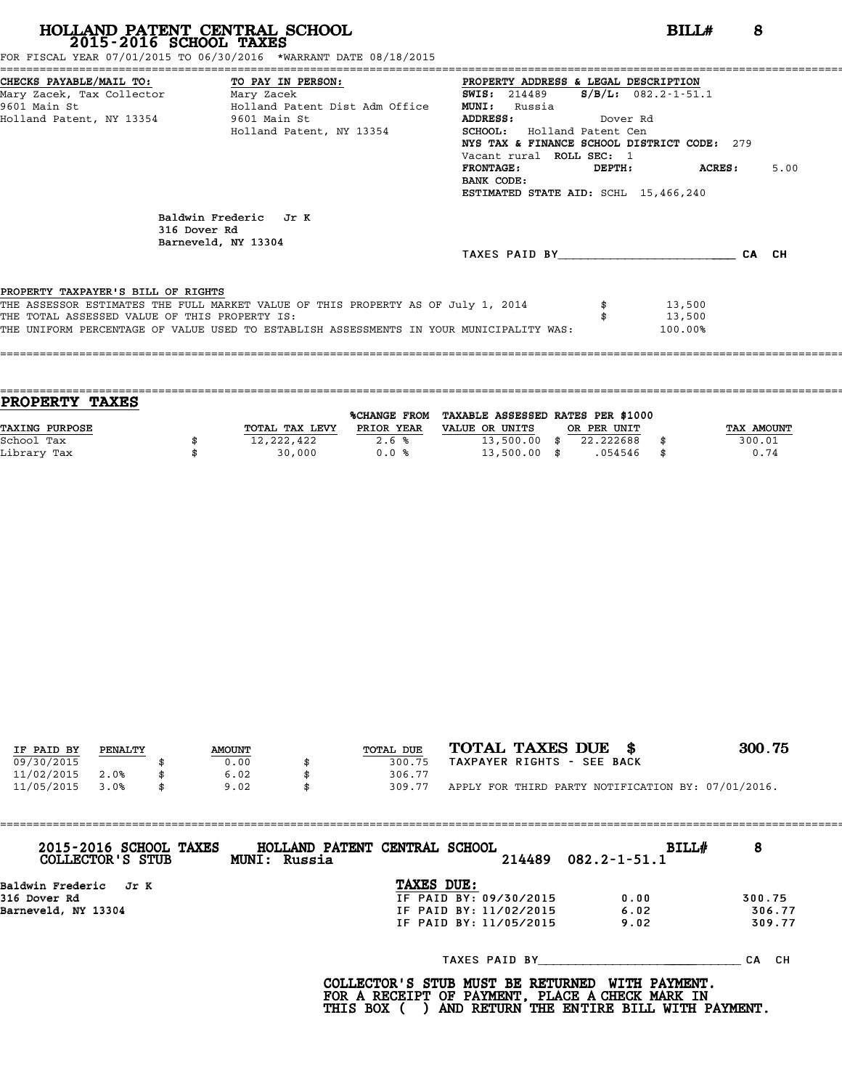FOR FISCAL YEAR 07/01/2015 TO 06/30/2016 \*WARRANT DATE 08/18/2015

| CHECKS PAYABLE/MAIL TO: TO PAY IN PERSON:     |                                                                                         | PROPERTY ADDRESS & LEGAL DESCRIPTION        |                           |         |       |      |
|-----------------------------------------------|-----------------------------------------------------------------------------------------|---------------------------------------------|---------------------------|---------|-------|------|
| Mary Zacek, Tax Collector         Mary Zacek  |                                                                                         | <b>SWIS:</b> 214489                         | $S/B/L: 082.2 - 1 - 51.1$ |         |       |      |
|                                               | 9601 Main St                         Holland Patent Dist Adm Office                     | <b>MUNI:</b><br>Russia                      |                           |         |       |      |
| Holland Patent, NY 13354 9601 Main St         |                                                                                         | ADDRESS:                                    | Dover Rd                  |         |       |      |
|                                               | Holland Patent, NY 13354                                                                | <b>SCHOOL:</b> Holland Patent Cen           |                           |         |       |      |
|                                               |                                                                                         | NYS TAX & FINANCE SCHOOL DISTRICT CODE: 279 |                           |         |       |      |
|                                               |                                                                                         | Vacant rural ROLL SEC: 1                    |                           |         |       |      |
|                                               |                                                                                         | <b>FRONTAGE:</b>                            | DEPTH:                    | ACRES : |       | 5.00 |
|                                               |                                                                                         | BANK CODE:                                  |                           |         |       |      |
|                                               |                                                                                         | ESTIMATED STATE AID: SCHL 15,466,240        |                           |         |       |      |
|                                               | Baldwin Frederic Jr K<br>316 Dover Rd<br>Barneveld, NY 13304                            |                                             |                           |         |       |      |
|                                               |                                                                                         | TAXES PAID BY                               |                           |         | CA CH |      |
|                                               |                                                                                         |                                             |                           |         |       |      |
| PROPERTY TAXPAYER'S BILL OF RIGHTS            |                                                                                         |                                             |                           |         |       |      |
|                                               | THE ASSESSOR ESTIMATES THE FULL MARKET VALUE OF THIS PROPERTY AS OF July 1, 2014        |                                             |                           | 13,500  |       |      |
| THE TOTAL ASSESSED VALUE OF THIS PROPERTY IS: |                                                                                         |                                             |                           | 13,500  |       |      |
|                                               | THE UNIFORM PERCENTAGE OF VALUE USED TO ESTABLISH ASSESSMENTS IN YOUR MUNICIPALITY WAS: |                                             |                           | 100.00% |       |      |
|                                               |                                                                                         |                                             |                           |         |       |      |

|                | %CHANGE FROM |                |                                  |             |                                   |
|----------------|--------------|----------------|----------------------------------|-------------|-----------------------------------|
| TOTAL TAX LEVY | PRIOR YEAR   | VALUE OR UNITS |                                  |             | TAX AMOUNT                        |
| 12,222,422     | 2.6%         |                | 22.222688                        |             | 300.01                            |
| 30,000         | 0.0%         |                | .054546                          |             | 0.74                              |
|                |              |                | $13,500.00$ \$<br>$13,500.00$ \$ | OR PER UNIT | TAXABLE ASSESSED RATES PER \$1000 |

====================================================================================================================================

| IF PAID BY | PENALTY | <b>AMOUNT</b> | TOTAL DUE | TOTAL TAXES DUE \$<br>300.75                       |  |
|------------|---------|---------------|-----------|----------------------------------------------------|--|
| 09/30/2015 |         | 0.00          | 300.75    | TAXPAYER RIGHTS - SEE BACK                         |  |
| 11/02/2015 | 2.0%    | 6.02          | 306.77    |                                                    |  |
| 11/05/2015 | 3.0%    | 9.02          | 309.77    | APPLY FOR THIRD PARTY NOTIFICATION BY: 07/01/2016. |  |

| 2015-2016 SCHOOL TAXES<br>COLLECTOR'S STUB | HOLLAND PATENT CENTRAL SCHOOL<br>MUNI: Russia |                        | 214489 | <b>BILL#</b><br>$082.2 - 1 - 51.1$ | 8         |
|--------------------------------------------|-----------------------------------------------|------------------------|--------|------------------------------------|-----------|
| Baldwin Frederic – Jr K                    |                                               | TAXES DUE:             |        |                                    |           |
| 316 Dover Rd                               |                                               | IF PAID BY: 09/30/2015 |        | 0.00                               | 300.75    |
| Barneveld, NY 13304                        |                                               | IF PAID BY: 11/02/2015 |        | 6.02                               | 306.77    |
|                                            |                                               | IF PAID BY: 11/05/2015 |        | 9.02                               | 309.77    |
|                                            |                                               | TAXES PAID BY          |        |                                    | CH.<br>СA |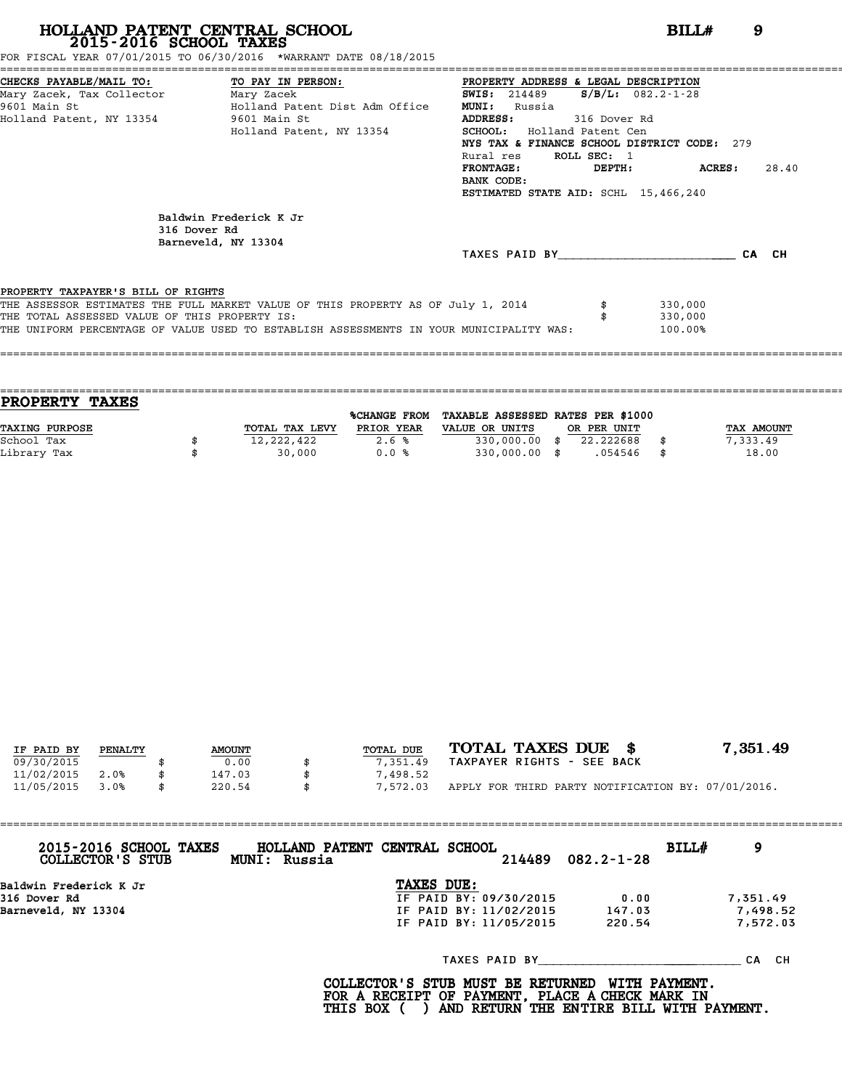FOR FISCAL YEAR 07/01/2015 TO 06/30/2016 \*WARRANT DATE 08/18/2015

| CHECKS PAYABLE/MAIL TO: TO PAY IN PERSON:     |                                                                                         | PROPERTY ADDRESS & LEGAL DESCRIPTION        |              |                         |       |
|-----------------------------------------------|-----------------------------------------------------------------------------------------|---------------------------------------------|--------------|-------------------------|-------|
| Mary Zacek, Tax Collector                     | Mary Zacek                                                                              | <b>SWIS: 214489</b>                         |              | $S/B/L: 082.2 - 1 - 28$ |       |
| 9601 Main St                                  | Holland Patent Dist Adm Office                                                          | <b>MUNI:</b><br>Russia                      |              |                         |       |
| Holland Patent, NY 13354                      | 9601 Main St                                                                            | ADDRESS:                                    | 316 Dover Rd |                         |       |
|                                               | Holland Patent, NY 13354                                                                | Holland Patent Cen<br><b>SCHOOL:</b>        |              |                         |       |
|                                               |                                                                                         | NYS TAX & FINANCE SCHOOL DISTRICT CODE: 279 |              |                         |       |
|                                               |                                                                                         | Rural res                                   | ROLL SEC: 1  |                         |       |
|                                               |                                                                                         | <b>FRONTAGE:</b>                            | DEPTH:       | ACRES:                  | 28.40 |
|                                               |                                                                                         | BANK CODE:                                  |              |                         |       |
|                                               |                                                                                         | ESTIMATED STATE AID: SCHL 15,466,240        |              |                         |       |
| 316 Dover Rd                                  | Baldwin Frederick K Jr<br>Barneveld, NY 13304                                           |                                             |              |                         |       |
|                                               |                                                                                         | TAXES PAID BY                               |              |                         | CA CH |
|                                               |                                                                                         |                                             |              |                         |       |
| PROPERTY TAXPAYER'S BILL OF RIGHTS            |                                                                                         |                                             |              |                         |       |
|                                               | THE ASSESSOR ESTIMATES THE FULL MARKET VALUE OF THIS PROPERTY AS OF July 1, 2014        |                                             |              | 330,000                 |       |
| THE TOTAL ASSESSED VALUE OF THIS PROPERTY IS: |                                                                                         |                                             |              | 330,000                 |       |
|                                               | THE UNIFORM PERCENTAGE OF VALUE USED TO ESTABLISH ASSESSMENTS IN YOUR MUNICIPALITY WAS: |                                             |              | 100.00%                 |       |
|                                               |                                                                                         |                                             |              |                         |       |

| <b>TAXES</b><br><b>PROPERTY</b> |                |                     |                                   |             |             |
|---------------------------------|----------------|---------------------|-----------------------------------|-------------|-------------|
|                                 |                | <b>%CHANGE FROM</b> | TAXABLE ASSESSED RATES PER \$1000 |             |             |
| TAXING PURPOSE                  | TOTAL TAX LEVY | PRIOR YEAR          | VALUE OR UNITS                    | OR PER UNIT | TAX AMOUNT  |
| School Tax                      | 12,222,422     | 2.6%                | 330,000.00 \$                     | 22.222688   | 7,333.49    |
| Library Tax                     | 30,000         | 0.0%                | $330,000.00$ \$                   | .054546     | \$<br>18.00 |
|                                 |                |                     |                                   |             |             |

====================================================================================================================================

| IF PAID BY | PENALTY | <b>AMOUNT</b> | TOTAL DUE | TOTAL TAXES DUE \$                                 | 7,351.49 |
|------------|---------|---------------|-----------|----------------------------------------------------|----------|
| 09/30/2015 |         | 0.00          | 7,351.49  | TAXPAYER RIGHTS - SEE BACK                         |          |
| 11/02/2015 | 2.0%    | 147.03        | 7,498.52  |                                                    |          |
| 11/05/2015 | 3.0%    | \$<br>220.54  | 7,572.03  | APPLY FOR THIRD PARTY NOTIFICATION BY: 07/01/2016. |          |

| 2015-2016 SCHOOL TAXES<br>COLLECTOR'S STUB | HOLLAND PATENT CENTRAL SCHOOL<br>BILL#<br>9<br>214489<br>$082.2 - 1 - 28$<br>MUNI: Russia |
|--------------------------------------------|-------------------------------------------------------------------------------------------|
| Baldwin Frederick K Jr                     | TAXES DUE:                                                                                |
| 316 Dover Rd                               | IF PAID BY: 09/30/2015<br>7,351.49<br>0.00                                                |
| Barneveld, NY 13304                        | IF PAID BY: 11/02/2015<br>7,498.52<br>147.03                                              |
|                                            | 7,572.03<br>IF PAID BY: 11/05/2015<br>220.54                                              |
|                                            | TAXES PAID BY<br>CA CH                                                                    |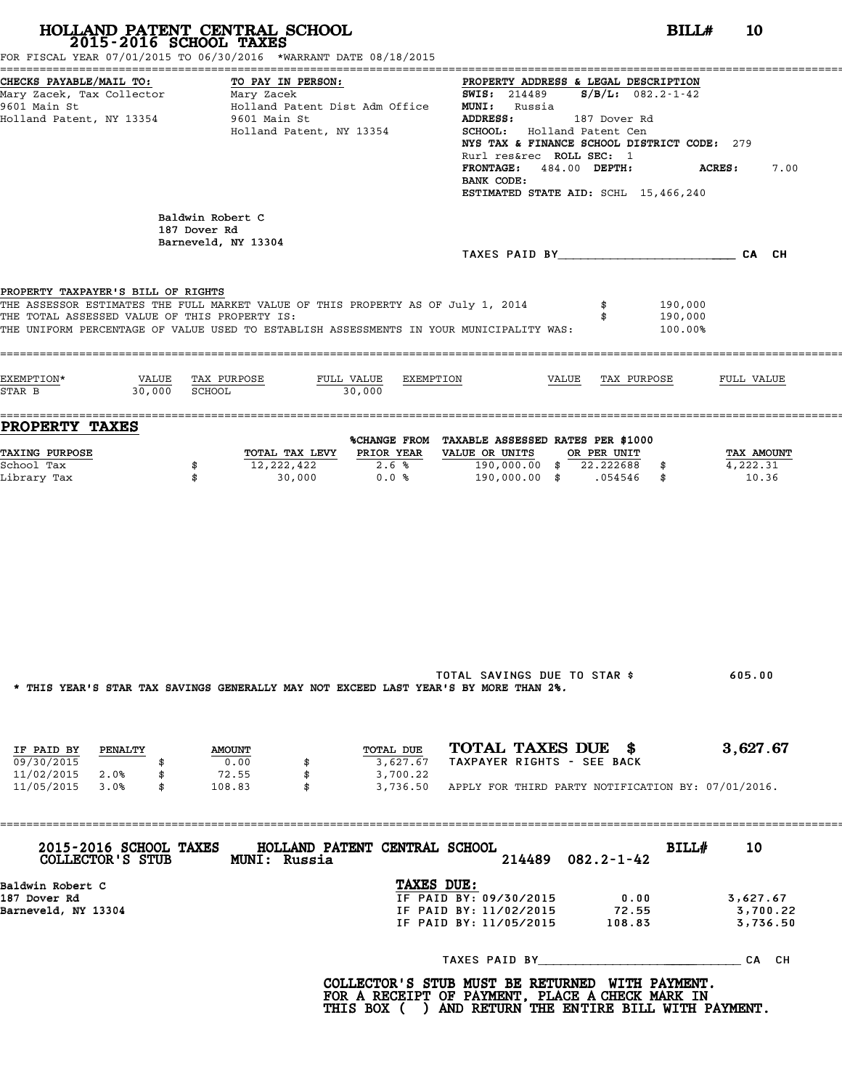| 2015-2016 SCHOOL TAXES                                                                                      | HOLLAND PATENT CENTRAL SCHOOL<br>FOR FISCAL YEAR 07/01/2015 TO 06/30/2016 *WARRANT DATE 08/18/2015                                                                          | BILLH<br><b>10</b>                                                                                                                                                                                                                                                                                                                   |                                  |
|-------------------------------------------------------------------------------------------------------------|-----------------------------------------------------------------------------------------------------------------------------------------------------------------------------|--------------------------------------------------------------------------------------------------------------------------------------------------------------------------------------------------------------------------------------------------------------------------------------------------------------------------------------|----------------------------------|
| CHECKS PAYABLE/MAIL TO:<br>Mary Zacek, Tax Collector Mary Zacek<br>9601 Main St<br>Holland Patent, NY 13354 | TO PAY IN PERSON:<br>Holland Patent Dist Adm Office<br>9601 Main St<br>Holland Patent, NY 13354                                                                             | PROPERTY ADDRESS & LEGAL DESCRIPTION<br><b>SWIS:</b> 214489 $S/B/L$ : 082.2-1-42<br><b>MUNI:</b> Russia<br>ADDRESS: 187 Dover Rd<br>SCHOOL: Holland Patent Cen<br>NYS TAX & FINANCE SCHOOL DISTRICT CODE: 279<br>Rurl res&rec ROLL SEC: 1<br>FRONTAGE: 484.00 DEPTH:<br>ACRES:<br>BANK CODE:<br>ESTIMATED STATE AID: SCHL 15,466,240 | 7.00                             |
|                                                                                                             | Baldwin Robert C<br>187 Dover Rd                                                                                                                                            |                                                                                                                                                                                                                                                                                                                                      |                                  |
|                                                                                                             | Barneveld, NY 13304                                                                                                                                                         | TAXES PAID BY CA CH                                                                                                                                                                                                                                                                                                                  |                                  |
| PROPERTY TAXPAYER'S BILL OF RIGHTS<br>THE TOTAL ASSESSED VALUE OF THIS PROPERTY IS:                         | THE ASSESSOR ESTIMATES THE FULL MARKET VALUE OF THIS PROPERTY AS OF July 1, 2014<br>THE UNIFORM PERCENTAGE OF VALUE USED TO ESTABLISH ASSESSMENTS IN YOUR MUNICIPALITY WAS: | 190,000<br>190,000<br>100.00%                                                                                                                                                                                                                                                                                                        |                                  |
| EXEMPTION*<br>$30,000$ SCHOOL<br>STAR B                                                                     | VALUE TAX PURPOSE<br>FULL VALUE EXEMPTION<br>30,000                                                                                                                         | VALUE TAX PURPOSE<br>FULL VALUE                                                                                                                                                                                                                                                                                                      |                                  |
| <b>PROPERTY TAXES</b>                                                                                       |                                                                                                                                                                             | %CHANGE FROM TAXABLE ASSESSED RATES PER \$1000                                                                                                                                                                                                                                                                                       |                                  |
| <b>TAXING PURPOSE</b><br>School Tax<br>Library Tax                                                          | TOTAL TAX LEVY PRIOR YEAR<br>12,222,422<br>2.6%<br>\$<br>0.0%<br>\$<br>30,000                                                                                               | VALUE OR UNITS OR PER UNIT<br>190,000.00 \$ 22.222688 \$<br>4,222.31<br>190,000.00 \$ .054546 \$                                                                                                                                                                                                                                     | TAX AMOUNT<br>10.36              |
|                                                                                                             | * THIS YEAR'S STAR TAX SAVINGS GENERALLY MAY NOT EXCEED LAST YEAR'S BY MORE THAN 2%.                                                                                        | TOTAL SAVINGS DUE TO STAR \$<br>605.00                                                                                                                                                                                                                                                                                               |                                  |
| IF PAID BY PENALTY                                                                                          | TOTAL DUE<br><b>AMOUNT</b>                                                                                                                                                  | TOTAL TAXES DUE \$                                                                                                                                                                                                                                                                                                                   | 3,627.67                         |
| 09/30/2015<br>\$<br>11/02/2015 2.0%<br>\$<br>11/05/2015 3.0%<br>$\mathbb S$                                 | 0.00<br>3,627.67<br>\$<br>72.55<br>\$<br>3,700.22<br>108.83<br>$\mathbf{s}$                                                                                                 | TAXPAYER RIGHTS - SEE BACK<br>3,736.50 APPLY FOR THIRD PARTY NOTIFICATION BY: 07/01/2016.                                                                                                                                                                                                                                            |                                  |
|                                                                                                             | 2015-2016 SCHOOL TAXES HOLLAND PATENT CENTRAL SCHOOL<br>COLLECTOR'S STUB MUNI: Russia                                                                                       | BILL#<br>$082.2 - 1 - 42$<br>214489                                                                                                                                                                                                                                                                                                  | 10                               |
| Baldwin Robert C<br>187 Dover Rd<br>Barneveld, NY 13304                                                     |                                                                                                                                                                             | TAXES DUE:<br>IF PAID BY: 09/30/2015<br>0.00<br>IF PAID BY: 11/02/2015 72.55<br>IF PAID BY: 11/05/2015 108.83                                                                                                                                                                                                                        | 3,627.67<br>3,700.22<br>3,736.50 |
|                                                                                                             |                                                                                                                                                                             | TAXES PAID BY CA CH                                                                                                                                                                                                                                                                                                                  |                                  |
|                                                                                                             |                                                                                                                                                                             | COLLECTOR'S STUB MUST BE RETURNED WITH PAYMENT.<br>FOR A RECEIPT OF PAYMENT, PLACE A CHECK MARK IN<br>THIS BOX ( ) AND RETURN THE ENTIRE BILL WITH PAYMENT.                                                                                                                                                                          |                                  |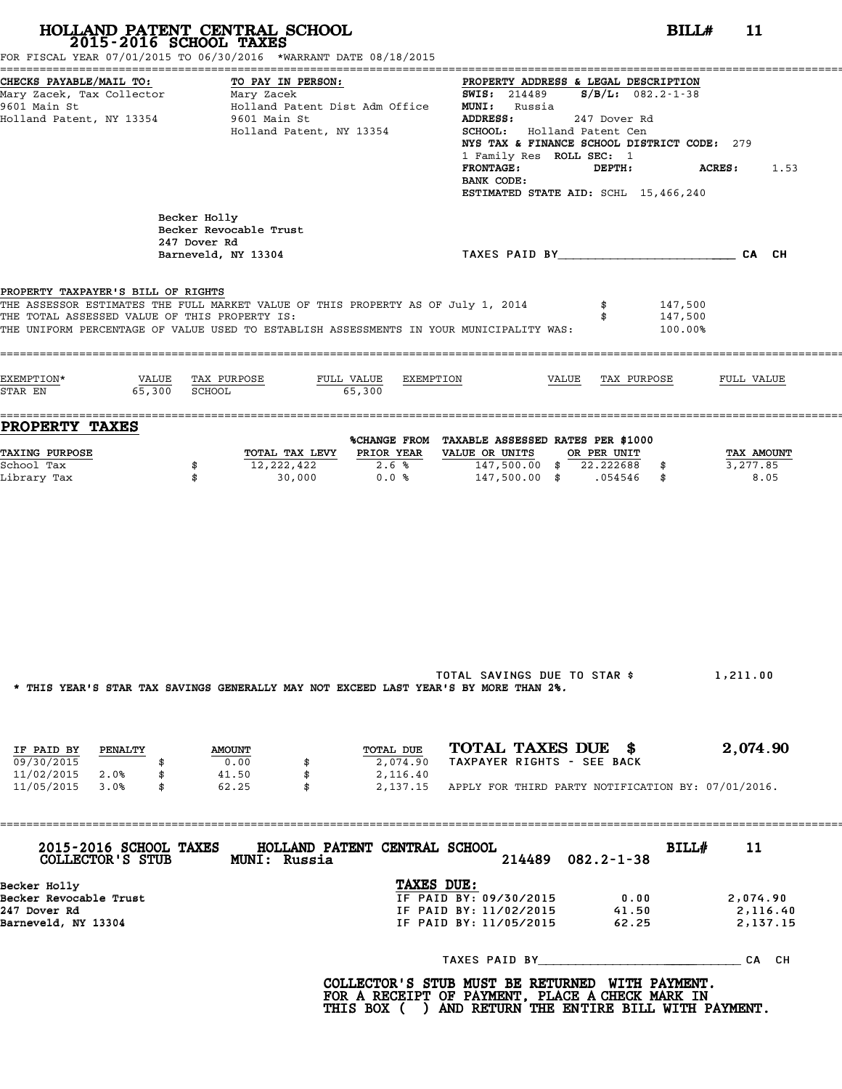| CHECKS PAYABLE/MAIL TO:<br>Mary Zacek, Tax Collector Mary Zacek<br>9601 Main St<br>Holland Patent, NY 13354                                                                                                                                                        | TO PAY IN PERSON:<br>Holland Patent Dist Adm Office<br>9601 Main St<br>Holland Patent, NY 13354 |                                   | PROPERTY ADDRESS & LEGAL DESCRIPTION<br><b>SWIS:</b> 214489 $S/B/L$ : 082.2-1-38<br><b>MUNI:</b> Russia<br><b>ADDRESS:</b><br>SCHOOL: Holland Patent Cen<br>NYS TAX & FINANCE SCHOOL DISTRICT CODE: 279<br>1 Family Res ROLL SEC: 1<br><b>FRONTAGE:</b><br>BANK CODE:<br>ESTIMATED STATE AID: SCHL 15,466,240 | 247 Dover Rd<br>DEPTH: | <b>ACRES :</b>                | 1.53                             |
|--------------------------------------------------------------------------------------------------------------------------------------------------------------------------------------------------------------------------------------------------------------------|-------------------------------------------------------------------------------------------------|-----------------------------------|---------------------------------------------------------------------------------------------------------------------------------------------------------------------------------------------------------------------------------------------------------------------------------------------------------------|------------------------|-------------------------------|----------------------------------|
|                                                                                                                                                                                                                                                                    | Becker Holly<br>Becker Revocable Trust<br>247 Dover Rd<br>Barneveld, NY 13304                   |                                   | TAXES PAID BY CAN CHE CAN CH                                                                                                                                                                                                                                                                                  |                        |                               |                                  |
|                                                                                                                                                                                                                                                                    |                                                                                                 |                                   |                                                                                                                                                                                                                                                                                                               |                        |                               |                                  |
| PROPERTY TAXPAYER'S BILL OF RIGHTS<br>THE ASSESSOR ESTIMATES THE FULL MARKET VALUE OF THIS PROPERTY AS OF July 1, 2014<br>THE TOTAL ASSESSED VALUE OF THIS PROPERTY IS:<br>THE UNIFORM PERCENTAGE OF VALUE USED TO ESTABLISH ASSESSMENTS IN YOUR MUNICIPALITY WAS: |                                                                                                 |                                   |                                                                                                                                                                                                                                                                                                               |                        | 147,500<br>147,500<br>100.00% |                                  |
| EXEMPTION*                                                                                                                                                                                                                                                         | VALUE TAX PURPOSE                                                                               | FULL VALUE EXEMPTION              |                                                                                                                                                                                                                                                                                                               | VALUE TAX PURPOSE      |                               | FULL VALUE                       |
| STAR EN 65,300 SCHOOL                                                                                                                                                                                                                                              |                                                                                                 | 65,300                            |                                                                                                                                                                                                                                                                                                               |                        |                               |                                  |
| <b>PROPERTY TAXES</b>                                                                                                                                                                                                                                              |                                                                                                 |                                   |                                                                                                                                                                                                                                                                                                               |                        |                               |                                  |
| <b>TAXING PURPOSE</b>                                                                                                                                                                                                                                              | TOTAL TAX LEVY PRIOR YEAR                                                                       |                                   | %CHANGE FROM TAXABLE ASSESSED RATES PER \$1000<br>VALUE OR UNITS OR PER UNIT                                                                                                                                                                                                                                  |                        |                               |                                  |
| School Tax                                                                                                                                                                                                                                                         | 12,222,422<br>\$                                                                                | 2.6%<br>0.0%                      | 147,500.00 \$ 22.222688 \$<br>147,500.00 \$ .054546 \$                                                                                                                                                                                                                                                        |                        |                               | TAX AMOUNT<br>3,277.85<br>8.05   |
|                                                                                                                                                                                                                                                                    |                                                                                                 |                                   |                                                                                                                                                                                                                                                                                                               |                        |                               |                                  |
|                                                                                                                                                                                                                                                                    | * THIS YEAR'S STAR TAX SAVINGS GENERALLY MAY NOT EXCEED LAST YEAR'S BY MORE THAN 2%.            |                                   | TOTAL SAVINGS DUE TO STAR \$                                                                                                                                                                                                                                                                                  |                        |                               | 1,211.00                         |
| IF PAID BY<br><b>PENALTY</b><br>09/30/2015<br>\$<br>11/02/2015 2.0%<br>\$                                                                                                                                                                                          | <b>AMOUNT</b><br>0.00<br>41.50<br>\$                                                            | TOTAL DUE<br>2,074.90<br>2,116.40 | TOTAL TAXES DUE \$<br>TAXPAYER RIGHTS - SEE BACK                                                                                                                                                                                                                                                              |                        |                               | 2,074.90                         |
| 11/05/2015 3.0%<br>\$                                                                                                                                                                                                                                              | 62.25<br>\$                                                                                     |                                   | 2,137.15 APPLY FOR THIRD PARTY NOTIFICATION BY: 07/01/2016.                                                                                                                                                                                                                                                   |                        |                               |                                  |
| 2015-2016 SCHOOL TAXES                                                                                                                                                                                                                                             | HOLLAND PATENT CENTRAL SCHOOL<br>COLLECTOR'S STUB MUNI: Russia                                  |                                   | 214489                                                                                                                                                                                                                                                                                                        | $082.2 - 1 - 38$       | BILL#                         | 11                               |
|                                                                                                                                                                                                                                                                    |                                                                                                 | TAXES DUE:                        |                                                                                                                                                                                                                                                                                                               |                        |                               |                                  |
| Becker Holly<br>Becker Revocable Trust<br>247 Dover Rd<br>Barneveld, NY 13304                                                                                                                                                                                      |                                                                                                 |                                   | IF PAID BY: 09/30/2015<br>IF PAID BY: 11/02/2015<br>IF PAID BY: 11/05/2015                                                                                                                                                                                                                                    | 0.00<br>41.50<br>62.25 |                               | 2,074.90<br>2,116.40<br>2,137.15 |

COLLECTOR'S STUB MUST BE RETURNED WITH PAYMENT.<br>FOR A RECEIPT OF PAYMENT, PLACE A CHECK MARK IN<br>THIS BOX ( ) AND RETURN THE ENTIRE BILL WITH PAYMENT.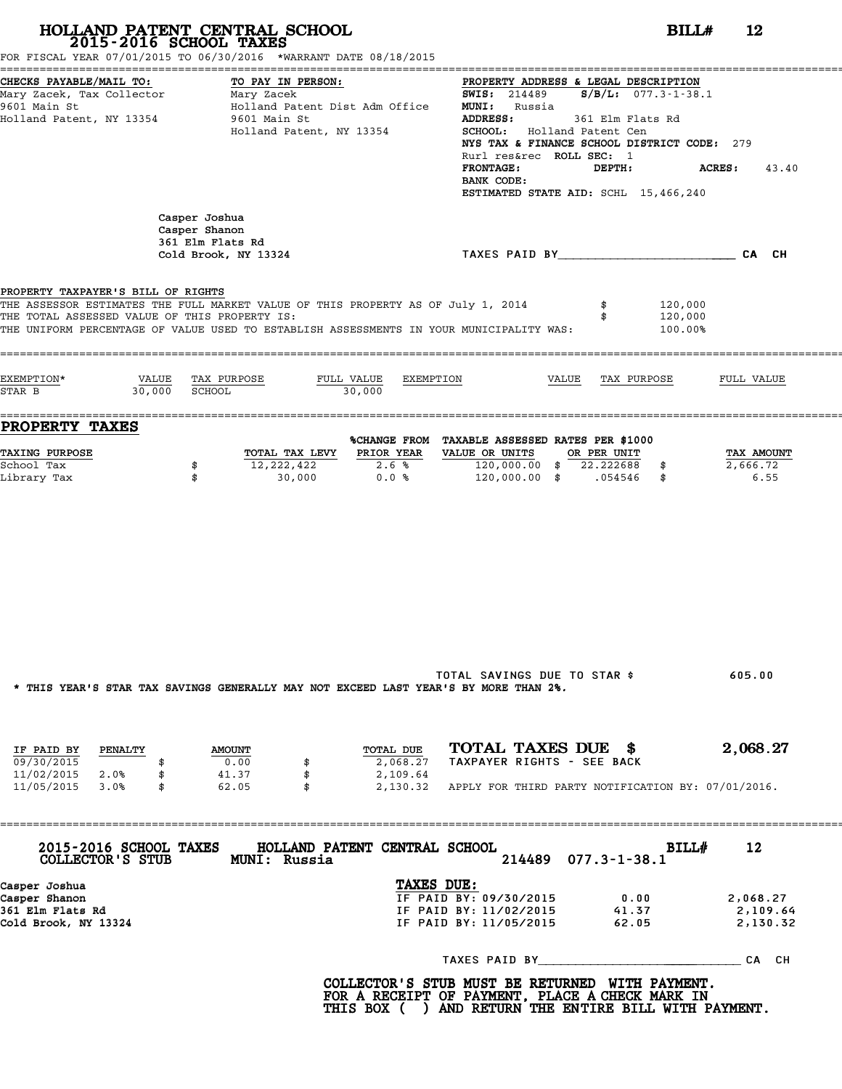| 2015-2016 SCHOOL TAXES                                                                                      | HOLLAND PATENT CENTRAL SCHOOL<br>FOR FISCAL YEAR 07/01/2015 TO 06/30/2016 *WARRANT DATE 08/18/2015                                                                          |                                                                                                                                                                                                                                                                                                                                                   | $BILLH$ 12                       |
|-------------------------------------------------------------------------------------------------------------|-----------------------------------------------------------------------------------------------------------------------------------------------------------------------------|---------------------------------------------------------------------------------------------------------------------------------------------------------------------------------------------------------------------------------------------------------------------------------------------------------------------------------------------------|----------------------------------|
| CHECKS PAYABLE/MAIL TO:<br>Mary Zacek, Tax Collector Mary Zacek<br>9601 Main St<br>Holland Patent, NY 13354 | TO PAY IN PERSON:<br>Holland Patent Dist Adm Office<br>9601 Main St<br>Holland Patent, NY 13354                                                                             | PROPERTY ADDRESS & LEGAL DESCRIPTION<br><b>SWIS:</b> 214489 <b>S/B/L:</b> 077.3-1-38.1<br><b>MUNI:</b> Russia<br><b>ADDRESS:</b><br>361 Elm Flats Rd<br>SCHOOL: Holland Patent Cen<br>NYS TAX & FINANCE SCHOOL DISTRICT CODE: 279<br>Rurl res&rec ROLL SEC: 1<br><b>FRONTAGE:</b><br>DEPTH:<br>BANK CODE:<br>ESTIMATED STATE AID: SCHL 15,466,240 | <b>ACRES:</b> 43.40              |
|                                                                                                             | Casper Joshua<br>Casper Shanon<br>361 Elm Flats Rd<br>Cold Brook, NY 13324                                                                                                  | TAXES PAID BY TAND AND TAXES PAID BY                                                                                                                                                                                                                                                                                                              |                                  |
| PROPERTY TAXPAYER'S BILL OF RIGHTS<br>THE TOTAL ASSESSED VALUE OF THIS PROPERTY IS:                         | THE ASSESSOR ESTIMATES THE FULL MARKET VALUE OF THIS PROPERTY AS OF July 1, 2014<br>THE UNIFORM PERCENTAGE OF VALUE USED TO ESTABLISH ASSESSMENTS IN YOUR MUNICIPALITY WAS: | 120,000<br>120,000<br>100.00%                                                                                                                                                                                                                                                                                                                     |                                  |
| EXEMPTION*<br>30,000 SCHOOL<br>STAR B                                                                       | VALUE TAX PURPOSE<br>FULL VALUE EXEMPTION<br>30,000                                                                                                                         | VALUE TAX PURPOSE                                                                                                                                                                                                                                                                                                                                 | FULL VALUE                       |
| <b>PROPERTY TAXES</b><br><b>TAXING PURPOSE</b><br>School Tax<br>Library Tax                                 | TOTAL TAX LEVY PRIOR YEAR<br>12,222,422<br>2.6%<br>\$<br>0.0%<br>\$<br>30,000                                                                                               | %CHANGE FROM TAXABLE ASSESSED RATES PER \$1000<br>VALUE OR UNITS OR PER UNIT<br>120,000.00 \$ 22.222688 \$<br>120,000.00 \$ .054546 \$                                                                                                                                                                                                            | TAX AMOUNT<br>2,666.72<br>6.55   |
|                                                                                                             | * THIS YEAR'S STAR TAX SAVINGS GENERALLY MAY NOT EXCEED LAST YEAR'S BY MORE THAN 2%.                                                                                        | TOTAL SAVINGS DUE TO STAR \$                                                                                                                                                                                                                                                                                                                      | 605.00                           |
| IF PAID BY<br>PENALTY<br>09/30/2015<br>\$<br>11/02/2015 2.0%<br>\$<br>11/05/2015 3.0%<br>\$                 | TOTAL DUE<br><b>AMOUNT</b><br>0.00<br>2,068.27<br>41.37<br>\$<br>2,109.64<br>62.05<br>\$                                                                                    | TOTAL TAXES DUE \$<br>TAXPAYER RIGHTS - SEE BACK<br>2,130.32 APPLY FOR THIRD PARTY NOTIFICATION BY: 07/01/2016.                                                                                                                                                                                                                                   | 2,068.27                         |
| 2015-2016 SCHOOL TAXES<br>COLLECTOR'S STUB                                                                  | HOLLAND PATENT CENTRAL SCHOOL<br>MUNI: Russia                                                                                                                               | BILL#<br>214489<br>$077.3 - 1 - 38.1$                                                                                                                                                                                                                                                                                                             | 12                               |
| Casper Joshua<br>Casper Shanon<br>361 Elm Flats Rd<br>Cold Brook, NY 13324                                  | TAXES DUE:                                                                                                                                                                  | IF PAID BY: 09/30/2015<br>0.00<br>IF PAID BY: 11/02/2015<br>41.37<br>IF PAID BY: 11/05/2015<br>62.05                                                                                                                                                                                                                                              | 2,068.27<br>2,109.64<br>2,130.32 |
|                                                                                                             |                                                                                                                                                                             |                                                                                                                                                                                                                                                                                                                                                   |                                  |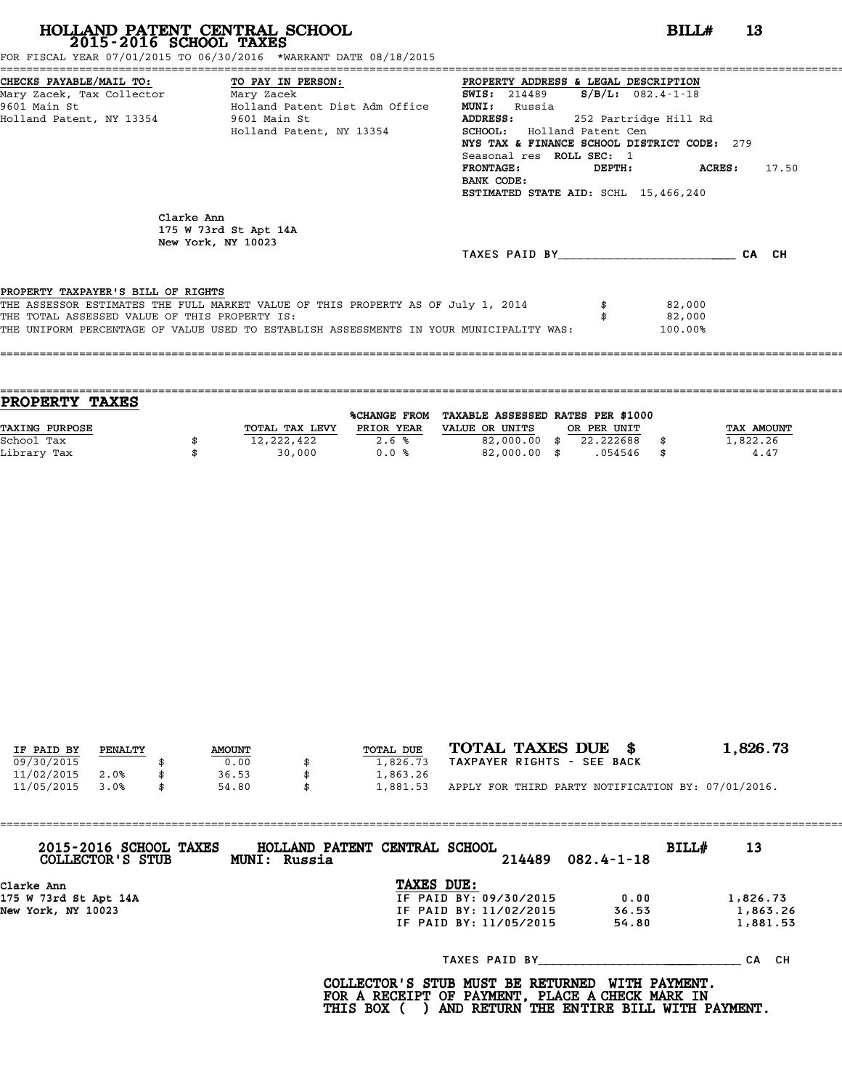FOR FISCAL YEAR 07/01/2015 TO 06/30/2016 \*WARRANT DATE 08/18/2015

| CHECKS PAYABLE/MAIL TO: TO PAY IN PERSON:     |                                                                                         | PROPERTY ADDRESS & LEGAL DESCRIPTION        |        |                         |       |
|-----------------------------------------------|-----------------------------------------------------------------------------------------|---------------------------------------------|--------|-------------------------|-------|
| Mary Zacek, Tax Collector Mary Zacek          |                                                                                         | <b>SWIS:</b> 214489                         |        | $S/B/L: 082.4 - 1 - 18$ |       |
| 9601 Main St                                  | Holland Patent Dist Adm Office                                                          | <b>MUNI:</b><br>Russia                      |        |                         |       |
| Holland Patent, NY 13354 9601 Main St         |                                                                                         | <b>ADDRESS:</b>                             |        | 252 Partridge Hill Rd   |       |
|                                               | Holland Patent, NY 13354                                                                | <b>SCHOOL:</b> Holland Patent Cen           |        |                         |       |
|                                               |                                                                                         | NYS TAX & FINANCE SCHOOL DISTRICT CODE: 279 |        |                         |       |
|                                               |                                                                                         | Seasonal res ROLL SEC: 1                    |        |                         |       |
|                                               |                                                                                         | <b>FRONTAGE :</b>                           | DEPTH: | ACRES:                  | 17.50 |
|                                               |                                                                                         | BANK CODE:                                  |        |                         |       |
|                                               |                                                                                         | ESTIMATED STATE AID: SCHL 15,466,240        |        |                         |       |
| Clarke Ann                                    | 175 W 73rd St Apt 14A<br>New York, NY 10023                                             | TAXES PAID BY                               |        |                         | CA CH |
| PROPERTY TAXPAYER'S BILL OF RIGHTS            |                                                                                         |                                             |        |                         |       |
|                                               | THE ASSESSOR ESTIMATES THE FULL MARKET VALUE OF THIS PROPERTY AS OF July 1, 2014        |                                             |        | 82,000                  |       |
| THE TOTAL ASSESSED VALUE OF THIS PROPERTY IS: |                                                                                         |                                             |        | 82,000                  |       |
|                                               | THE UNIFORM PERCENTAGE OF VALUE USED TO ESTABLISH ASSESSMENTS IN YOUR MUNICIPALITY WAS: |                                             |        | 100.00%                 |       |
|                                               |                                                                                         |                                             |        |                         |       |
|                                               | =========================                                                               |                                             |        |                         |       |

| PROPERTY TAXES |                |              |                                   |             |            |
|----------------|----------------|--------------|-----------------------------------|-------------|------------|
|                |                | %CHANGE FROM | TAXABLE ASSESSED RATES PER \$1000 |             |            |
| TAXING PURPOSE | TOTAL TAX LEVY | PRIOR YEAR   | VALUE OR UNITS                    | OR PER UNIT | TAX AMOUNT |
| School Tax     | 12,222,422     | 2.6%         | 82,000.00                         | 22.222688   | 1,822.26   |
| Library Tax    | 30,000         | 0.0%         | 82,000.00 \$                      | .054546     | \$<br>4.47 |
|                |                |              |                                   |             |            |

| IF PAID BY | PENALTY | <b>AMOUNT</b> | TOTAL DUE | TOTAL TAXES DUE \$                                 | 1,826.73 |
|------------|---------|---------------|-----------|----------------------------------------------------|----------|
| 09/30/2015 |         | 0.00          | 1,826.73  | TAXPAYER RIGHTS - SEE BACK                         |          |
| 11/02/2015 | 2.0%    | 36.53         | 1,863.26  |                                                    |          |
| 11/05/2015 | 3.0%    | 54.80         | 1,881.53  | APPLY FOR THIRD PARTY NOTIFICATION BY: 07/01/2016. |          |
|            |         |               |           |                                                    |          |

| 2015-2016 SCHOOL TAXES<br>COLLECTOR'S STUB | HOLLAND PATENT CENTRAL SCHOOL<br>MUNI: Russia |                        | 214489 | $082.4 - 1 - 18$ | BILL# | 13        |
|--------------------------------------------|-----------------------------------------------|------------------------|--------|------------------|-------|-----------|
| Clarke Ann                                 |                                               | TAXES DUE:             |        |                  |       |           |
| 175 W 73rd St Apt 14A                      |                                               | IF PAID BY: 09/30/2015 |        | 0.00             |       | 1,826.73  |
| New York, NY 10023                         |                                               | IF PAID BY: 11/02/2015 |        | 36.53            |       | 1,863.26  |
|                                            |                                               | IF PAID BY: 11/05/2015 |        | 54.80            |       | 1,881.53  |
|                                            |                                               | TAXES PAID BY          |        |                  |       | CH.<br>СA |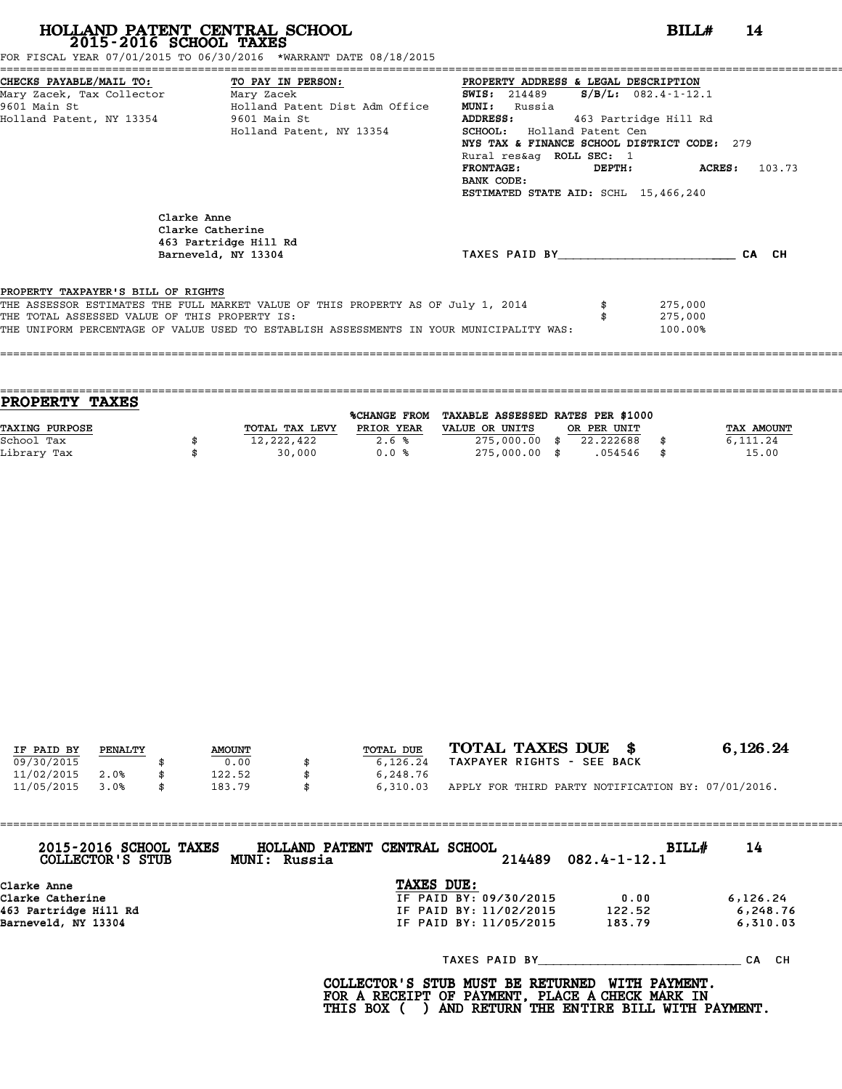FOR FISCAL YEAR 07/01/2015 TO 06/30/2016 \*WARRANT DATE 08/18/2015

| Mary Zacek, Tax Collector Mary Zacek          | CHECKS PAYABLE/MAIL TO: TO PAY IN PERSON:                                               | PROPERTY ADDRESS & LEGAL DESCRIPTION<br>$S/B/L$ : 082.4-1-12.1<br><b>SWIS:</b> 214489 |                             |
|-----------------------------------------------|-----------------------------------------------------------------------------------------|---------------------------------------------------------------------------------------|-----------------------------|
| 9601 Main St                                  | Holland Patent Dist Adm Office                                                          | <b>MUNI:</b><br>Russia                                                                |                             |
| Holland Patent, NY 13354                      | 9601 Main St                                                                            | <b>ADDRESS:</b><br>463 Partridge Hill Rd                                              |                             |
|                                               | Holland Patent, NY 13354                                                                | <b>SCHOOL:</b> Holland Patent Cen                                                     |                             |
|                                               |                                                                                         | NYS TAX & FINANCE SCHOOL DISTRICT CODE: 279                                           |                             |
|                                               |                                                                                         | Rural res&aq ROLL SEC: 1                                                              |                             |
|                                               |                                                                                         | <b>FRONTAGE:</b>                                                                      | $DEPTH:$ $ACRES:$<br>103.73 |
|                                               |                                                                                         | BANK CODE:                                                                            |                             |
|                                               |                                                                                         | ESTIMATED STATE AID: SCHL 15,466,240                                                  |                             |
|                                               | Clarke Anne<br>Clarke Catherine<br>463 Partridge Hill Rd<br>Barneveld, NY 13304         | TAXES PAID BY                                                                         | CA CH                       |
|                                               |                                                                                         |                                                                                       |                             |
| PROPERTY TAXPAYER'S BILL OF RIGHTS            |                                                                                         |                                                                                       |                             |
|                                               | THE ASSESSOR ESTIMATES THE FULL MARKET VALUE OF THIS PROPERTY AS OF July 1, 2014        |                                                                                       | 275,000                     |
| THE TOTAL ASSESSED VALUE OF THIS PROPERTY IS: |                                                                                         |                                                                                       | 275,000                     |
|                                               | THE UNIFORM PERCENTAGE OF VALUE USED TO ESTABLISH ASSESSMENTS IN YOUR MUNICIPALITY WAS: |                                                                                       | 100.00%                     |
|                                               |                                                                                         |                                                                                       |                             |
|                                               |                                                                                         |                                                                                       |                             |

| PROPERTY TAXES        |                |                     |                                   |             |      |                   |
|-----------------------|----------------|---------------------|-----------------------------------|-------------|------|-------------------|
|                       |                | <b>%CHANGE FROM</b> | TAXABLE ASSESSED RATES PER \$1000 |             |      |                   |
| <b>TAXING PURPOSE</b> | TOTAL TAX LEVY | PRIOR YEAR          | VALUE OR UNITS                    | OR PER UNIT |      | <b>TAX AMOUNT</b> |
| School Tax            | 12,222,422     | 2.6%                | $275,000.00$ \$                   | 22.222688   |      | 6,111.24          |
| Library Tax           | 30,000         | 0.0%                | 275,000.00 \$                     | .054546     | - \$ | 15.00             |
|                       |                |                     |                                   |             |      |                   |

| IF PAID BY | PENALTY | <b>AMOUNT</b> | TOTAL DUE | TOTAL TAXES DUE \$                                 | 6,126.24 |
|------------|---------|---------------|-----------|----------------------------------------------------|----------|
|            |         |               |           |                                                    |          |
| 09/30/2015 |         | 0.00          | 6.126.24  | TAXPAYER RIGHTS - SEE BACK                         |          |
| 11/02/2015 | 2.0%    | 122.52        | 6,248.76  |                                                    |          |
| 11/05/2015 | 3.0%    | \$<br>183.79  | 6,310.03  | APPLY FOR THIRD PARTY NOTIFICATION BY: 07/01/2016. |          |

| 2015-2016 SCHOOL TAXES<br>COLLECTOR'S STUB | HOLLAND PATENT CENTRAL SCHOOL<br>BILL#<br>$214489$ $082.4 - 1 - 12.1$<br>MUNI: Russia | 14        |
|--------------------------------------------|---------------------------------------------------------------------------------------|-----------|
| Clarke Anne                                | TAXES DUE:                                                                            |           |
| Clarke Catherine                           | IF PAID BY: 09/30/2015<br>0.00                                                        | 6, 126.24 |
| 463 Partridge Hill Rd                      | IF PAID BY: 11/02/2015<br>122.52                                                      | 6,248.76  |
| Barneveld, NY 13304                        | IF PAID BY: 11/05/2015<br>183.79                                                      | 6,310.03  |
|                                            | TAXES PAID BY                                                                         | CA CH     |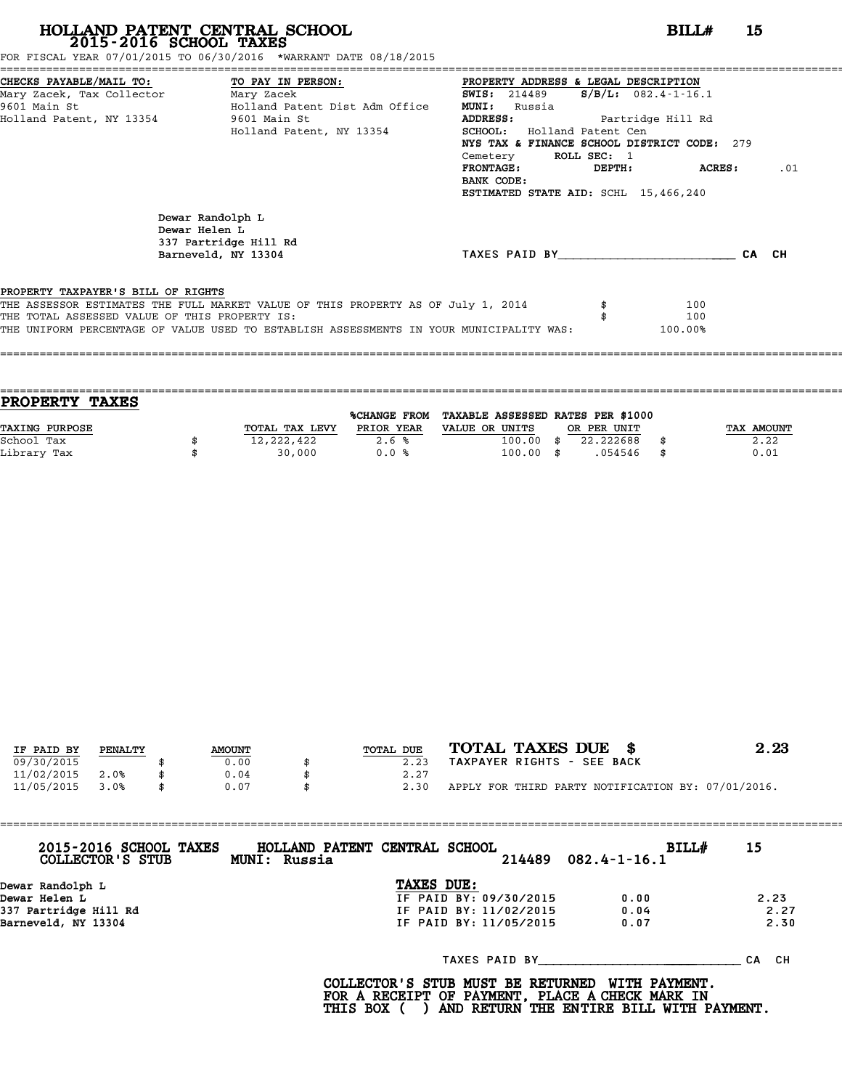FOR FISCAL YEAR 07/01/2015 TO 06/30/2016 \*WARRANT DATE 08/18/2015

| CHECKS PAYABLE/MAIL TO: TO PAY IN PERSON:     |                                                                                         | PROPERTY ADDRESS & LEGAL DESCRIPTION        |             |                           |       |
|-----------------------------------------------|-----------------------------------------------------------------------------------------|---------------------------------------------|-------------|---------------------------|-------|
| Mary Zacek, Tax Collector Mary Zacek          |                                                                                         | <b>SWIS:</b> 214489                         |             | $S/B/L: 082.4 - 1 - 16.1$ |       |
| 9601 Main St                                  | Holland Patent Dist Adm Office                                                          | <b>MUNI:</b><br>Russia                      |             |                           |       |
| Holland Patent, NY 13354 9601 Main St         |                                                                                         | ADDRESS:                                    |             | Partridge Hill Rd         |       |
|                                               | Holland Patent, NY 13354                                                                | <b>SCHOOL:</b> Holland Patent Cen           |             |                           |       |
|                                               |                                                                                         | NYS TAX & FINANCE SCHOOL DISTRICT CODE: 279 |             |                           |       |
|                                               |                                                                                         | Cemetery                                    | ROLL SEC: 1 |                           |       |
|                                               |                                                                                         | <b>FRONTAGE:</b>                            | DEPTH:      | <b>ACRES:</b>             | .01   |
|                                               |                                                                                         | BANK CODE:                                  |             |                           |       |
|                                               |                                                                                         | ESTIMATED STATE AID: SCHL 15,466,240        |             |                           |       |
|                                               | Dewar Randolph L<br>Dewar Helen L<br>337 Partridge Hill Rd<br>Barneveld, NY 13304       | TAXES PAID BY                               |             |                           | CA CH |
| PROPERTY TAXPAYER'S BILL OF RIGHTS            |                                                                                         |                                             |             |                           |       |
|                                               | THE ASSESSOR ESTIMATES THE FULL MARKET VALUE OF THIS PROPERTY AS OF July 1, 2014        |                                             |             | 100                       |       |
| THE TOTAL ASSESSED VALUE OF THIS PROPERTY IS: |                                                                                         |                                             |             | 100                       |       |
|                                               | THE UNIFORM PERCENTAGE OF VALUE USED TO ESTABLISH ASSESSMENTS IN YOUR MUNICIPALITY WAS: |                                             |             | 100.00%                   |       |
|                                               |                                                                                         |                                             |             |                           |       |
|                                               |                                                                                         |                                             |             |                           |       |

| <b>TAXES</b><br><b>PROPERTY</b> |                |              |                                   |             |            |
|---------------------------------|----------------|--------------|-----------------------------------|-------------|------------|
|                                 |                | %CHANGE FROM | TAXABLE ASSESSED RATES PER \$1000 |             |            |
| <b>TAXING PURPOSE</b>           | TOTAL TAX LEVY | PRIOR YEAR   | VALUE OR UNITS                    | OR PER UNIT | TAX AMOUNT |
| School Tax                      | 12,222,422     | 2.6%         | 100.00                            | 22.222688   | 2.22       |
| Library Tax                     | 30,000         | 0.0%         | $100.00$ \$                       | .054546     | \$<br>0.01 |
|                                 |                |              |                                   |             |            |

| IF PAID BY | PENALTY | <b>AMOUNT</b> | TOTAL DUE | TOTAL TAXES DUE \$<br>2.23                         |  |
|------------|---------|---------------|-----------|----------------------------------------------------|--|
| 09/30/2015 |         | 0.00          | 2.23      | TAXPAYER RIGHTS - SEE BACK                         |  |
| 11/02/2015 | 2.0%    | 0.04          | 2.27      |                                                    |  |
| 11/05/2015 | 3.0%    | 0.07          | 2.30      | APPLY FOR THIRD PARTY NOTIFICATION BY: 07/01/2016. |  |
|            |         |               |           |                                                    |  |

| 2015-2016 SCHOOL TAXES<br>COLLECTOR'S STUB | HOLLAND PATENT CENTRAL SCHOOL<br>MUNI: Russia | 214489                 | <b>BILL#</b><br>$082.4 - 1 - 16.1$ | 15        |
|--------------------------------------------|-----------------------------------------------|------------------------|------------------------------------|-----------|
| Dewar Randolph L                           |                                               | TAXES DUE:             |                                    |           |
| Dewar Helen L                              |                                               | IF PAID BY: 09/30/2015 | 0.00                               | 2.23      |
| 337 Partridge Hill Rd                      |                                               | IF PAID BY: 11/02/2015 | 0.04                               | 2.27      |
| Barneveld, NY 13304                        |                                               | IF PAID BY: 11/05/2015 | 0.07                               | 2.30      |
|                                            |                                               | TAXES PAID BY          |                                    | CH.<br>СA |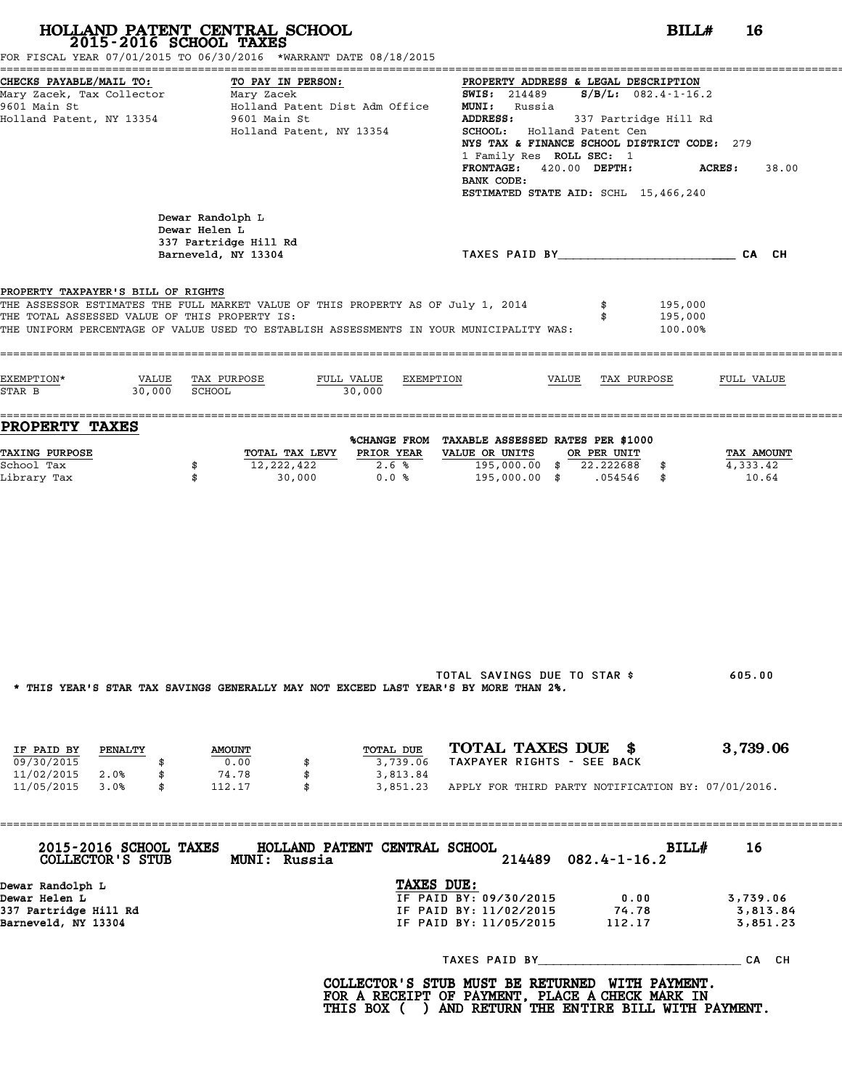|                                                                                                             | HOLLAND PATENT CENTRAL SCHOOL<br>2015-2016 SCHOOL TAXES<br>FOR FISCAL YEAR 07/01/2015 TO 06/30/2016 *WARRANT DATE 08/18/2015                                                |                                                                                                                                           |                                                                                                                                                                                                                  | BILL#<br>16                      |
|-------------------------------------------------------------------------------------------------------------|-----------------------------------------------------------------------------------------------------------------------------------------------------------------------------|-------------------------------------------------------------------------------------------------------------------------------------------|------------------------------------------------------------------------------------------------------------------------------------------------------------------------------------------------------------------|----------------------------------|
| CHECKS PAYABLE/MAIL TO:<br>Mary Zacek, Tax Collector Mary Zacek<br>9601 Main St<br>Holland Patent, NY 13354 | TO PAY IN PERSON:<br>Holland Patent Dist Adm Office<br>9601 Main St<br>Holland Patent, NY 13354                                                                             | <b>MUNI:</b> Russia<br><b>ADDRESS:</b><br>SCHOOL: Holland Patent Cen<br>1 Family Res ROLL SEC: 1<br>FRONTAGE: 420.00 DEPTH:<br>BANK CODE: | PROPERTY ADDRESS & LEGAL DESCRIPTION<br><b>SWIS:</b> 214489 <b>S/B/L:</b> 082.4-1-16.2<br>337 Partridge Hill Rd<br>NYS TAX & FINANCE SCHOOL DISTRICT CODE: 279<br>ACRES:<br>ESTIMATED STATE AID: SCHL 15,466,240 | 38.00                            |
|                                                                                                             | Dewar Randolph L<br>Dewar Helen L<br>337 Partridge Hill Rd<br>Barneveld, NY 13304                                                                                           |                                                                                                                                           | TAXES PAID BY CA CH                                                                                                                                                                                              |                                  |
| PROPERTY TAXPAYER'S BILL OF RIGHTS<br>THE TOTAL ASSESSED VALUE OF THIS PROPERTY IS:                         | THE ASSESSOR ESTIMATES THE FULL MARKET VALUE OF THIS PROPERTY AS OF July 1, 2014<br>THE UNIFORM PERCENTAGE OF VALUE USED TO ESTABLISH ASSESSMENTS IN YOUR MUNICIPALITY WAS: |                                                                                                                                           | 195,000<br>195,000<br>100.00%                                                                                                                                                                                    |                                  |
| EXEMPTION*<br>30,000 SCHOOL<br>STAR B                                                                       | VALUE TAX PURPOSE<br>30,000                                                                                                                                                 | FULL VALUE EXEMPTION                                                                                                                      | VALUE TAX PURPOSE                                                                                                                                                                                                | FULL VALUE                       |
| <b>PROPERTY TAXES</b>                                                                                       |                                                                                                                                                                             | %CHANGE FROM TAXABLE ASSESSED RATES PER \$1000                                                                                            |                                                                                                                                                                                                                  |                                  |
| <b>TAXING PURPOSE</b><br>School Tax<br>Library Tax                                                          | TOTAL TAX LEVY PRIOR YEAR<br>12,222,422<br>\$<br>\$<br>30,000                                                                                                               | VALUE OR UNITS<br>195,000.00 \$ 22.222688 \$<br>2.6%<br>0.0%                                                                              | OR PER UNIT<br>195,000.00 \$ .054546 \$                                                                                                                                                                          | TAX AMOUNT<br>4,333.42<br>10.64  |
|                                                                                                             | * THIS YEAR'S STAR TAX SAVINGS GENERALLY MAY NOT EXCEED LAST YEAR'S BY MORE THAN 2%.                                                                                        | TOTAL SAVINGS DUE TO STAR \$                                                                                                              |                                                                                                                                                                                                                  | 605.00                           |
| IF PAID BY<br><b>PENALTY</b><br>09/30/2015<br>\$                                                            | <b>AMOUNT</b><br>0.00                                                                                                                                                       | TOTAL TAXES DUE \$<br>TOTAL DUE<br>TAXPAYER RIGHTS - SEE BACK<br>3,739.06                                                                 |                                                                                                                                                                                                                  | 3,739.06                         |
| 11/02/2015 2.0%<br>\$<br>11/05/2015 3.0%<br>\$                                                              | 74.78<br>\$<br>112.17<br>$\mathbf{s}$                                                                                                                                       | 3,813.84<br>3,851.23 APPLY FOR THIRD PARTY NOTIFICATION BY: 07/01/2016.                                                                   |                                                                                                                                                                                                                  |                                  |
|                                                                                                             | 2015-2016 SCHOOL TAXES HOLLAND PATENT CENTRAL SCHOOL<br>COLLECTOR'S STUB MUNI: Russia                                                                                       | 214489                                                                                                                                    | BILLH<br>$082.4 - 1 - 16.2$                                                                                                                                                                                      | 16                               |
| Dewar Randolph L<br>Dewar Helen L<br>337 Partridge Hill Rd                                                  |                                                                                                                                                                             | TAXES DUE:<br>IF PAID BY: 09/30/2015<br>IF PAID BY: 11/02/2015 74.78<br>IF PAID BY: 11/05/2015 112.17                                     | 0.00                                                                                                                                                                                                             | 3,739.06<br>3,813.84<br>3,851.23 |
| Barneveld, NY 13304                                                                                         |                                                                                                                                                                             |                                                                                                                                           |                                                                                                                                                                                                                  |                                  |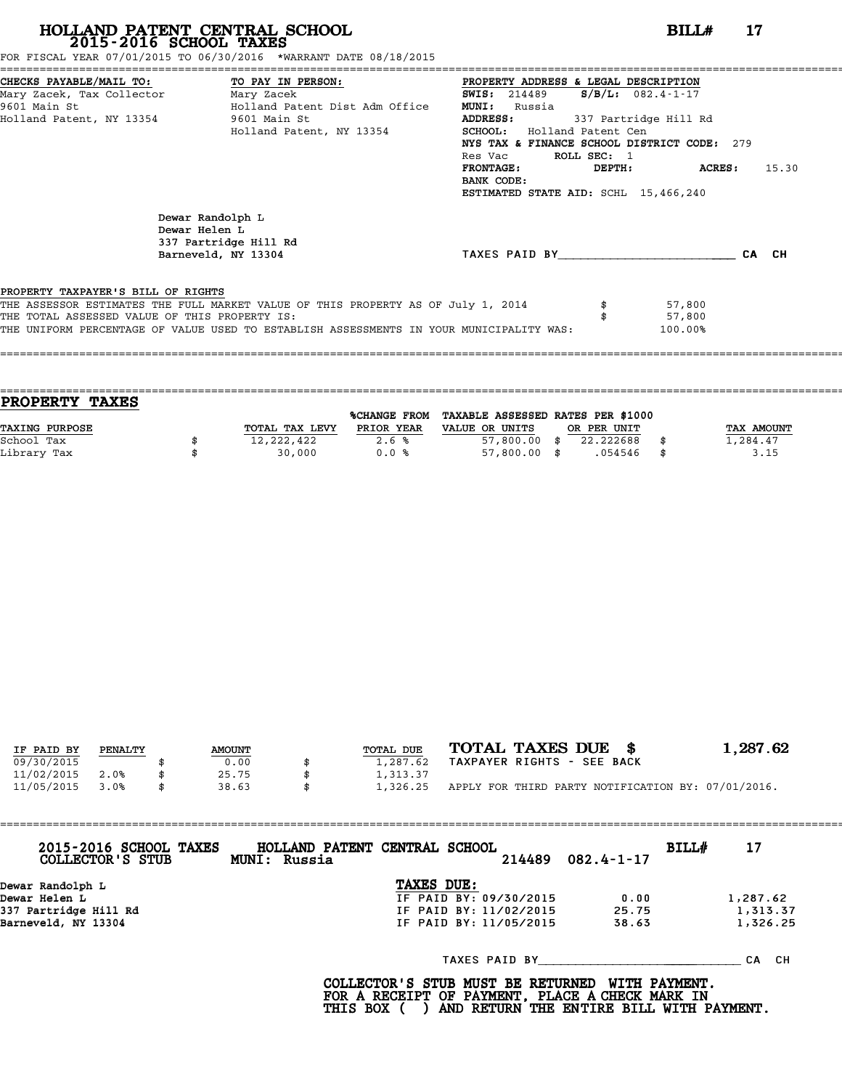FOR FISCAL YEAR 07/01/2015 TO 06/30/2016 \*WARRANT DATE 08/18/2015

| CHECKS PAYABLE/MAIL TO: TO PAY IN PERSON:     |                                                                                         | PROPERTY ADDRESS & LEGAL DESCRIPTION        |             |                         |       |
|-----------------------------------------------|-----------------------------------------------------------------------------------------|---------------------------------------------|-------------|-------------------------|-------|
| Mary Zacek, Tax Collector Mary Zacek          |                                                                                         | <b>SWIS:</b> 214489                         |             | $S/B/L: 082.4 - 1 - 17$ |       |
| 9601 Main St                                  | Holland Patent Dist Adm Office                                                          | <b>MUNI:</b><br>Russia                      |             |                         |       |
| Holland Patent, NY 13354 9601 Main St         |                                                                                         | <b>ADDRESS:</b>                             |             | 337 Partridge Hill Rd   |       |
|                                               | Holland Patent, NY 13354                                                                | <b>SCHOOL:</b> Holland Patent Cen           |             |                         |       |
|                                               |                                                                                         | NYS TAX & FINANCE SCHOOL DISTRICT CODE: 279 |             |                         |       |
|                                               |                                                                                         | Res Vac                                     | ROLL SEC: 1 |                         |       |
|                                               |                                                                                         | <b>FRONTAGE :</b>                           | DEPTH:      | ACRES:                  | 15.30 |
|                                               |                                                                                         | BANK CODE:                                  |             |                         |       |
|                                               |                                                                                         | ESTIMATED STATE AID: SCHL 15,466,240        |             |                         |       |
|                                               |                                                                                         |                                             |             |                         |       |
|                                               | Dewar Randolph L                                                                        |                                             |             |                         |       |
|                                               | Dewar Helen L                                                                           |                                             |             |                         |       |
|                                               | 337 Partridge Hill Rd                                                                   |                                             |             |                         |       |
|                                               | Barneveld, NY 13304                                                                     | TAXES PAID BY                               |             |                         | CA CH |
|                                               |                                                                                         |                                             |             |                         |       |
| PROPERTY TAXPAYER'S BILL OF RIGHTS            |                                                                                         |                                             |             |                         |       |
|                                               | THE ASSESSOR ESTIMATES THE FULL MARKET VALUE OF THIS PROPERTY AS OF July 1, 2014        |                                             |             | 57,800                  |       |
| THE TOTAL ASSESSED VALUE OF THIS PROPERTY IS: |                                                                                         |                                             |             | 57,800                  |       |
|                                               | THE UNIFORM PERCENTAGE OF VALUE USED TO ESTABLISH ASSESSMENTS IN YOUR MUNICIPALITY WAS: |                                             |             | 100.00%                 |       |
|                                               |                                                                                         |                                             |             |                         |       |
|                                               |                                                                                         |                                             |             |                         |       |
|                                               |                                                                                         |                                             |             |                         |       |

| <b>TAXES</b><br><b>PROPERTY</b> |                |              |                                   |             |      |            |
|---------------------------------|----------------|--------------|-----------------------------------|-------------|------|------------|
|                                 |                | %CHANGE FROM | TAXABLE ASSESSED RATES PER \$1000 |             |      |            |
| <b>TAXING PURPOSE</b>           | TOTAL TAX LEVY | PRIOR YEAR   | VALUE OR UNITS                    | OR PER UNIT |      | TAX AMOUNT |
| School Tax                      | 12,222,422     | 2.6%         | $57,800.00$ \$                    | 22.222688   |      | 1,284.47   |
| Library Tax                     | 30,000         | 0.0%         | $57,800.00$ \$                    | .054546     | - \$ | 3.15       |
|                                 |                |              |                                   |             |      |            |

| IF PAID BY | PENALTY | <b>AMOUNT</b> | TOTAL DUE | TOTAL TAXES DUE \$                                 | 1,287.62 |
|------------|---------|---------------|-----------|----------------------------------------------------|----------|
|            |         |               |           |                                                    |          |
| 09/30/2015 |         | 0.00          | 1,287.62  | TAXPAYER RIGHTS - SEE BACK                         |          |
| 11/02/2015 | 2.0%    | 25.75         | 1,313.37  |                                                    |          |
| 11/05/2015 | 3.0%    | 38.63         | 1,326.25  | APPLY FOR THIRD PARTY NOTIFICATION BY: 07/01/2016. |          |
|            |         |               |           |                                                    |          |

| 2015-2016 SCHOOL TAXES<br>COLLECTOR'S STUB | HOLLAND PATENT CENTRAL SCHOOL<br>MUNI: Russia |                        | 214489        | $082.4 - 1 - 17$ | BILL# | 17        |
|--------------------------------------------|-----------------------------------------------|------------------------|---------------|------------------|-------|-----------|
|                                            |                                               |                        |               |                  |       |           |
| Dewar Randolph L                           |                                               | TAXES DUE:             |               |                  |       |           |
| Dewar Helen L                              |                                               | IF PAID BY: 09/30/2015 |               | 0.00             |       | 1,287.62  |
| 337 Partridge Hill Rd                      |                                               | IF PAID BY: 11/02/2015 |               | 25.75            |       | 1,313.37  |
| Barneveld, NY 13304                        |                                               | IF PAID BY: 11/05/2015 |               | 38.63            |       | 1,326.25  |
|                                            |                                               |                        | TAXES PAID BY |                  |       | CH.<br>СA |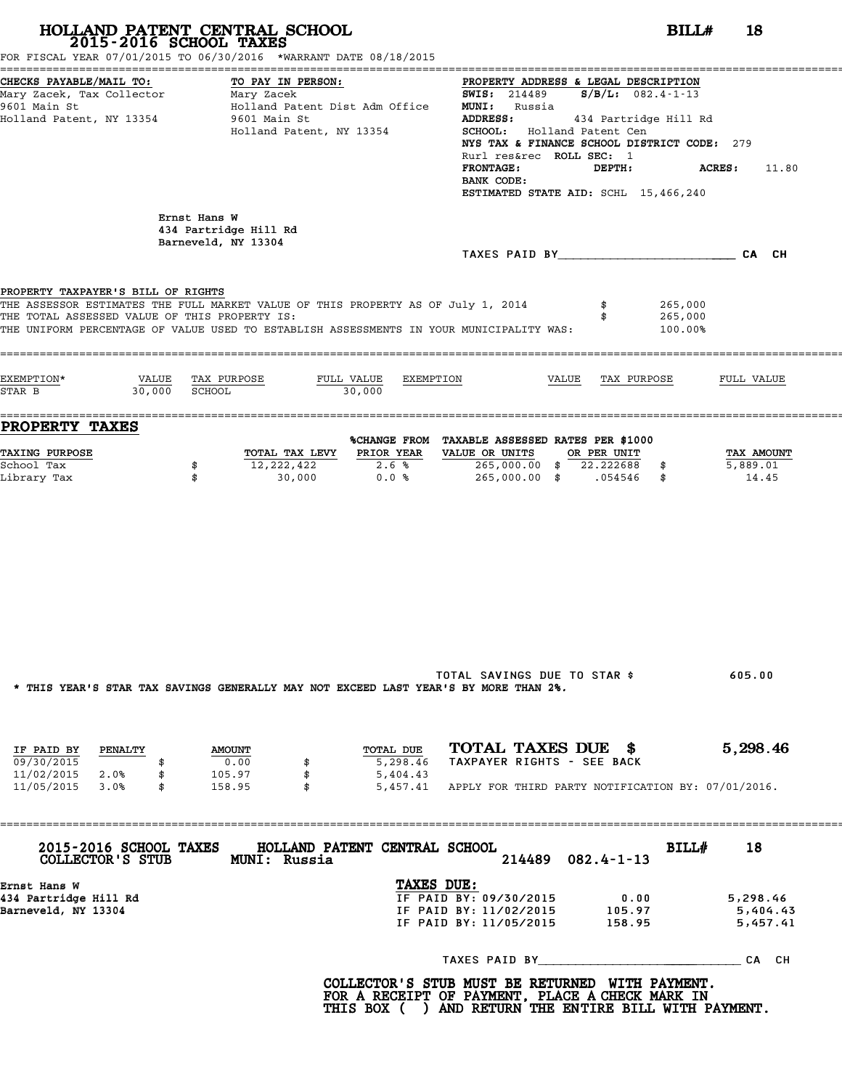| 2015-2016 SCHOOL TAXES                                                              | HOLLAND PATENT CENTRAL SCHOOL<br>FOR FISCAL YEAR 07/01/2015 TO 06/30/2016 *WARRANT DATE 08/18/2015                                                                          | BILL#                                                                                                                                                                                                                                                                                                                                                | 18                               |
|-------------------------------------------------------------------------------------|-----------------------------------------------------------------------------------------------------------------------------------------------------------------------------|------------------------------------------------------------------------------------------------------------------------------------------------------------------------------------------------------------------------------------------------------------------------------------------------------------------------------------------------------|----------------------------------|
| CHECKS PAYABLE/MAIL TO:<br>9601 Main St<br>Holland Patent, NY 13354                 | TO PAY IN PERSON:<br>Holland Patent Dist Adm Office<br>9601 Main St<br>Holland Patent, NY 13354                                                                             | PROPERTY ADDRESS & LEGAL DESCRIPTION<br><b>SWIS:</b> 214489 <b>S/B/L:</b> 082.4-1-13<br><b>MUNI:</b> Russia<br><b>ADDRESS:</b><br>434 Partridge Hill Rd<br>SCHOOL: Holland Patent Cen<br>NYS TAX & FINANCE SCHOOL DISTRICT CODE: 279<br>Rurl res&rec ROLL SEC: 1<br><b>FRONTAGE:</b><br>DEPTH:<br>BANK CODE:<br>ESTIMATED STATE AID: SCHL 15,466,240 | <b>ACRES :</b><br>11.80          |
|                                                                                     | Ernst Hans W<br>434 Partridge Hill Rd<br>Barneveld, NY 13304                                                                                                                |                                                                                                                                                                                                                                                                                                                                                      |                                  |
|                                                                                     |                                                                                                                                                                             | TAXES PAID BY CA CH                                                                                                                                                                                                                                                                                                                                  |                                  |
| PROPERTY TAXPAYER'S BILL OF RIGHTS<br>THE TOTAL ASSESSED VALUE OF THIS PROPERTY IS: | THE ASSESSOR ESTIMATES THE FULL MARKET VALUE OF THIS PROPERTY AS OF July 1, 2014<br>THE UNIFORM PERCENTAGE OF VALUE USED TO ESTABLISH ASSESSMENTS IN YOUR MUNICIPALITY WAS: | 265,000<br>265,000<br>100.00%                                                                                                                                                                                                                                                                                                                        |                                  |
| EXEMPTION*<br>30,000 SCHOOL<br>STAR B                                               | VALUE TAX PURPOSE<br>FULL VALUE EXEMPTION<br>30,000                                                                                                                         | VALUE TAX PURPOSE                                                                                                                                                                                                                                                                                                                                    | FULL VALUE                       |
| <b>PROPERTY TAXES</b>                                                               |                                                                                                                                                                             | %CHANGE FROM TAXABLE ASSESSED RATES PER \$1000                                                                                                                                                                                                                                                                                                       |                                  |
| <b>TAXING PURPOSE</b><br>School Tax<br>Library Tax                                  | TOTAL TAX LEVY PRIOR YEAR<br>12,222,422<br>2.6%<br>\$<br>\$<br>30,000<br>0.0%                                                                                               | VALUE OR UNITS<br>OR PER UNIT<br>265,000.00 \$ 22.222688 \$<br>265,000.00 \$ .054546 \$                                                                                                                                                                                                                                                              | TAX AMOUNT<br>5,889.01<br>14.45  |
|                                                                                     | * THIS YEAR'S STAR TAX SAVINGS GENERALLY MAY NOT EXCEED LAST YEAR'S BY MORE THAN 2%.                                                                                        | TOTAL SAVINGS DUE TO STAR \$                                                                                                                                                                                                                                                                                                                         | 605.00                           |
| IF PAID BY<br><b>PENALTY</b>                                                        | TOTAL DUE<br><b>AMOUNT</b>                                                                                                                                                  | TOTAL TAXES DUE \$                                                                                                                                                                                                                                                                                                                                   | 5,298.46                         |
| 09/30/2015<br>\$<br>11/02/2015 2.0%<br>\$<br>11/05/2015 3.0%<br>\$                  | 0.00<br>5,298.46<br>\$<br>105.97<br>\$<br>5,404.43<br>158.95<br>$\mathbf{s}$                                                                                                | TAXPAYER RIGHTS - SEE BACK<br>5,457.41 APPLY FOR THIRD PARTY NOTIFICATION BY: 07/01/2016.                                                                                                                                                                                                                                                            |                                  |
| 2015-2016 SCHOOL TAXES                                                              | HOLLAND PATENT CENTRAL SCHOOL<br>COLLECTOR'S STUB MUNI: Russia                                                                                                              | BILL#<br>$082.4 - 1 - 13$<br>214489                                                                                                                                                                                                                                                                                                                  | 18                               |
| Ernst Hans W<br>434 Partridge Hill Rd<br>Barneveld, NY 13304                        | TAXES DUE:                                                                                                                                                                  | IF PAID BY: 09/30/2015<br>0.00<br>IF PAID BY: 11/02/2015 105.97<br>IF PAID BY: 11/05/2015<br>158.95                                                                                                                                                                                                                                                  | 5,298.46<br>5,404.43<br>5,457.41 |
|                                                                                     |                                                                                                                                                                             | TAXES PAID BY CA CH                                                                                                                                                                                                                                                                                                                                  |                                  |
|                                                                                     |                                                                                                                                                                             | COLLECTOR'S STUB MUST BE RETURNED WITH PAYMENT.<br>FOR A RECEIPT OF PAYMENT, PLACE A CHECK MARK IN<br>THIS BOX ( ) AND RETURN THE ENTIRE BILL WITH PAYMENT.                                                                                                                                                                                          |                                  |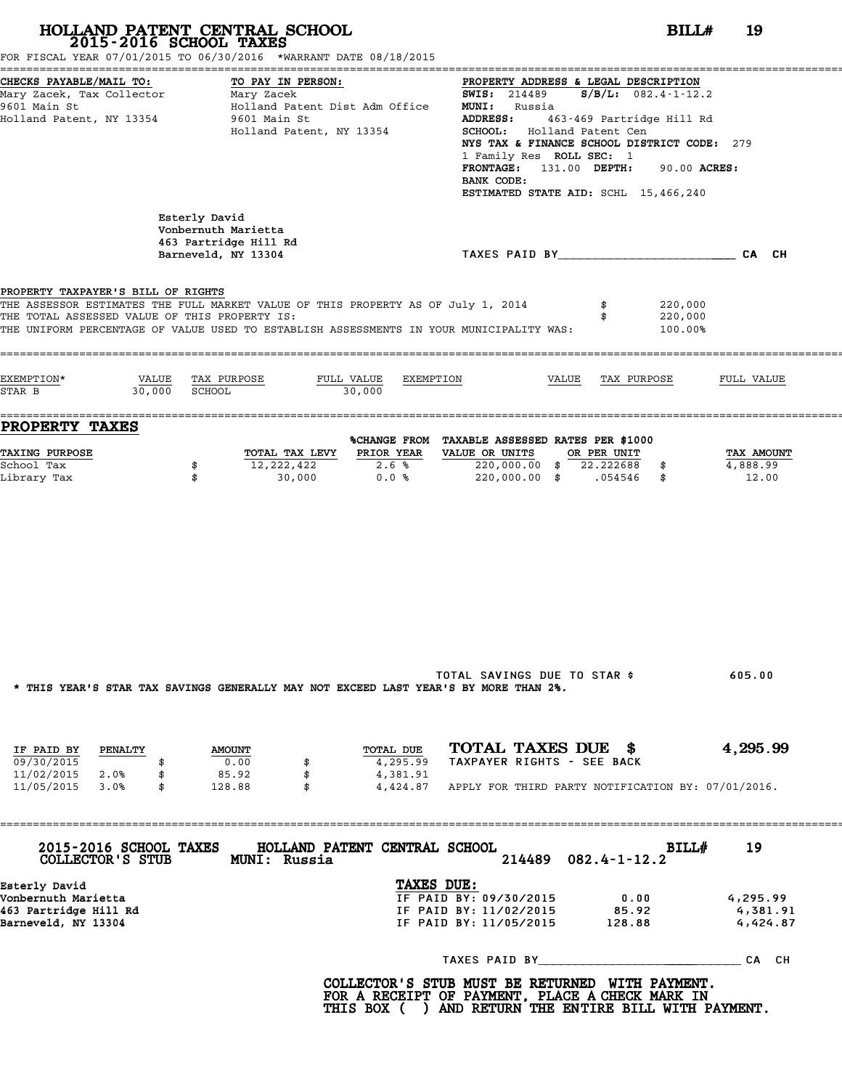| 2015-2016 SCHOOL TAXES                                                                                      | HOLLAND PATENT CENTRAL SCHOOL<br>FOR FISCAL YEAR 07/01/2015 TO 06/30/2016 *WARRANT DATE 08/18/2015                                                                          | BILL#                                                                                                                                                                                                                                                                                                                                                            | 19                               |
|-------------------------------------------------------------------------------------------------------------|-----------------------------------------------------------------------------------------------------------------------------------------------------------------------------|------------------------------------------------------------------------------------------------------------------------------------------------------------------------------------------------------------------------------------------------------------------------------------------------------------------------------------------------------------------|----------------------------------|
| CHECKS PAYABLE/MAIL TO:<br>Mary Zacek, Tax Collector Mary Zacek<br>9601 Main St<br>Holland Patent, NY 13354 | TO PAY IN PERSON:<br>Holland Patent Dist Adm Office<br>9601 Main St<br>Holland Patent, NY 13354                                                                             | PROPERTY ADDRESS & LEGAL DESCRIPTION<br><b>SWIS:</b> 214489 <b>S/B/L:</b> 082.4-1-12.2<br><b>MUNI:</b> Russia<br>ADDRESS:<br>463-469 Partridge Hill Rd<br>SCHOOL: Holland Patent Cen<br>NYS TAX & FINANCE SCHOOL DISTRICT CODE: 279<br>1 Family Res ROLL SEC: 1<br>FRONTAGE: 131.00 DEPTH:<br>90.00 ACRES:<br>BANK CODE:<br>ESTIMATED STATE AID: SCHL 15,466,240 |                                  |
|                                                                                                             | Esterly David<br>Vonbernuth Marietta<br>463 Partridge Hill Rd<br>Barneveld, NY 13304                                                                                        | TAXES PAID BY TAND AND TAXES PAID BY                                                                                                                                                                                                                                                                                                                             |                                  |
| PROPERTY TAXPAYER'S BILL OF RIGHTS<br>THE TOTAL ASSESSED VALUE OF THIS PROPERTY IS:                         | THE ASSESSOR ESTIMATES THE FULL MARKET VALUE OF THIS PROPERTY AS OF July 1, 2014<br>THE UNIFORM PERCENTAGE OF VALUE USED TO ESTABLISH ASSESSMENTS IN YOUR MUNICIPALITY WAS: | 220,000<br>220,000<br>100.00%                                                                                                                                                                                                                                                                                                                                    |                                  |
| EXEMPTION*<br>STAR B                                                                                        | VALUE TAX PURPOSE<br>FULL VALUE EXEMPTION<br>30,000 SCHOOL<br>30,000                                                                                                        | VALUE TAX PURPOSE                                                                                                                                                                                                                                                                                                                                                | FULL VALUE                       |
| <b>PROPERTY TAXES</b><br><b>TAXING PURPOSE</b><br>School Tax<br>Library Tax                                 | TOTAL TAX LEVY PRIOR YEAR<br>12,222,422<br>2.6%<br>\$<br>0.0%<br>\$<br>30,000                                                                                               | %CHANGE FROM TAXABLE ASSESSED RATES PER \$1000<br>VALUE OR UNITS<br>OR PER UNIT<br>220,000.00 \$ 22.222688 \$<br>220,000.00 \$ .054546 \$                                                                                                                                                                                                                        | TAX AMOUNT<br>4,888.99<br>12.00  |
|                                                                                                             | * THIS YEAR'S STAR TAX SAVINGS GENERALLY MAY NOT EXCEED LAST YEAR'S BY MORE THAN 2%.                                                                                        | TOTAL SAVINGS DUE TO STAR \$                                                                                                                                                                                                                                                                                                                                     | 605.00                           |
| IF PAID BY<br><b>PENALTY</b><br>09/30/2015<br>\$<br>11/02/2015 2.0%<br>\$<br>11/05/2015 3.0%<br>\$          | TOTAL DUE<br><b>AMOUNT</b><br>0.00<br>4,295.99<br>\$<br>85.92<br>\$<br>4,381.91<br>128.88<br>- \$                                                                           | TOTAL TAXES DUE \$<br>TAXPAYER RIGHTS - SEE BACK<br>4,424.87 APPLY FOR THIRD PARTY NOTIFICATION BY: 07/01/2016.                                                                                                                                                                                                                                                  | 4,295.99                         |
| 2015-2016 SCHOOL TAXES                                                                                      | HOLLAND PATENT CENTRAL SCHOOL<br>COLLECTOR'S STUB MUNI: Russia                                                                                                              | BILLH<br>$082.4 - 1 - 12.2$<br>214489                                                                                                                                                                                                                                                                                                                            | 19                               |
| Esterly David<br>Vonbernuth Marietta<br>463 Partridge Hill Rd<br>Barneveld, NY 13304                        |                                                                                                                                                                             | TAXES DUE:<br>IF PAID BY: 09/30/2015<br>0.00<br>IF PAID BY: 11/02/2015<br>85.92<br>IF PAID BY: 11/05/2015<br>128.88                                                                                                                                                                                                                                              | 4,295.99<br>4,381.91<br>4,424.87 |
|                                                                                                             |                                                                                                                                                                             |                                                                                                                                                                                                                                                                                                                                                                  |                                  |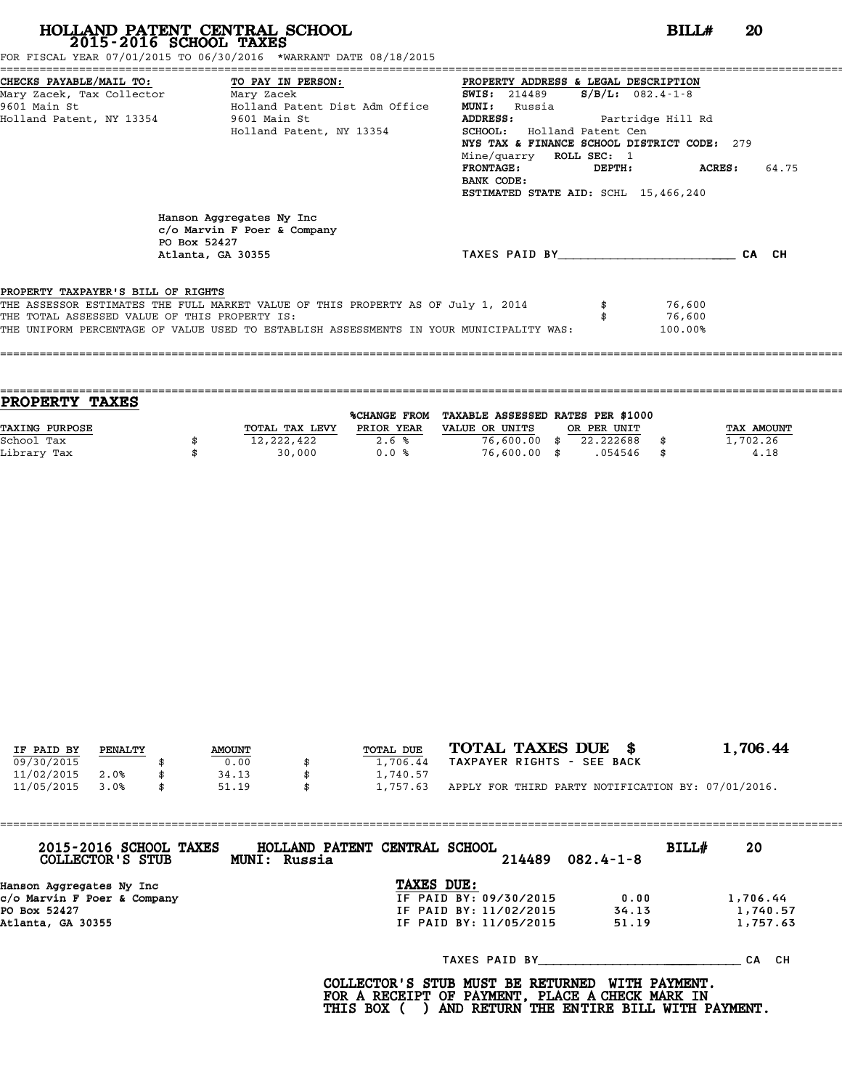FOR FISCAL YEAR 07/01/2015 TO 06/30/2016 \*WARRANT DATE 08/18/2015

| CHECKS PAYABLE/MAIL TO: TO PAY IN PERSON:     |                                                                                                 | PROPERTY ADDRESS & LEGAL DESCRIPTION        |                  |
|-----------------------------------------------|-------------------------------------------------------------------------------------------------|---------------------------------------------|------------------|
| Mary Zacek, Tax Collector Mary Zacek          |                                                                                                 | $S/B/L: 082.4-1-8$<br><b>SWIS:</b> 214489   |                  |
| 9601 Main St                                  | Holland Patent Dist Adm Office                                                                  | <b>MUNI:</b><br>Russia                      |                  |
| Holland Patent, NY 13354 9601 Main St         |                                                                                                 | Partridge Hill Rd<br><b>ADDRESS:</b>        |                  |
|                                               | Holland Patent, NY 13354                                                                        | SCHOOL: Holland Patent Cen                  |                  |
|                                               |                                                                                                 | NYS TAX & FINANCE SCHOOL DISTRICT CODE: 279 |                  |
|                                               |                                                                                                 | Mine/quarry ROLL SEC: 1                     |                  |
|                                               |                                                                                                 | <b>FRONTAGE:</b><br>DEPTH:                  | 64.75<br>ACRES : |
|                                               |                                                                                                 | BANK CODE:                                  |                  |
|                                               |                                                                                                 | ESTIMATED STATE AID: SCHL 15,466,240        |                  |
|                                               | Hanson Aggregates Ny Inc<br>$c$ /o Marvin F Poer & Company<br>PO Box 52427<br>Atlanta, GA 30355 | TAXES PAID BY                               | CA CH            |
|                                               |                                                                                                 |                                             |                  |
| PROPERTY TAXPAYER'S BILL OF RIGHTS            |                                                                                                 |                                             |                  |
|                                               | THE ASSESSOR ESTIMATES THE FULL MARKET VALUE OF THIS PROPERTY AS OF July 1, 2014                |                                             | 76,600           |
| THE TOTAL ASSESSED VALUE OF THIS PROPERTY IS: |                                                                                                 |                                             | 76,600           |
|                                               | THE UNIFORM PERCENTAGE OF VALUE USED TO ESTABLISH ASSESSMENTS IN YOUR MUNICIPALITY WAS:         |                                             | 100.00%          |
|                                               |                                                                                                 |                                             |                  |

==================================================================================================================================== **PROPERTY TAXES** %CHANGE FROM TAXABLE ASSESSED RATES PER \$1000 **PROPERTY TAXES**<br>
TAXING PURPOSE TOTAL TAX LEVY PRIOR YEAR VALUE OR UNITS OR PER UNIT TAX AMOUNT<br>
School Tax = 10 000 \$ 76 600 00 \$ 72 222688 \$ 7.702.26 School Tax \$ 12,222,422 2.6 % 76,600.00 \$ 22.222688 \$ 1,702.26 Library Tax \$ 30,000 0.0 % 76,600.00 \$ .054546 \$ 4.18

====================================================================================================================================

| IF PAID BY | PENALTY | <b>AMOUNT</b> | TOTAL DUE | TOTAL TAXES DUE \$                                 | 1,706.44 |
|------------|---------|---------------|-----------|----------------------------------------------------|----------|
| 09/30/2015 |         | 0.00          | 1,706.44  | TAXPAYER RIGHTS - SEE BACK                         |          |
| 11/02/2015 | 2.0%    | 34.13         | 1,740.57  |                                                    |          |
| 11/05/2015 | 3.0%    | 51.19         | 1,757.63  | APPLY FOR THIRD PARTY NOTIFICATION BY: 07/01/2016. |          |

| 2015-2016 SCHOOL TAXES<br>COLLECTOR'S STUB | HOLLAND PATENT CENTRAL SCHOOL<br>BILL#<br>214489<br>$082.4 - 1 - 8$<br>MUNI: Russia | 20       |
|--------------------------------------------|-------------------------------------------------------------------------------------|----------|
| Hanson Aggregates Ny Inc                   | TAXES DUE:                                                                          |          |
| c/o Marvin F Poer & Company                | IF PAID BY: 09/30/2015<br>0.00                                                      | 1,706.44 |
| PO Box 52427                               | IF PAID BY: 11/02/2015<br>34.13                                                     | 1,740.57 |
| Atlanta, GA 30355                          | IF PAID BY: 11/05/2015<br>51.19                                                     | 1,757.63 |
|                                            | TAXES PAID BY                                                                       | CA CH    |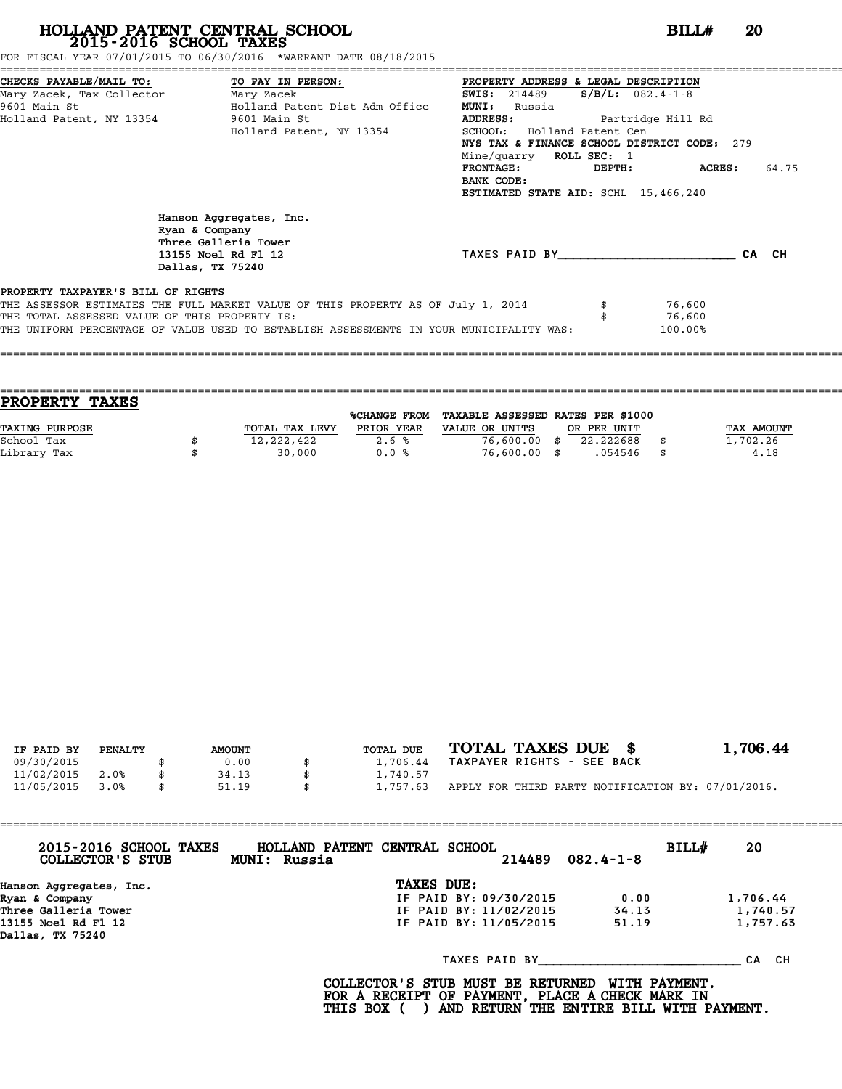FOR FISCAL YEAR 07/01/2015 TO 06/30/2016 \*WARRANT DATE 08/18/2015

|                                    | CHECKS PAYABLE/MAIL TO: TO PAY IN PERSON:                                                                    | PROPERTY ADDRESS & LEGAL DESCRIPTION        |        |                    |       |
|------------------------------------|--------------------------------------------------------------------------------------------------------------|---------------------------------------------|--------|--------------------|-------|
| Mary Zacek, Tax Collector          | Mary Zacek                                                                                                   | <b>SWIS:</b> 214489                         |        | $S/B/L: 082.4-1-8$ |       |
| 9601 Main St                       | Holland Patent Dist Adm Office                                                                               | <b>MUNI:</b><br>Russia                      |        |                    |       |
|                                    | Holland Patent, NY 13354 9601 Main St                                                                        | <b>ADDRESS:</b>                             |        | Partridge Hill Rd  |       |
|                                    | Holland Patent, NY 13354                                                                                     | <b>SCHOOL:</b> Holland Patent Cen           |        |                    |       |
|                                    |                                                                                                              | NYS TAX & FINANCE SCHOOL DISTRICT CODE: 279 |        |                    |       |
|                                    |                                                                                                              | Mine/quarry ROLL SEC: 1                     |        |                    |       |
|                                    |                                                                                                              | <b>FRONTAGE:</b>                            | DEPTH: | ACRES :            | 64.75 |
|                                    |                                                                                                              | BANK CODE:                                  |        |                    |       |
|                                    |                                                                                                              | ESTIMATED STATE AID: SCHL 15,466,240        |        |                    |       |
|                                    | Hanson Aggregates, Inc.<br>Ryan & Company<br>Three Galleria Tower<br>13155 Noel Rd Fl 12<br>Dallas, TX 75240 | TAXES PAID BY                               |        |                    | CA CH |
| PROPERTY TAXPAYER'S BILL OF RIGHTS |                                                                                                              |                                             |        |                    |       |
|                                    | THE ASSESSOR ESTIMATES THE FULL MARKET VALUE OF THIS PROPERTY AS OF July 1, 2014                             |                                             |        | 76,600             |       |
|                                    | THE TOTAL ASSESSED VALUE OF THIS PROPERTY IS:                                                                |                                             |        | 76,600             |       |
|                                    | THE UNIFORM PERCENTAGE OF VALUE USED TO ESTABLISH ASSESSMENTS IN YOUR MUNICIPALITY WAS:                      |                                             |        | 100.00%            |       |
|                                    |                                                                                                              |                                             |        |                    |       |

| <b>TAXES</b><br><b>PROPERTY</b> |                |              |                                   |             |      |            |
|---------------------------------|----------------|--------------|-----------------------------------|-------------|------|------------|
|                                 |                | %CHANGE FROM | TAXABLE ASSESSED RATES PER \$1000 |             |      |            |
| <b>TAXING PURPOSE</b>           | TOTAL TAX LEVY | PRIOR YEAR   | VALUE OR UNITS                    | OR PER UNIT |      | TAX AMOUNT |
| School Tax                      | 12,222,422     | 2.6%         | 76,600.00 \$                      | 22.222688   |      | 1,702.26   |
| Library Tax                     | 30,000         | 0.0%         | 76,600.00 \$                      | .054546     | - \$ | 4.18       |
|                                 |                |              |                                   |             |      |            |

====================================================================================================================================

| IF PAID BY | PENALTY | <b>AMOUNT</b> | TOTAL DUE | TOTAL TAXES DUE \$                                 | 1,706.44 |
|------------|---------|---------------|-----------|----------------------------------------------------|----------|
| 09/30/2015 |         | 0.00          | 1,706.44  | TAXPAYER RIGHTS - SEE BACK                         |          |
| 11/02/2015 | 2.0%    | 34.13         | 1,740.57  |                                                    |          |
| 11/05/2015 | 3.0%    | \$<br>51.19   | 1,757.63  | APPLY FOR THIRD PARTY NOTIFICATION BY: 07/01/2016. |          |

| 2015-2016 SCHOOL TAXES<br>COLLECTOR'S STUB | HOLLAND PATENT CENTRAL SCHOOL<br>BILL#<br>214489<br>$082.4 - 1 - 8$<br>MUNI: Russia | 20       |
|--------------------------------------------|-------------------------------------------------------------------------------------|----------|
| Hanson Aggregates, Inc.                    | TAXES DUE:                                                                          |          |
| Ryan & Company                             | IF PAID BY: 09/30/2015<br>0.00                                                      | 1,706.44 |
| Three Galleria Tower                       | IF PAID BY: 11/02/2015<br>34.13                                                     | 1,740.57 |
| 13155 Noel Rd Fl 12<br>Dallas, TX 75240    | IF PAID BY: 11/05/2015<br>51.19                                                     | 1,757.63 |
|                                            | TAXES PAID BY                                                                       | CA CH    |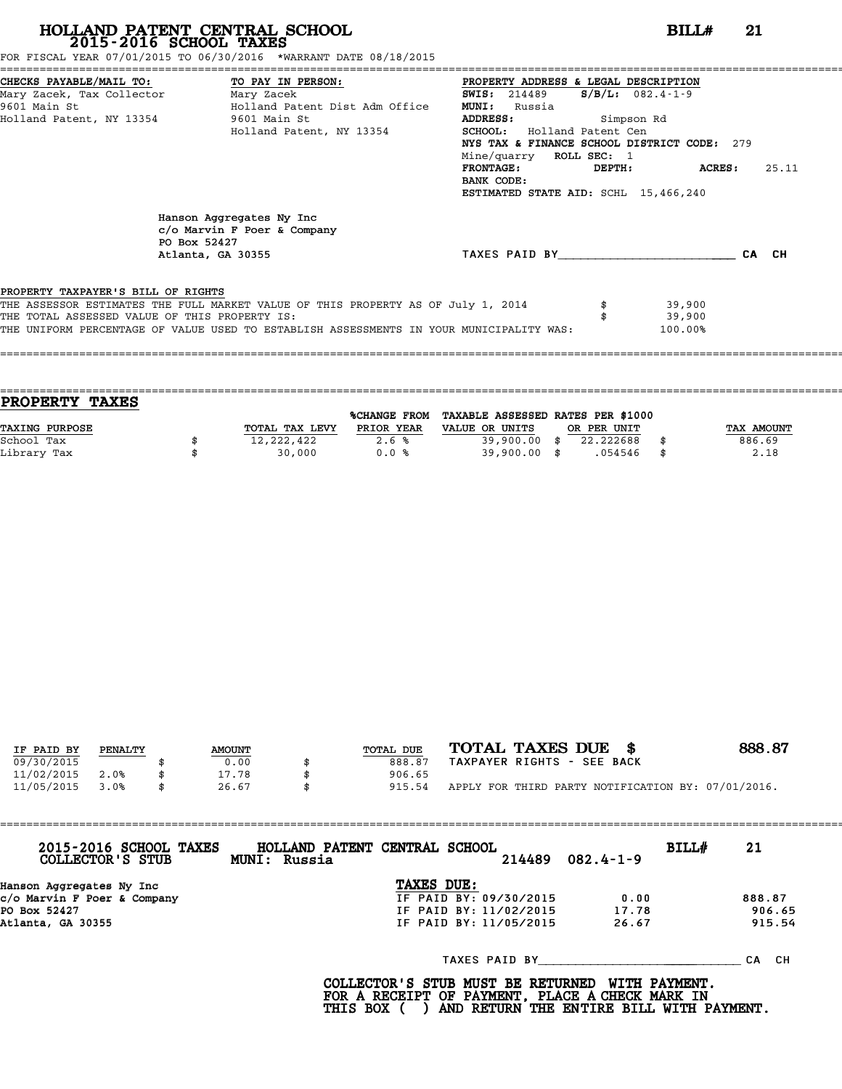FOR FISCAL YEAR 07/01/2015 TO 06/30/2016 \*WARRANT DATE 08/18/2015

|                                    | CHECKS PAYABLE/MAIL TO: TO PAY IN PERSON:                                                                                                                                                                                    | PROPERTY ADDRESS & LEGAL DESCRIPTION        |       |
|------------------------------------|------------------------------------------------------------------------------------------------------------------------------------------------------------------------------------------------------------------------------|---------------------------------------------|-------|
|                                    |                                                                                                                                                                                                                              | <b>SWIS:</b> 214489 <b>S/B/L:</b> 082.4-1-9 |       |
|                                    | 9601 Main St                               Holland Patent Dist Adm Office                                                                                                                                                    | <b>MUNI:</b><br>Russia                      |       |
|                                    | Holland Patent, NY 13354 9601 Main St                                                                                                                                                                                        | ADDRESS: Simpson Rd                         |       |
|                                    | Holland Patent, NY 13354                                                                                                                                                                                                     | <b>SCHOOL:</b> Holland Patent Cen           |       |
|                                    |                                                                                                                                                                                                                              | NYS TAX & FINANCE SCHOOL DISTRICT CODE: 279 |       |
|                                    |                                                                                                                                                                                                                              | Mine/quarry ROLL SEC: 1                     |       |
|                                    |                                                                                                                                                                                                                              | FRONTAGE:<br>ACRES :<br>DEPTH:              | 25.11 |
|                                    |                                                                                                                                                                                                                              | BANK CODE:                                  |       |
|                                    |                                                                                                                                                                                                                              | ESTIMATED STATE AID: SCHL 15,466,240        |       |
|                                    | Hanson Aggregates Ny Inc<br>$c$ /o Marvin F Poer & Company<br>PO Box 52427<br>Atlanta, GA 30355                                                                                                                              | TAXES PAID BY<br>CA CH                      |       |
| PROPERTY TAXPAYER'S BILL OF RIGHTS | THE ASSESSOR ESTIMATES THE FULL MARKET VALUE OF THIS PROPERTY AS OF July 1, 2014<br>THE TOTAL ASSESSED VALUE OF THIS PROPERTY IS:<br>THE UNIFORM PERCENTAGE OF VALUE USED TO ESTABLISH ASSESSMENTS IN YOUR MUNICIPALITY WAS: | 39,900<br>39,900<br>100.00%                 |       |

==================================================================================================================================== **PROPERTY TAXES** %CHANGE FROM TAXABLE ASSESSED RATES PER \$1000 **PROPERTY TAXES**<br>
TAXING PURPOSE TOTAL TAX LEVY PRIOR YEAR VALUE OR UNITS OR PER UNIT TAX AMOUNT<br>
School Tax = 39 900 00 \$ 22 222688 \$ School Tax \$ 12,222,422 2.6 % 39,900.00 \$ 22.222688 \$ 886.69 Library Tax \$ 30,000 0.0 % 39,900.00 \$ .054546 \$ 2.18

====================================================================================================================================

| IF PAID BY | PENALTY | <b>AMOUNT</b> | TOTAL DUE | TOTAL TAXES DUE \$                                 | 888.87 |
|------------|---------|---------------|-----------|----------------------------------------------------|--------|
| 09/30/2015 |         | 0.00          | 888.87    | TAXPAYER RIGHTS - SEE BACK                         |        |
| 11/02/2015 | 2.0%    | 17.78         | 906.65    |                                                    |        |
| 11/05/2015 | 3.0%    | \$<br>26.67   | 915.54    | APPLY FOR THIRD PARTY NOTIFICATION BY: 07/01/2016. |        |

| 2015-2016 SCHOOL TAXES<br>COLLECTOR'S STUB | HOLLAND PATENT CENTRAL SCHOOL<br><b>MUNI: Russia</b> |            | 214489                 | $082.4 - 1 - 9$ | BILL# | 21        |
|--------------------------------------------|------------------------------------------------------|------------|------------------------|-----------------|-------|-----------|
| Hanson Aggregates Ny Inc                   |                                                      | TAXES DUE: |                        |                 |       |           |
| c/o Marvin F Poer & Company                |                                                      |            | IF PAID BY: 09/30/2015 | 0.00            |       | 888.87    |
| PO Box 52427                               |                                                      |            | IF PAID BY: 11/02/2015 | 17.78           |       | 906.65    |
| Atlanta, GA 30355                          |                                                      |            | IF PAID BY: 11/05/2015 | 26.67           |       | 915.54    |
|                                            |                                                      |            | TAXES PAID BY          |                 |       | CH.<br>СA |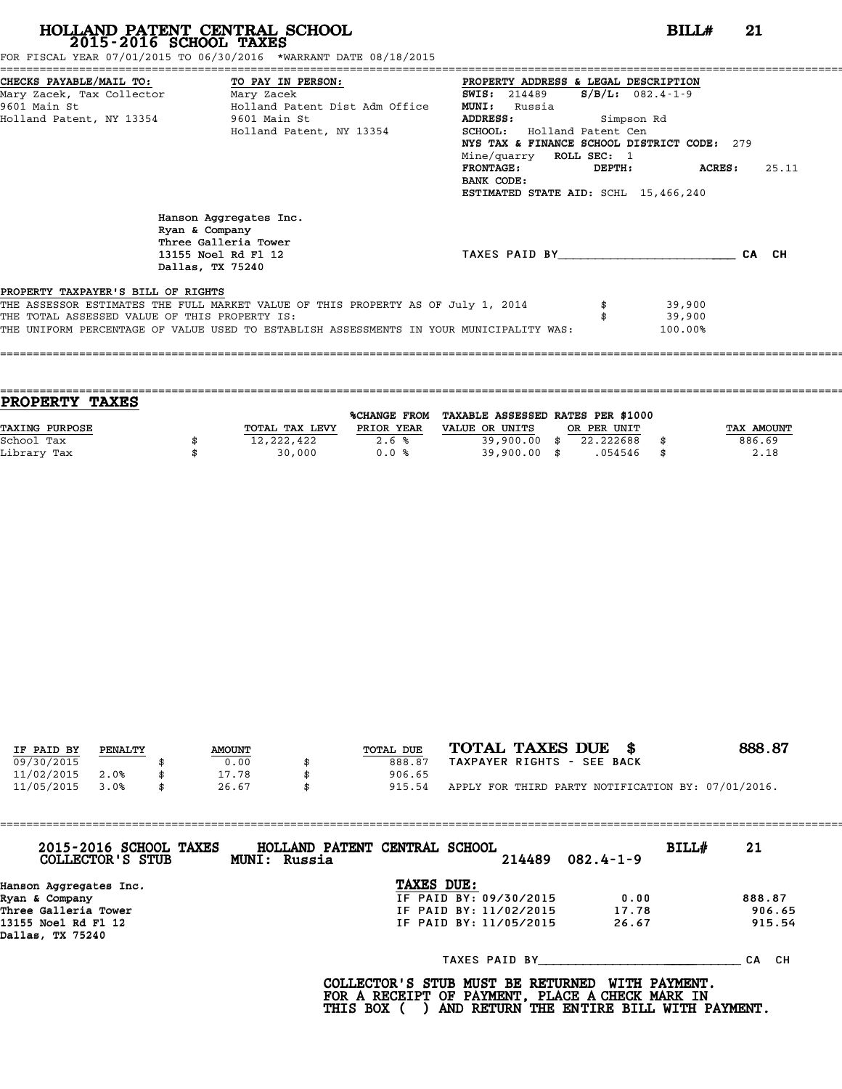FOR FISCAL YEAR 07/01/2015 TO 06/30/2016 \*WARRANT DATE 08/18/2015

| CHECKS PAYABLE/MAIL TO: TO PAY IN PERSON:     |                                                                                                             |                                                                                         | PROPERTY ADDRESS & LEGAL DESCRIPTION        |                     |         |       |
|-----------------------------------------------|-------------------------------------------------------------------------------------------------------------|-----------------------------------------------------------------------------------------|---------------------------------------------|---------------------|---------|-------|
| Mary Zacek, Tax Collector                     |                                                                                                             | Mary Zacek                                                                              | <b>SWIS:</b> 214489                         | $S/B/L$ : 082.4-1-9 |         |       |
| 9601 Main St                                  |                                                                                                             | Holland Patent Dist Adm Office                                                          | <b>MUNI:</b><br>Russia                      |                     |         |       |
| Holland Patent, NY 13354 9601 Main St         |                                                                                                             |                                                                                         | ADDRESS:                                    | Simpson Rd          |         |       |
|                                               |                                                                                                             | Holland Patent, NY 13354                                                                | <b>SCHOOL:</b> Holland Patent Cen           |                     |         |       |
|                                               |                                                                                                             |                                                                                         | NYS TAX & FINANCE SCHOOL DISTRICT CODE: 279 |                     |         |       |
|                                               |                                                                                                             |                                                                                         | Mine/quarry ROLL SEC: 1                     |                     |         |       |
|                                               |                                                                                                             |                                                                                         | <b>FRONTAGE :</b>                           | DEPTH:              | ACRES : | 25.11 |
|                                               |                                                                                                             |                                                                                         | BANK CODE:                                  |                     |         |       |
|                                               |                                                                                                             |                                                                                         | ESTIMATED STATE AID: SCHL 15,466,240        |                     |         |       |
|                                               | Hanson Aggregates Inc.<br>Ryan & Company<br>Three Galleria Tower<br>13155 Noel Rd Fl 12<br>Dallas, TX 75240 |                                                                                         | TAXES PAID BY                               |                     |         | CA CH |
| PROPERTY TAXPAYER'S BILL OF RIGHTS            |                                                                                                             |                                                                                         |                                             |                     |         |       |
|                                               |                                                                                                             | THE ASSESSOR ESTIMATES THE FULL MARKET VALUE OF THIS PROPERTY AS OF July 1, 2014        |                                             |                     | 39,900  |       |
| THE TOTAL ASSESSED VALUE OF THIS PROPERTY IS: |                                                                                                             |                                                                                         |                                             |                     | 39,900  |       |
|                                               |                                                                                                             | THE UNIFORM PERCENTAGE OF VALUE USED TO ESTABLISH ASSESSMENTS IN YOUR MUNICIPALITY WAS: |                                             |                     | 100.00% |       |
|                                               |                                                                                                             |                                                                                         |                                             |                     |         |       |

| <b>TAXES</b><br><b>PROPERTY</b> |                |              |                                   |             |            |
|---------------------------------|----------------|--------------|-----------------------------------|-------------|------------|
|                                 |                | %CHANGE FROM | TAXABLE ASSESSED RATES PER \$1000 |             |            |
| <b>TAXING PURPOSE</b>           | TOTAL TAX LEVY | PRIOR YEAR   | VALUE OR UNITS                    | OR PER UNIT | TAX AMOUNT |
| School Tax                      | 12,222,422     | 2.6%         | 39,900.00 \$                      | 22.222688   | 886.69     |
| Library Tax                     | 30,000         | 0.0%         | 39,900.00 \$                      | .054546     | 2.18       |
|                                 |                |              |                                   |             |            |

====================================================================================================================================

| IF PAID BY | PENALTY | <b>AMOUNT</b> | TOTAL DUE | TOTAL TAXES DUE \$                                 | 888.87 |
|------------|---------|---------------|-----------|----------------------------------------------------|--------|
| 09/30/2015 |         | 0.00          | 888.87    | TAXPAYER RIGHTS - SEE BACK                         |        |
| 11/02/2015 | 2.0%    | 17.78         | 906.65    |                                                    |        |
| 11/05/2015 | 3.0%    | \$<br>26.67   | 915.54    | APPLY FOR THIRD PARTY NOTIFICATION BY: 07/01/2016. |        |

| 2015-2016 SCHOOL TAXES<br>COLLECTOR'S STUB | HOLLAND PATENT CENTRAL SCHOOL<br>$082.4 - 1 - 9$<br>214489<br>MUNI: Russia | BILL#<br>21 |
|--------------------------------------------|----------------------------------------------------------------------------|-------------|
| Hanson Aggregates Inc.                     | TAXES DUE:                                                                 |             |
| Ryan & Company                             | IF PAID BY: 09/30/2015<br>0.00                                             | 888.87      |
| Three Galleria Tower                       | IF PAID BY: 11/02/2015<br>17.78                                            | 906.65      |
| 13155 Noel Rd Fl 12<br>Dallas, TX 75240    | IF PAID BY: 11/05/2015<br>26.67                                            | 915.54      |
|                                            | TAXES PAID BY                                                              | CA CH       |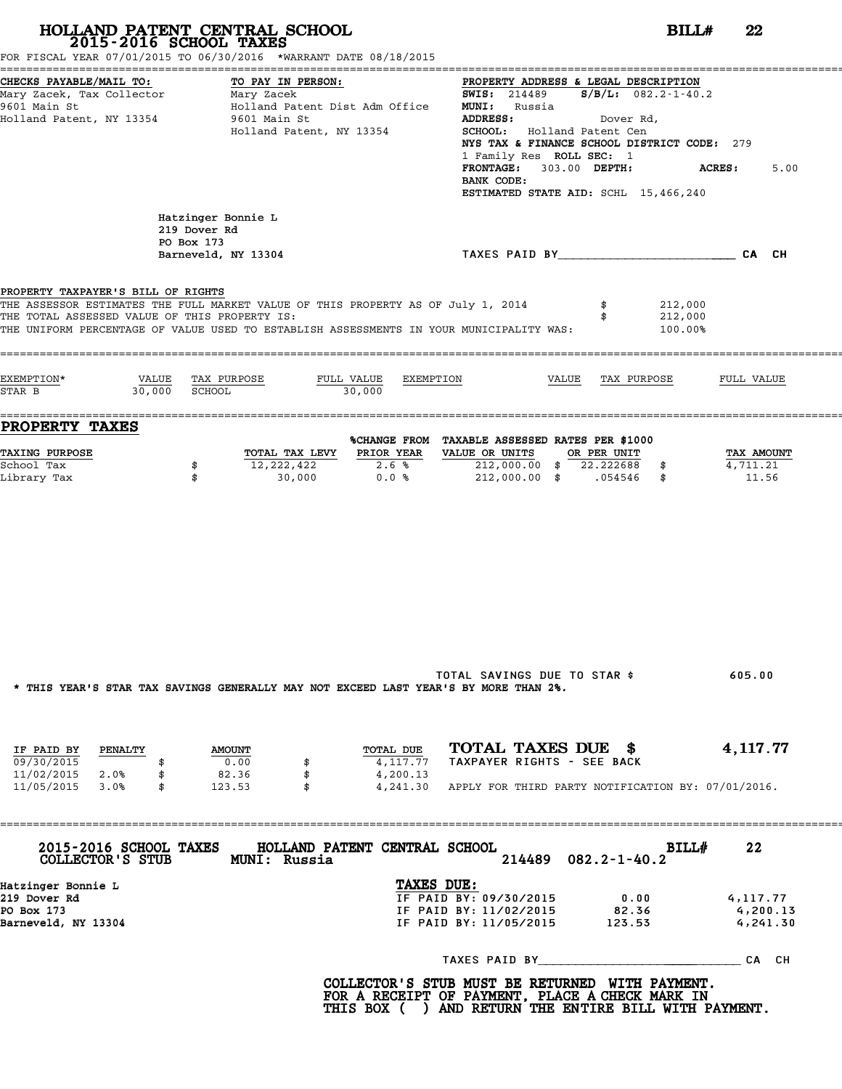|                                                                                                             | HOLLAND PATENT CENTRAL SCHOOL<br>2015-2016 SCHOOL TAXES<br>FOR FISCAL YEAR 07/01/2015 TO 06/30/2016 *WARRANT DATE 08/18/2015                                                |                                                                                                                                                                                                                                                                                                                                  | BILL#<br>22                      |
|-------------------------------------------------------------------------------------------------------------|-----------------------------------------------------------------------------------------------------------------------------------------------------------------------------|----------------------------------------------------------------------------------------------------------------------------------------------------------------------------------------------------------------------------------------------------------------------------------------------------------------------------------|----------------------------------|
| CHECKS PAYABLE/MAIL TO:<br>Mary Zacek, Tax Collector Mary Zacek<br>9601 Main St<br>Holland Patent, NY 13354 | TO PAY IN PERSON:<br>Holland Patent Dist Adm Office<br>9601 Main St<br>Holland Patent, NY 13354                                                                             | PROPERTY ADDRESS & LEGAL DESCRIPTION<br><b>SWIS:</b> 214489 <b>S/B/L:</b> 082.2-1-40.2<br><b>MUNI:</b> Russia<br>ADDRESS:<br>Dover Rd,<br>SCHOOL: Holland Patent Cen<br>NYS TAX & FINANCE SCHOOL DISTRICT CODE: 279<br>1 Family Res ROLL SEC: 1<br>FRONTAGE: 303.00 DEPTH:<br>BANK CODE:<br>ESTIMATED STATE AID: SCHL 15,466,240 | <b>ACRES :</b><br>5.00           |
|                                                                                                             | Hatzinger Bonnie L<br>219 Dover Rd<br>PO Box 173<br>Barneveld, NY 13304                                                                                                     | TAXES PAID BY CA CH                                                                                                                                                                                                                                                                                                              |                                  |
| PROPERTY TAXPAYER'S BILL OF RIGHTS<br>THE TOTAL ASSESSED VALUE OF THIS PROPERTY IS:                         | THE ASSESSOR ESTIMATES THE FULL MARKET VALUE OF THIS PROPERTY AS OF July 1, 2014<br>THE UNIFORM PERCENTAGE OF VALUE USED TO ESTABLISH ASSESSMENTS IN YOUR MUNICIPALITY WAS: | 212,000<br>212,000<br>100.00%                                                                                                                                                                                                                                                                                                    |                                  |
| EXEMPTION*<br>$30,000$ SCHOOL<br>STAR B                                                                     | VALUE TAX PURPOSE<br>FULL VALUE EXEMPTION<br>30,000                                                                                                                         | VALUE TAX PURPOSE                                                                                                                                                                                                                                                                                                                | FULL VALUE                       |
| <b>PROPERTY TAXES</b>                                                                                       |                                                                                                                                                                             | %CHANGE FROM TAXABLE ASSESSED RATES PER \$1000                                                                                                                                                                                                                                                                                   |                                  |
| <b>TAXING PURPOSE</b><br>School Tax<br>Library Tax                                                          | TOTAL TAX LEVY PRIOR YEAR<br>12,222,422<br>2.6%<br>\$<br>0.0%<br>\$<br>30,000                                                                                               | VALUE OR UNITS OR PER UNIT<br>212,000.00 \$ 22.222688 \$<br>212,000.00 \$ .054546 \$                                                                                                                                                                                                                                             | TAX AMOUNT<br>4,711.21<br>11.56  |
|                                                                                                             | * THIS YEAR'S STAR TAX SAVINGS GENERALLY MAY NOT EXCEED LAST YEAR'S BY MORE THAN 2%.                                                                                        | TOTAL SAVINGS DUE TO STAR \$                                                                                                                                                                                                                                                                                                     | 605.00                           |
| IF PAID BY PENALTY<br>09/30/2015<br>\$<br>11/02/2015 2.0%<br>\$                                             | TOTAL DUE<br><b>AMOUNT</b><br>0.00<br>4,117.77<br>82.36<br>\$<br>4,200.13                                                                                                   | TOTAL TAXES DUE \$<br>TAXPAYER RIGHTS - SEE BACK                                                                                                                                                                                                                                                                                 | 4, 117.77                        |
| 11/05/2015 3.0%<br>$\mathbb S$                                                                              | 123.53<br>$\mathbf{s}$                                                                                                                                                      | 4,241.30 APPLY FOR THIRD PARTY NOTIFICATION BY: 07/01/2016.                                                                                                                                                                                                                                                                      |                                  |
|                                                                                                             | 2015-2016 SCHOOL TAXES HOLLAND PATENT CENTRAL SCHOOL<br>COLLECTOR'S STUB MUNI: Russia                                                                                       | BILL#<br>214489 082.2-1-40.2                                                                                                                                                                                                                                                                                                     | 22                               |
| Hatzinger Bonnie L<br>219 Dover Rd<br>PO Box 173<br>Barneveld, NY 13304                                     | TAXES DUE:                                                                                                                                                                  | IF PAID BY: 09/30/2015<br>0.00<br>IF PAID BY: 11/02/2015 82.36<br>IF PAID BY: 11/05/2015 123.53                                                                                                                                                                                                                                  | 4,117.77<br>4,200.13<br>4,241.30 |
|                                                                                                             |                                                                                                                                                                             |                                                                                                                                                                                                                                                                                                                                  |                                  |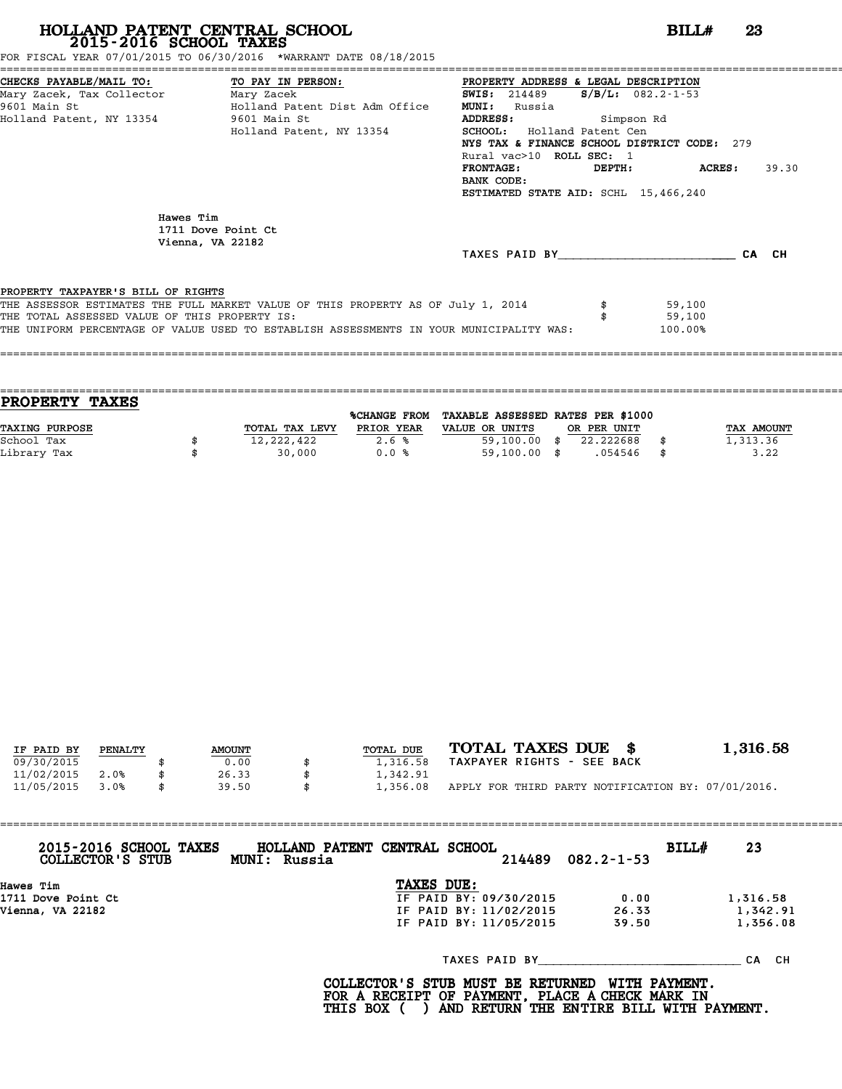# **HOLLAND PATENT CENTRAL SCHOOL BILL# <sup>23</sup> 2015-2016 SCHOOL TAXES** FOR FISCAL YEAR 07/01/2015 TO 06/30/2016 \*WARRANT DATE 08/18/2015

FOR FISCAL YEAR 07/01/2015 TO 06/30/2016 \*WARRANT DATE 08/18/2015

| CHECKS PAYABLE/MAIL TO: TO PAY IN PERSON:     |                                                                                         | PROPERTY ADDRESS & LEGAL DESCRIPTION         |               |       |
|-----------------------------------------------|-----------------------------------------------------------------------------------------|----------------------------------------------|---------------|-------|
| Mary Zacek, Tax Collector Mary Zacek          |                                                                                         | <b>SWIS:</b> 214489 <b>S/B/L:</b> 082.2-1-53 |               |       |
| 9601 Main St                                  | Holland Patent Dist Adm Office                                                          | <b>MUNI:</b><br>Russia                       |               |       |
| Holland Patent, NY 13354 9601 Main St         |                                                                                         | <b>ADDRESS:</b><br>Simpson Rd                |               |       |
|                                               | Holland Patent, NY 13354                                                                | SCHOOL: Holland Patent Cen                   |               |       |
|                                               |                                                                                         | NYS TAX & FINANCE SCHOOL DISTRICT CODE: 279  |               |       |
|                                               |                                                                                         | Rural vac>10 ROLL SEC: 1                     |               |       |
|                                               |                                                                                         | <b>FRONTAGE:</b>                             | DEPTH: ACRES: | 39.30 |
|                                               |                                                                                         | BANK CODE:                                   |               |       |
|                                               |                                                                                         | ESTIMATED STATE AID: SCHL 15,466,240         |               |       |
| Hawes Tim                                     | 1711 Dove Point Ct<br>Vienna, VA 22182                                                  | TAXES PAID BY                                |               | CA CH |
| PROPERTY TAXPAYER'S BILL OF RIGHTS            |                                                                                         |                                              |               |       |
|                                               | THE ASSESSOR ESTIMATES THE FULL MARKET VALUE OF THIS PROPERTY AS OF July 1, 2014        |                                              | 59,100        |       |
| THE TOTAL ASSESSED VALUE OF THIS PROPERTY IS: |                                                                                         |                                              | 59,100        |       |
|                                               | THE UNIFORM PERCENTAGE OF VALUE USED TO ESTABLISH ASSESSMENTS IN YOUR MUNICIPALITY WAS: |                                              | 100.00%       |       |
|                                               |                                                                                         |                                              |               |       |
|                                               |                                                                                         |                                              |               |       |
|                                               |                                                                                         |                                              |               |       |

| <b>TAXES</b><br><b>PROPERTY</b> |                |                     |                                   |             |            |
|---------------------------------|----------------|---------------------|-----------------------------------|-------------|------------|
|                                 |                | <b>%CHANGE FROM</b> | TAXABLE ASSESSED RATES PER \$1000 |             |            |
| TAXING PURPOSE                  | TOTAL TAX LEVY | PRIOR YEAR          | VALUE OR UNITS                    | OR PER UNIT | TAX AMOUNT |
| School Tax                      | 12,222,422     | 2.6%                | 59,100.00                         | 22.222688   | 1,313.36   |
| Library Tax                     | 30,000         | 0.0%                | $59,100.00$ \$                    | .054546     | \$<br>3.22 |
|                                 |                |                     |                                   |             |            |

| IF PAID BY | PENALTY | <b>AMOUNT</b> | TOTAL DUE      | TOTAL TAXES DUE \$                                 | 1,316.58 |
|------------|---------|---------------|----------------|----------------------------------------------------|----------|
| 09/30/2015 |         | 0.00          | 1,316.58       | TAXPAYER RIGHTS - SEE BACK                         |          |
| 11/02/2015 | 2.0%    | 26.33         | 1,342.91       |                                                    |          |
| 11/05/2015 | 3.0%    | \$<br>39.50   | \$<br>1,356.08 | APPLY FOR THIRD PARTY NOTIFICATION BY: 07/01/2016. |          |

| 2015-2016 SCHOOL TAXES<br>COLLECTOR'S STUB | HOLLAND PATENT CENTRAL SCHOOL<br>MUNI: Russia |                        | 214489 | $082.2 - 1 - 53$ | BILL# | 23        |
|--------------------------------------------|-----------------------------------------------|------------------------|--------|------------------|-------|-----------|
| Hawes Tim                                  |                                               | TAXES DUE:             |        |                  |       |           |
| 1711 Dove Point Ct                         |                                               | IF PAID BY: 09/30/2015 |        | 0.00             |       | 1,316.58  |
| Vienna, VA 22182                           |                                               | IF PAID BY: 11/02/2015 |        | 26.33            |       | 1,342.91  |
|                                            |                                               | IF PAID BY: 11/05/2015 |        | 39.50            |       | 1,356.08  |
|                                            |                                               | TAXES PAID BY          |        |                  |       | СA<br>CH. |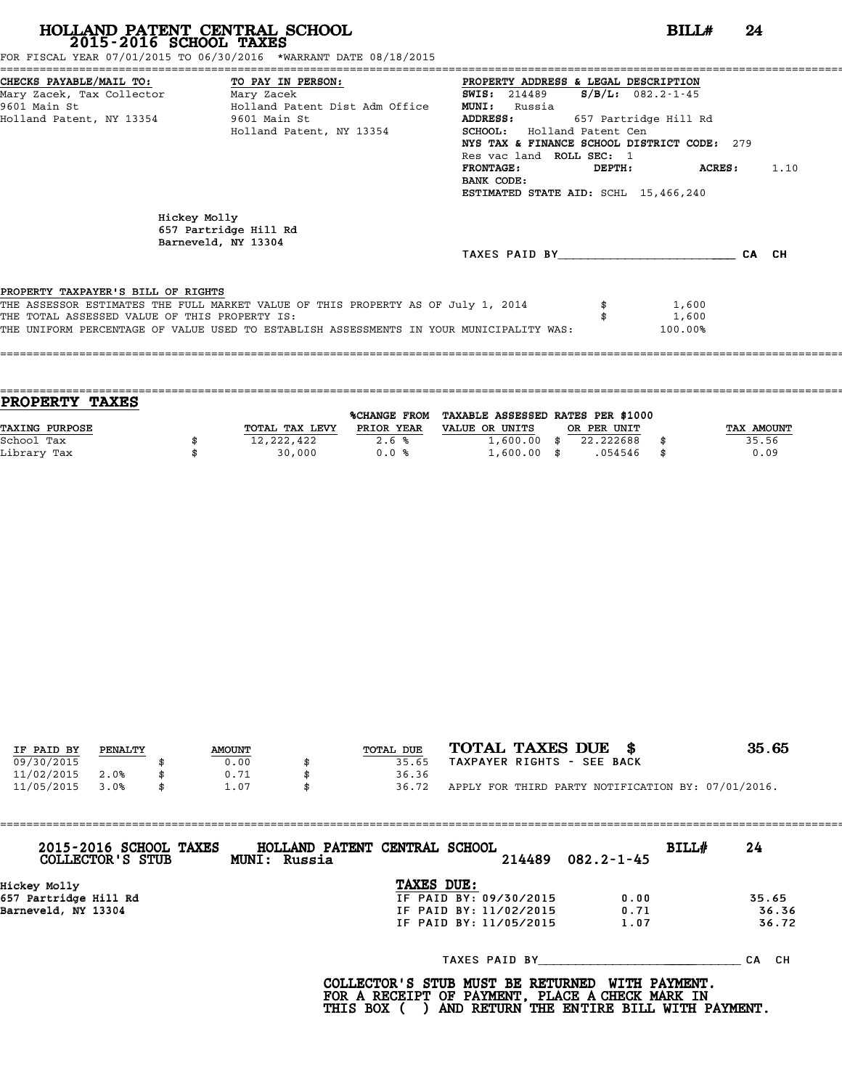# **HOLLAND PATENT CENTRAL SCHOOL**<br> **2015-2016 SCHOOL TAXES**<br>
FOR FISCAL YEAR 07/01/2015 TO 06/30/2016 \*WARRANT DATE 08/18/2015<br> **24**<br> **24**<br> **24**<br> **24**<br> **24**<br> **24**<br> **24**<br> **24**<br> **24**<br> **24**<br> **24**<br> **24**<br> **24**<br> **24**<br> **24**<br> **24**<br>

FOR FISCAL YEAR 07/01/2015 TO 06/30/2016 \*WARRANT DATE 08/18/2015

| CHECKS PAYABLE/MAIL TO: TO PAY IN PERSON:     |                                                                                         | PROPERTY ADDRESS & LEGAL DESCRIPTION        |        |                         |       |      |
|-----------------------------------------------|-----------------------------------------------------------------------------------------|---------------------------------------------|--------|-------------------------|-------|------|
| Mary Zacek, Tax Collector Mary Zacek          |                                                                                         | <b>SWIS:</b> 214489                         |        | $S/B/L: 082.2 - 1 - 45$ |       |      |
| 9601 Main St                                  | Holland Patent Dist Adm Office                                                          | <b>MUNI:</b><br>Russia                      |        |                         |       |      |
| Holland Patent, NY 13354 5601 Main St         |                                                                                         | <b>ADDRESS:</b>                             |        | 657 Partridge Hill Rd   |       |      |
|                                               | Holland Patent, NY 13354                                                                | SCHOOL: Holland Patent Cen                  |        |                         |       |      |
|                                               |                                                                                         | NYS TAX & FINANCE SCHOOL DISTRICT CODE: 279 |        |                         |       |      |
|                                               |                                                                                         | Res vac land ROLL SEC: 1                    |        |                         |       |      |
|                                               |                                                                                         | <b>FRONTAGE:</b>                            | DEPTH: | ACRES :                 |       | 1.10 |
|                                               |                                                                                         | BANK CODE:                                  |        |                         |       |      |
|                                               |                                                                                         | ESTIMATED STATE AID: SCHL 15,466,240        |        |                         |       |      |
|                                               |                                                                                         |                                             |        |                         |       |      |
|                                               | Hickey Molly                                                                            |                                             |        |                         |       |      |
|                                               | 657 Partridge Hill Rd                                                                   |                                             |        |                         |       |      |
|                                               | Barneveld, NY 13304                                                                     |                                             |        |                         |       |      |
|                                               |                                                                                         | TAXES PAID BY                               |        |                         | CA CH |      |
|                                               |                                                                                         |                                             |        |                         |       |      |
| PROPERTY TAXPAYER'S BILL OF RIGHTS            |                                                                                         |                                             |        |                         |       |      |
|                                               | THE ASSESSOR ESTIMATES THE FULL MARKET VALUE OF THIS PROPERTY AS OF July 1, 2014        |                                             |        | 1,600                   |       |      |
| THE TOTAL ASSESSED VALUE OF THIS PROPERTY IS: |                                                                                         |                                             |        | 1,600                   |       |      |
|                                               | THE UNIFORM PERCENTAGE OF VALUE USED TO ESTABLISH ASSESSMENTS IN YOUR MUNICIPALITY WAS: |                                             |        | 100.00%                 |       |      |
|                                               |                                                                                         |                                             |        |                         |       |      |
|                                               |                                                                                         |                                             |        |                         |       |      |
|                                               |                                                                                         |                                             |        |                         |       |      |

| <b>TAXES</b><br><b>PROPERTY</b> |                |                     |                                   |             |            |
|---------------------------------|----------------|---------------------|-----------------------------------|-------------|------------|
|                                 |                | <b>%CHANGE FROM</b> | TAXABLE ASSESSED RATES PER \$1000 |             |            |
| <b>TAXING PURPOSE</b>           | TOTAL TAX LEVY | PRIOR YEAR          | VALUE OR UNITS                    | OR PER UNIT | TAX AMOUNT |
| School Tax                      | 12,222,422     | 2.6%                | $1,600.00$ \$                     | 22.222688   | 35.56      |
| Library Tax                     | 30,000         | 0.0%                | $1,600.00$ \$                     | .054546     | \$<br>0.09 |
|                                 |                |                     |                                   |             |            |

| IF PAID BY | PENALTY |    | <b>AMOUNT</b> |  | TOTAL DUE | TOTAL TAXES DUE \$                                 | 35.65 |  |  |
|------------|---------|----|---------------|--|-----------|----------------------------------------------------|-------|--|--|
| 09/30/2015 |         |    | 0.00          |  | 35.65     | TAXPAYER RIGHTS - SEE BACK                         |       |  |  |
| 11/02/2015 | 2.0%    |    | 0.71          |  | 36.36     |                                                    |       |  |  |
| 11/05/2015 | 3.0%    | \$ | 1.07          |  | 36.72     | APPLY FOR THIRD PARTY NOTIFICATION BY: 07/01/2016. |       |  |  |

| 2015-2016 SCHOOL TAXES<br>COLLECTOR'S STUB | HOLLAND PATENT CENTRAL SCHOOL<br>MUNI: Russia |                        | 214489 | $082.2 - 1 - 45$ | BILL# | 24        |
|--------------------------------------------|-----------------------------------------------|------------------------|--------|------------------|-------|-----------|
| Hickey Molly                               |                                               | <b>TAXES DUE:</b>      |        |                  |       |           |
| 657 Partridge Hill Rd                      |                                               | IF PAID BY: 09/30/2015 |        | 0.00             |       | 35.65     |
| Barneveld, NY 13304                        |                                               | IF PAID BY: 11/02/2015 |        | 0.71             |       | 36.36     |
|                                            |                                               | IF PAID BY: 11/05/2015 |        | 1.07             |       | 36.72     |
|                                            |                                               | TAXES PAID BY          |        |                  |       | CH.<br>СA |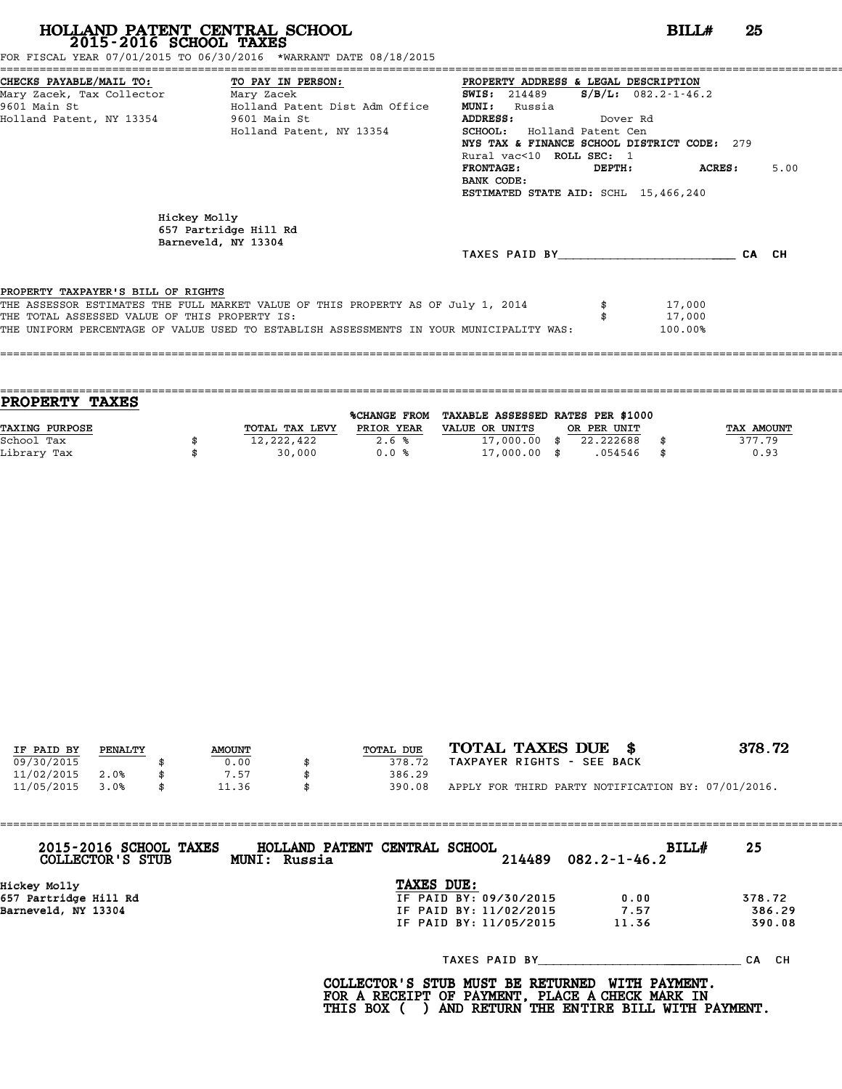FOR FISCAL YEAR 07/01/2015 TO 06/30/2016 \*WARRANT DATE 08/18/2015

| CHECKS PAYABLE/MAIL TO: TO PAY IN PERSON:     |                                                                                         | PROPERTY ADDRESS & LEGAL DESCRIPTION        |          |                           |       |      |
|-----------------------------------------------|-----------------------------------------------------------------------------------------|---------------------------------------------|----------|---------------------------|-------|------|
| Mary Zacek, Tax Collector Mary Zacek          |                                                                                         | <b>SWIS:</b> 214489                         |          | $S/B/L: 082.2 - 1 - 46.2$ |       |      |
| 9601 Main St                                  | Holland Patent Dist Adm Office                                                          | <b>MUNI:</b><br>Russia                      |          |                           |       |      |
| Holland Patent, NY 13354 5601 Main St         |                                                                                         | <b>ADDRESS:</b>                             | Dover Rd |                           |       |      |
|                                               | Holland Patent, NY 13354                                                                | SCHOOL: Holland Patent Cen                  |          |                           |       |      |
|                                               |                                                                                         | NYS TAX & FINANCE SCHOOL DISTRICT CODE: 279 |          |                           |       |      |
|                                               |                                                                                         | Rural vac<10 ROLL SEC: 1                    |          |                           |       |      |
|                                               |                                                                                         | <b>FRONTAGE:</b>                            | DEPTH:   | ACRES :                   |       | 5.00 |
|                                               |                                                                                         | BANK CODE:                                  |          |                           |       |      |
|                                               |                                                                                         | ESTIMATED STATE AID: SCHL 15,466,240        |          |                           |       |      |
|                                               | Hickey Molly<br>657 Partridge Hill Rd<br>Barneveld, NY 13304                            | TAXES PAID BY                               |          |                           | CA CH |      |
| PROPERTY TAXPAYER'S BILL OF RIGHTS            |                                                                                         |                                             |          |                           |       |      |
|                                               | THE ASSESSOR ESTIMATES THE FULL MARKET VALUE OF THIS PROPERTY AS OF July 1, 2014        |                                             |          | 17,000                    |       |      |
| THE TOTAL ASSESSED VALUE OF THIS PROPERTY IS: |                                                                                         |                                             |          | 17,000                    |       |      |
|                                               | THE UNIFORM PERCENTAGE OF VALUE USED TO ESTABLISH ASSESSMENTS IN YOUR MUNICIPALITY WAS: |                                             |          | 100.00%                   |       |      |
|                                               |                                                                                         |                                             |          |                           |       |      |
|                                               | ;========================                                                               |                                             |          |                           |       |      |

| <b>TAXES</b><br><b>PROPERTY</b> |                |                     |                                   |             |            |
|---------------------------------|----------------|---------------------|-----------------------------------|-------------|------------|
|                                 |                | <b>%CHANGE FROM</b> | TAXABLE ASSESSED RATES PER \$1000 |             |            |
| TAXING PURPOSE                  | TOTAL TAX LEVY | PRIOR YEAR          | VALUE OR UNITS                    | OR PER UNIT | TAX AMOUNT |
| School Tax                      | 12,222,422     | 2.6%                | 17,000.00                         | 22.222688   | 377.79     |
| Library Tax                     | 30,000         | 0.0%                | $17,000.00$ \$                    | .054546     | \$<br>0.93 |
|                                 |                |                     |                                   |             |            |

| IF PAID BY | PENALTY | <b>AMOUNT</b> | TOTAL DUE | TOTAL TAXES DUE \$                                 | 378.72 |
|------------|---------|---------------|-----------|----------------------------------------------------|--------|
| 09/30/2015 |         | 0.00          | 378.72    | TAXPAYER RIGHTS - SEE BACK                         |        |
| 11/02/2015 | 2.0%    | 7.57          | 386.29    |                                                    |        |
| 11/05/2015 | 3.0%    | 11.36         | 390.08    | APPLY FOR THIRD PARTY NOTIFICATION BY: 07/01/2016. |        |

| 2015-2016 SCHOOL TAXES<br>COLLECTOR'S STUB | HOLLAND PATENT CENTRAL SCHOOL<br>BILL#<br>$214489$ $082.2 - 1 - 46.2$<br><b>MUNI: Russia</b> | 25     |
|--------------------------------------------|----------------------------------------------------------------------------------------------|--------|
| Hickey Molly                               | TAXES DUE:                                                                                   |        |
| 657 Partridge Hill Rd                      | IF PAID BY: 09/30/2015<br>0.00                                                               | 378.72 |
| Barneveld, NY 13304                        | 7.57<br>IF PAID BY: 11/02/2015                                                               | 386.29 |
|                                            | IF PAID BY: 11/05/2015<br>11.36                                                              | 390.08 |
|                                            | TAXES PAID BY                                                                                | CA CH  |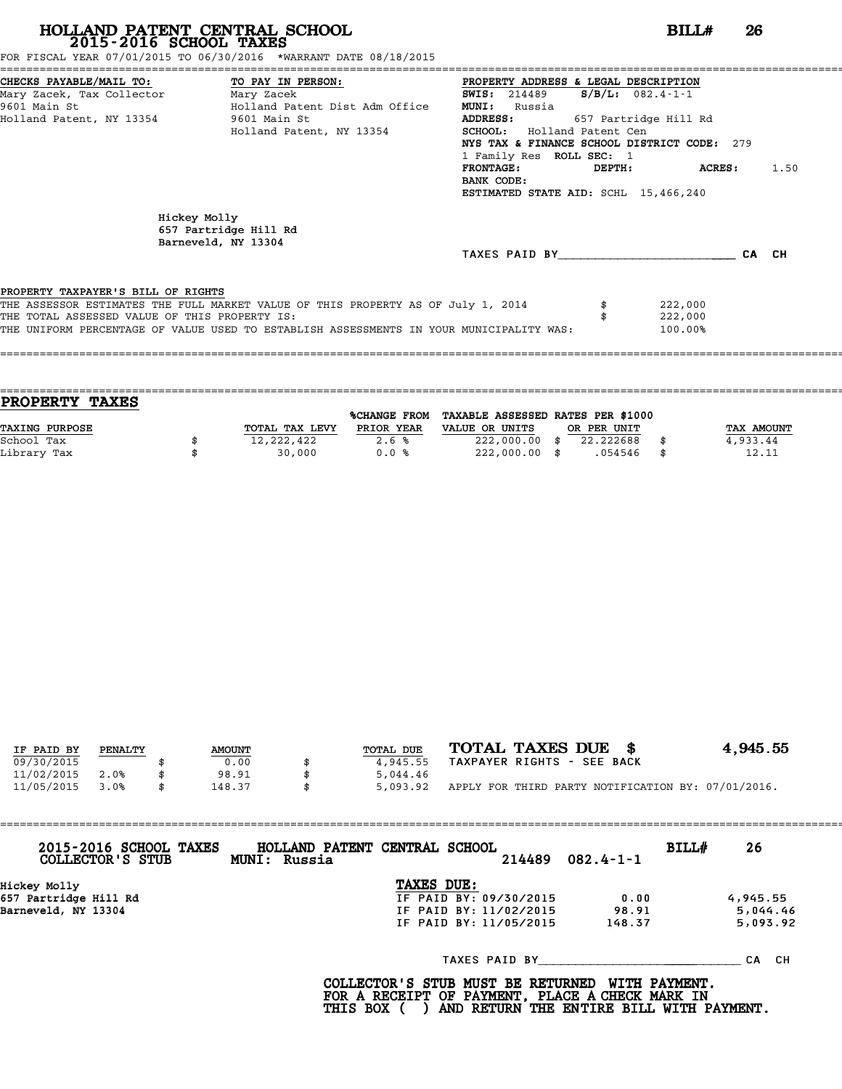FOR FISCAL YEAR 07/01/2015 TO 06/30/2016 \*WARRANT DATE 08/18/2015

| CHECKS PAYABLE/MAIL TO: TO PAY IN PERSON:     |                                                                                         | PROPERTY ADDRESS & LEGAL DESCRIPTION        |        |                       |       |      |
|-----------------------------------------------|-----------------------------------------------------------------------------------------|---------------------------------------------|--------|-----------------------|-------|------|
| Mary Zacek, Tax Collector Mary Zacek          |                                                                                         | <b>SWIS: 214489</b>                         |        | $S/B/L$ : 082.4-1-1   |       |      |
| 9601 Main St                                  | Holland Patent Dist Adm Office                                                          | <b>MUNI:</b><br>Russia                      |        |                       |       |      |
| Holland Patent, NY 13354                      | 9601 Main St                                                                            | <b>ADDRESS:</b>                             |        | 657 Partridge Hill Rd |       |      |
|                                               | Holland Patent, NY 13354                                                                | <b>SCHOOL:</b> Holland Patent Cen           |        |                       |       |      |
|                                               |                                                                                         | NYS TAX & FINANCE SCHOOL DISTRICT CODE: 279 |        |                       |       |      |
|                                               |                                                                                         | 1 Family Res ROLL SEC: 1                    |        |                       |       |      |
|                                               |                                                                                         | <b>FRONTAGE:</b>                            | DEPTH: | <b>ACRES :</b>        |       | 1.50 |
|                                               |                                                                                         | BANK CODE:                                  |        |                       |       |      |
|                                               |                                                                                         | ESTIMATED STATE AID: SCHL 15,466,240        |        |                       |       |      |
|                                               | Hickey Molly<br>657 Partridge Hill Rd<br>Barneveld, NY 13304                            |                                             |        |                       |       |      |
|                                               |                                                                                         | TAXES PAID BY TAXES                         |        |                       | CA CH |      |
| PROPERTY TAXPAYER'S BILL OF RIGHTS            |                                                                                         |                                             |        |                       |       |      |
|                                               | THE ASSESSOR ESTIMATES THE FULL MARKET VALUE OF THIS PROPERTY AS OF July 1, 2014        |                                             |        | 222,000               |       |      |
| THE TOTAL ASSESSED VALUE OF THIS PROPERTY IS: |                                                                                         |                                             |        | 222,000               |       |      |
|                                               | THE UNIFORM PERCENTAGE OF VALUE USED TO ESTABLISH ASSESSMENTS IN YOUR MUNICIPALITY WAS: |                                             |        | 100.00%               |       |      |
|                                               |                                                                                         |                                             |        |                       |       |      |

| <b>TAXES</b><br><b>PROPERTY</b> |                |                     |                                   |             |             |
|---------------------------------|----------------|---------------------|-----------------------------------|-------------|-------------|
|                                 |                | <b>%CHANGE FROM</b> | TAXABLE ASSESSED RATES PER \$1000 |             |             |
| TAXING PURPOSE                  | TOTAL TAX LEVY | PRIOR YEAR          | VALUE OR UNITS                    | OR PER UNIT | TAX AMOUNT  |
| School Tax                      | 12,222,422     | 2.6%                | $222,000.00$ \$                   | 22.222688   | 4,933.44    |
| Library Tax                     | 30,000         | 0.0%                | $222,000.00$ \$                   | .054546     | \$<br>12.11 |
|                                 |                |                     |                                   |             |             |

| IF PAID BY | PENALTY | <b>AMOUNT</b> | TOTAL DUE | TOTAL TAXES DUE \$                                 | 4,945.55 |
|------------|---------|---------------|-----------|----------------------------------------------------|----------|
| 09/30/2015 |         | 0.00          | 4,945.55  | TAXPAYER RIGHTS - SEE BACK                         |          |
| 11/02/2015 | 2.0%    | 98.91         | 5,044.46  |                                                    |          |
| 11/05/2015 | 3.0%    | \$<br>148.37  | 5,093.92  | APPLY FOR THIRD PARTY NOTIFICATION BY: 07/01/2016. |          |

| 2015-2016 SCHOOL TAXES<br>COLLECTOR'S STUB | MUNI: Russia | HOLLAND PATENT CENTRAL SCHOOL | 214489 | $082.4 - 1 - 1$ | BILL# | 26        |
|--------------------------------------------|--------------|-------------------------------|--------|-----------------|-------|-----------|
| Hickey Molly                               |              | TAXES DUE:                    |        |                 |       |           |
| 657 Partridge Hill Rd                      |              | IF PAID BY: 09/30/2015        |        | 0.00            |       | 4,945.55  |
| Barneveld, NY 13304                        |              | IF PAID BY: 11/02/2015        |        | 98.91           |       | 5,044.46  |
|                                            |              | IF PAID BY: 11/05/2015        |        | 148.37          |       | 5,093.92  |
|                                            |              | TAXES PAID BY                 |        |                 |       | CH.<br>СA |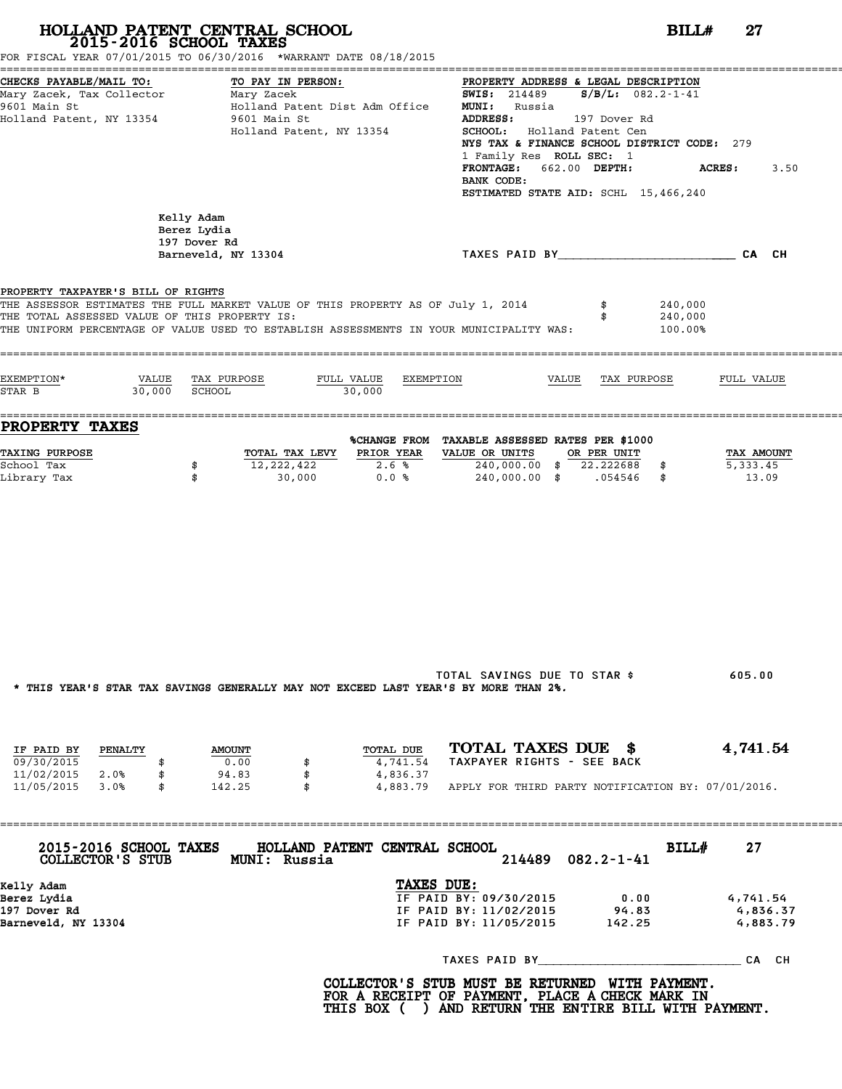|                                                                                     | 2015-2016 SCHOOL TAXES<br>FOR FISCAL YEAR 07/01/2015 TO 06/30/2016 *WARRANT DATE 08/18/2015                                                                                 |                                                                                                                                                                                                                                                                                                                                                                |
|-------------------------------------------------------------------------------------|-----------------------------------------------------------------------------------------------------------------------------------------------------------------------------|----------------------------------------------------------------------------------------------------------------------------------------------------------------------------------------------------------------------------------------------------------------------------------------------------------------------------------------------------------------|
| CHECKS PAYABLE/MAIL TO:<br>9601 Main St<br>Holland Patent, NY 13354                 | TO PAY IN PERSON:<br>Holland Patent Dist Adm Office<br>9601 Main St<br>Holland Patent, NY 13354                                                                             | PROPERTY ADDRESS & LEGAL DESCRIPTION<br><b>SWIS:</b> 214489 $S/B/L$ : 082.2-1-41<br><b>MUNI:</b> Russia<br><b>ADDRESS:</b><br>197 Dover Rd<br>SCHOOL: Holland Patent Cen<br>NYS TAX & FINANCE SCHOOL DISTRICT CODE: 279<br>1 Family Res ROLL SEC: 1<br>FRONTAGE: 662.00 DEPTH:<br><b>ACRES :</b><br>3.50<br>BANK CODE:<br>ESTIMATED STATE AID: SCHL 15,466,240 |
|                                                                                     | Kelly Adam<br>Berez Lydia<br>197 Dover Rd<br>Barneveld, NY 13304                                                                                                            | TAXES PAID BY________________________CA CH                                                                                                                                                                                                                                                                                                                     |
| PROPERTY TAXPAYER'S BILL OF RIGHTS<br>THE TOTAL ASSESSED VALUE OF THIS PROPERTY IS: | THE ASSESSOR ESTIMATES THE FULL MARKET VALUE OF THIS PROPERTY AS OF July 1, 2014<br>THE UNIFORM PERCENTAGE OF VALUE USED TO ESTABLISH ASSESSMENTS IN YOUR MUNICIPALITY WAS: | 240,000<br>240,000<br>100.00%                                                                                                                                                                                                                                                                                                                                  |
| EXEMPTION*<br>STAR B                                                                | VALUE TAX PURPOSE<br>FULL VALUE EXEMPTION<br>30,000 SCHOOL<br>30,000                                                                                                        | VALUE TAX PURPOSE<br>FULL VALUE                                                                                                                                                                                                                                                                                                                                |
| <b>PROPERTY TAXES</b>                                                               |                                                                                                                                                                             | %CHANGE FROM TAXABLE ASSESSED RATES PER \$1000                                                                                                                                                                                                                                                                                                                 |
| <b>TAXING PURPOSE</b><br>School Tax<br>Library Tax                                  | TOTAL TAX LEVY PRIOR YEAR<br>12,222,422<br>2.6%<br>\$<br>0.0%<br>\$<br>30,000                                                                                               | VALUE OR UNITS<br>OR PER UNIT<br>TAX AMOUNT<br>240,000.00 \$ 22.222688 \$<br>5,333.45<br>240,000.00 \$ .054546 \$<br>13.09                                                                                                                                                                                                                                     |
|                                                                                     | * THIS YEAR'S STAR TAX SAVINGS GENERALLY MAY NOT EXCEED LAST YEAR'S BY MORE THAN 2%.                                                                                        | TOTAL SAVINGS DUE TO STAR \$<br>605.00                                                                                                                                                                                                                                                                                                                         |
| IF PAID BY<br>PENALTY<br>09/30/2015<br>\$<br>11/02/2015 2.0%<br>\$                  | TOTAL DUE<br><b>AMOUNT</b><br>0.00<br>4,741.54<br>\$<br>94.83<br>\$<br>4,836.37                                                                                             | TOTAL TAXES DUE \$<br>4,741.54<br>TAXPAYER RIGHTS - SEE BACK                                                                                                                                                                                                                                                                                                   |
| 11/05/2015 3.0%<br>\$                                                               | 142.25<br>- \$                                                                                                                                                              | 4,883.79 APPLY FOR THIRD PARTY NOTIFICATION BY: 07/01/2016.                                                                                                                                                                                                                                                                                                    |
| 2015-2016 SCHOOL TAXES<br>COLLECTOR'S STUB                                          | HOLLAND PATENT CENTRAL SCHOOL<br>MUNI: Russia                                                                                                                               | BILL#<br>27<br>$082.2 - 1 - 41$<br>214489                                                                                                                                                                                                                                                                                                                      |
| Kelly Adam<br>Berez Lydia<br>197 Dover Rd<br>Barneveld, NY 13304                    |                                                                                                                                                                             | TAXES DUE:<br>IF PAID BY: 09/30/2015<br>0.00<br>4,741.54<br>IF PAID BY: 11/02/2015<br>94.83<br>4,836.37<br>IF PAID BY: 11/05/2015<br>142.25<br>4,883.79                                                                                                                                                                                                        |
|                                                                                     |                                                                                                                                                                             |                                                                                                                                                                                                                                                                                                                                                                |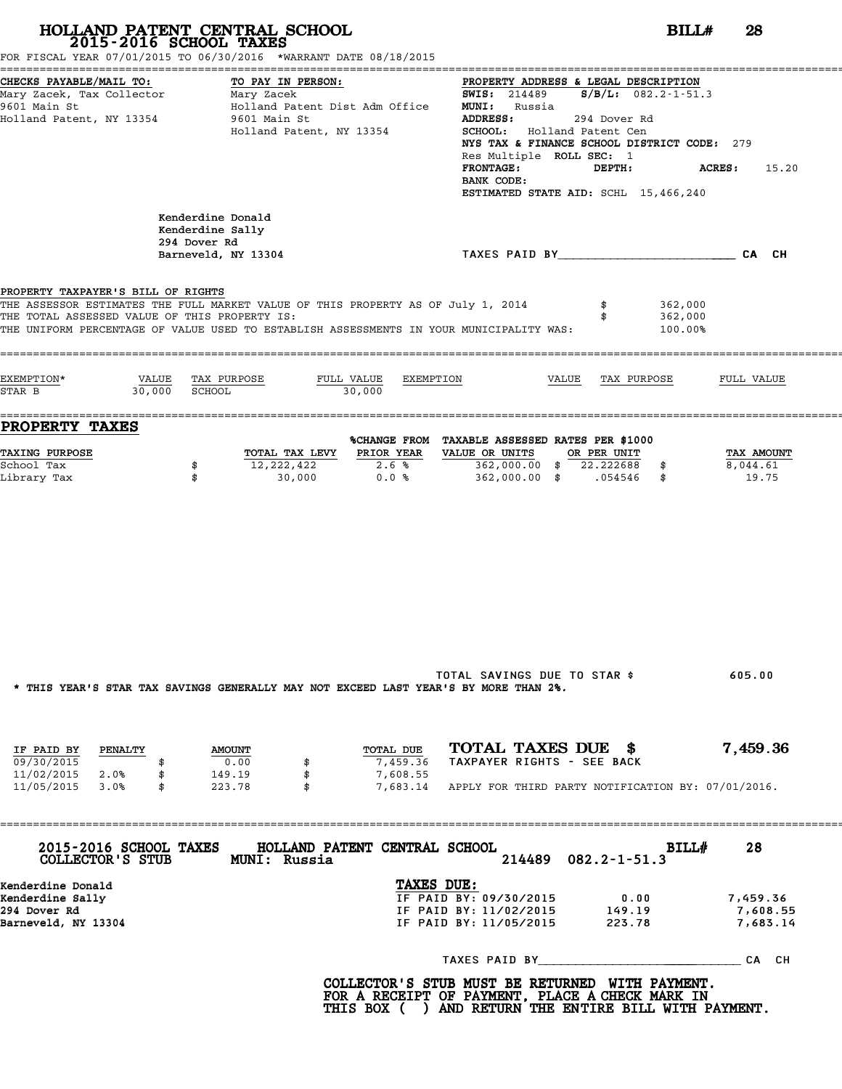|                                                                                     | HOLLAND PATENT CENTRAL SCHOOL<br>2015-2016 SCHOOL TAXES<br>FOR FISCAL YEAR 07/01/2015 TO 06/30/2016 *WARRANT DATE 08/18/2015                                                |                                                                |                                                                                                                                                                                                                                                                                          | BILLH<br>28                      |
|-------------------------------------------------------------------------------------|-----------------------------------------------------------------------------------------------------------------------------------------------------------------------------|----------------------------------------------------------------|------------------------------------------------------------------------------------------------------------------------------------------------------------------------------------------------------------------------------------------------------------------------------------------|----------------------------------|
| CHECKS PAYABLE/MAIL TO:<br>9601 Main St<br>Holland Patent, NY 13354                 | TO PAY IN PERSON:<br>Holland Patent Dist Adm Office<br>9601 Main St<br>Holland Patent, NY 13354                                                                             | <b>ADDRESS:</b><br><b>FRONTAGE:</b><br>BANK CODE:              | PROPERTY ADDRESS & LEGAL DESCRIPTION<br><b>SWIS:</b> 214489 <b>S/B/L:</b> 082.2-1-51.3<br><b>MUNI:</b> Russia<br>294 Dover Rd<br>SCHOOL: Holland Patent Cen<br>NYS TAX & FINANCE SCHOOL DISTRICT CODE: 279<br>Res Multiple ROLL SEC: 1<br>DEPTH:<br>ESTIMATED STATE AID: SCHL 15,466,240 | <b>ACRES :</b><br>15.20          |
|                                                                                     | Kenderdine Donald<br>Kenderdine Sally<br>294 Dover Rd<br>Barneveld, NY 13304                                                                                                |                                                                | TAXES PAID BY TAND AND TAXES PAID BY                                                                                                                                                                                                                                                     |                                  |
| PROPERTY TAXPAYER'S BILL OF RIGHTS<br>THE TOTAL ASSESSED VALUE OF THIS PROPERTY IS: | THE ASSESSOR ESTIMATES THE FULL MARKET VALUE OF THIS PROPERTY AS OF July 1, 2014<br>THE UNIFORM PERCENTAGE OF VALUE USED TO ESTABLISH ASSESSMENTS IN YOUR MUNICIPALITY WAS: |                                                                | 362,000<br>362,000<br>100.00%                                                                                                                                                                                                                                                            |                                  |
| EXEMPTION*<br>STAR B                                                                | VALUE TAX PURPOSE<br>30,000 SCHOOL<br>30,000                                                                                                                                | FULL VALUE EXEMPTION                                           | VALUE TAX PURPOSE                                                                                                                                                                                                                                                                        | FULL VALUE                       |
| <b>PROPERTY TAXES</b>                                                               |                                                                                                                                                                             |                                                                | %CHANGE FROM TAXABLE ASSESSED RATES PER \$1000                                                                                                                                                                                                                                           |                                  |
| <b>TAXING PURPOSE</b><br>School Tax<br>Library Tax                                  | TOTAL TAX LEVY PRIOR YEAR<br>12,222,422<br>\$<br>\$<br>30,000                                                                                                               | VALUE OR UNITS<br>2.6%<br>0.0%                                 | OR PER UNIT<br>362,000.00 \$ 22.222688 \$<br>362,000.00 \$ .054546 \$                                                                                                                                                                                                                    | TAX AMOUNT<br>8,044.61<br>19.75  |
|                                                                                     | * THIS YEAR'S STAR TAX SAVINGS GENERALLY MAY NOT EXCEED LAST YEAR'S BY MORE THAN 2%.                                                                                        |                                                                | TOTAL SAVINGS DUE TO STAR \$                                                                                                                                                                                                                                                             | 605.00                           |
| IF PAID BY PENALTY<br>09/30/2015<br>\$                                              | <b>AMOUNT</b><br>0.00                                                                                                                                                       | TOTAL DUE<br>7,459.36                                          | TOTAL TAXES DUE \$<br>TAXPAYER RIGHTS - SEE BACK                                                                                                                                                                                                                                         | 7,459.36                         |
| 11/02/2015 2.0%<br>\$<br>11/05/2015 3.0%<br>\$                                      | 149.19<br>\$<br>223.78<br>- \$                                                                                                                                              | 7,608.55                                                       | 7,683.14 APPLY FOR THIRD PARTY NOTIFICATION BY: 07/01/2016.                                                                                                                                                                                                                              |                                  |
| 2015-2016 SCHOOL TAXES                                                              | HOLLAND PATENT CENTRAL SCHOOL<br>COLLECTOR'S STUB MUNI: Russia                                                                                                              |                                                                | BILL#<br>$082.2 - 1 - 51.3$<br>214489                                                                                                                                                                                                                                                    | 28                               |
| Kenderdine Donald<br>Kenderdine Sally<br>294 Dover Rd<br>Barneveld, NY 13304        |                                                                                                                                                                             | TAXES DUE:<br>IF PAID BY: 09/30/2015<br>IF PAID BY: 11/05/2015 | 0.00<br>IF PAID BY: 11/02/2015 149.19<br>223.78                                                                                                                                                                                                                                          | 7,459.36<br>7,608.55<br>7,683.14 |
|                                                                                     |                                                                                                                                                                             |                                                                |                                                                                                                                                                                                                                                                                          |                                  |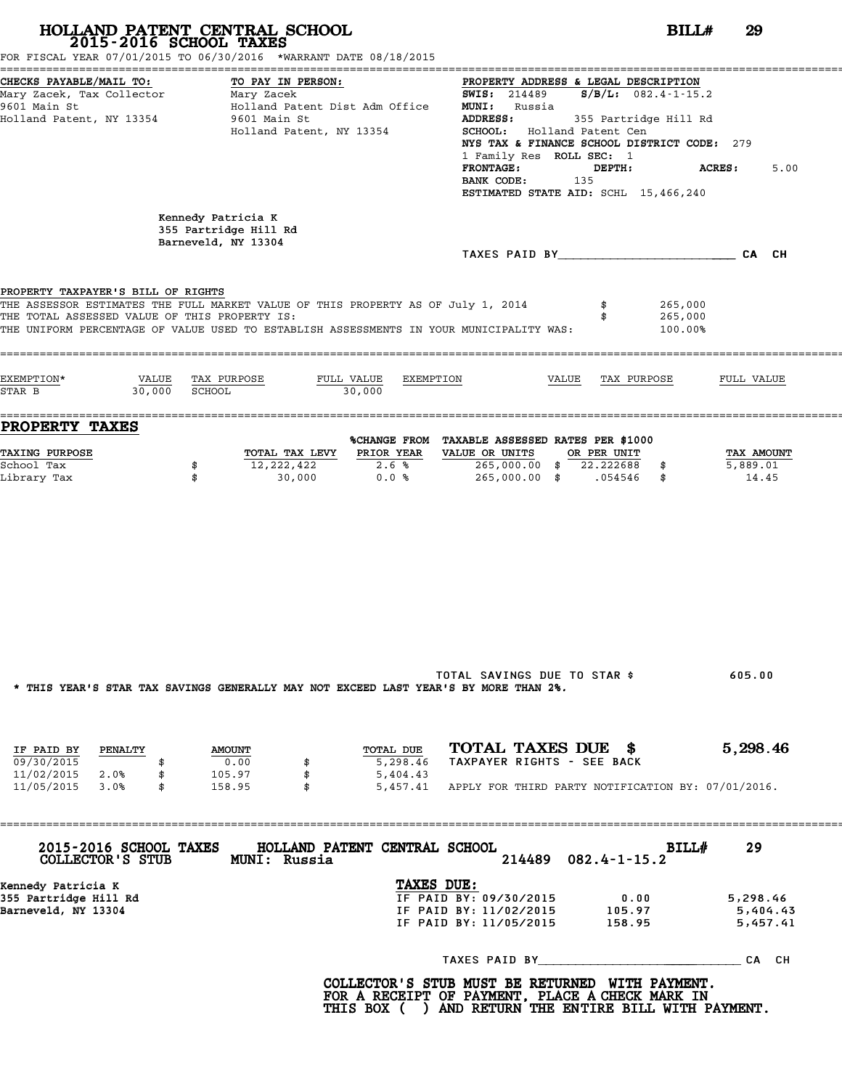| 2015-2016 SCHOOL TAXES                                                                           | HOLLAND PATENT CENTRAL SCHOOL<br>FOR FISCAL YEAR 07/01/2015 TO 06/30/2016 *WARRANT DATE 08/18/2015                                                                          | BILL#                                                                                                                                                                                                                                                                                                                                                  | 29                               |
|--------------------------------------------------------------------------------------------------|-----------------------------------------------------------------------------------------------------------------------------------------------------------------------------|--------------------------------------------------------------------------------------------------------------------------------------------------------------------------------------------------------------------------------------------------------------------------------------------------------------------------------------------------------|----------------------------------|
| CHECKS PAYABLE/MAIL TO:<br>Mary Zacek, Tax Collector<br>9601 Main St<br>Holland Patent, NY 13354 | TO PAY IN PERSON:<br>Mary Zacek<br>Holland Patent Dist Adm Office<br>9601 Main St<br>Holland Patent, NY 13354                                                               | PROPERTY ADDRESS & LEGAL DESCRIPTION<br><b>SWIS:</b> 214489 <b>S/B/L:</b> 082.4-1-15.2<br><b>MUNI:</b> Russia<br>ADDRESS:<br>355 Partridge Hill Rd<br>SCHOOL: Holland Patent Cen<br>NYS TAX & FINANCE SCHOOL DISTRICT CODE: 279<br>1 Family Res ROLL SEC: 1<br><b>FRONTAGE:</b><br>DEPTH:<br>BANK CODE:<br>135<br>ESTIMATED STATE AID: SCHL 15,466,240 | ACRES :<br>5.00                  |
|                                                                                                  | Kennedy Patricia K<br>355 Partridge Hill Rd<br>Barneveld, NY 13304                                                                                                          |                                                                                                                                                                                                                                                                                                                                                        |                                  |
|                                                                                                  |                                                                                                                                                                             |                                                                                                                                                                                                                                                                                                                                                        |                                  |
| PROPERTY TAXPAYER'S BILL OF RIGHTS<br>THE TOTAL ASSESSED VALUE OF THIS PROPERTY IS:              | THE ASSESSOR ESTIMATES THE FULL MARKET VALUE OF THIS PROPERTY AS OF July 1, 2014<br>THE UNIFORM PERCENTAGE OF VALUE USED TO ESTABLISH ASSESSMENTS IN YOUR MUNICIPALITY WAS: | \$<br>265,000<br>265,000<br>100.00%                                                                                                                                                                                                                                                                                                                    |                                  |
| EXEMPTION*<br>30,000<br>STAR B                                                                   | VALUE TAX PURPOSE<br>FULL VALUE<br>EXEMPTION<br>SCHOOL<br>30,000                                                                                                            | VALUE TAX PURPOSE                                                                                                                                                                                                                                                                                                                                      | FULL VALUE                       |
| <b>PROPERTY TAXES</b>                                                                            |                                                                                                                                                                             | %CHANGE FROM TAXABLE ASSESSED RATES PER \$1000                                                                                                                                                                                                                                                                                                         |                                  |
| <b>TAXING PURPOSE</b><br>School Tax<br>Library Tax                                               | <b>PRIOR YEAR</b><br>TOTAL TAX LEVY<br>12,222,422<br>2.6%<br>\$<br>\$<br>30,000<br>0.0%                                                                                     | VALUE OR UNITS<br>OR PER UNIT<br>265,000.00 \$ 22.222688 \$<br>265,000.00 \$ .054546 \$                                                                                                                                                                                                                                                                | TAX AMOUNT<br>5,889.01<br>14.45  |
|                                                                                                  | * THIS YEAR'S STAR TAX SAVINGS GENERALLY MAY NOT EXCEED LAST YEAR'S BY MORE THAN 2%.                                                                                        | TOTAL SAVINGS DUE TO STAR \$                                                                                                                                                                                                                                                                                                                           | 605.00                           |
| IF PAID BY<br>PENALTY<br>09/30/2015<br>\$                                                        | TOTAL DUE<br><b>AMOUNT</b><br>0.00<br>5,298.46                                                                                                                              | TOTAL TAXES DUE \$<br>TAXPAYER RIGHTS - SEE BACK                                                                                                                                                                                                                                                                                                       | 5,298.46                         |
| 11/02/2015 2.0%<br>\$<br>11/05/2015 3.0%<br>\$                                                   | 105.97<br>\$<br>5,404.43<br>158.95<br>- \$                                                                                                                                  | 5,457.41 APPLY FOR THIRD PARTY NOTIFICATION BY: 07/01/2016.                                                                                                                                                                                                                                                                                            |                                  |
| 2015-2016 SCHOOL TAXES                                                                           | HOLLAND PATENT CENTRAL SCHOOL<br>COLLECTOR'S STUB MUNI: Russia                                                                                                              | BILLH<br>$082.4 - 1 - 15.2$<br>214489                                                                                                                                                                                                                                                                                                                  | 29                               |
| Kennedy Patricia K<br>355 Partridge Hill Rd<br>Barneveld, NY 13304                               |                                                                                                                                                                             | TAXES DUE:<br>IF PAID BY: 09/30/2015<br>0.00<br>IF PAID BY: 11/02/2015 105.97<br>IF PAID BY: 11/05/2015<br>158.95                                                                                                                                                                                                                                      | 5,298.46<br>5,404.43<br>5,457.41 |
|                                                                                                  |                                                                                                                                                                             | TAXES PAID BY CA CH                                                                                                                                                                                                                                                                                                                                    |                                  |
|                                                                                                  |                                                                                                                                                                             | COLLECTOR'S STUB MUST BE RETURNED WITH PAYMENT.<br>FOR A RECEIPT OF PAYMENT, PLACE A CHECK MARK IN<br>THIS BOX ( ) AND RETURN THE ENTIRE BILL WITH PAYMENT.                                                                                                                                                                                            |                                  |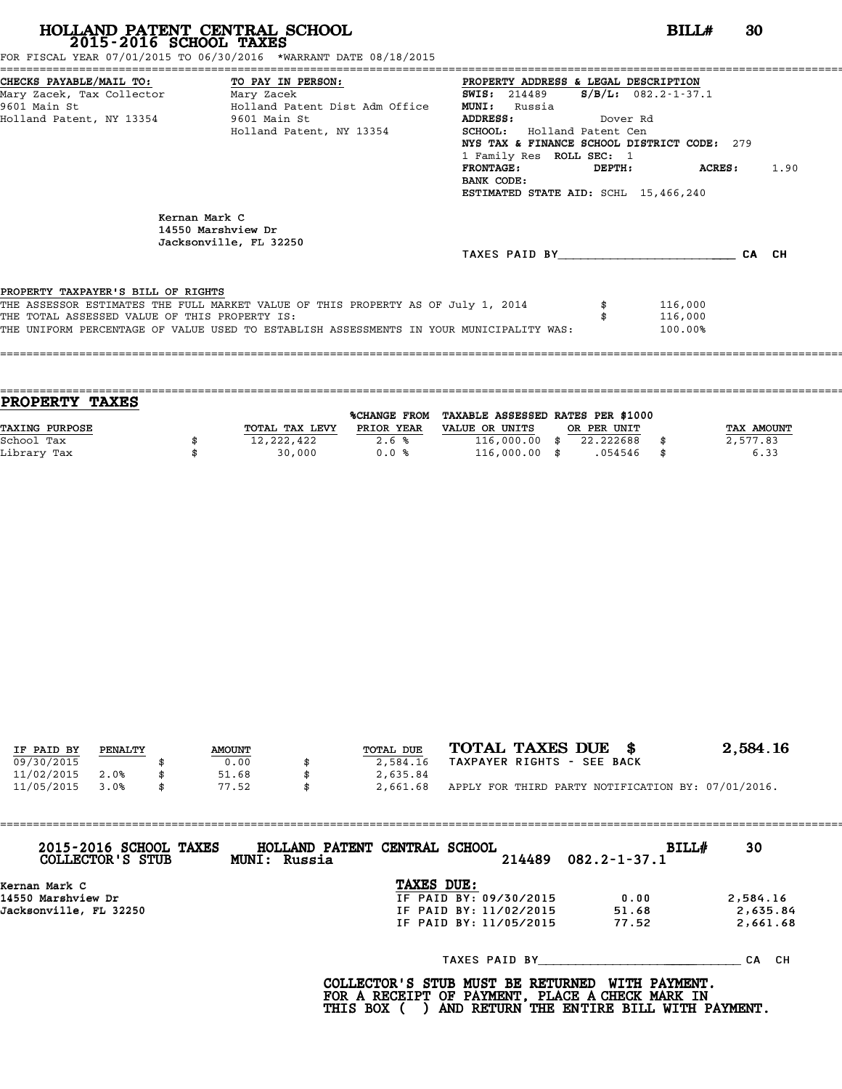FOR FISCAL YEAR 07/01/2015 TO 06/30/2016 \*WARRANT DATE 08/18/2015

| CHECKS PAYABLE/MAIL TO: TO PAY IN PERSON:     |                                                                                         | PROPERTY ADDRESS & LEGAL DESCRIPTION        |          |                        |      |
|-----------------------------------------------|-----------------------------------------------------------------------------------------|---------------------------------------------|----------|------------------------|------|
| Mary Zacek, Tax Collector Mary Zacek          |                                                                                         | <b>SWIS:</b> 214489                         |          | $S/B/L$ : 082.2-1-37.1 |      |
| 9601 Main St                                  | Holland Patent Dist Adm Office                                                          | <b>MUNI:</b><br>Russia                      |          |                        |      |
| Holland Patent, NY 13354 9601 Main St         |                                                                                         | <b>ADDRESS:</b>                             | Dover Rd |                        |      |
|                                               | Holland Patent, NY 13354                                                                | <b>SCHOOL:</b> Holland Patent Cen           |          |                        |      |
|                                               |                                                                                         | NYS TAX & FINANCE SCHOOL DISTRICT CODE: 279 |          |                        |      |
|                                               |                                                                                         | 1 Family Res ROLL SEC: 1                    |          |                        |      |
|                                               |                                                                                         | $\tt FRONTAGE:$                             |          | DEPTH: ACRES:          | 1.90 |
|                                               |                                                                                         | BANK CODE:                                  |          |                        |      |
|                                               |                                                                                         | ESTIMATED STATE AID: SCHL 15,466,240        |          |                        |      |
|                                               |                                                                                         |                                             |          |                        |      |
|                                               | Kernan Mark C<br>14550 Marshview Dr<br>Jacksonville, FL 32250                           |                                             |          |                        |      |
|                                               |                                                                                         | TAXES PAID BY CA CH                         |          |                        |      |
| PROPERTY TAXPAYER'S BILL OF RIGHTS            |                                                                                         |                                             |          |                        |      |
|                                               | THE ASSESSOR ESTIMATES THE FULL MARKET VALUE OF THIS PROPERTY AS OF July 1, 2014        |                                             |          | 116,000                |      |
| THE TOTAL ASSESSED VALUE OF THIS PROPERTY IS: |                                                                                         |                                             |          | 116,000                |      |
|                                               | THE UNIFORM PERCENTAGE OF VALUE USED TO ESTABLISH ASSESSMENTS IN YOUR MUNICIPALITY WAS: |                                             |          | 100.00%                |      |
|                                               |                                                                                         |                                             |          |                        |      |
|                                               |                                                                                         |                                             |          |                        |      |

| <b>PROPERTY TAXES</b> |                |              |                                   |             |                   |
|-----------------------|----------------|--------------|-----------------------------------|-------------|-------------------|
|                       |                | %CHANGE FROM | TAXABLE ASSESSED RATES PER \$1000 |             |                   |
| <b>TAXING PURPOSE</b> | TOTAL TAX LEVY | PRIOR YEAR   | VALUE OR UNITS                    | OR PER UNIT | <b>TAX AMOUNT</b> |
| School Tax            | 12,222,422     | 2.6%         | $116,000.00$ \$                   | 22.222688   | 2,577.83          |
| Library Tax           | 30,000         | 0.0%         | $116,000.00$ \$                   | .054546     | 6.33              |
|                       |                |              |                                   |             |                   |

| IF PAID BY | PENALTY | <b>AMOUNT</b> | TOTAL DUE | TOTAL TAXES DUE \$                                 | 2,584.16 |
|------------|---------|---------------|-----------|----------------------------------------------------|----------|
| 09/30/2015 |         | 0.00          | 2,584.16  | TAXPAYER RIGHTS - SEE BACK                         |          |
| 11/02/2015 | 2.0%    | 51.68         | 2,635.84  |                                                    |          |
| 11/05/2015 | 3.0%    | \$<br>77.52   | 2,661.68  | APPLY FOR THIRD PARTY NOTIFICATION BY: 07/01/2016. |          |

| 2015-2016 SCHOOL TAXES<br>COLLECTOR'S STUB | HOLLAND PATENT CENTRAL SCHOOL<br>MUNI: Russia |                        | 214489 | BILL#<br>$082.2 - 1 - 37.1$ | 30       |
|--------------------------------------------|-----------------------------------------------|------------------------|--------|-----------------------------|----------|
| Kernan Mark C                              |                                               | TAXES DUE:             |        |                             |          |
| 14550 Marshview Dr                         |                                               | IF PAID BY: 09/30/2015 |        | 0.00                        | 2,584.16 |
| Jacksonville, FL 32250                     |                                               | IF PAID BY: 11/02/2015 |        | 51.68                       | 2,635.84 |
|                                            |                                               | IF PAID BY: 11/05/2015 |        | 77.52                       | 2,661.68 |
|                                            |                                               |                        |        | TAXES PAID BY               | CA CH    |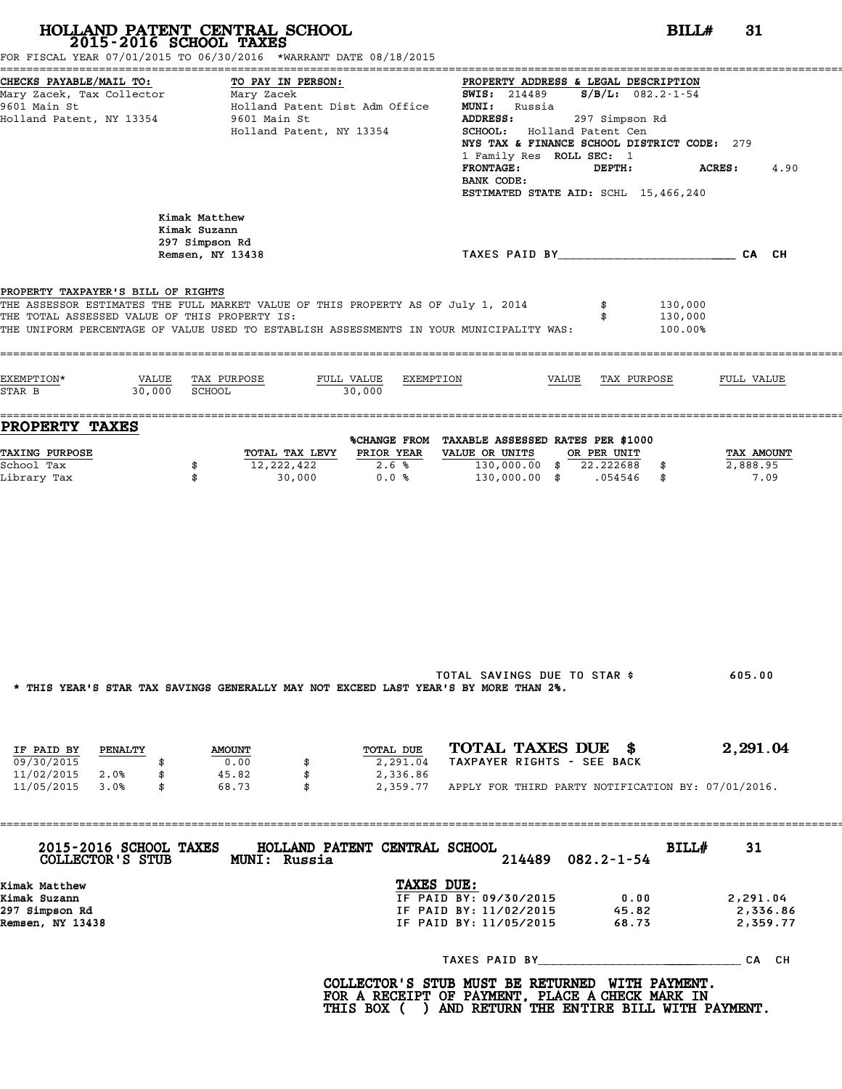| FOR FISCAL YEAR 07/01/2015 TO 06/30/2016 *WARRANT DATE 08/18/2015                                                                                                                                                                                                  | 2015-2016 SCHOOL TAXES                                                                          |                                                                                          |                                                                                                                                                                                                                                                                                          | BILLH                         | 31                               |
|--------------------------------------------------------------------------------------------------------------------------------------------------------------------------------------------------------------------------------------------------------------------|-------------------------------------------------------------------------------------------------|------------------------------------------------------------------------------------------|------------------------------------------------------------------------------------------------------------------------------------------------------------------------------------------------------------------------------------------------------------------------------------------|-------------------------------|----------------------------------|
| CHECKS PAYABLE/MAIL TO:<br>Mary Zacek, Tax Collector Mary Zacek<br>9601 Main St<br>Holland Patent, NY 13354                                                                                                                                                        | TO PAY IN PERSON:<br>Holland Patent Dist Adm Office<br>9601 Main St<br>Holland Patent, NY 13354 | ADDRESS:<br><b>FRONTAGE:</b><br>BANK CODE:                                               | PROPERTY ADDRESS & LEGAL DESCRIPTION<br><b>SWIS:</b> 214489 <b>S/B/L:</b> 082.2-1-54<br><b>MUNI:</b> Russia<br>297 Simpson Rd<br>SCHOOL: Holland Patent Cen<br>NYS TAX & FINANCE SCHOOL DISTRICT CODE: 279<br>1 Family Res ROLL SEC: 1<br>DEPTH:<br>ESTIMATED STATE AID: SCHL 15,466,240 |                               | <b>ACRES:</b><br>4.90            |
|                                                                                                                                                                                                                                                                    | Kimak Matthew<br>Kimak Suzann<br>297 Simpson Rd<br>Remsen, NY 13438                             |                                                                                          | TAXES PAID BY TAND AND TAXES PAID BY                                                                                                                                                                                                                                                     |                               |                                  |
| PROPERTY TAXPAYER'S BILL OF RIGHTS<br>THE ASSESSOR ESTIMATES THE FULL MARKET VALUE OF THIS PROPERTY AS OF July 1, 2014<br>THE TOTAL ASSESSED VALUE OF THIS PROPERTY IS:<br>THE UNIFORM PERCENTAGE OF VALUE USED TO ESTABLISH ASSESSMENTS IN YOUR MUNICIPALITY WAS: |                                                                                                 |                                                                                          |                                                                                                                                                                                                                                                                                          | 130,000<br>130,000<br>100.00% |                                  |
| EXEMPTION*<br>30,000 SCHOOL<br>STAR B                                                                                                                                                                                                                              | VALUE TAX PURPOSE                                                                               | FULL VALUE EXEMPTION<br>30,000                                                           | VALUE TAX PURPOSE                                                                                                                                                                                                                                                                        |                               | FULL VALUE                       |
| <b>PROPERTY TAXES</b>                                                                                                                                                                                                                                              |                                                                                                 | %CHANGE FROM TAXABLE ASSESSED RATES PER \$1000                                           |                                                                                                                                                                                                                                                                                          |                               |                                  |
| <b>TAXING PURPOSE</b><br>School Tax<br>Library Tax                                                                                                                                                                                                                 | TOTAL TAX LEVY PRIOR YEAR<br>12,222,422<br>\$<br>\$<br>30,000                                   | 2.6%<br>0.0%                                                                             | VALUE OR UNITS OR PER UNIT<br>130,000.00 \$ 22.222688 \$<br>130,000.00 \$ .054546 \$                                                                                                                                                                                                     |                               | TAX AMOUNT<br>2,888.95<br>7.09   |
|                                                                                                                                                                                                                                                                    | * THIS YEAR'S STAR TAX SAVINGS GENERALLY MAY NOT EXCEED LAST YEAR'S BY MORE THAN 2%.            |                                                                                          | TOTAL SAVINGS DUE TO STAR \$                                                                                                                                                                                                                                                             |                               | 605.00                           |
| IF PAID BY<br><b>PENALTY</b><br>09/30/2015<br>\$<br>11/02/2015 2.0%<br>\$                                                                                                                                                                                          | <b>AMOUNT</b><br>0.00<br>\$<br>45.82<br>\$                                                      | TOTAL DUE<br>2,291.04<br>2,336.86                                                        | TOTAL TAXES DUE \$<br>TAXPAYER RIGHTS - SEE BACK                                                                                                                                                                                                                                         |                               | 2,291.04                         |
| 11/05/2015 3.0%<br>\$                                                                                                                                                                                                                                              | 68.73<br>$\mathbf{s}$                                                                           |                                                                                          | 2,359.77 APPLY FOR THIRD PARTY NOTIFICATION BY: 07/01/2016.                                                                                                                                                                                                                              |                               |                                  |
| 2015-2016 SCHOOL TAXES<br>COLLECTOR'S STUB                                                                                                                                                                                                                         | MUNI: Russia                                                                                    | HOLLAND PATENT CENTRAL SCHOOL                                                            | $082.2 - 1 - 54$<br>214489                                                                                                                                                                                                                                                               | BILL#                         | 31                               |
| Kimak Matthew<br>Kimak Suzann<br>297 Simpson Rd<br>Remsen, NY 13438                                                                                                                                                                                                |                                                                                                 | TAXES DUE:<br>IF PAID BY: 09/30/2015<br>IF PAID BY: 11/02/2015<br>IF PAID BY: 11/05/2015 | 0.00<br>45.82<br>68.73                                                                                                                                                                                                                                                                   |                               | 2,291.04<br>2,336.86<br>2,359.77 |
|                                                                                                                                                                                                                                                                    |                                                                                                 |                                                                                          |                                                                                                                                                                                                                                                                                          |                               |                                  |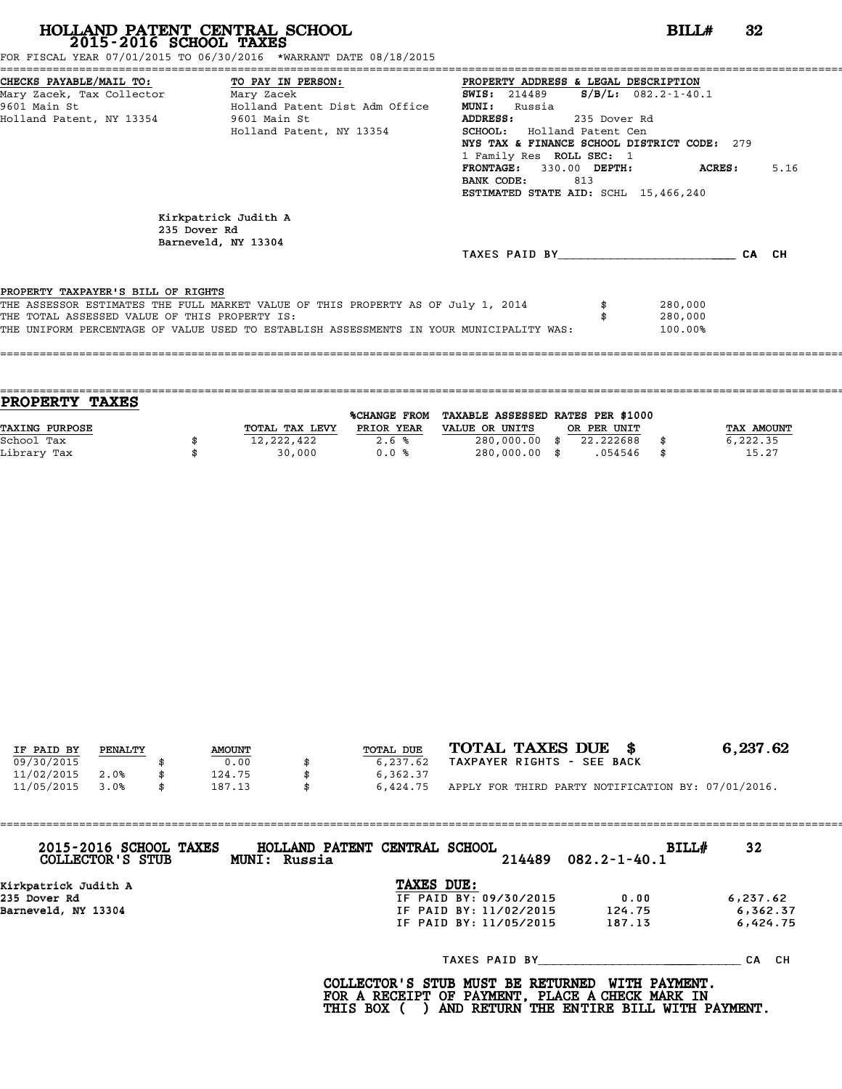FOR FISCAL YEAR 07/01/2015 TO 06/30/2016 \*WARRANT DATE 08/18/2015

| CHECKS PAYABLE/MAIL TO: TO PAY IN PERSON:     |                                                                                         | PROPERTY ADDRESS & LEGAL DESCRIPTION            |                        |         |       |      |
|-----------------------------------------------|-----------------------------------------------------------------------------------------|-------------------------------------------------|------------------------|---------|-------|------|
| Mary Zacek, Tax Collector ________ Mary Zacek |                                                                                         | <b>SWIS:</b> 214489                             | $S/B/L$ : 082.2-1-40.1 |         |       |      |
| 9601 Main St                                  | Holland Patent Dist Adm Office                                                          | <b>MUNI:</b><br>Russia                          |                        |         |       |      |
| Holland Patent, NY 13354 9601 Main St         |                                                                                         | ADDRESS:                                        | 235 Dover Rd           |         |       |      |
|                                               | Holland Patent, NY 13354                                                                | <b>SCHOOL:</b> Holland Patent Cen               |                        |         |       |      |
|                                               |                                                                                         | NYS TAX & FINANCE SCHOOL DISTRICT CODE: 279     |                        |         |       |      |
|                                               |                                                                                         | 1 Family Res ROLL SEC: 1                        |                        |         |       |      |
|                                               |                                                                                         | <b>FRONTAGE:</b><br>330.00 DEPTH:<br>BANK CODE: |                        | ACRES : |       | 5.16 |
|                                               |                                                                                         | 813<br>ESTIMATED STATE AID: SCHL 15,466,240     |                        |         |       |      |
|                                               |                                                                                         |                                                 |                        |         |       |      |
| 235 Dover Rd                                  | Kirkpatrick Judith A<br>Barneveld, NY 13304                                             |                                                 |                        |         |       |      |
|                                               |                                                                                         | TAXES PAID BY                                   |                        |         | CA CH |      |
|                                               |                                                                                         |                                                 |                        |         |       |      |
| PROPERTY TAXPAYER'S BILL OF RIGHTS            |                                                                                         |                                                 |                        |         |       |      |
|                                               | THE ASSESSOR ESTIMATES THE FULL MARKET VALUE OF THIS PROPERTY AS OF July 1, 2014        |                                                 |                        | 280,000 |       |      |
| THE TOTAL ASSESSED VALUE OF THIS PROPERTY IS: |                                                                                         |                                                 |                        | 280,000 |       |      |
|                                               | THE UNIFORM PERCENTAGE OF VALUE USED TO ESTABLISH ASSESSMENTS IN YOUR MUNICIPALITY WAS: |                                                 |                        | 100.00% |       |      |
|                                               |                                                                                         |                                                 |                        |         |       |      |
|                                               |                                                                                         |                                                 |                        |         |       |      |

|                | %CHANGE FROM |                |                                |             |                                   |
|----------------|--------------|----------------|--------------------------------|-------------|-----------------------------------|
| TOTAL TAX LEVY | PRIOR YEAR   | VALUE OR UNITS |                                |             | TAX AMOUNT                        |
| 12,222,422     | 2.6%         |                | 22.222688                      |             | 6,222.35                          |
| 30,000         | 0.0%         |                | .054546                        | - \$        | 15.27                             |
|                |              |                | 280,000.00 \$<br>280,000.00 \$ | OR PER UNIT | TAXABLE ASSESSED RATES PER \$1000 |

====================================================================================================================================

|            |         |               |           | TOTAL TAXES DUE \$                                 | 6,237.62 |
|------------|---------|---------------|-----------|----------------------------------------------------|----------|
| IF PAID BY | PENALTY | <b>AMOUNT</b> | TOTAL DUE |                                                    |          |
| 09/30/2015 |         | 0.00          | 6,237.62  | TAXPAYER RIGHTS - SEE BACK                         |          |
| 11/02/2015 | 2.0%    | 124.75        | 6,362.37  |                                                    |          |
| 11/05/2015 | 3.0%    | 187.13        | 6,424.75  | APPLY FOR THIRD PARTY NOTIFICATION BY: 07/01/2016. |          |

| 2015-2016 SCHOOL TAXES<br>COLLECTOR'S STUB | HOLLAND PATENT CENTRAL SCHOOL<br>MUNI: Russia |                        | BILL#<br>$214489$ $082.2 - 1 - 40.1$ | 32       |
|--------------------------------------------|-----------------------------------------------|------------------------|--------------------------------------|----------|
| Kirkpatrick Judith A                       |                                               | TAXES DUE:             |                                      |          |
| 235 Dover Rd                               |                                               | IF PAID BY: 09/30/2015 | 0.00                                 | 6,237.62 |
| Barneveld, NY 13304                        |                                               | IF PAID BY: 11/02/2015 | 124.75                               | 6,362.37 |
|                                            |                                               | IF PAID BY: 11/05/2015 | 187.13                               | 6,424.75 |
|                                            |                                               |                        | TAXES PAID BY                        | CA CH    |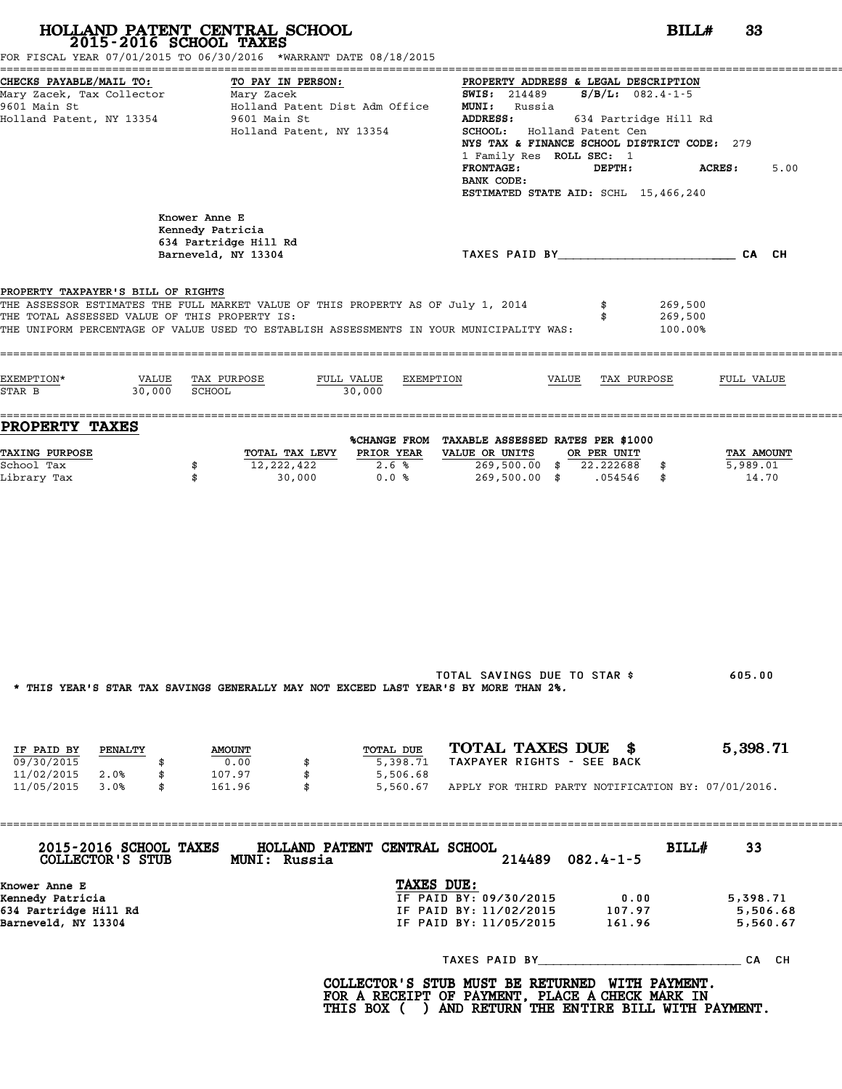|                                                                                                  | HOLLAND PATENT CENTRAL SCHOOL<br>2015-2016 SCHOOL TAXES<br>FOR FISCAL YEAR 07/01/2015 TO 06/30/2016 *WARRANT DATE 08/18/2015                                                | BILLH                                                                                                                                                                                                                                                                                                                                        | 33                               |
|--------------------------------------------------------------------------------------------------|-----------------------------------------------------------------------------------------------------------------------------------------------------------------------------|----------------------------------------------------------------------------------------------------------------------------------------------------------------------------------------------------------------------------------------------------------------------------------------------------------------------------------------------|----------------------------------|
| CHECKS PAYABLE/MAIL TO:<br>Mary Zacek, Tax Collector<br>9601 Main St<br>Holland Patent, NY 13354 | TO PAY IN PERSON:<br>Mary Zacek<br>Holland Patent Dist Adm Office<br>9601 Main St<br>Holland Patent, NY 13354                                                               | PROPERTY ADDRESS & LEGAL DESCRIPTION<br><b>SWIS:</b> 214489 <b>S/B/L:</b> 082.4-1-5<br><b>MUNI:</b> Russia<br>ADDRESS:<br>634 Partridge Hill Rd<br>SCHOOL: Holland Patent Cen<br>NYS TAX & FINANCE SCHOOL DISTRICT CODE: 279<br>1 Family Res ROLL SEC: 1<br><b>FRONTAGE:</b><br>DEPTH:<br>BANK CODE:<br>ESTIMATED STATE AID: SCHL 15,466,240 | <b>ACRES :</b><br>5.00           |
|                                                                                                  | Knower Anne E<br>Kennedy Patricia<br>634 Partridge Hill Rd<br>Barneveld, NY 13304                                                                                           | TAXES PAID BY TAND AND TAXES PAID BY                                                                                                                                                                                                                                                                                                         |                                  |
| PROPERTY TAXPAYER'S BILL OF RIGHTS<br>THE TOTAL ASSESSED VALUE OF THIS PROPERTY IS:              | THE ASSESSOR ESTIMATES THE FULL MARKET VALUE OF THIS PROPERTY AS OF July 1, 2014<br>THE UNIFORM PERCENTAGE OF VALUE USED TO ESTABLISH ASSESSMENTS IN YOUR MUNICIPALITY WAS: | 269,500<br>269,500<br>100.00%                                                                                                                                                                                                                                                                                                                |                                  |
| EXEMPTION*<br>30,000 SCHOOL<br>STAR B                                                            | VALUE TAX PURPOSE<br>FULL VALUE<br>EXEMPTION<br>30,000                                                                                                                      | VALUE TAX PURPOSE                                                                                                                                                                                                                                                                                                                            | FULL VALUE                       |
| <b>PROPERTY TAXES</b>                                                                            |                                                                                                                                                                             | %CHANGE FROM TAXABLE ASSESSED RATES PER \$1000                                                                                                                                                                                                                                                                                               |                                  |
| <b>TAXING PURPOSE</b><br>School Tax<br>Library Tax                                               | <b>PRIOR YEAR</b><br>TOTAL TAX LEVY<br>12,222,422<br>2.6%<br>\$<br>\$<br>30,000<br>0.0%                                                                                     | VALUE OR UNITS<br>OR PER UNIT<br>269,500.00 \$ 22.222688 \$<br>269,500.00 \$ .054546 \$                                                                                                                                                                                                                                                      | TAX AMOUNT<br>5,989.01<br>14.70  |
|                                                                                                  | * THIS YEAR'S STAR TAX SAVINGS GENERALLY MAY NOT EXCEED LAST YEAR'S BY MORE THAN 2%.                                                                                        | TOTAL SAVINGS DUE TO STAR \$                                                                                                                                                                                                                                                                                                                 | 605.00                           |
| IF PAID BY<br>PENALTY<br>09/30/2015<br>\$<br>11/02/2015 2.0%<br>\$                               | TOTAL DUE<br><b>AMOUNT</b><br>0.00<br>5,398.71<br>107.97<br>\$<br>5,506.68                                                                                                  | TOTAL TAXES DUE \$<br>TAXPAYER RIGHTS - SEE BACK                                                                                                                                                                                                                                                                                             | 5,398.71                         |
| 11/05/2015<br>3.0%<br>\$                                                                         | 161.96<br>\$                                                                                                                                                                | 5,560.67 APPLY FOR THIRD PARTY NOTIFICATION BY: 07/01/2016.                                                                                                                                                                                                                                                                                  |                                  |
| 2015-2016 SCHOOL TAXES<br>COLLECTOR'S STUB                                                       | HOLLAND PATENT CENTRAL SCHOOL<br>MUNI: Russia                                                                                                                               | BILL#<br>$082.4 - 1 - 5$<br>214489                                                                                                                                                                                                                                                                                                           | 33                               |
| Knower Anne E<br>Kennedy Patricia<br>634 Partridge Hill Rd<br>Barneveld, NY 13304                | TAXES DUE:                                                                                                                                                                  | IF PAID BY: 09/30/2015<br>0.00<br>IF PAID BY: 11/02/2015 107.97<br>IF PAID BY: 11/05/2015<br>161.96                                                                                                                                                                                                                                          | 5,398.71<br>5,506.68<br>5,560.67 |
|                                                                                                  |                                                                                                                                                                             |                                                                                                                                                                                                                                                                                                                                              |                                  |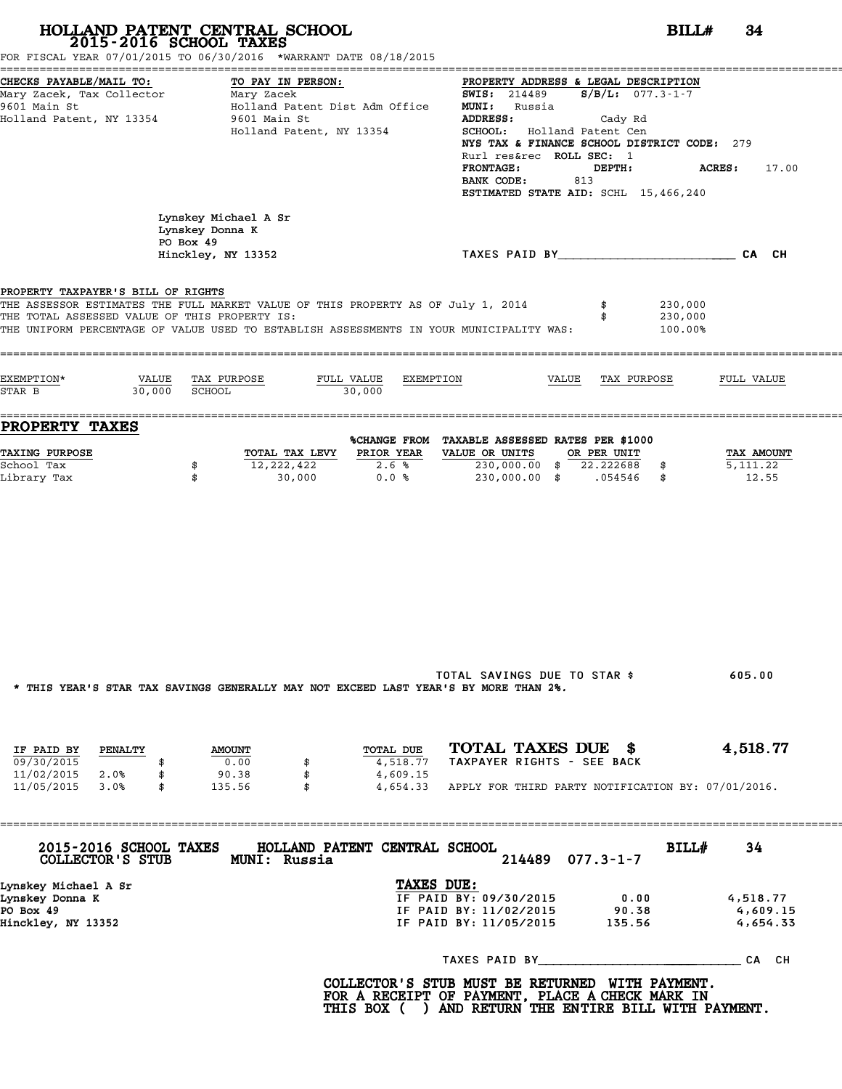|                                                                                                  | 2015-2016 SCHOOL TAXES<br>FOR FISCAL YEAR 07/01/2015 TO 06/30/2016 *WARRANT DATE 08/18/2015                                                                                 | BILLH<br>34                                                                                                                                                                                                                                                                                                                                                     |
|--------------------------------------------------------------------------------------------------|-----------------------------------------------------------------------------------------------------------------------------------------------------------------------------|-----------------------------------------------------------------------------------------------------------------------------------------------------------------------------------------------------------------------------------------------------------------------------------------------------------------------------------------------------------------|
| CHECKS PAYABLE/MAIL TO:<br>Mary Zacek, Tax Collector<br>9601 Main St<br>Holland Patent, NY 13354 | TO PAY IN PERSON:<br>Mary Zacek<br>Holland Patent Dist Adm Office<br>9601 Main St<br>Holland Patent, NY 13354                                                               | PROPERTY ADDRESS & LEGAL DESCRIPTION<br><b>SWIS:</b> 214489 <b>S/B/L:</b> 077.3-1-7<br><b>MUNI:</b> Russia<br>ADDRESS:<br>Cady Rd<br>SCHOOL: Holland Patent Cen<br>NYS TAX & FINANCE SCHOOL DISTRICT CODE: 279<br>Rurl res&rec ROLL SEC: 1<br><b>FRONTAGE:</b><br>DEPTH:<br><b>ACRES:</b><br>17.00<br>BANK CODE:<br>813<br>ESTIMATED STATE AID: SCHL 15,466,240 |
|                                                                                                  | Lynskey Michael A Sr<br>Lynskey Donna K<br>PO Box 49<br>Hinckley, NY 13352                                                                                                  | TAXES PAID BY TAND AND TAXES PAID BY                                                                                                                                                                                                                                                                                                                            |
| PROPERTY TAXPAYER'S BILL OF RIGHTS<br>THE TOTAL ASSESSED VALUE OF THIS PROPERTY IS:              | THE ASSESSOR ESTIMATES THE FULL MARKET VALUE OF THIS PROPERTY AS OF July 1, 2014<br>THE UNIFORM PERCENTAGE OF VALUE USED TO ESTABLISH ASSESSMENTS IN YOUR MUNICIPALITY WAS: | 230,000<br>230,000<br>100.00%                                                                                                                                                                                                                                                                                                                                   |
| EXEMPTION*<br>30,000<br>STAR B                                                                   | VALUE TAX PURPOSE<br>FULL VALUE<br>SCHOOL<br>30,000                                                                                                                         | EXEMPTION<br>VALUE<br>TAX PURPOSE<br>FULL VALUE                                                                                                                                                                                                                                                                                                                 |
| <b>PROPERTY TAXES</b><br><b>TAXING PURPOSE</b><br>School Tax                                     | PRIOR YEAR<br>TOTAL TAX LEVY<br>12,222,422<br>2.6%<br>\$                                                                                                                    | %CHANGE FROM TAXABLE ASSESSED RATES PER \$1000<br>VALUE OR UNITS<br>OR PER UNIT<br>TAX AMOUNT<br>230,000.00 \$ 22.222688 \$<br>5, 111.22                                                                                                                                                                                                                        |
|                                                                                                  |                                                                                                                                                                             |                                                                                                                                                                                                                                                                                                                                                                 |
|                                                                                                  | * THIS YEAR'S STAR TAX SAVINGS GENERALLY MAY NOT EXCEED LAST YEAR'S BY MORE THAN 2%.                                                                                        | TOTAL SAVINGS DUE TO STAR \$<br>605.00                                                                                                                                                                                                                                                                                                                          |
| IF PAID BY<br>PENALTY<br>09/30/2015<br>\$<br>11/02/2015 2.0%<br>\$<br>11/05/2015<br>3.0%<br>\$   | TOTAL DUE<br><b>AMOUNT</b><br>0.00<br>4,518.77<br>\$<br>90.38<br>\$<br>135.56<br>\$                                                                                         | TOTAL TAXES DUE \$<br>4,518.77<br>TAXPAYER RIGHTS - SEE BACK<br>4,609.15<br>4,654.33 APPLY FOR THIRD PARTY NOTIFICATION BY: 07/01/2016.                                                                                                                                                                                                                         |
| 2015-2016 SCHOOL TAXES                                                                           | HOLLAND PATENT CENTRAL SCHOOL                                                                                                                                               | BILL#<br>34.                                                                                                                                                                                                                                                                                                                                                    |
| COLLECTOR'S STUB<br>Lynskey Michael A Sr                                                         | MUNI: Russia                                                                                                                                                                | $077.3 - 1 - 7$<br>214489<br>TAXES DUE:                                                                                                                                                                                                                                                                                                                         |
| Lynskey Donna K<br>PO Box 49                                                                     |                                                                                                                                                                             | IF PAID BY: 09/30/2015<br>0.00<br>4,518.77<br>IF PAID BY: 11/02/2015<br>90.38<br>4,609.15<br>IF PAID BY: 11/05/2015<br>135.56<br>4,654.33                                                                                                                                                                                                                       |
| Hinckley, NY 13352                                                                               |                                                                                                                                                                             |                                                                                                                                                                                                                                                                                                                                                                 |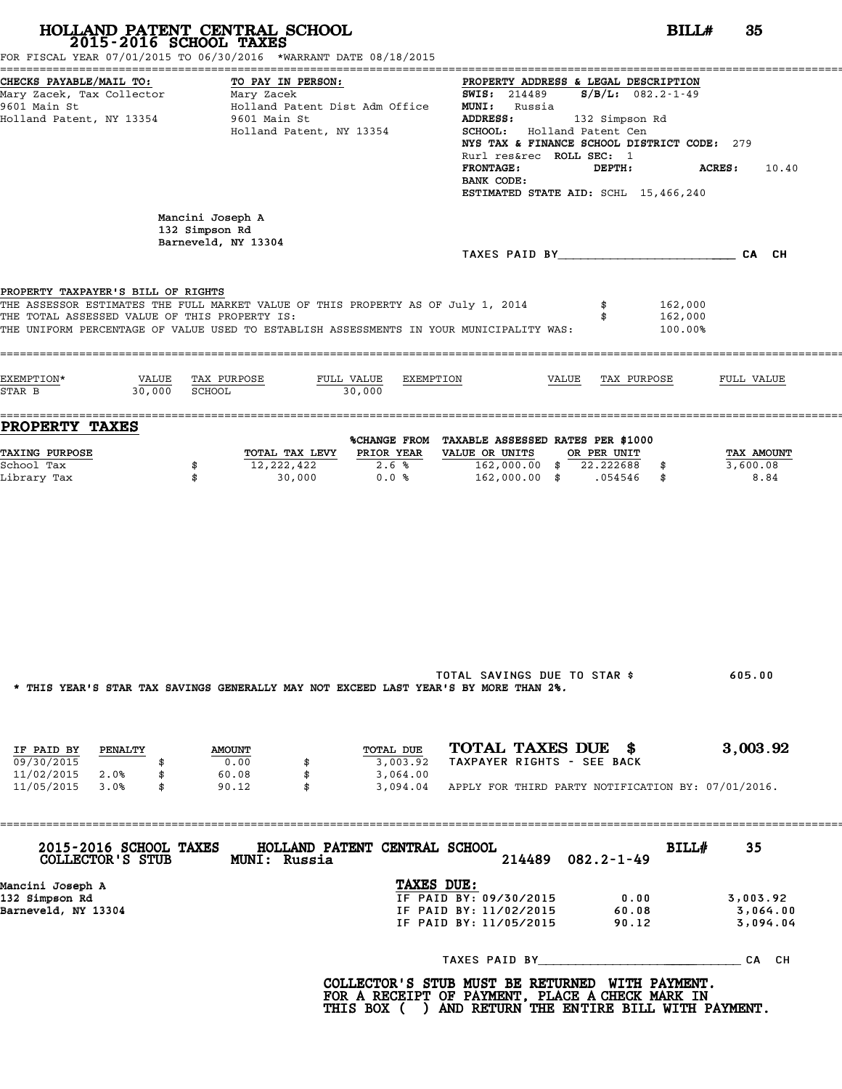|                                                                                                  | 2015-2016 SCHOOL TAXES<br>FOR FISCAL YEAR 07/01/2015 TO 06/30/2016 *WARRANT DATE 08/18/2015                                                                                 |                                                                                                                                                                                                                                                                                                                                    | BILL#<br>35                    |
|--------------------------------------------------------------------------------------------------|-----------------------------------------------------------------------------------------------------------------------------------------------------------------------------|------------------------------------------------------------------------------------------------------------------------------------------------------------------------------------------------------------------------------------------------------------------------------------------------------------------------------------|--------------------------------|
| CHECKS PAYABLE/MAIL TO:<br>Mary Zacek, Tax Collector<br>9601 Main St<br>Holland Patent, NY 13354 | TO PAY IN PERSON:<br>Mary Zacek<br>Holland Patent Dist Adm Office<br>9601 Main St<br>Holland Patent, NY 13354                                                               | PROPERTY ADDRESS & LEGAL DESCRIPTION<br><b>SWIS:</b> 214489 $S/B/L$ : 082.2-1-49<br><b>MUNI:</b> Russia<br>ADDRESS:<br>132 Simpson Rd<br>SCHOOL: Holland Patent Cen<br>NYS TAX & FINANCE SCHOOL DISTRICT CODE: 279<br>Rurl res&rec ROLL SEC: 1<br><b>FRONTAGE:</b><br>DEPTH:<br>BANK CODE:<br>ESTIMATED STATE AID: SCHL 15,466,240 | <b>ACRES:</b><br>10.40         |
|                                                                                                  | Mancini Joseph A<br>132 Simpson Rd<br>Barneveld, NY 13304                                                                                                                   |                                                                                                                                                                                                                                                                                                                                    |                                |
|                                                                                                  |                                                                                                                                                                             |                                                                                                                                                                                                                                                                                                                                    |                                |
| PROPERTY TAXPAYER'S BILL OF RIGHTS<br>THE TOTAL ASSESSED VALUE OF THIS PROPERTY IS:              | THE ASSESSOR ESTIMATES THE FULL MARKET VALUE OF THIS PROPERTY AS OF July 1, 2014<br>THE UNIFORM PERCENTAGE OF VALUE USED TO ESTABLISH ASSESSMENTS IN YOUR MUNICIPALITY WAS: | 162,000<br>162,000<br>100.00%                                                                                                                                                                                                                                                                                                      |                                |
| EXEMPTION*<br>30,000<br>STAR B                                                                   | VALUE TAX PURPOSE<br>FULL VALUE<br>EXEMPTION<br>SCHOOL<br>30,000                                                                                                            | VALUE TAX PURPOSE                                                                                                                                                                                                                                                                                                                  | FULL VALUE                     |
| <b>PROPERTY TAXES</b>                                                                            |                                                                                                                                                                             | %CHANGE FROM TAXABLE ASSESSED RATES PER \$1000                                                                                                                                                                                                                                                                                     |                                |
| <b>TAXING PURPOSE</b><br>School Tax<br>Library Tax                                               | PRIOR YEAR<br>TOTAL TAX LEVY<br>12,222,422<br>2.6%<br>\$<br>\$<br>30,000<br>0.0%                                                                                            | VALUE OR UNITS<br>OR PER UNIT<br>162,000.00 \$ 22.222688 \$<br>162,000.00 \$ .054546 \$                                                                                                                                                                                                                                            | TAX AMOUNT<br>3,600.08<br>8.84 |
|                                                                                                  | * THIS YEAR'S STAR TAX SAVINGS GENERALLY MAY NOT EXCEED LAST YEAR'S BY MORE THAN 2%.                                                                                        | TOTAL SAVINGS DUE TO STAR \$                                                                                                                                                                                                                                                                                                       | 605.00                         |
|                                                                                                  |                                                                                                                                                                             |                                                                                                                                                                                                                                                                                                                                    |                                |
| IF PAID BY<br><b>PENALTY</b><br>09/30/2015<br>\$<br>11/02/2015 2.0%<br>\$                        | TOTAL DUE<br><b>AMOUNT</b><br>0.00<br>3,003.92<br>\$<br>60.08<br>\$<br>3,064.00                                                                                             | TOTAL TAXES DUE \$<br>TAXPAYER RIGHTS - SEE BACK                                                                                                                                                                                                                                                                                   | 3,003.92                       |
| 11/05/2015 3.0%<br>\$                                                                            | 90.12<br>\$                                                                                                                                                                 | 3,094.04 APPLY FOR THIRD PARTY NOTIFICATION BY: 07/01/2016.                                                                                                                                                                                                                                                                        |                                |
| 2015-2016 SCHOOL TAXES<br>COLLECTOR'S STUB                                                       | HOLLAND PATENT CENTRAL SCHOOL<br>MUNI: Russia                                                                                                                               | BILL#<br>$082.2 - 1 - 49$<br>214489                                                                                                                                                                                                                                                                                                | 35                             |
|                                                                                                  | TAXES DUE:                                                                                                                                                                  | IF PAID BY: 09/30/2015                                                                                                                                                                                                                                                                                                             | 3,003.92                       |
| Mancini Joseph A<br>132 Simpson Rd                                                               |                                                                                                                                                                             | 0.00                                                                                                                                                                                                                                                                                                                               |                                |
| Barneveld, NY 13304                                                                              |                                                                                                                                                                             | IF PAID BY: 11/02/2015<br>60.08<br>IF PAID BY: 11/05/2015<br>90.12                                                                                                                                                                                                                                                                 | 3,064.00<br>3,094.04           |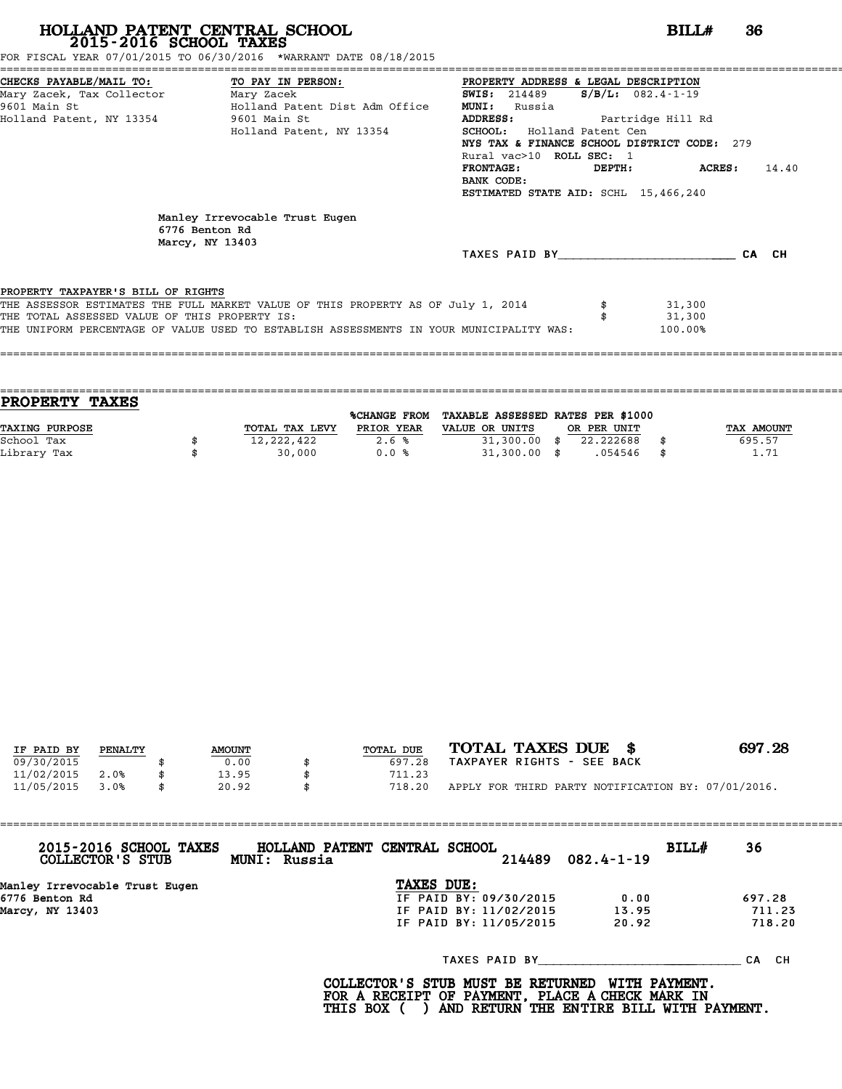FOR FISCAL YEAR 07/01/2015 TO 06/30/2016 \*WARRANT DATE 08/18/2015

| CHECKS PAYABLE/MAIL TO:                       | TO PAY IN PERSON:                                                                       | PROPERTY ADDRESS & LEGAL DESCRIPTION        |        |                     |       |
|-----------------------------------------------|-----------------------------------------------------------------------------------------|---------------------------------------------|--------|---------------------|-------|
| Mary Zacek, Tax Collector                     | Mary Zacek                                                                              | <b>SWIS:</b> 214489                         |        | $S/B/L: 082.4-1-19$ |       |
| 9601 Main St                                  | Holland Patent Dist Adm Office                                                          | MUNI:<br>Russia                             |        |                     |       |
| Holland Patent, NY 13354                      | 9601 Main St                                                                            | ADDRESS:                                    |        | Partridge Hill Rd   |       |
|                                               | Holland Patent, NY 13354                                                                | <b>SCHOOL:</b> Holland Patent Cen           |        |                     |       |
|                                               |                                                                                         | NYS TAX & FINANCE SCHOOL DISTRICT CODE: 279 |        |                     |       |
|                                               |                                                                                         | Rural vac>10 ROLL SEC: 1                    |        |                     |       |
|                                               |                                                                                         | <b>FRONTAGE:</b>                            | DEPTH: | ACRES :             | 14.40 |
|                                               |                                                                                         | BANK CODE:                                  |        |                     |       |
|                                               |                                                                                         | ESTIMATED STATE AID: SCHL 15,466,240        |        |                     |       |
|                                               | Manley Irrevocable Trust Eugen<br>6776 Benton Rd<br>Marcy, NY 13403                     | TAXES PAID BY                               |        |                     | CA CH |
|                                               |                                                                                         |                                             |        |                     |       |
|                                               |                                                                                         |                                             |        |                     |       |
| PROPERTY TAXPAYER'S BILL OF RIGHTS            |                                                                                         |                                             |        |                     |       |
|                                               | THE ASSESSOR ESTIMATES THE FULL MARKET VALUE OF THIS PROPERTY AS OF July 1, 2014        |                                             |        | 31,300              |       |
| THE TOTAL ASSESSED VALUE OF THIS PROPERTY IS: |                                                                                         |                                             |        | 31,300              |       |
|                                               | THE UNIFORM PERCENTAGE OF VALUE USED TO ESTABLISH ASSESSMENTS IN YOUR MUNICIPALITY WAS: |                                             |        | 100.00%             |       |

==================================================================================================================================== **PROPERTY TAXES** %CHANGE FROM TAXABLE ASSESSED RATES PER \$1000 **PROPERTY TAXES**<br>
TAXING PURPOSE TOTAL TAX LEVY PRIOR YEAR VALUE OR UNITS OR PER UNIT TAX AMOUNT<br>
School Tax = 12 222 422 = 26 % = 23 31 300 00 % 22 222688 % = 695 57 School Tax \$ 12,222,422 2.6 % 31,300.00 \$ 22.222688 \$ 695.57 Library Tax \$ 30,000 0.0 % 31,300.00 \$ .054546 \$ 1.71

====================================================================================================================================

| IF PAID BY | PENALTY | <b>AMOUNT</b> | TOTAL DUE | TOTAL TAXES DUE \$                                 | 697.28 |
|------------|---------|---------------|-----------|----------------------------------------------------|--------|
| 09/30/2015 |         | 0.00          | 697.28    | TAXPAYER RIGHTS - SEE BACK                         |        |
| 11/02/2015 | 2.0%    | 13.95         | 711.23    |                                                    |        |
| 11/05/2015 | 3.0%    | 20.92         | 718.20    | APPLY FOR THIRD PARTY NOTIFICATION BY: 07/01/2016. |        |
|            |         |               |           |                                                    |        |

| 2015-2016 SCHOOL TAXES<br>COLLECTOR'S STUB | MUNI: Russia | HOLLAND PATENT CENTRAL SCHOOL | 214489 | $082.4 - 1 - 19$ | BILL# | 36        |
|--------------------------------------------|--------------|-------------------------------|--------|------------------|-------|-----------|
| Manley Irrevocable Trust Eugen             |              | TAXES DUE:                    |        |                  |       |           |
| 6776 Benton Rd                             |              | IF PAID BY: 09/30/2015        |        | 0.00             |       | 697.28    |
| Marcy, NY 13403                            |              | IF PAID BY: 11/02/2015        |        | 13.95            |       | 711.23    |
|                                            |              | IF PAID BY: 11/05/2015        |        | 20.92            |       | 718.20    |
|                                            |              | TAXES PAID BY                 |        |                  |       | CH.<br>СA |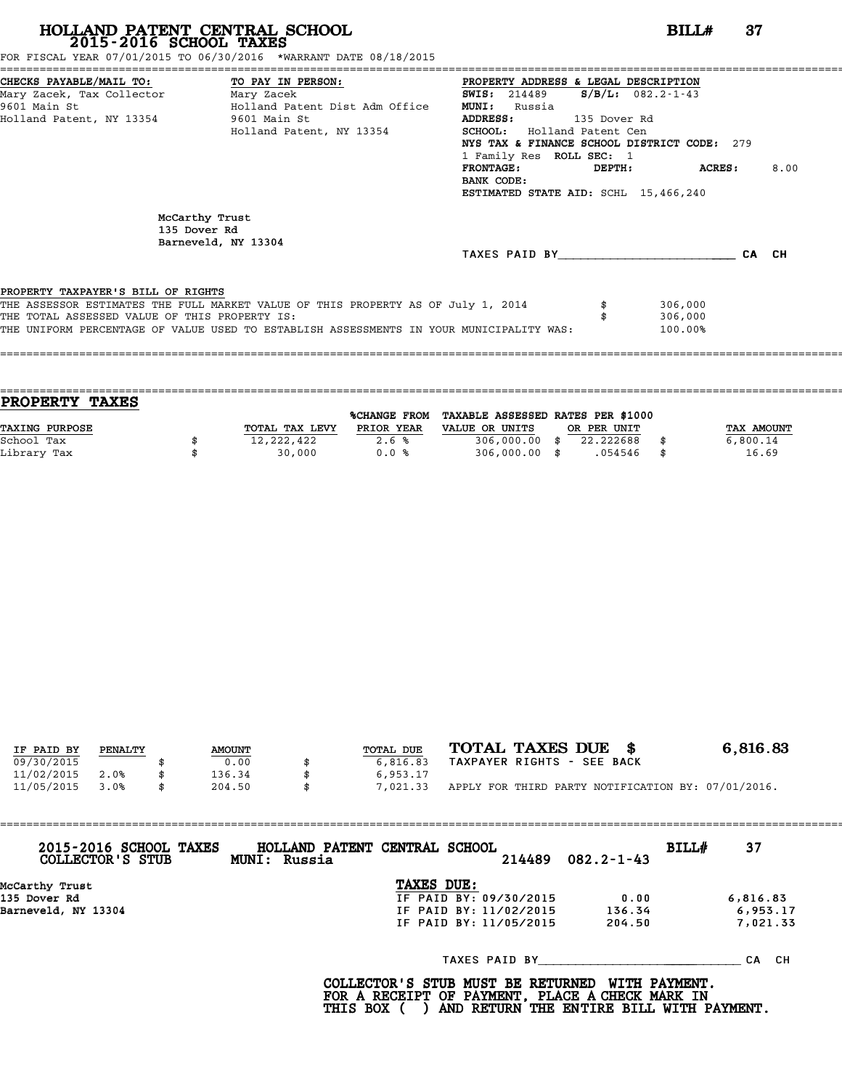FOR FISCAL YEAR 07/01/2015 TO 06/30/2016 \*WARRANT DATE 08/18/2015

| CHECKS PAYABLE/MAIL TO: TO PAY IN PERSON:     |                                                                                         | PROPERTY ADDRESS & LEGAL DESCRIPTION        |              |                         |       |      |
|-----------------------------------------------|-----------------------------------------------------------------------------------------|---------------------------------------------|--------------|-------------------------|-------|------|
| Mary Zacek, Tax Collector Mary Zacek          |                                                                                         | <b>SWIS: 214489</b>                         |              | $S/B/L: 082.2 - 1 - 43$ |       |      |
| 9601 Main St                                  | Holland Patent Dist Adm Office                                                          | <b>MUNI:</b><br>Russia                      |              |                         |       |      |
| Holland Patent, NY 13354                      | 9601 Main St                                                                            | ADDRESS:                                    | 135 Dover Rd |                         |       |      |
|                                               | Holland Patent, NY 13354                                                                | SCHOOL: Holland Patent Cen                  |              |                         |       |      |
|                                               |                                                                                         | NYS TAX & FINANCE SCHOOL DISTRICT CODE: 279 |              |                         |       |      |
|                                               |                                                                                         | 1 Family Res ROLL SEC: 1                    |              |                         |       |      |
|                                               |                                                                                         | <b>FRONTAGE:</b>                            | DEPTH:       | ACRES :                 |       | 8.00 |
|                                               |                                                                                         | BANK CODE:                                  |              |                         |       |      |
|                                               |                                                                                         | ESTIMATED STATE AID: SCHL 15,466,240        |              |                         |       |      |
| McCarthy Trust<br>135 Dover Rd                | Barneveld, NY 13304                                                                     |                                             |              |                         |       |      |
|                                               |                                                                                         | TAXES PAID BY                               |              |                         | CA CH |      |
| PROPERTY TAXPAYER'S BILL OF RIGHTS            |                                                                                         |                                             |              |                         |       |      |
|                                               | THE ASSESSOR ESTIMATES THE FULL MARKET VALUE OF THIS PROPERTY AS OF July 1, 2014        |                                             |              | 306,000                 |       |      |
| THE TOTAL ASSESSED VALUE OF THIS PROPERTY IS: |                                                                                         |                                             |              | 306,000                 |       |      |
|                                               | THE UNIFORM PERCENTAGE OF VALUE USED TO ESTABLISH ASSESSMENTS IN YOUR MUNICIPALITY WAS: |                                             |              | 100.00%                 |       |      |
|                                               |                                                                                         |                                             |              |                         |       |      |

| <b>TAXES</b><br><b>PROPERTY</b> |                |                     |                                   |             |             |
|---------------------------------|----------------|---------------------|-----------------------------------|-------------|-------------|
|                                 |                | <b>%CHANGE FROM</b> | TAXABLE ASSESSED RATES PER \$1000 |             |             |
| <b>TAXING PURPOSE</b>           | TOTAL TAX LEVY | PRIOR YEAR          | VALUE OR UNITS                    | OR PER UNIT | TAX AMOUNT  |
| School Tax                      | 12,222,422     | 2.6%                | $306,000.00$ \$                   | 22.222688   | 6,800.14    |
| Library Tax                     | 30,000         | 0.0%                | $306,000.00$ \$                   | .054546     | \$<br>16.69 |
|                                 |                |                     |                                   |             |             |

| IF PAID BY | PENALTY | <b>AMOUNT</b> | TOTAL DUE      | TOTAL TAXES DUE \$                                 | 6,816.83 |
|------------|---------|---------------|----------------|----------------------------------------------------|----------|
| 09/30/2015 |         | 0.00          | 6,816.83       | TAXPAYER RIGHTS - SEE BACK                         |          |
| 11/02/2015 | 2.0%    | 136.34        | 6,953.17       |                                                    |          |
| 11/05/2015 | 3.0%    | 204.50        | \$<br>7,021.33 | APPLY FOR THIRD PARTY NOTIFICATION BY: 07/01/2016. |          |

| 2015-2016 SCHOOL TAXES<br>COLLECTOR'S STUB | HOLLAND PATENT CENTRAL SCHOOL<br>BILL#<br>$082.2 - 1 - 43$<br>214489<br>MUNI: Russia | 37       |
|--------------------------------------------|--------------------------------------------------------------------------------------|----------|
| McCarthy Trust                             | TAXES DUE:                                                                           |          |
| 135 Dover Rd                               | IF PAID BY: 09/30/2015<br>0.00                                                       | 6,816.83 |
| Barneveld, NY 13304                        | IF PAID BY: 11/02/2015<br>136.34                                                     | 6,953.17 |
|                                            | 204.50<br>IF PAID BY: 11/05/2015                                                     | 7,021.33 |
|                                            | TAXES PAID BY                                                                        | CA CH    |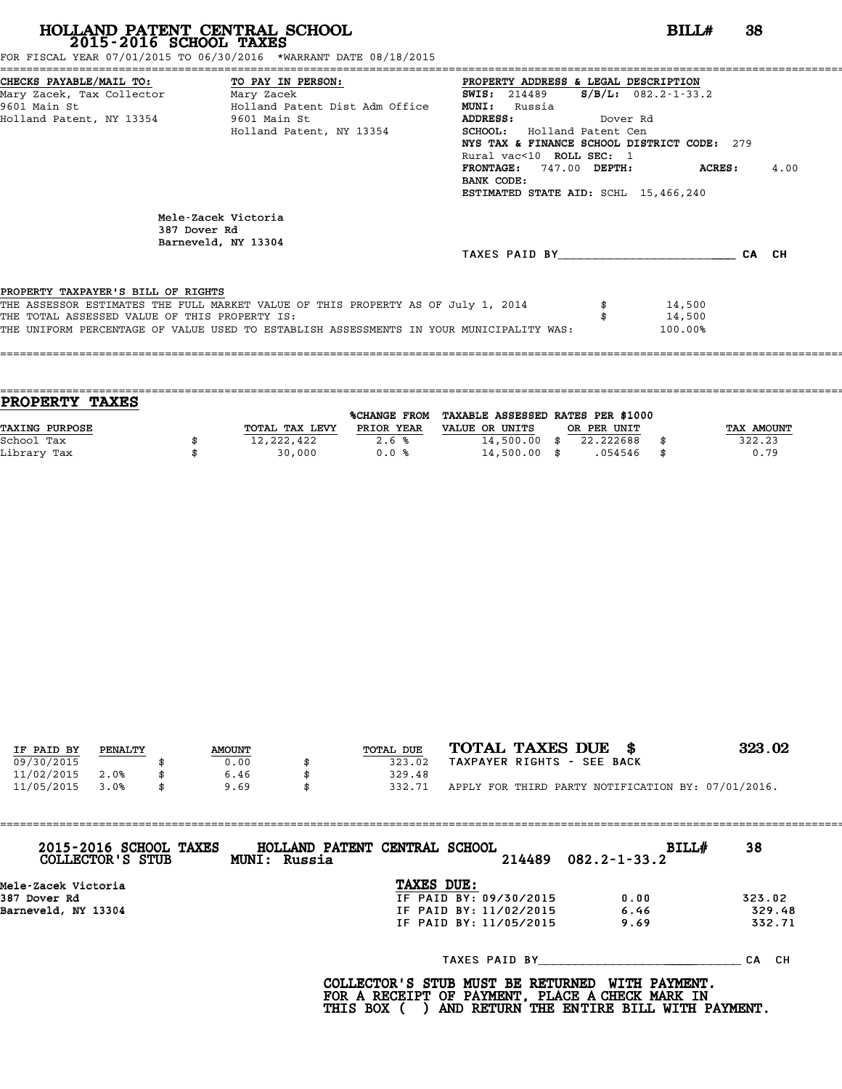FOR FISCAL YEAR 07/01/2015 TO 06/30/2016 \*WARRANT DATE 08/18/2015

| CHECKS PAYABLE/MAIL TO: TO PAY IN PERSON:                  |                                                                                         | PROPERTY ADDRESS & LEGAL DESCRIPTION        |          |                           |       |      |
|------------------------------------------------------------|-----------------------------------------------------------------------------------------|---------------------------------------------|----------|---------------------------|-------|------|
| Mary Zacek, Tax Collector Mary Zacek                       |                                                                                         | <b>SWIS:</b> 214489                         |          | $S/B/L: 082.2 - 1 - 33.2$ |       |      |
| 9601 Main St                                               | Holland Patent Dist Adm Office                                                          | <b>MUNI:</b><br>Russia                      |          |                           |       |      |
| Holland Patent, NY 13354 9601 Main St                      |                                                                                         | ADDRESS:                                    | Dover Rd |                           |       |      |
|                                                            | Holland Patent, NY 13354                                                                | SCHOOL: Holland Patent Cen                  |          |                           |       |      |
|                                                            |                                                                                         | NYS TAX & FINANCE SCHOOL DISTRICT CODE: 279 |          |                           |       |      |
|                                                            |                                                                                         | Rural vac<10 ROLL SEC: 1                    |          |                           |       |      |
|                                                            |                                                                                         | FRONTAGE: 747.00 DEPTH: ACRES:              |          |                           |       | 4.00 |
|                                                            |                                                                                         | BANK CODE:                                  |          |                           |       |      |
|                                                            |                                                                                         | ESTIMATED STATE AID: SCHL 15,466,240        |          |                           |       |      |
| Mele-Zacek Victoria<br>387 Dover Rd<br>Barneveld, NY 13304 |                                                                                         |                                             |          |                           |       |      |
|                                                            |                                                                                         | TAXES PAID BY TAXES                         |          |                           | CA CH |      |
|                                                            |                                                                                         |                                             |          |                           |       |      |
| PROPERTY TAXPAYER'S BILL OF RIGHTS                         |                                                                                         |                                             |          |                           |       |      |
|                                                            | THE ASSESSOR ESTIMATES THE FULL MARKET VALUE OF THIS PROPERTY AS OF July 1, 2014        |                                             |          | 14,500                    |       |      |
| THE TOTAL ASSESSED VALUE OF THIS PROPERTY IS:              |                                                                                         |                                             |          | 14,500                    |       |      |
|                                                            | THE UNIFORM PERCENTAGE OF VALUE USED TO ESTABLISH ASSESSMENTS IN YOUR MUNICIPALITY WAS: |                                             |          | 100.00%                   |       |      |
|                                                            |                                                                                         |                                             |          |                           |       |      |
|                                                            |                                                                                         |                                             |          |                           |       |      |

| <b>PROPERTY TAXES</b> |                |              |                                   |             |      |            |
|-----------------------|----------------|--------------|-----------------------------------|-------------|------|------------|
|                       |                | %CHANGE FROM | TAXABLE ASSESSED RATES PER \$1000 |             |      |            |
| TAXING PURPOSE        | TOTAL TAX LEVY | PRIOR YEAR   | VALUE OR UNITS                    | OR PER UNIT |      | TAX AMOUNT |
| School Tax            | 12,222,422     | 2.6%         | $14,500.00$ \$                    | 22.222688   |      | 322.23     |
| Library Tax           | 30,000         | 0.0%         | $14,500.00$ \$                    | .054546     | - \$ | 0.79       |
|                       |                |              |                                   |             |      |            |

| IF PAID BY | PENALTY |  | <b>AMOUNT</b> | TOTAL DUE | TOTAL TAXES DUE \$                                 | 323.02 |
|------------|---------|--|---------------|-----------|----------------------------------------------------|--------|
| 09/30/2015 |         |  | 0.00          | 323.02    | TAXPAYER RIGHTS - SEE BACK                         |        |
|            |         |  |               |           |                                                    |        |
| 11/02/2015 | 2.0%    |  | 6.46          | 329.48    |                                                    |        |
| 11/05/2015 | 3.0%    |  | 9.69          | 332.71    | APPLY FOR THIRD PARTY NOTIFICATION BY: 07/01/2016. |        |

| 2015-2016 SCHOOL TAXES<br>COLLECTOR'S STUB | HOLLAND PATENT CENTRAL SCHOOL<br>MUNI: Russia | 214489                 | <b>BILL#</b><br>$082.2 - 1 - 33.2$ | 38        |
|--------------------------------------------|-----------------------------------------------|------------------------|------------------------------------|-----------|
| Mele-Zacek Victoria                        |                                               | TAXES DUE:             |                                    |           |
| 387 Dover Rd                               |                                               | IF PAID BY: 09/30/2015 | 0.00                               | 323.02    |
| Barneveld, NY 13304                        |                                               | IF PAID BY: 11/02/2015 | 6.46                               | 329.48    |
|                                            |                                               | IF PAID BY: 11/05/2015 | 9.69                               | 332.71    |
|                                            |                                               | TAXES PAID BY          |                                    | CH.<br>СA |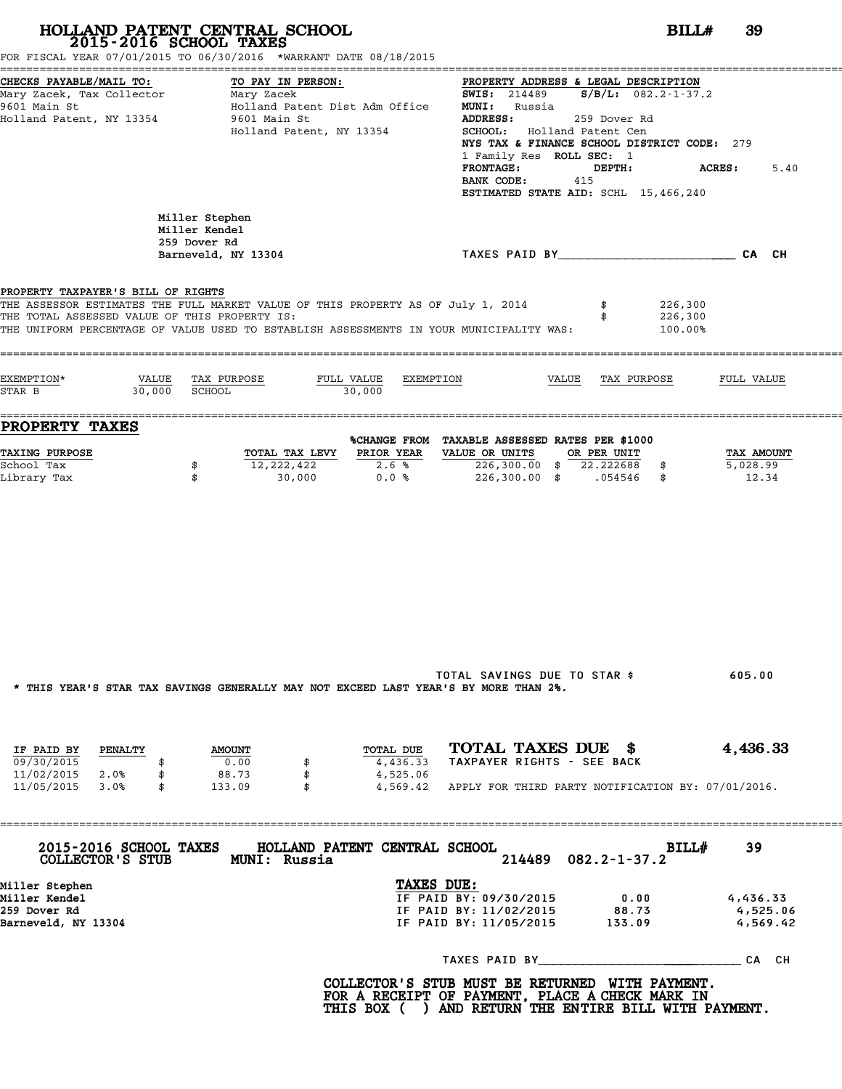|                                                                                                             | HOLLAND PATENT CENTRAL SCHOOL<br>2015-2016 SCHOOL TAXES<br>FOR FISCAL YEAR 07/01/2015 TO 06/30/2016 *WARRANT DATE 08/18/2015                                                | BILL#                                                                                                                                                                                                                                                                                                                                                      | 39                               |
|-------------------------------------------------------------------------------------------------------------|-----------------------------------------------------------------------------------------------------------------------------------------------------------------------------|------------------------------------------------------------------------------------------------------------------------------------------------------------------------------------------------------------------------------------------------------------------------------------------------------------------------------------------------------------|----------------------------------|
| CHECKS PAYABLE/MAIL TO:<br>Mary Zacek, Tax Collector Mary Zacek<br>9601 Main St<br>Holland Patent, NY 13354 | TO PAY IN PERSON:<br>Holland Patent Dist Adm Office<br>9601 Main St<br>Holland Patent, NY 13354                                                                             | PROPERTY ADDRESS & LEGAL DESCRIPTION<br><b>SWIS:</b> 214489 <b>S/B/L:</b> $082.2 - 1 - 37.2$<br><b>MUNI:</b> Russia<br><b>ADDRESS:</b><br>259 Dover Rd<br>SCHOOL: Holland Patent Cen<br>NYS TAX & FINANCE SCHOOL DISTRICT CODE: 279<br>1 Family Res ROLL SEC: 1<br><b>FRONTAGE:</b><br>DEPTH:<br>BANK CODE:<br>415<br>ESTIMATED STATE AID: SCHL 15,466,240 | <b>ACRES :</b><br>5.40           |
|                                                                                                             | Miller Stephen<br>Miller Kendel<br>259 Dover Rd<br>Barneveld, NY 13304                                                                                                      | TAXES PAID BY CA CH                                                                                                                                                                                                                                                                                                                                        |                                  |
| PROPERTY TAXPAYER'S BILL OF RIGHTS<br>THE TOTAL ASSESSED VALUE OF THIS PROPERTY IS:                         | THE ASSESSOR ESTIMATES THE FULL MARKET VALUE OF THIS PROPERTY AS OF July 1, 2014<br>THE UNIFORM PERCENTAGE OF VALUE USED TO ESTABLISH ASSESSMENTS IN YOUR MUNICIPALITY WAS: | 226,300<br>226,300<br>100.00%                                                                                                                                                                                                                                                                                                                              |                                  |
| EXEMPTION*<br>$30,000$ SCHOOL<br>STAR B                                                                     | VALUE TAX PURPOSE<br>FULL VALUE EXEMPTION<br>30,000                                                                                                                         | VALUE TAX PURPOSE                                                                                                                                                                                                                                                                                                                                          | FULL VALUE                       |
| <b>PROPERTY TAXES</b>                                                                                       |                                                                                                                                                                             | %CHANGE FROM TAXABLE ASSESSED RATES PER \$1000                                                                                                                                                                                                                                                                                                             |                                  |
| <b>TAXING PURPOSE</b><br>School Tax<br>Library Tax                                                          | TOTAL TAX LEVY PRIOR YEAR<br>12,222,422<br>2.6%<br>\$<br>0.0%<br>\$<br>30,000                                                                                               | VALUE OR UNITS OR PER UNIT<br>226,300.00 \$ 22.222688 \$<br>226,300.00 \$ .054546 \$                                                                                                                                                                                                                                                                       | TAX AMOUNT<br>5,028.99<br>12.34  |
|                                                                                                             | * THIS YEAR'S STAR TAX SAVINGS GENERALLY MAY NOT EXCEED LAST YEAR'S BY MORE THAN 2%.                                                                                        | TOTAL SAVINGS DUE TO STAR \$                                                                                                                                                                                                                                                                                                                               | 605.00                           |
| IF PAID BY PENALTY<br>09/30/2015<br>\$<br>11/02/2015 2.0%<br>\$                                             | TOTAL DUE<br><b>AMOUNT</b><br>0.00<br>4,436.33<br>\$<br>88.73<br>\$<br>4,525.06                                                                                             | TOTAL TAXES DUE \$<br>TAXPAYER RIGHTS - SEE BACK                                                                                                                                                                                                                                                                                                           | 4,436.33                         |
| 11/05/2015 3.0%<br>\$                                                                                       | 133.09<br>$\mathbf{s}$                                                                                                                                                      | 4,569.42 APPLY FOR THIRD PARTY NOTIFICATION BY: 07/01/2016.                                                                                                                                                                                                                                                                                                |                                  |
|                                                                                                             | 2015-2016 SCHOOL TAXES HOLLAND PATENT CENTRAL SCHOOL<br>COLLECTOR'S STUB MUNI: Russia                                                                                       | BILL#<br>214489 082.2-1-37.2                                                                                                                                                                                                                                                                                                                               | 39                               |
| Miller Stephen<br>Miller Kendel<br>259 Dover Rd<br>Barneveld, NY 13304                                      | TAXES DUE:                                                                                                                                                                  | IF PAID BY: 09/30/2015<br>0.00<br>IF PAID BY: 11/02/2015 88.73<br>IF PAID BY: 11/05/2015 133.09                                                                                                                                                                                                                                                            | 4,436.33<br>4,525.06<br>4,569.42 |
|                                                                                                             |                                                                                                                                                                             |                                                                                                                                                                                                                                                                                                                                                            |                                  |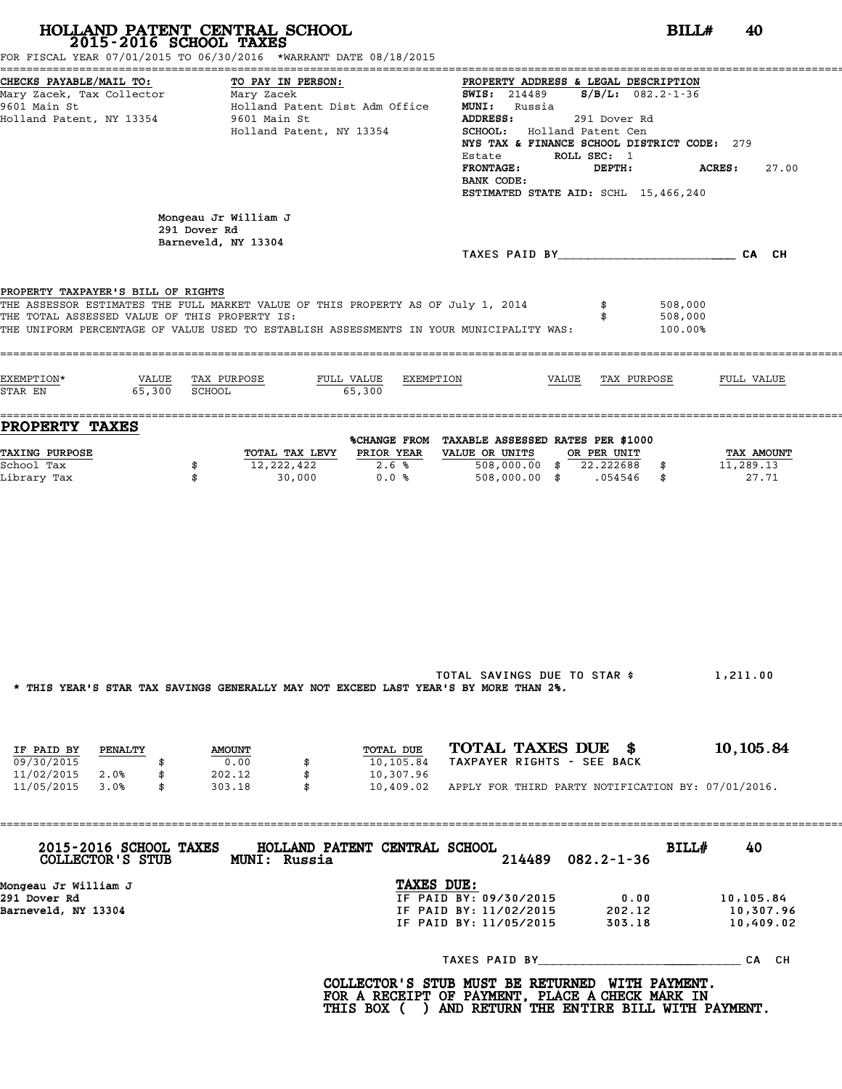|                                                                                     |                                    | 2015-2016 SCHOOL TAXES<br>FOR FISCAL YEAR 07/01/2015 TO 06/30/2016 *WARRANT DATE 08/18/2015                                                                                 |                                     |                                                                                                                                                                                                                                                                                                 |                                       |                               |                                         |
|-------------------------------------------------------------------------------------|------------------------------------|-----------------------------------------------------------------------------------------------------------------------------------------------------------------------------|-------------------------------------|-------------------------------------------------------------------------------------------------------------------------------------------------------------------------------------------------------------------------------------------------------------------------------------------------|---------------------------------------|-------------------------------|-----------------------------------------|
| CHECKS PAYABLE/MAIL TO:<br>9601 Main St<br>Holland Patent, NY 13354                 |                                    | TO PAY IN PERSON:<br>Holland Patent Dist Adm Office<br>9601 Main St<br>Holland Patent, NY 13354                                                                             |                                     | PROPERTY ADDRESS & LEGAL DESCRIPTION<br><b>SWIS:</b> 214489 <b>S/B/L:</b> 082.2-1-36<br><b>MUNI:</b> Russia<br><b>ADDRESS:</b><br>SCHOOL: Holland Patent Cen<br>NYS TAX & FINANCE SCHOOL DISTRICT CODE: 279<br>Estate<br><b>FRONTAGE:</b><br>BANK CODE:<br>ESTIMATED STATE AID: SCHL 15,466,240 | 291 Dover Rd<br>ROLL SEC: 1<br>DEPTH: | <b>ACRES:</b>                 | 27.00                                   |
|                                                                                     | 291 Dover Rd                       | Mongeau Jr William J<br>Barneveld, NY 13304                                                                                                                                 |                                     | TAXES PAID BY CA CH                                                                                                                                                                                                                                                                             |                                       |                               |                                         |
| PROPERTY TAXPAYER'S BILL OF RIGHTS<br>THE TOTAL ASSESSED VALUE OF THIS PROPERTY IS: |                                    | THE ASSESSOR ESTIMATES THE FULL MARKET VALUE OF THIS PROPERTY AS OF July 1, 2014<br>THE UNIFORM PERCENTAGE OF VALUE USED TO ESTABLISH ASSESSMENTS IN YOUR MUNICIPALITY WAS: |                                     |                                                                                                                                                                                                                                                                                                 |                                       | 508,000<br>508,000<br>100.00% |                                         |
| EXEMPTION*<br>STAR EN                                                               | VALUE TAX PURPOSE<br>65,300 SCHOOL |                                                                                                                                                                             | FULL VALUE EXEMPTION<br>65,300      |                                                                                                                                                                                                                                                                                                 | VALUE TAX PURPOSE                     |                               | FULL VALUE                              |
| <b>PROPERTY TAXES</b><br><b>TAXING PURPOSE</b><br>School Tax<br>Library Tax         | \$<br>\$                           | TOTAL TAX LEVY PRIOR YEAR<br>12,222,422<br>30,000                                                                                                                           | 2.6%<br>0.0%                        | %CHANGE FROM TAXABLE ASSESSED RATES PER \$1000<br>VALUE OR UNITS<br>$508,000.00$ \$ 22.222688 \$<br>508,000.00 \$ .054546 \$                                                                                                                                                                    | OR PER UNIT                           |                               | <b>TAX AMOUNT</b><br>11,289.13<br>27.71 |
| IF PAID BY                                                                          | PENALTY                            | * THIS YEAR'S STAR TAX SAVINGS GENERALLY MAY NOT EXCEED LAST YEAR'S BY MORE THAN 2%.<br><b>AMOUNT</b>                                                                       | TOTAL DUE                           | TOTAL SAVINGS DUE TO STAR \$<br>TOTAL TAXES DUE \$                                                                                                                                                                                                                                              |                                       |                               | 1,211.00<br>10, 105.84                  |
| 09/30/2015<br>11/02/2015<br>2.0%<br>11/05/2015<br>3.0%                              | \$<br>\$                           | 0.00<br>202.12<br>303.18                                                                                                                                                    | 10,105.84<br>10,307.96<br>10,409.02 | TAXPAYER RIGHTS - SEE BACK<br>APPLY FOR THIRD PARTY NOTIFICATION BY: 07/01/2016.                                                                                                                                                                                                                |                                       |                               |                                         |

**COLLECTOR'S STUB MUNI: Russia <sup>214489</sup> 082.2-1-36** 2015-2016 SCHOOL TAXES HOLLAND PATENT CENTRAL SCHOOL<br>
COLLECTOR'S STUB MUNI: Russia<br>
Mongeau Jr William J<br>
Mongeau Jr William J<br>
29/30/2015 0.00 10,105.84<br>
Parmeyeld NY 13304 Mongeau Jr William J<br>
Barneveld, NY 13304<br>
Barneveld, NY 13304<br>
Barneveld, NY 13304<br>
IF PAID BY: 11/02/2015 202.12 10,307.96<br>
IF PAID BY: 11/05/2015 303.18 10,409.02 TAXES PAID BY\_\_\_\_\_\_\_\_\_\_\_\_\_\_\_\_\_\_\_\_\_ \_\_\_\_\_\_\_\_\_\_ CA CH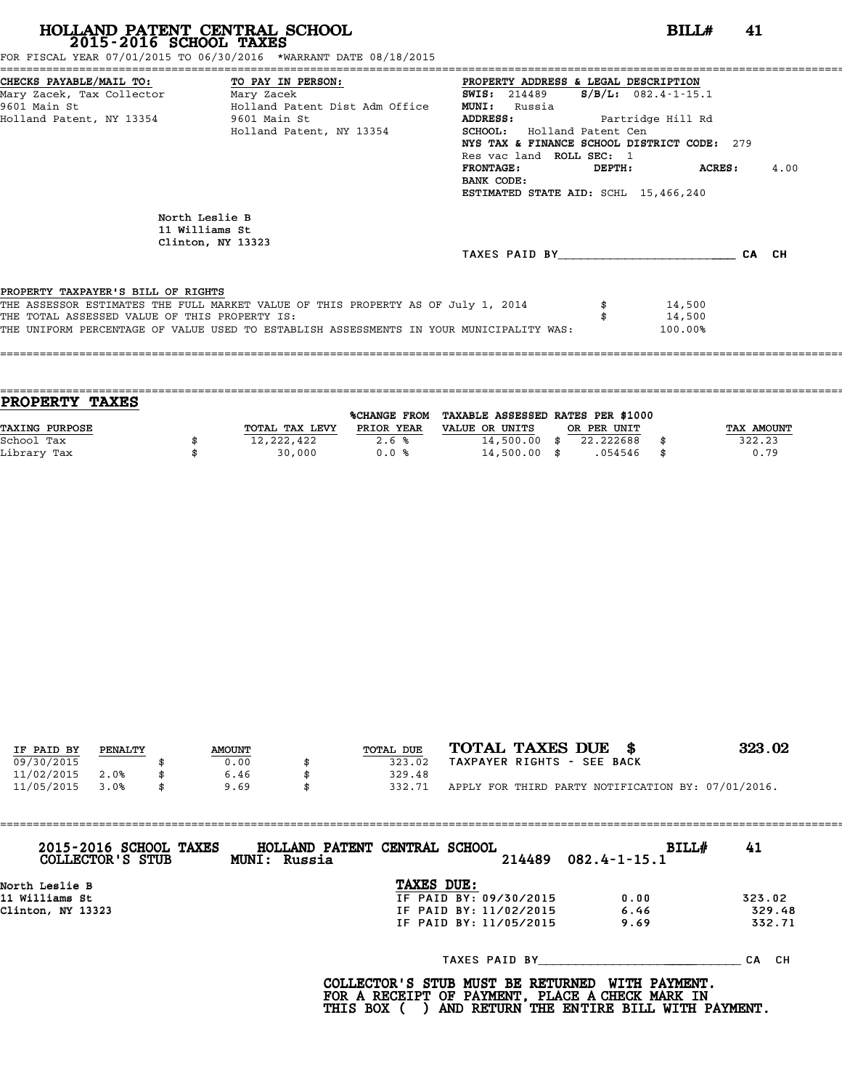FOR FISCAL YEAR 07/01/2015 TO 06/30/2016 \*WARRANT DATE 08/18/2015

|                                                                                   |                                                                                         | PROPERTY ADDRESS & LEGAL DESCRIPTION        |                        |       |      |
|-----------------------------------------------------------------------------------|-----------------------------------------------------------------------------------------|---------------------------------------------|------------------------|-------|------|
| CHECKS PAYABLE/MAIL TO: TO PAY IN PERSON:<br>Mary Zacek, Tax Collector Mary Zacek |                                                                                         | <b>SWIS:</b> 214489                         | $S/B/L$ : 082.4-1-15.1 |       |      |
| 9601 Main St                                                                      | Holland Patent Dist Adm Office                                                          | <b>MUNI:</b><br>Russia                      |                        |       |      |
| Holland Patent, NY 13354 9601 Main St                                             |                                                                                         | ADDRESS: Partridge Hill Rd                  |                        |       |      |
|                                                                                   | Holland Patent, NY 13354                                                                | SCHOOL: Holland Patent Cen                  |                        |       |      |
|                                                                                   |                                                                                         | NYS TAX & FINANCE SCHOOL DISTRICT CODE: 279 |                        |       |      |
|                                                                                   |                                                                                         | Res vac land ROLL SEC: 1                    |                        |       |      |
|                                                                                   |                                                                                         | <b>FRONTAGE:</b>                            | DEPTH: ACRES:          |       | 4.00 |
|                                                                                   |                                                                                         | BANK CODE:                                  |                        |       |      |
|                                                                                   |                                                                                         | ESTIMATED STATE AID: SCHL 15,466,240        |                        |       |      |
|                                                                                   |                                                                                         |                                             |                        |       |      |
|                                                                                   | North Leslie B                                                                          |                                             |                        |       |      |
|                                                                                   | 11 Williams St                                                                          |                                             |                        |       |      |
|                                                                                   | Clinton, NY 13323                                                                       |                                             |                        |       |      |
|                                                                                   |                                                                                         | TAXES PAID BY TAXES                         |                        | CA CH |      |
|                                                                                   |                                                                                         |                                             |                        |       |      |
| PROPERTY TAXPAYER'S BILL OF RIGHTS                                                |                                                                                         |                                             |                        |       |      |
|                                                                                   | THE ASSESSOR ESTIMATES THE FULL MARKET VALUE OF THIS PROPERTY AS OF July 1, 2014        |                                             | 14,500                 |       |      |
| THE TOTAL ASSESSED VALUE OF THIS PROPERTY IS:                                     |                                                                                         |                                             | 14,500                 |       |      |
|                                                                                   | THE UNIFORM PERCENTAGE OF VALUE USED TO ESTABLISH ASSESSMENTS IN YOUR MUNICIPALITY WAS: |                                             | 100.00%                |       |      |
|                                                                                   |                                                                                         |                                             |                        |       |      |
|                                                                                   |                                                                                         |                                             |                        |       |      |
|                                                                                   |                                                                                         |                                             |                        |       |      |

| <b>TAXES</b><br><b>PROPERTY</b> |                |                     |                                   |             |            |
|---------------------------------|----------------|---------------------|-----------------------------------|-------------|------------|
|                                 |                | <b>%CHANGE FROM</b> | TAXABLE ASSESSED RATES PER \$1000 |             |            |
| TAXING PURPOSE                  | TOTAL TAX LEVY | PRIOR YEAR          | VALUE OR UNITS                    | OR PER UNIT | TAX AMOUNT |
| School Tax                      | 12,222,422     | 2.6%                | $14,500.00$ \$                    | 22.222688   | 322.23     |
| Library Tax                     | 30,000         | 0.0%                | $14,500.00$ \$                    | .054546     | \$<br>0.79 |
|                                 |                |                     |                                   |             |            |

| IF PAID BY | PENALTY |  | <b>AMOUNT</b> | TOTAL DUE    | TOTAL TAXES DUE \$                                 | 323.02 |
|------------|---------|--|---------------|--------------|----------------------------------------------------|--------|
| 09/30/2015 |         |  | 0.00          | 323.02       | TAXPAYER RIGHTS - SEE BACK                         |        |
|            |         |  |               |              |                                                    |        |
| 11/02/2015 | 2.0%    |  | 6.46          | 329.48       |                                                    |        |
| 11/05/2015 | 3.0%    |  | 9.69          | \$<br>332.71 | APPLY FOR THIRD PARTY NOTIFICATION BY: 07/01/2016. |        |

| 2015-2016 SCHOOL TAXES<br>COLLECTOR'S STUB | HOLLAND PATENT CENTRAL SCHOOL<br>MUNI: Russia |                        | BILL#<br>$214489$ $082.4 - 1 - 15.1$ | 41     |
|--------------------------------------------|-----------------------------------------------|------------------------|--------------------------------------|--------|
| North Leslie B                             |                                               | TAXES DUE:             |                                      |        |
| 11 Williams St                             |                                               | IF PAID BY: 09/30/2015 | 0.00                                 | 323.02 |
| Clinton, NY 13323                          |                                               | IF PAID BY: 11/02/2015 | 6.46                                 | 329.48 |
|                                            |                                               | IF PAID BY: 11/05/2015 | 9.69                                 | 332.71 |
|                                            |                                               | TAXES PAID BY          |                                      | CA CH  |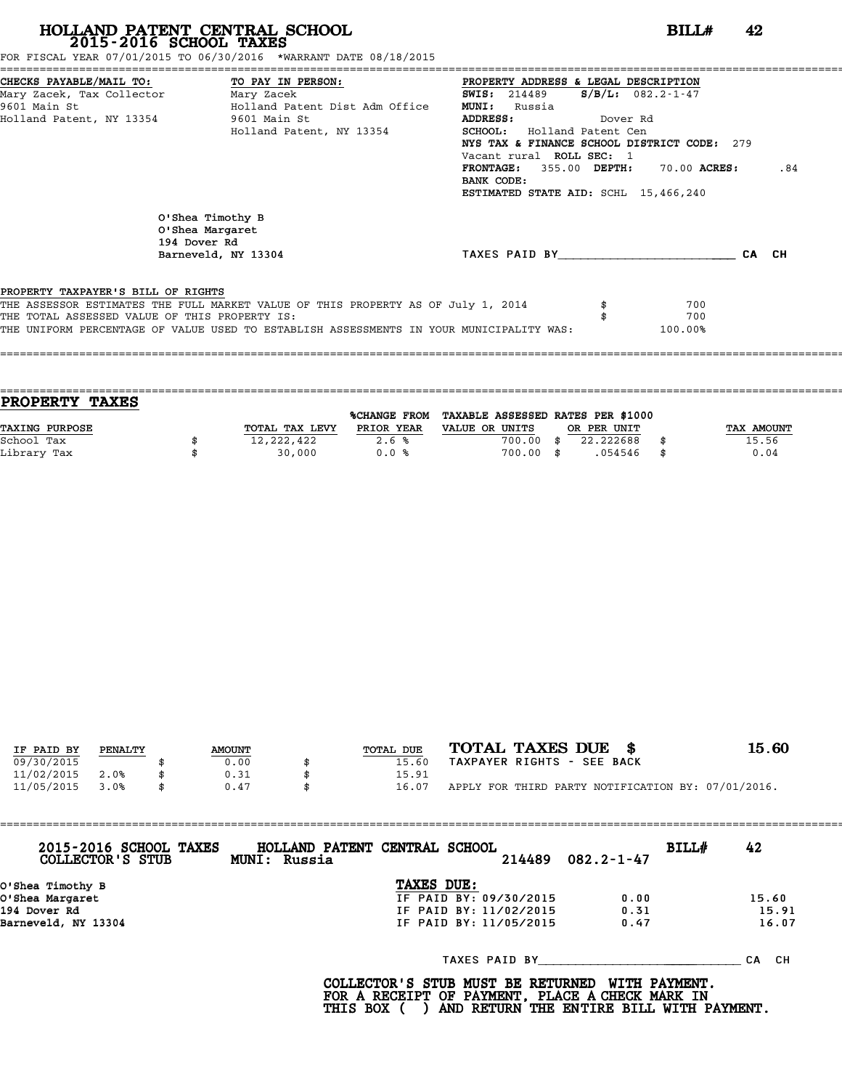FOR FISCAL YEAR 07/01/2015 TO 06/30/2016 \*WARRANT DATE 08/18/2015

|                                               | CHECKS PAYABLE/MAIL TO: TO PAY IN PERSON: PROPERTY ADDRESS & LEGAL DESCRIPTION          |                                                 |                         |       |     |
|-----------------------------------------------|-----------------------------------------------------------------------------------------|-------------------------------------------------|-------------------------|-------|-----|
| Mary Zacek, Tax Collector Mary Zacek          |                                                                                         | <b>SWIS:</b> 214489                             | $S/B/L: 082.2 - 1 - 47$ |       |     |
| 9601 Main St                                  | Holland Patent Dist Adm Office                                                          | <b>MUNI:</b><br>Russia                          |                         |       |     |
| Holland Patent, NY 13354 9601 Main St         |                                                                                         | <b>ADDRESS:</b><br>Dover Rd                     |                         |       |     |
|                                               | Holland Patent, NY 13354                                                                | SCHOOL: Holland Patent Cen                      |                         |       |     |
|                                               |                                                                                         | NYS TAX & FINANCE SCHOOL DISTRICT CODE: 279     |                         |       |     |
|                                               |                                                                                         | Vacant rural ROLL SEC: 1                        |                         |       |     |
|                                               |                                                                                         | $\texttt{FRONTAGE:}$ 355.00 DEPTH: 70.00 ACRES: |                         |       | .84 |
|                                               |                                                                                         | BANK CODE:                                      |                         |       |     |
|                                               |                                                                                         | ESTIMATED STATE AID: SCHL 15,466,240            |                         |       |     |
|                                               |                                                                                         |                                                 |                         |       |     |
| 194 Dover Rd                                  | O'Shea Timothy B<br>O'Shea Margaret                                                     |                                                 |                         |       |     |
|                                               | Barneveld, NY 13304                                                                     | TAXES PAID BY                                   |                         | CA CH |     |
|                                               |                                                                                         |                                                 |                         |       |     |
| PROPERTY TAXPAYER'S BILL OF RIGHTS            |                                                                                         |                                                 |                         |       |     |
|                                               | THE ASSESSOR ESTIMATES THE FULL MARKET VALUE OF THIS PROPERTY AS OF July 1, 2014        |                                                 | 700                     |       |     |
| THE TOTAL ASSESSED VALUE OF THIS PROPERTY IS: |                                                                                         |                                                 | 700                     |       |     |
|                                               | THE UNIFORM PERCENTAGE OF VALUE USED TO ESTABLISH ASSESSMENTS IN YOUR MUNICIPALITY WAS: |                                                 | 100.00%                 |       |     |
|                                               |                                                                                         |                                                 |                         |       |     |
|                                               |                                                                                         |                                                 |                         |       |     |
|                                               |                                                                                         |                                                 |                         |       |     |

| <b>TAXES</b><br><b>PROPERTY</b> |                |                     |                                   |             |            |
|---------------------------------|----------------|---------------------|-----------------------------------|-------------|------------|
|                                 |                | <b>%CHANGE FROM</b> | TAXABLE ASSESSED RATES PER \$1000 |             |            |
| TAXING PURPOSE                  | TOTAL TAX LEVY | PRIOR YEAR          | VALUE OR UNITS                    | OR PER UNIT | TAX AMOUNT |
| School Tax                      | 12, 222, 422   | 2.6%                | 700.00                            | 22.222688   | 15.56      |
| Library Tax                     | 30,000         | 0.0%                | 700.00 \$                         | .054546     | \$<br>0.04 |
|                                 |                |                     |                                   |             |            |

|            |         |               |           | TOTAL TAXES DUE \$                                 | 15.60 |
|------------|---------|---------------|-----------|----------------------------------------------------|-------|
| IF PAID BY | PENALTY | <b>AMOUNT</b> | TOTAL DUE |                                                    |       |
| 09/30/2015 |         | 0.00          | 15.60     | TAXPAYER RIGHTS - SEE BACK                         |       |
| 11/02/2015 | 2.0%    | 0.31          | 15.91     |                                                    |       |
| 11/05/2015 | 3.0%    | \$<br>0.47    | 16.07     | APPLY FOR THIRD PARTY NOTIFICATION BY: 07/01/2016. |       |
|            |         |               |           |                                                    |       |

| 2015-2016 SCHOOL TAXES<br>COLLECTOR'S STUB | HOLLAND PATENT CENTRAL SCHOOL<br>MUNI: Russia |            | 214489                 | $082.2 - 1 - 47$ | BILL# | 42        |
|--------------------------------------------|-----------------------------------------------|------------|------------------------|------------------|-------|-----------|
| O'Shea Timothy B                           |                                               | TAXES DUE: |                        |                  |       |           |
| O'Shea Margaret                            |                                               |            | IF PAID BY: 09/30/2015 | 0.00             |       | 15.60     |
| 194 Dover Rd                               |                                               |            | IF PAID BY: 11/02/2015 | 0.31             |       | 15.91     |
| Barneveld, NY 13304                        |                                               |            | IF PAID BY: 11/05/2015 | 0.47             |       | 16.07     |
|                                            |                                               |            | TAXES PAID BY          |                  |       | CH.<br>CА |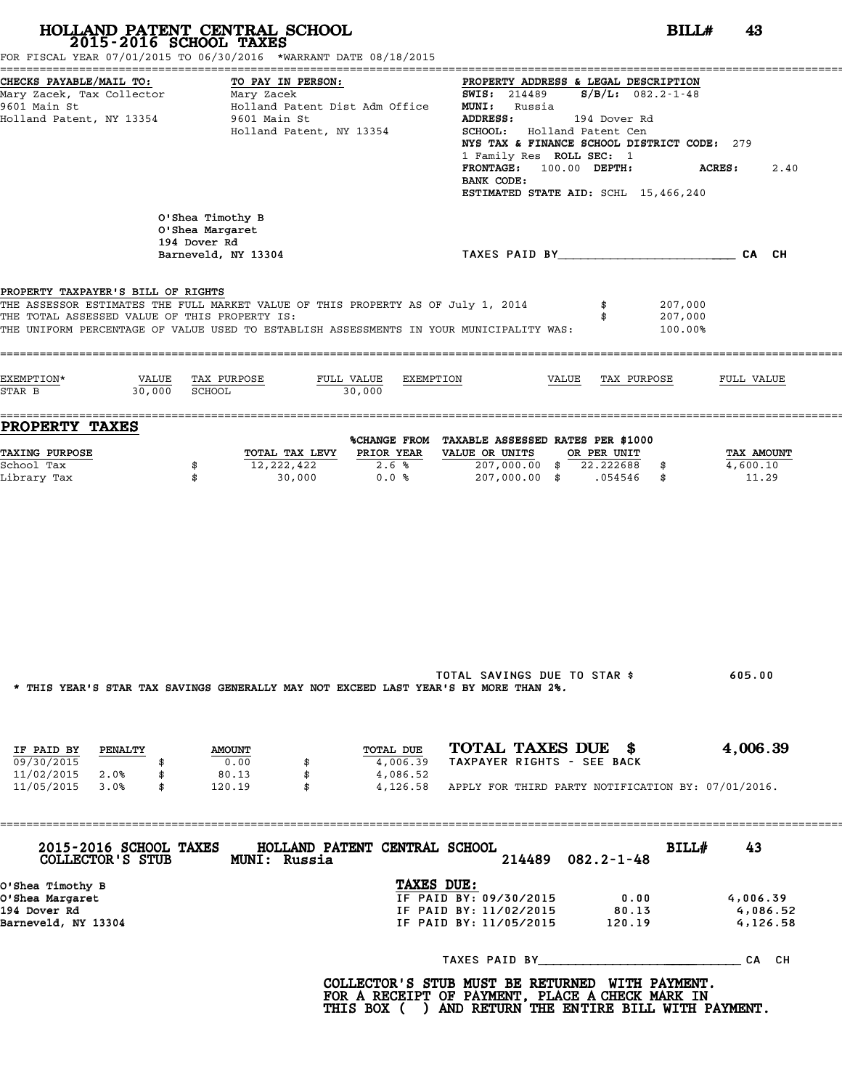| 2015-2016 SCHOOL TAXES                                                                                      | HOLLAND PATENT CENTRAL SCHOOL<br>FOR FISCAL YEAR 07/01/2015 TO 06/30/2016 *WARRANT DATE 08/18/2015                                                                          | BILLH<br>43                                                                                                                                                                                                                                                                                                                                                    |
|-------------------------------------------------------------------------------------------------------------|-----------------------------------------------------------------------------------------------------------------------------------------------------------------------------|----------------------------------------------------------------------------------------------------------------------------------------------------------------------------------------------------------------------------------------------------------------------------------------------------------------------------------------------------------------|
| CHECKS PAYABLE/MAIL TO:<br>Mary Zacek, Tax Collector Mary Zacek<br>9601 Main St<br>Holland Patent, NY 13354 | TO PAY IN PERSON:<br>Holland Patent Dist Adm Office<br>9601 Main St<br>Holland Patent, NY 13354                                                                             | PROPERTY ADDRESS & LEGAL DESCRIPTION<br><b>SWIS:</b> 214489 $S/B/L$ : 082.2-1-48<br><b>MUNI:</b> Russia<br><b>ADDRESS:</b><br>194 Dover Rd<br>SCHOOL: Holland Patent Cen<br>NYS TAX & FINANCE SCHOOL DISTRICT CODE: 279<br>1 Family Res ROLL SEC: 1<br>FRONTAGE: 100.00 DEPTH:<br><b>ACRES :</b><br>2.40<br>BANK CODE:<br>ESTIMATED STATE AID: SCHL 15,466,240 |
|                                                                                                             | O'Shea Timothy B<br>O'Shea Margaret<br>194 Dover Rd<br>Barneveld, NY 13304                                                                                                  | TAXES PAID BY CAN CHE CAN CH                                                                                                                                                                                                                                                                                                                                   |
| PROPERTY TAXPAYER'S BILL OF RIGHTS<br>THE TOTAL ASSESSED VALUE OF THIS PROPERTY IS:                         | THE ASSESSOR ESTIMATES THE FULL MARKET VALUE OF THIS PROPERTY AS OF July 1, 2014<br>THE UNIFORM PERCENTAGE OF VALUE USED TO ESTABLISH ASSESSMENTS IN YOUR MUNICIPALITY WAS: | 207,000<br>207,000<br>100.00%                                                                                                                                                                                                                                                                                                                                  |
| EXEMPTION*<br>30,000 SCHOOL<br>STAR B                                                                       | VALUE TAX PURPOSE<br>FULL VALUE<br>EXEMPTION<br>30,000                                                                                                                      | VALUE TAX PURPOSE<br>FULL VALUE                                                                                                                                                                                                                                                                                                                                |
| <b>PROPERTY TAXES</b>                                                                                       |                                                                                                                                                                             | %CHANGE FROM TAXABLE ASSESSED RATES PER \$1000                                                                                                                                                                                                                                                                                                                 |
| <b>TAXING PURPOSE</b><br>School Tax<br>Library Tax                                                          | PRIOR YEAR<br>TOTAL TAX LEVY<br>12,222,422<br>2.6%<br>\$<br>\$<br>30,000<br>0.0%                                                                                            | VALUE OR UNITS<br>OR PER UNIT<br>TAX AMOUNT<br>207,000.00 \$ 22.222688 \$<br>4,600.10<br>207,000.00 \$ .054546 \$<br>11.29                                                                                                                                                                                                                                     |
|                                                                                                             | * THIS YEAR'S STAR TAX SAVINGS GENERALLY MAY NOT EXCEED LAST YEAR'S BY MORE THAN 2%.                                                                                        | TOTAL SAVINGS DUE TO STAR \$<br>605.00                                                                                                                                                                                                                                                                                                                         |
| IF PAID BY<br><b>PENALTY</b><br>09/30/2015<br>\$<br>11/02/2015 2.0%<br>\$                                   | TOTAL DUE<br><b>AMOUNT</b><br>0.00<br>4,006.39<br>\$<br>80.13<br>\$<br>4,086.52                                                                                             | TOTAL TAXES DUE \$<br>4,006.39<br>TAXPAYER RIGHTS - SEE BACK                                                                                                                                                                                                                                                                                                   |
| 11/05/2015 3.0%<br>\$                                                                                       | 120.19<br>$\mathbf{s}$                                                                                                                                                      | 4,126.58 APPLY FOR THIRD PARTY NOTIFICATION BY: 07/01/2016.                                                                                                                                                                                                                                                                                                    |
| 2015-2016 SCHOOL TAXES<br>COLLECTOR'S STUB                                                                  | HOLLAND PATENT CENTRAL SCHOOL<br><b>MUNI: Russia</b>                                                                                                                        | BILL#<br>43<br>$082.2 - 1 - 48$<br>214489                                                                                                                                                                                                                                                                                                                      |
| O'Shea Timothy B<br>O'Shea Margaret<br>194 Dover Rd<br>Barneveld, NY 13304                                  |                                                                                                                                                                             | TAXES DUE:<br>IF PAID BY: 09/30/2015<br>0.00<br>4,006.39<br>IF PAID BY: 11/02/2015<br>80.13<br>4,086.52<br>IF PAID BY: 11/05/2015 120.19<br>4,126.58                                                                                                                                                                                                           |
|                                                                                                             |                                                                                                                                                                             |                                                                                                                                                                                                                                                                                                                                                                |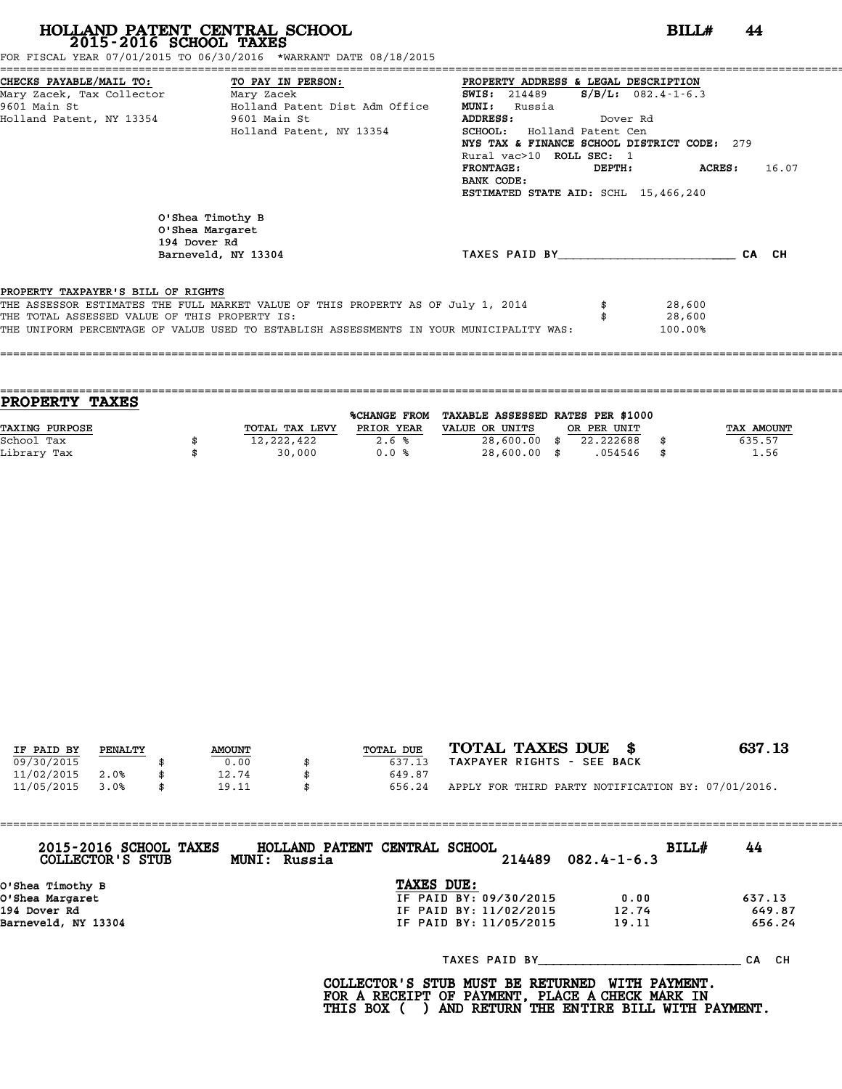FOR FISCAL YEAR 07/01/2015 TO 06/30/2016 \*WARRANT DATE 08/18/2015

|                                               | CHECKS PAYABLE/MAIL TO: TO PAY IN PERSON: PROPERTY ADDRESS & LEGAL DESCRIPTION          |                                             |          |                          |       |
|-----------------------------------------------|-----------------------------------------------------------------------------------------|---------------------------------------------|----------|--------------------------|-------|
| Mary Zacek, Tax Collector Mary Zacek          |                                                                                         | <b>SWIS:</b> 214489                         |          | $S/B/L: 082.4 - 1 - 6.3$ |       |
| 9601 Main St                                  | Holland Patent Dist Adm Office                                                          | <b>MUNI:</b><br>Russia                      |          |                          |       |
| Holland Patent, NY 13354 9601 Main St         |                                                                                         | ADDRESS:                                    | Dover Rd |                          |       |
|                                               | Holland Patent, NY 13354                                                                | SCHOOL: Holland Patent Cen                  |          |                          |       |
|                                               |                                                                                         | NYS TAX & FINANCE SCHOOL DISTRICT CODE: 279 |          |                          |       |
|                                               |                                                                                         | Rural vac>10 ROLL SEC: 1                    |          |                          |       |
|                                               |                                                                                         | <b>FRONTAGE:</b>                            |          | DEPTH: ACRES:            | 16.07 |
|                                               |                                                                                         | BANK CODE:                                  |          |                          |       |
|                                               |                                                                                         | ESTIMATED STATE AID: SCHL 15,466,240        |          |                          |       |
|                                               | O'Shea Timothy B<br>O'Shea Margaret<br>194 Dover Rd<br>Barneveld, NY 13304              | TAXES PAID BY                               |          |                          | CA CH |
| PROPERTY TAXPAYER'S BILL OF RIGHTS            |                                                                                         |                                             |          |                          |       |
|                                               | THE ASSESSOR ESTIMATES THE FULL MARKET VALUE OF THIS PROPERTY AS OF July 1, 2014        |                                             |          | 28,600                   |       |
| THE TOTAL ASSESSED VALUE OF THIS PROPERTY IS: |                                                                                         |                                             |          | 28,600                   |       |
|                                               | THE UNIFORM PERCENTAGE OF VALUE USED TO ESTABLISH ASSESSMENTS IN YOUR MUNICIPALITY WAS: |                                             |          | 100.00%                  |       |
|                                               |                                                                                         |                                             |          |                          |       |
|                                               |                                                                                         |                                             |          |                          |       |

| <b>TAXES</b><br><b>PROPERTY</b> |                |                     |                                   |             |            |
|---------------------------------|----------------|---------------------|-----------------------------------|-------------|------------|
|                                 |                | <b>%CHANGE FROM</b> | TAXABLE ASSESSED RATES PER \$1000 |             |            |
| <b>TAXING PURPOSE</b>           | TOTAL TAX LEVY | PRIOR YEAR          | VALUE OR UNITS                    | OR PER UNIT | TAX AMOUNT |
| School Tax                      | 12,222,422     | 2.6%                | $28,600.00$ \$                    | 22.222688   | 635.57     |
| Library Tax                     | 30,000         | 0.0%                | 28,600.00 \$                      | .054546     | \$<br>1.56 |
|                                 |                |                     |                                   |             |            |

| IF PAID BY | PENALTY | <b>AMOUNT</b> | TOTAL DUE | TOTAL TAXES DUE \$                                 | 637.13 |
|------------|---------|---------------|-----------|----------------------------------------------------|--------|
|            |         |               |           |                                                    |        |
| 09/30/2015 |         | 0.00          | 637.13    | TAXPAYER RIGHTS - SEE BACK                         |        |
| 11/02/2015 | 2.0%    | 12.74         | 649.87    |                                                    |        |
| 11/05/2015 | 3.0%    | \$<br>19.11   | 656.24    | APPLY FOR THIRD PARTY NOTIFICATION BY: 07/01/2016. |        |

| 2015-2016 SCHOOL TAXES<br>COLLECTOR'S STUB | HOLLAND PATENT CENTRAL SCHOOL<br>BILL#<br>$214489$ $082.4 - 1 - 6.3$<br>MUNI: Russia | 44     |
|--------------------------------------------|--------------------------------------------------------------------------------------|--------|
| O'Shea Timothy B                           | TAXES DUE:                                                                           |        |
| O'Shea Margaret                            | IF PAID BY: 09/30/2015<br>0.00                                                       | 637.13 |
| 194 Dover Rd                               | IF PAID BY: 11/02/2015<br>12.74                                                      | 649.87 |
| Barneveld, NY 13304                        | IF PAID BY: 11/05/2015<br>19.11                                                      | 656.24 |
|                                            | TAXES PAID BY                                                                        | CA CH  |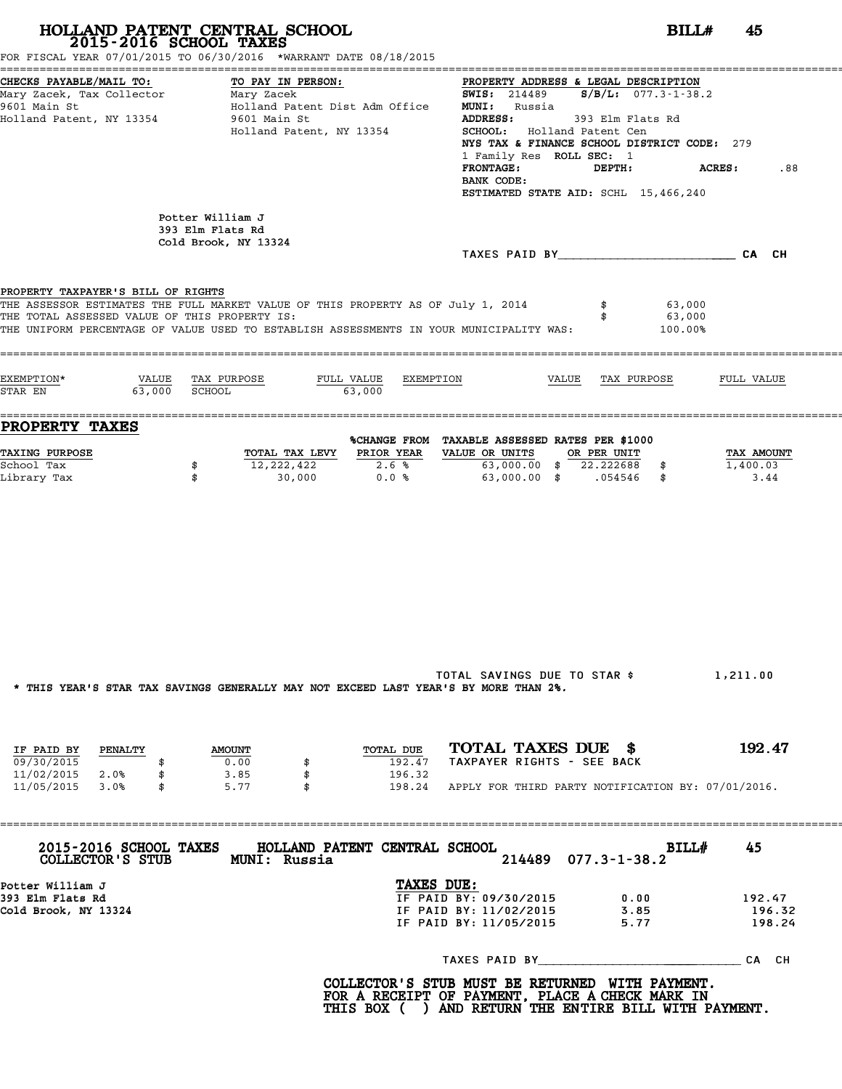| 2015-2016 SCHOOL TAXES<br>FOR FISCAL YEAR 07/01/2015 TO 06/30/2016 *WARRANT DATE 08/18/2015                                                                                                                                                                        | HOLLAND PATENT CENTRAL SCHOOL                                                                   |                      |                                                                                                                 |                                                                                                                                                                                                                      | BILLH<br>45                    |
|--------------------------------------------------------------------------------------------------------------------------------------------------------------------------------------------------------------------------------------------------------------------|-------------------------------------------------------------------------------------------------|----------------------|-----------------------------------------------------------------------------------------------------------------|----------------------------------------------------------------------------------------------------------------------------------------------------------------------------------------------------------------------|--------------------------------|
| CHECKS PAYABLE/MAIL TO:<br>CHECKS PAYABLE/MAIL TO: TO PAY IN PORT TO PAY TO PAY TO PAY TO PAY TO PAY TO PAY TO PAY TO PAY TO PORT TO PORT<br>Mary Zacek, Tax Collector Mary Zacek<br>9601 Main St<br>Holland Patent, NY 13354                                      | TO PAY IN PERSON:<br>Holland Patent Dist Adm Office<br>9601 Main St<br>Holland Patent, NY 13354 |                      | <b>MUNI:</b> Russia<br>SCHOOL: Holland Patent Cen<br>1 Family Res ROLL SEC: 1<br><b>FRONTAGE:</b><br>BANK CODE: | PROPERTY ADDRESS & LEGAL DESCRIPTION<br><b>SWIS:</b> 214489 <b>S/B/L:</b> 077.3-1-38.2<br>ADDRESS: 393 Elm Flats Rd<br>NYS TAX & FINANCE SCHOOL DISTRICT CODE: 279<br>DEPTH:<br>ESTIMATED STATE AID: SCHL 15,466,240 | ACRES:<br>.88                  |
|                                                                                                                                                                                                                                                                    | Potter William J<br>393 Elm Flats Rd<br>Cold Brook, NY 13324                                    |                      |                                                                                                                 | TAXES PAID BY CAN CH                                                                                                                                                                                                 |                                |
| PROPERTY TAXPAYER'S BILL OF RIGHTS<br>THE ASSESSOR ESTIMATES THE FULL MARKET VALUE OF THIS PROPERTY AS OF July 1, 2014<br>THE TOTAL ASSESSED VALUE OF THIS PROPERTY IS:<br>THE UNIFORM PERCENTAGE OF VALUE USED TO ESTABLISH ASSESSMENTS IN YOUR MUNICIPALITY WAS: |                                                                                                 |                      |                                                                                                                 | 63,000<br>63,000<br>\$<br>100.00%                                                                                                                                                                                    |                                |
| EXEMPTION*<br>$STAR EN$ 63,000 SCHOOL                                                                                                                                                                                                                              | VALUE TAX PURPOSE<br>63,000                                                                     | FULL VALUE EXEMPTION |                                                                                                                 | VALUE TAX PURPOSE                                                                                                                                                                                                    | FULL VALUE                     |
| PROPERTY TAXES                                                                                                                                                                                                                                                     |                                                                                                 |                      |                                                                                                                 |                                                                                                                                                                                                                      |                                |
| <b>TAXING PURPOSE</b><br>School Tax<br>Library Tax                                                                                                                                                                                                                 | 12,222,422<br>\$<br>\$<br>30,000                                                                | 2.6%<br>0.0%         | %CHANGE FROM TAXABLE ASSESSED RATES PER \$1000<br>TOTAL TAX LEVY PRIOR YEAR VALUE OR UNITS OR PER UNIT          | 63,000.00 \$ 22.222688 \$<br>63,000.00 \$ .054546 \$                                                                                                                                                                 | TAX AMOUNT<br>1,400.03<br>3.44 |
|                                                                                                                                                                                                                                                                    | * THIS YEAR'S STAR TAX SAVINGS GENERALLY MAY NOT EXCEED LAST YEAR'S BY MORE THAN 2%.            |                      | TOTAL SAVINGS DUE TO STAR \$                                                                                    |                                                                                                                                                                                                                      | 1,211.00                       |
|                                                                                                                                                                                                                                                                    |                                                                                                 |                      |                                                                                                                 |                                                                                                                                                                                                                      |                                |
| IF PAID BY<br><b>PENALTY</b><br>09/30/2015<br>\$                                                                                                                                                                                                                   | <b>AMOUNT</b><br>0.00                                                                           | TOTAL DUE<br>192.47  | TOTAL TAXES DUE \$<br>TAXPAYER RIGHTS - SEE BACK                                                                |                                                                                                                                                                                                                      | 192.47                         |
| 11/02/2015 2.0%<br>\$<br>11/05/2015 3.0%<br>\$                                                                                                                                                                                                                     | 3.85<br>\$<br>5.77<br>\$                                                                        | 196.32               |                                                                                                                 | 198.24 APPLY FOR THIRD PARTY NOTIFICATION BY: 07/01/2016.                                                                                                                                                            |                                |
| 2015-2016 SCHOOL TAXES<br>COLLECTOR'S STUB                                                                                                                                                                                                                         | HOLLAND PATENT CENTRAL SCHOOL<br>MUNI: Russia                                                   |                      | 214489                                                                                                          | BILL#<br>$077.3 - 1 - 38.2$                                                                                                                                                                                          | 45                             |
| Potter William J<br>393 Elm Flats Rd<br>Cold Brook, NY 13324                                                                                                                                                                                                       |                                                                                                 | TAXES DUE:           | IF PAID BY: 09/30/2015<br>IF PAID BY: 11/02/2015<br>IF PAID BY: 11/05/2015                                      | 0.00<br>3.85<br>5.77                                                                                                                                                                                                 | 192.47<br>196.32<br>198.24     |
|                                                                                                                                                                                                                                                                    |                                                                                                 |                      | TAXES PAID BY                                                                                                   |                                                                                                                                                                                                                      | CA CH                          |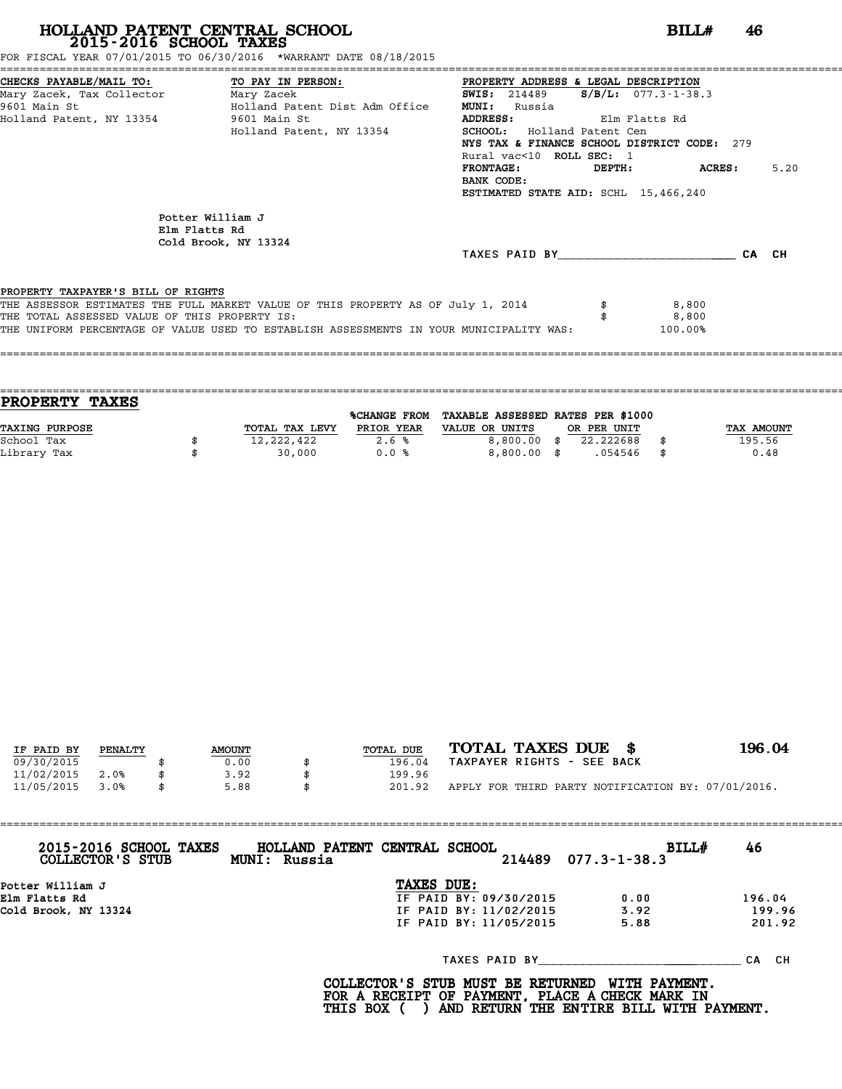FOR FISCAL YEAR 07/01/2015 TO 06/30/2016 \*WARRANT DATE 08/18/2015

| CHECKS PAYABLE/MAIL TO: TO PAY IN PERSON:     |                                                                                         | PROPERTY ADDRESS & LEGAL DESCRIPTION           |               |      |
|-----------------------------------------------|-----------------------------------------------------------------------------------------|------------------------------------------------|---------------|------|
| Mary Zacek, Tax Collector Mary Zacek          |                                                                                         | <b>SWIS:</b> 214489 <b>S/B/L:</b> 077.3-1-38.3 |               |      |
| 9601 Main St                                  | Holland Patent Dist Adm Office                                                          | <b>MUNI:</b><br>Russia                         |               |      |
| Holland Patent, NY 13354 9601 Main St         |                                                                                         | ADDRESS: Elm Flatts Rd                         |               |      |
|                                               | Holland Patent, NY 13354                                                                | SCHOOL: Holland Patent Cen                     |               |      |
|                                               |                                                                                         | NYS TAX & FINANCE SCHOOL DISTRICT CODE: 279    |               |      |
|                                               |                                                                                         | Rural vac<10 ROLL SEC: 1                       |               |      |
|                                               |                                                                                         | FRONTAGE:                                      | DEPTH: ACRES: | 5.20 |
|                                               |                                                                                         | BANK CODE:                                     |               |      |
|                                               |                                                                                         | ESTIMATED STATE AID: SCHL 15,466,240           |               |      |
|                                               |                                                                                         |                                                |               |      |
|                                               | Potter William J                                                                        |                                                |               |      |
|                                               | Elm Flatts Rd                                                                           |                                                |               |      |
|                                               | Cold Brook, NY 13324                                                                    | TAXES PAID BY CA CH                            |               |      |
|                                               |                                                                                         |                                                |               |      |
| PROPERTY TAXPAYER'S BILL OF RIGHTS            |                                                                                         |                                                |               |      |
|                                               | THE ASSESSOR ESTIMATES THE FULL MARKET VALUE OF THIS PROPERTY AS OF July 1, 2014        |                                                | 8,800         |      |
| THE TOTAL ASSESSED VALUE OF THIS PROPERTY IS: |                                                                                         |                                                | 8,800         |      |
|                                               | THE UNIFORM PERCENTAGE OF VALUE USED TO ESTABLISH ASSESSMENTS IN YOUR MUNICIPALITY WAS: |                                                | 100.00%       |      |
|                                               |                                                                                         |                                                |               |      |
|                                               |                                                                                         |                                                |               |      |

| <b>TAXES</b><br><b>PROPERTY</b> |                |                     |                                   |             |     |            |
|---------------------------------|----------------|---------------------|-----------------------------------|-------------|-----|------------|
|                                 |                | <b>%CHANGE FROM</b> | TAXABLE ASSESSED RATES PER \$1000 |             |     |            |
| <b>TAXING PURPOSE</b>           | TOTAL TAX LEVY | PRIOR YEAR          | VALUE OR UNITS                    | OR PER UNIT |     | TAX AMOUNT |
| School Tax                      | 12,222,422     | 2.6%                | $8,800.00$ \$                     | 22.222688   |     | 195.56     |
| Library Tax                     | 30,000         | 0.0%                | $8,800,00$ \$                     | .054546     | -\$ | 0.48       |
|                                 |                |                     |                                   |             |     |            |

| IF PAID BY | PENALTY | <b>AMOUNT</b> | TOTAL DUE | TOTAL TAXES DUE \$                                 | 196.04 |
|------------|---------|---------------|-----------|----------------------------------------------------|--------|
|            |         |               |           | TAXPAYER RIGHTS - SEE BACK                         |        |
| 09/30/2015 |         | 0.00          | 196.04    |                                                    |        |
| 11/02/2015 | 2.0%    | 3.92          | 199.96    |                                                    |        |
| 11/05/2015 | 3.0%    | \$<br>5.88    | 201.92    | APPLY FOR THIRD PARTY NOTIFICATION BY: 07/01/2016. |        |

| 2015-2016 SCHOOL TAXES<br>COLLECTOR'S STUB | HOLLAND PATENT CENTRAL SCHOOL<br>MUNI: Russia | $214489$ 077.3-1-38.3 | 46<br><b>BILL#</b> |
|--------------------------------------------|-----------------------------------------------|-----------------------|--------------------|
| Potter William J                           | TAXES DUE:                                    |                       |                    |
| Elm Flatts Rd                              | IF PAID BY: 09/30/2015                        | 0.00                  | 196.04             |
| Cold Brook, NY 13324                       | IF PAID BY: 11/02/2015                        | 3.92                  | 199.96             |
|                                            | IF PAID BY: 11/05/2015                        | 5.88                  | 201.92             |
|                                            |                                               | TAXES PAID BY         | CA CH              |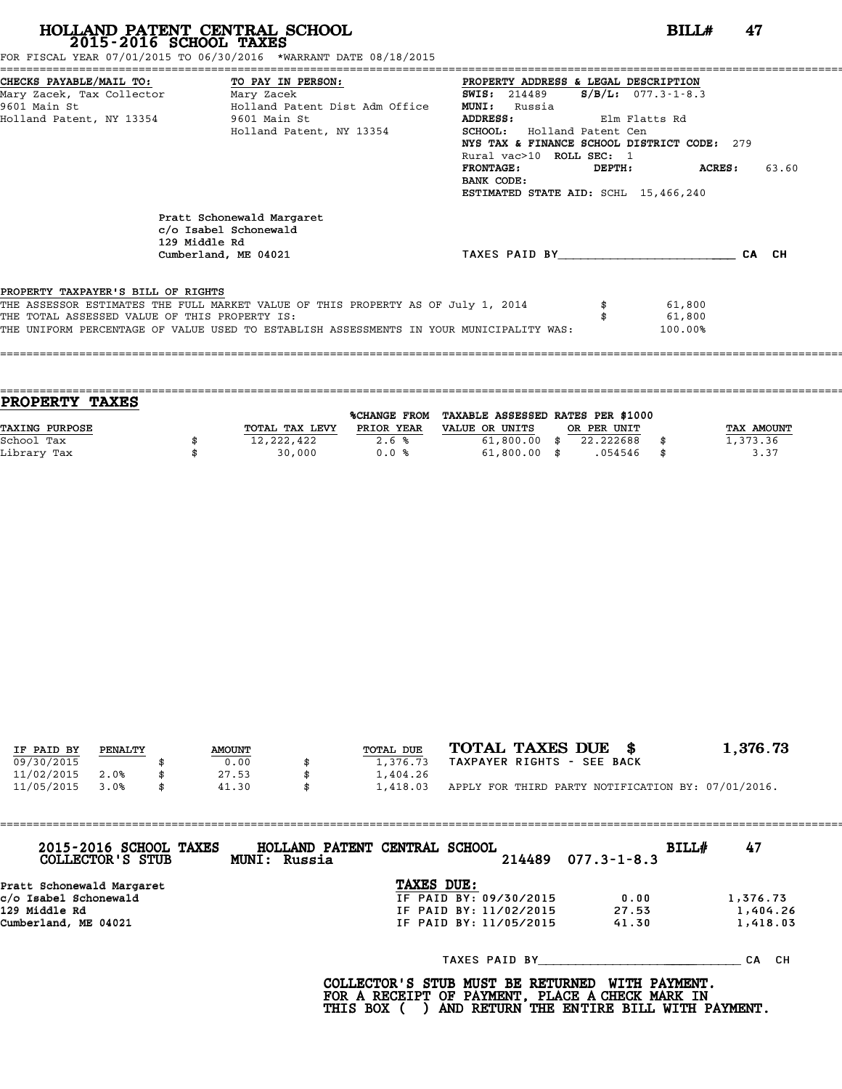FOR FISCAL YEAR 07/01/2015 TO 06/30/2016 \*WARRANT DATE 08/18/2015

|                                               | CHECKS PAYABLE/MAIL TO: TO PAY IN PERSON:                                                   | PROPERTY ADDRESS & LEGAL DESCRIPTION         |                  |
|-----------------------------------------------|---------------------------------------------------------------------------------------------|----------------------------------------------|------------------|
|                                               | Mary Zacek, Tax Collector ________ Mary Zacek                                               | $S/B/L$ : 077.3-1-8.3<br><b>SWIS:</b> 214489 |                  |
| 9601 Main St                                  | Holland Patent Dist Adm Office                                                              | <b>MUNI:</b><br>Russia                       |                  |
|                                               | Holland Patent, NY 13354 9601 Main St                                                       | ADDRESS:<br>Elm Flatts Rd                    |                  |
|                                               | Holland Patent, NY 13354                                                                    | SCHOOL: Holland Patent Cen                   |                  |
|                                               |                                                                                             | NYS TAX & FINANCE SCHOOL DISTRICT CODE: 279  |                  |
|                                               |                                                                                             | Rural vac>10 ROLL SEC: 1                     |                  |
|                                               |                                                                                             | <b>FRONTAGE:</b><br>DEPTH:                   | 63.60<br>ACRES : |
|                                               |                                                                                             | BANK CODE:                                   |                  |
|                                               |                                                                                             | ESTIMATED STATE AID: SCHL 15,466,240         |                  |
|                                               | Pratt Schonewald Margaret<br>c/o Isabel Schonewald<br>129 Middle Rd<br>Cumberland, ME 04021 | TAXES PAID BY                                | CA CH            |
| PROPERTY TAXPAYER'S BILL OF RIGHTS            |                                                                                             |                                              |                  |
|                                               | THE ASSESSOR ESTIMATES THE FULL MARKET VALUE OF THIS PROPERTY AS OF July 1, 2014            |                                              | 61,800           |
| THE TOTAL ASSESSED VALUE OF THIS PROPERTY IS: |                                                                                             |                                              | 61,800           |
|                                               | THE UNIFORM PERCENTAGE OF VALUE USED TO ESTABLISH ASSESSMENTS IN YOUR MUNICIPALITY WAS:     |                                              | 100.00%          |
|                                               |                                                                                             |                                              |                  |

| <b>TAXES</b><br><b>PROPERTY</b> |                |                     |                                   |             |            |
|---------------------------------|----------------|---------------------|-----------------------------------|-------------|------------|
|                                 |                | <b>%CHANGE FROM</b> | TAXABLE ASSESSED RATES PER \$1000 |             |            |
| TAXING PURPOSE                  | TOTAL TAX LEVY | PRIOR YEAR          | VALUE OR UNITS                    | OR PER UNIT | TAX AMOUNT |
| School Tax                      | 12,222,422     | 2.6%                | $61,800.00$ \$                    | 22.222688   | 1,373.36   |
| Library Tax                     | 30,000         | 0.0%                | $61,800.00$ \$                    | .054546     | \$<br>3.37 |
|                                 |                |                     |                                   |             |            |

====================================================================================================================================

| IF PAID BY | PENALTY | <b>AMOUNT</b> | TOTAL DUE | TOTAL TAXES DUE \$                                 | 1,376.73 |
|------------|---------|---------------|-----------|----------------------------------------------------|----------|
| 09/30/2015 |         | 0.00          | 1,376.73  | TAXPAYER RIGHTS - SEE BACK                         |          |
| 11/02/2015 | 2.0%    | 27.53         | 1,404.26  |                                                    |          |
| 11/05/2015 | 3.0%    | \$<br>41.30   | 1,418.03  | APPLY FOR THIRD PARTY NOTIFICATION BY: 07/01/2016. |          |

| 2015-2016 SCHOOL TAXES<br>COLLECTOR'S STUB | HOLLAND PATENT CENTRAL SCHOOL<br>MUNI: Russia | BILL#<br>$214489$ $077.3 - 1 - 8.3$ | 47       |
|--------------------------------------------|-----------------------------------------------|-------------------------------------|----------|
| Pratt Schonewald Margaret                  | TAXES DUE:                                    |                                     |          |
| c/o Isabel Schonewald                      | IF PAID BY: 09/30/2015                        | 0.00                                | 1,376.73 |
| 129 Middle Rd                              | IF PAID BY: 11/02/2015                        | 27.53                               | 1,404.26 |
| Cumberland, ME 04021                       | IF PAID BY: 11/05/2015                        | 41.30                               | 1,418.03 |
|                                            | TAXES PAID BY                                 |                                     | CA CH    |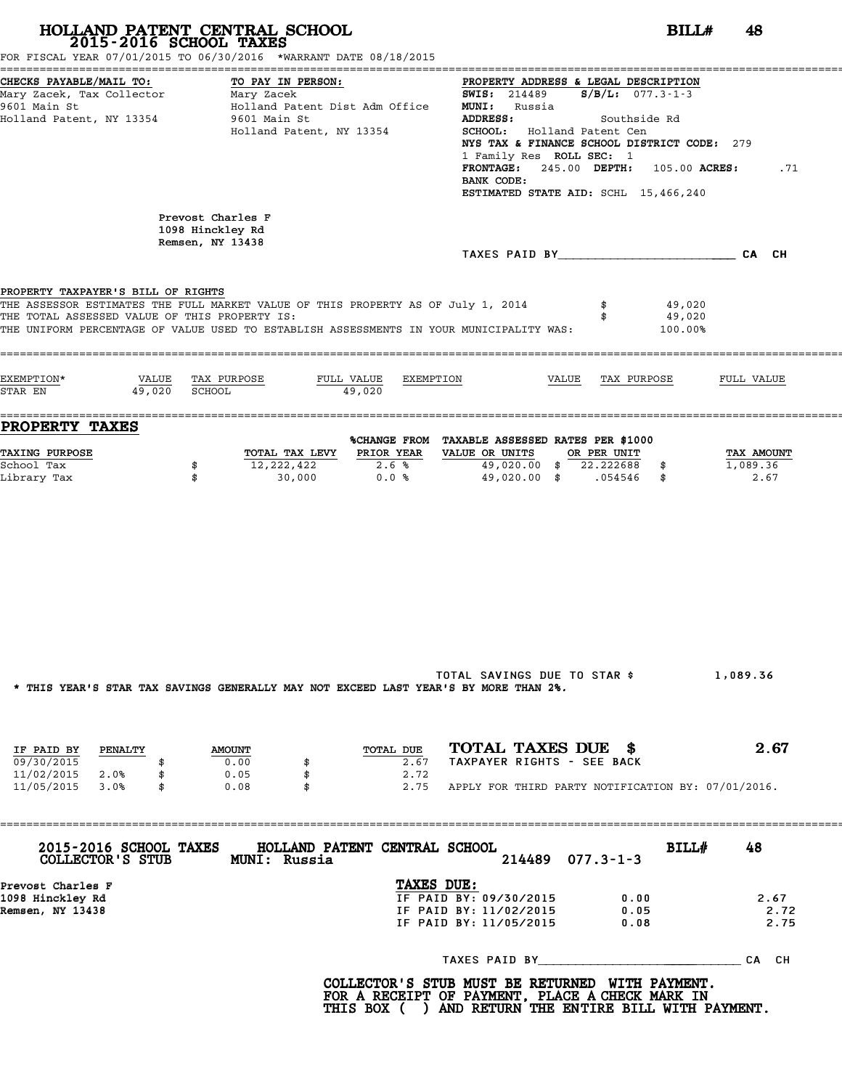|                                                                                                             | HOLLAND PATENT CENTRAL SCHOOL<br>2015-2016 SCHOOL TAXES<br>FOR FISCAL YEAR 07/01/2015 TO 06/30/2016 *WARRANT DATE 08/18/2015                                                | BILLH                                                                                                                                                                                                                                                                                                                                                       | 48                             |
|-------------------------------------------------------------------------------------------------------------|-----------------------------------------------------------------------------------------------------------------------------------------------------------------------------|-------------------------------------------------------------------------------------------------------------------------------------------------------------------------------------------------------------------------------------------------------------------------------------------------------------------------------------------------------------|--------------------------------|
| CHECKS PAYABLE/MAIL TO:<br>Mary Zacek, Tax Collector Mary Zacek<br>9601 Main St<br>Holland Patent, NY 13354 | TO PAY IN PERSON:<br>Holland Patent Dist Adm Office<br>9601 Main St<br>Holland Patent, NY 13354                                                                             | PROPERTY ADDRESS & LEGAL DESCRIPTION<br><b>SWIS:</b> 214489 <b>S/B/L:</b> 077.3-1-3<br><b>MUNI:</b> Russia<br><b>ADDRESS:</b><br>Southside Rd<br>SCHOOL: Holland Patent Cen<br>NYS TAX & FINANCE SCHOOL DISTRICT CODE: 279<br>1 Family Res ROLL SEC: 1<br>$FROMTAGE: 245.00$ $DEPTH: 105.00$ $ACRES:$<br>BANK CODE:<br>ESTIMATED STATE AID: SCHL 15,466,240 | .71                            |
|                                                                                                             | Prevost Charles F<br>1098 Hinckley Rd                                                                                                                                       |                                                                                                                                                                                                                                                                                                                                                             |                                |
|                                                                                                             | Remsen, NY 13438                                                                                                                                                            | TAXES PAID BY CA CH                                                                                                                                                                                                                                                                                                                                         |                                |
| PROPERTY TAXPAYER'S BILL OF RIGHTS<br>THE TOTAL ASSESSED VALUE OF THIS PROPERTY IS:                         | THE ASSESSOR ESTIMATES THE FULL MARKET VALUE OF THIS PROPERTY AS OF July 1, 2014<br>THE UNIFORM PERCENTAGE OF VALUE USED TO ESTABLISH ASSESSMENTS IN YOUR MUNICIPALITY WAS: | 49,020<br>49,020<br>100.00%                                                                                                                                                                                                                                                                                                                                 |                                |
| EXEMPTION*<br>VALUE TAX PURPOSE<br>49,020 SCHOOL<br>STAR EN                                                 | FULL VALUE EXEMPTION<br>49,020                                                                                                                                              | VALUE TAX PURPOSE                                                                                                                                                                                                                                                                                                                                           | FULL VALUE                     |
| <b>PROPERTY TAXES</b>                                                                                       |                                                                                                                                                                             | %CHANGE FROM TAXABLE ASSESSED RATES PER \$1000                                                                                                                                                                                                                                                                                                              |                                |
| <b>TAXING PURPOSE</b><br>School Tax<br>\$<br>Library Tax<br>\$                                              | TOTAL TAX LEVY PRIOR YEAR<br>12,222,422<br>2.6%<br>0.0%<br>30,000                                                                                                           | VALUE OR UNITS OR PER UNIT<br>49,020.00 \$ 22.222688 \$<br>49,020.00 \$ .054546 \$                                                                                                                                                                                                                                                                          | TAX AMOUNT<br>1,089.36<br>2.67 |
|                                                                                                             | * THIS YEAR'S STAR TAX SAVINGS GENERALLY MAY NOT EXCEED LAST YEAR'S BY MORE THAN 2%.                                                                                        | TOTAL SAVINGS DUE TO STAR \$                                                                                                                                                                                                                                                                                                                                | 1,089.36                       |
| IF PAID BY PENALTY<br>09/30/2015<br>\$<br>11/02/2015 2.0%<br>\$                                             | TOTAL DUE<br><b>AMOUNT</b><br>0.00<br>2.67<br>\$<br>0.05<br>\$<br>2.72                                                                                                      | TOTAL TAXES DUE \$<br>TAXPAYER RIGHTS - SEE BACK                                                                                                                                                                                                                                                                                                            | 2.67                           |
| 11/05/2015 3.0%<br>\$                                                                                       | 0.08<br>\$                                                                                                                                                                  | 2.75 APPLY FOR THIRD PARTY NOTIFICATION BY: 07/01/2016.                                                                                                                                                                                                                                                                                                     |                                |
| COLLECTOR'S STUB MUNI: Russia                                                                               | 2015-2016 SCHOOL TAXES HOLLAND PATENT CENTRAL SCHOOL                                                                                                                        | BILL#<br>$077.3 - 1 - 3$<br>214489                                                                                                                                                                                                                                                                                                                          | 48                             |
|                                                                                                             | TAXES DUE:                                                                                                                                                                  |                                                                                                                                                                                                                                                                                                                                                             |                                |
| Prevost Charles F                                                                                           |                                                                                                                                                                             | IF PAID BY: 09/30/2015<br>0.00                                                                                                                                                                                                                                                                                                                              | 2.67<br>2.72                   |
| 1098 Hinckley Rd<br>Remsen, NY 13438                                                                        |                                                                                                                                                                             | IF PAID BY: 11/02/2015<br>0.05<br>IF PAID BY: 11/05/2015<br>0.08                                                                                                                                                                                                                                                                                            | 2.75                           |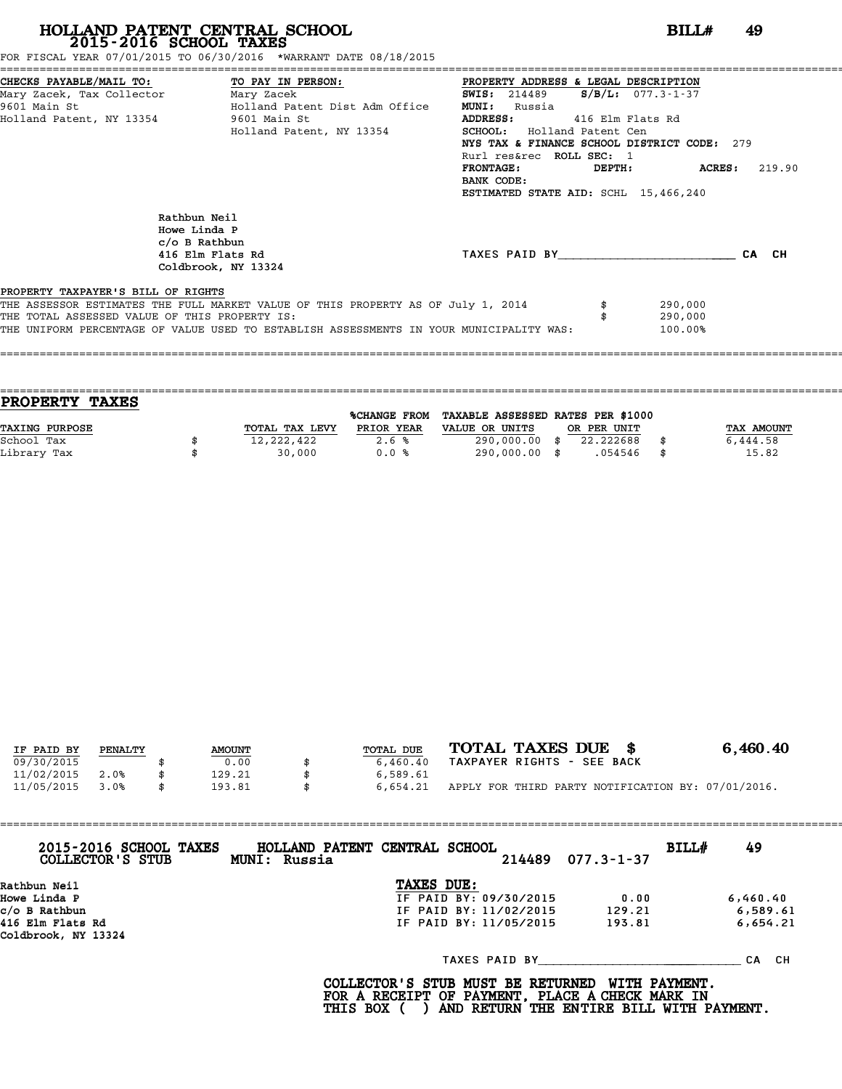FOR FISCAL YEAR 07/01/2015 TO 06/30/2016 \*WARRANT DATE 08/18/2015

|                                               | CHECKS PAYABLE/MAIL TO: TO PAY IN PERSON:                                                | PROPERTY ADDRESS & LEGAL DESCRIPTION           |                  |
|-----------------------------------------------|------------------------------------------------------------------------------------------|------------------------------------------------|------------------|
| Mary Zacek, Tax Collector ________ Mary Zacek |                                                                                          | $S/B/L: 077.3 - 1 - 37$<br><b>SWIS:</b> 214489 |                  |
| 9601 Main St                                  | Holland Patent Dist Adm Office                                                           | <b>MUNI:</b><br>Russia                         |                  |
|                                               | Holland Patent, NY 13354 9601 Main St                                                    | <b>ADDRESS:</b><br>416 Elm Flats Rd            |                  |
|                                               | Holland Patent, NY 13354                                                                 | <b>SCHOOL:</b> Holland Patent Cen              |                  |
|                                               |                                                                                          | NYS TAX & FINANCE SCHOOL DISTRICT CODE: 279    |                  |
|                                               |                                                                                          | Rurl res&rec ROLL SEC: 1                       |                  |
|                                               |                                                                                          | <b>FRONTAGE:</b><br>DEPTH:                     | ACRES:<br>219.90 |
|                                               |                                                                                          | BANK CODE:                                     |                  |
|                                               |                                                                                          | ESTIMATED STATE AID: SCHL 15,466,240           |                  |
|                                               | Rathbun Neil<br>Howe Linda P<br>c/o B Rathbun<br>416 Elm Flats Rd<br>Coldbrook, NY 13324 | TAXES PAID BY <b>CA</b> CH                     |                  |
| PROPERTY TAXPAYER'S BILL OF RIGHTS            |                                                                                          |                                                |                  |
|                                               | THE ASSESSOR ESTIMATES THE FULL MARKET VALUE OF THIS PROPERTY AS OF July 1, 2014         | 290,000                                        |                  |
| THE TOTAL ASSESSED VALUE OF THIS PROPERTY IS: |                                                                                          | 290,000                                        |                  |
|                                               | THE UNIFORM PERCENTAGE OF VALUE USED TO ESTABLISH ASSESSMENTS IN YOUR MUNICIPALITY WAS:  | 100.00%                                        |                  |
|                                               |                                                                                          |                                                |                  |

| <b>PROPERTY</b><br><b>TAXES</b> |                |              |                                   |             |     |            |
|---------------------------------|----------------|--------------|-----------------------------------|-------------|-----|------------|
|                                 |                | %CHANGE FROM | TAXABLE ASSESSED RATES PER \$1000 |             |     |            |
| <b>TAXING PURPOSE</b>           | TOTAL TAX LEVY | PRIOR YEAR   | VALUE OR UNITS                    | OR PER UNIT |     | TAX AMOUNT |
| School Tax                      | 12,222,422     | 2.6%         | $290,000.00$ \$                   | 22.222688   |     | 6,444.58   |
| Library Tax                     | 30,000         | 0.0%         | 290,000.00 \$                     | .054546     | -\$ | 15.82      |
|                                 |                |              |                                   |             |     |            |

====================================================================================================================================

| IF PAID BY | PENALTY | <b>AMOUNT</b> | TOTAL DUE | TOTAL TAXES DUE \$                                 | 6,460.40 |
|------------|---------|---------------|-----------|----------------------------------------------------|----------|
| 09/30/2015 |         | 0.00          | 6,460.40  | TAXPAYER RIGHTS - SEE BACK                         |          |
| 11/02/2015 | 2.0%    | 129.21        | 6,589.61  |                                                    |          |
| 11/05/2015 | 3.0%    | 193.81        | 6,654.21  | APPLY FOR THIRD PARTY NOTIFICATION BY: 07/01/2016. |          |
|            |         |               |           |                                                    |          |

| COLLECTOR'S STUB                        | 2015-2016 SCHOOL TAXES | HOLLAND PATENT CENTRAL SCHOOL<br>MUNI: Russia |                        | $214489$ $077.3 - 1 - 37$ | BILL# | 49       |
|-----------------------------------------|------------------------|-----------------------------------------------|------------------------|---------------------------|-------|----------|
| Rathbun Neil                            |                        |                                               | TAXES DUE:             |                           |       |          |
| Howe Linda P                            |                        |                                               | IF PAID BY: 09/30/2015 | 0.00                      |       | 6,460.40 |
| c/o B Rathbun                           |                        |                                               | IF PAID BY: 11/02/2015 | 129.21                    |       | 6,589.61 |
| 416 Elm Flats Rd<br>Coldbrook, NY 13324 |                        |                                               | IF PAID BY: 11/05/2015 | 193.81                    |       | 6,654.21 |
|                                         |                        |                                               |                        | TAXES PAID BY             |       | CA CH    |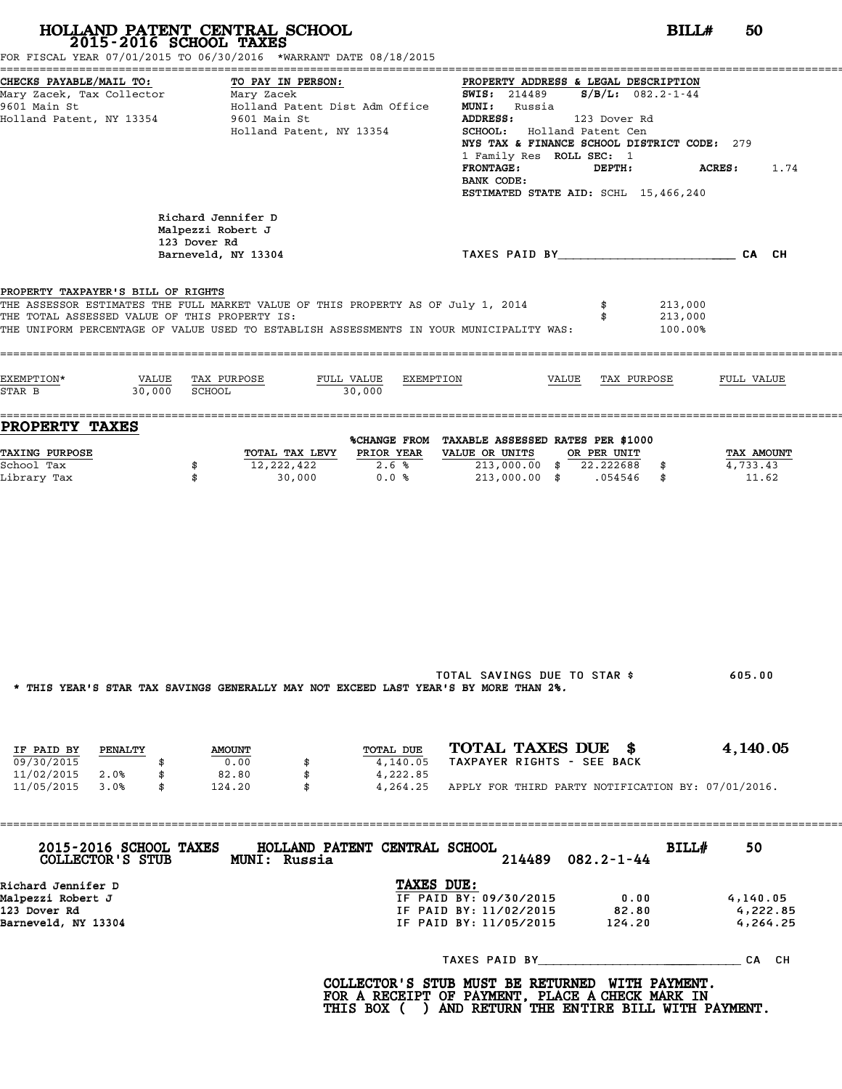|                                                                                                  | HOLLAND PATENT CENTRAL SCHOOL<br>2015-2016 SCHOOL TAXES<br>FOR FISCAL YEAR 07/01/2015 TO 06/30/2016 *WARRANT DATE 08/18/2015                                                | BILL#                                                                                                                                                                                                                                                                                                                                   | 50                               |
|--------------------------------------------------------------------------------------------------|-----------------------------------------------------------------------------------------------------------------------------------------------------------------------------|-----------------------------------------------------------------------------------------------------------------------------------------------------------------------------------------------------------------------------------------------------------------------------------------------------------------------------------------|----------------------------------|
| CHECKS PAYABLE/MAIL TO:<br>Mary Zacek, Tax Collector<br>9601 Main St<br>Holland Patent, NY 13354 | TO PAY IN PERSON:<br>Mary Zacek<br>Holland Patent Dist Adm Office<br>9601 Main St<br>Holland Patent, NY 13354                                                               | PROPERTY ADDRESS & LEGAL DESCRIPTION<br><b>SWIS:</b> 214489 $S/B/L$ : 082.2-1-44<br><b>MUNI:</b> Russia<br><b>ADDRESS:</b><br>123 Dover Rd<br>SCHOOL: Holland Patent Cen<br>NYS TAX & FINANCE SCHOOL DISTRICT CODE: 279<br>1 Family Res ROLL SEC: 1<br><b>FRONTAGE:</b><br>DEPTH:<br>BANK CODE:<br>ESTIMATED STATE AID: SCHL 15,466,240 | <b>ACRES :</b><br>1.74           |
|                                                                                                  | Richard Jennifer D<br>Malpezzi Robert J<br>123 Dover Rd<br>Barneveld, NY 13304                                                                                              | TAXES PAID BY TAND AND TAXES PAID BY                                                                                                                                                                                                                                                                                                    |                                  |
| PROPERTY TAXPAYER'S BILL OF RIGHTS<br>THE TOTAL ASSESSED VALUE OF THIS PROPERTY IS:              | THE ASSESSOR ESTIMATES THE FULL MARKET VALUE OF THIS PROPERTY AS OF July 1, 2014<br>THE UNIFORM PERCENTAGE OF VALUE USED TO ESTABLISH ASSESSMENTS IN YOUR MUNICIPALITY WAS: | 213,000<br>213,000<br>100.00%                                                                                                                                                                                                                                                                                                           |                                  |
| EXEMPTION*<br>30,000 SCHOOL<br>STAR B                                                            | VALUE TAX PURPOSE<br>FULL VALUE<br>EXEMPTION<br>30,000                                                                                                                      | VALUE TAX PURPOSE                                                                                                                                                                                                                                                                                                                       | FULL VALUE                       |
| <b>PROPERTY TAXES</b>                                                                            |                                                                                                                                                                             | %CHANGE FROM TAXABLE ASSESSED RATES PER \$1000                                                                                                                                                                                                                                                                                          |                                  |
| <b>TAXING PURPOSE</b><br>School Tax<br>Library Tax                                               | PRIOR YEAR<br>TOTAL TAX LEVY<br>12,222,422<br>2.6%<br>\$<br>\$<br>30,000<br>0.0%                                                                                            | VALUE OR UNITS<br>OR PER UNIT<br>213,000.00 \$ 22.222688 \$<br>213,000.00 \$ .054546 \$                                                                                                                                                                                                                                                 | TAX AMOUNT<br>4,733.43<br>11.62  |
|                                                                                                  | * THIS YEAR'S STAR TAX SAVINGS GENERALLY MAY NOT EXCEED LAST YEAR'S BY MORE THAN 2%.                                                                                        | TOTAL SAVINGS DUE TO STAR \$                                                                                                                                                                                                                                                                                                            | 605.00                           |
| IF PAID BY PENALTY<br>09/30/2015<br>\$<br>11/02/2015 2.0%<br>\$                                  | TOTAL DUE<br><b>AMOUNT</b><br>0.00<br>4,140.05<br>\$<br>82.80<br>\$<br>4,222.85                                                                                             | TOTAL TAXES DUE \$<br>TAXPAYER RIGHTS - SEE BACK                                                                                                                                                                                                                                                                                        | 4,140.05                         |
| 11/05/2015 3.0%<br>\$                                                                            | 124.20<br>$\mathbf{s}$                                                                                                                                                      | 4, 264.25 APPLY FOR THIRD PARTY NOTIFICATION BY: 07/01/2016.                                                                                                                                                                                                                                                                            |                                  |
|                                                                                                  | 2015-2016 SCHOOL TAXES HOLLAND PATENT CENTRAL SCHOOL<br>COLLECTOR'S STUB MUNI: Russia                                                                                       | BILL#<br>$082.2 - 1 - 44$<br>214489                                                                                                                                                                                                                                                                                                     | 50                               |
| Richard Jennifer D<br>Malpezzi Robert J<br>123 Dover Rd<br>Barneveld, NY 13304                   | TAXES DUE:                                                                                                                                                                  | IF PAID BY: 09/30/2015<br>0.00<br>IF PAID BY: 11/02/2015<br>82.80<br>IF PAID BY: 11/05/2015 124.20                                                                                                                                                                                                                                      | 4,140.05<br>4,222.85<br>4,264.25 |
|                                                                                                  |                                                                                                                                                                             |                                                                                                                                                                                                                                                                                                                                         |                                  |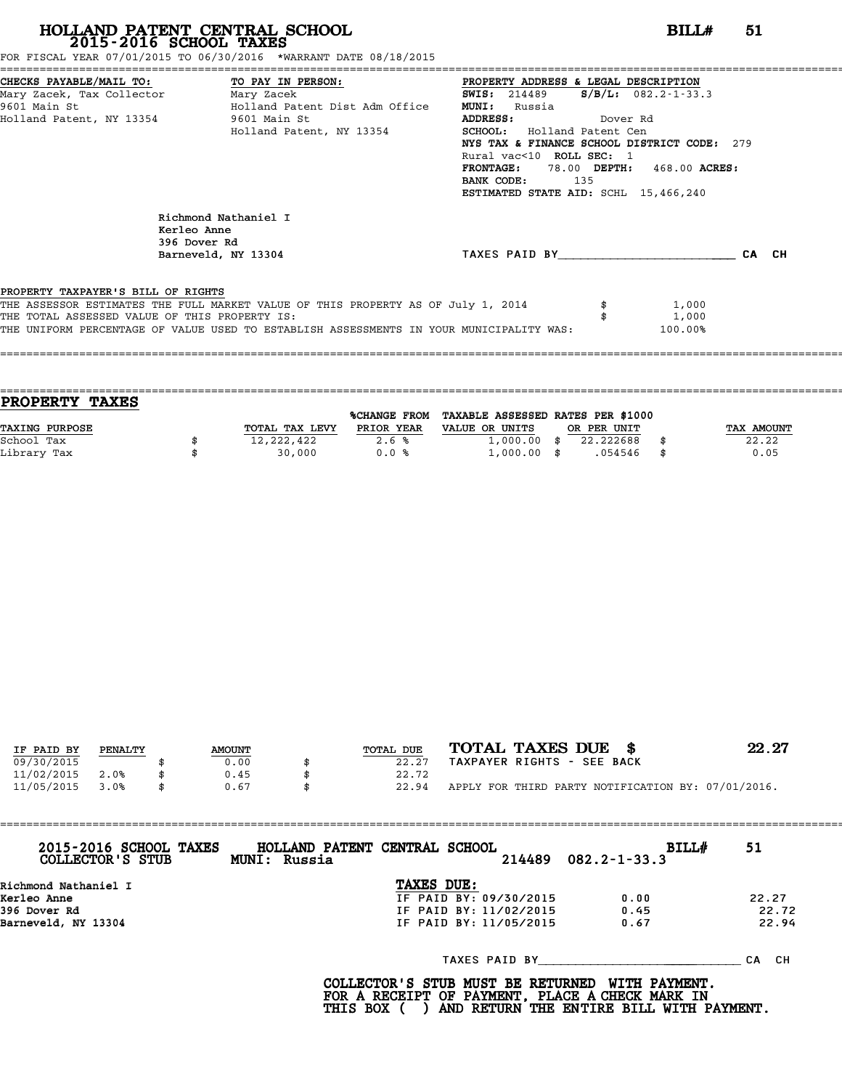FOR FISCAL YEAR 07/01/2015 TO 06/30/2016 \*WARRANT DATE 08/18/2015

|                                               | CHECKS PAYABLE/MAIL TO: TO PAY IN PERSON: PROPERTY ADDRESS & LEGAL DESCRIPTION                            |                                                |         |
|-----------------------------------------------|-----------------------------------------------------------------------------------------------------------|------------------------------------------------|---------|
|                                               | Mary Zacek, Tax Collector         Mary Zacek                         SWIS: 214489     S/B/L: 082.2-1-33.3 |                                                |         |
|                                               | 9601 Main St                         Holland Patent Dist Adm Office                                       | <b>MUNI:</b><br>Russia                         |         |
| Holland Patent, NY 13354 9601 Main St         |                                                                                                           | ADDRESS: Dover Rd                              |         |
|                                               | Holland Patent, NY 13354                                                                                  | SCHOOL: Holland Patent Cen                     |         |
|                                               |                                                                                                           | NYS TAX & FINANCE SCHOOL DISTRICT CODE: 279    |         |
|                                               |                                                                                                           | Rural vac<10 ROLL SEC: 1                       |         |
|                                               |                                                                                                           | <b>FRONTAGE:</b><br>78.00 DEPTH: 468.00 ACRES: |         |
|                                               |                                                                                                           | BANK CODE: 135                                 |         |
|                                               |                                                                                                           | ESTIMATED STATE AID: SCHL 15,466,240           |         |
|                                               | Richmond Nathaniel I<br>Kerleo Anne<br>396 Dover Rd                                                       |                                                |         |
|                                               | Barneveld, NY 13304                                                                                       | TAXES PAID BY                                  | CA CH   |
|                                               |                                                                                                           |                                                |         |
| PROPERTY TAXPAYER'S BILL OF RIGHTS            |                                                                                                           |                                                |         |
|                                               | THE ASSESSOR ESTIMATES THE FULL MARKET VALUE OF THIS PROPERTY AS OF July 1, 2014                          |                                                | 1,000   |
| THE TOTAL ASSESSED VALUE OF THIS PROPERTY IS: |                                                                                                           |                                                | 1,000   |
|                                               | THE UNIFORM PERCENTAGE OF VALUE USED TO ESTABLISH ASSESSMENTS IN YOUR MUNICIPALITY WAS:                   |                                                | 100.00% |
|                                               |                                                                                                           |                                                |         |

| PROPERTY TAXES        |                |                     |                                   |             |      |            |
|-----------------------|----------------|---------------------|-----------------------------------|-------------|------|------------|
|                       |                | <b>%CHANGE FROM</b> | TAXABLE ASSESSED RATES PER \$1000 |             |      |            |
| <b>TAXING PURPOSE</b> | TOTAL TAX LEVY | PRIOR YEAR          | VALUE OR UNITS                    | OR PER UNIT |      | TAX AMOUNT |
| School Tax            | 12,222,422     | 2.6%                | $1,000.00$ \$                     | 22.222688   |      | 22.22      |
| Library Tax           | 30,000         | 0.0%                | $1,000.00$ \$                     | .054546     | - \$ | 0.05       |
|                       |                |                     |                                   |             |      |            |

====================================================================================================================================

| IF PAID BY | PENALTY | <b>AMOUNT</b> | TOTAL DUE | TOTAL TAXES DUE \$                                 | 22.27 |
|------------|---------|---------------|-----------|----------------------------------------------------|-------|
| 09/30/2015 |         | 0.00          | 22.27     | TAXPAYER RIGHTS - SEE BACK                         |       |
| 11/02/2015 | 2.0%    | 0.45          | 22.72     |                                                    |       |
| 11/05/2015 | 3.0%    | 0.67          | 22.94     | APPLY FOR THIRD PARTY NOTIFICATION BY: 07/01/2016. |       |
|            |         |               |           |                                                    |       |

| 2015-2016 SCHOOL TAXES<br>COLLECTOR'S STUB | HOLLAND PATENT CENTRAL SCHOOL<br>MUNI: Russia | 214489                 | <b>BILL#</b><br>$082.2 - 1 - 33.3$ | 51        |
|--------------------------------------------|-----------------------------------------------|------------------------|------------------------------------|-----------|
| Richmond Nathaniel I                       |                                               | TAXES DUE:             |                                    |           |
| Kerleo Anne                                |                                               | IF PAID BY: 09/30/2015 | 0.00                               | 22.27     |
| 396 Dover Rd                               |                                               | IF PAID BY: 11/02/2015 | 0.45                               | 22.72     |
| Barneveld, NY 13304                        |                                               | IF PAID BY: 11/05/2015 | 0.67                               | 22.94     |
|                                            |                                               | TAXES PAID BY          |                                    | CH.<br>СA |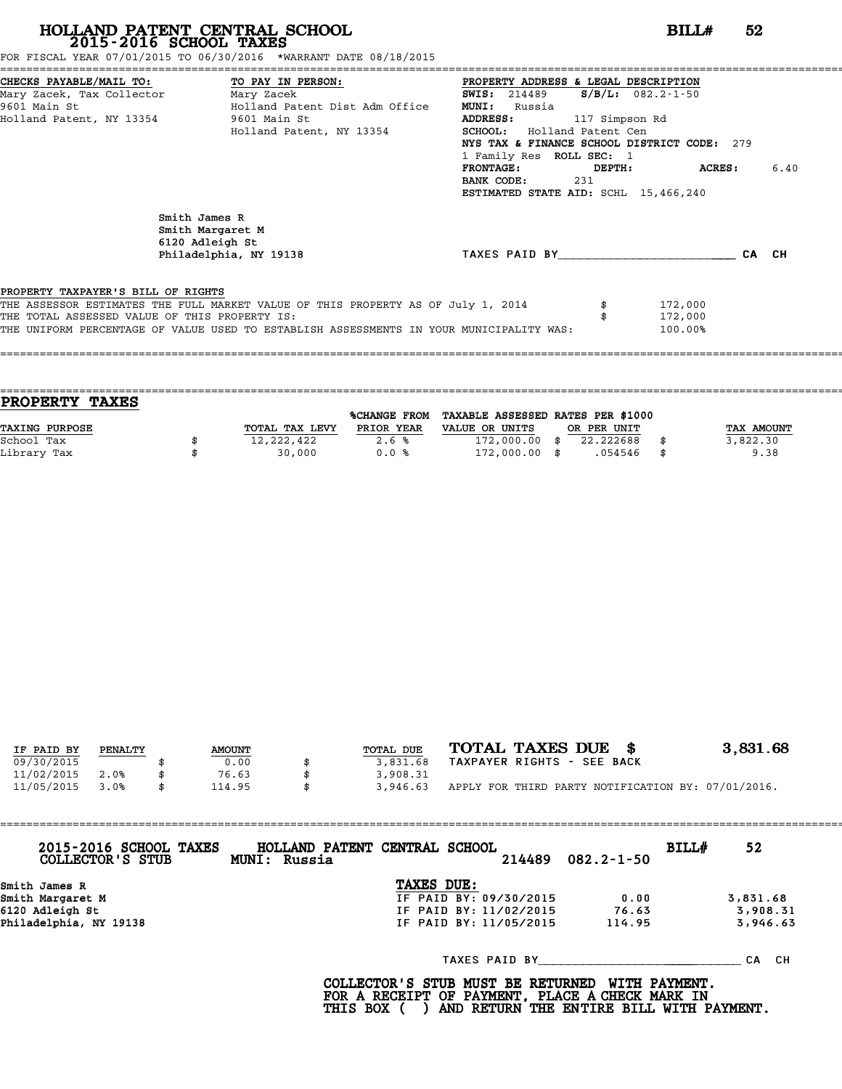FOR FISCAL YEAR 07/01/2015 TO 06/30/2016 \*WARRANT DATE 08/18/2015

| CHECKS PAYABLE/MAIL TO: TO PAY IN PERSON:     |                                                                                         | PROPERTY ADDRESS & LEGAL DESCRIPTION        |                |                         |       |      |
|-----------------------------------------------|-----------------------------------------------------------------------------------------|---------------------------------------------|----------------|-------------------------|-------|------|
| Mary Zacek, Tax Collector ________ Mary Zacek |                                                                                         | <b>SWIS:</b> 214489                         |                | $S/B/L: 082.2 - 1 - 50$ |       |      |
| 9601 Main St                                  | Holland Patent Dist Adm Office                                                          | <b>MUNI:</b><br>Russia                      |                |                         |       |      |
| Holland Patent, NY 13354                      | 9601 Main St                                                                            | <b>ADDRESS:</b>                             | 117 Simpson Rd |                         |       |      |
|                                               | Holland Patent, NY 13354                                                                | SCHOOL: Holland Patent Cen                  |                |                         |       |      |
|                                               |                                                                                         | NYS TAX & FINANCE SCHOOL DISTRICT CODE: 279 |                |                         |       |      |
|                                               |                                                                                         | 1 Family Res ROLL SEC: 1                    |                |                         |       |      |
|                                               |                                                                                         | <b>FRONTAGE:</b>                            | DEPTH:         | ACRES :                 |       | 6.40 |
|                                               |                                                                                         | BANK CODE:                                  | 231            |                         |       |      |
|                                               |                                                                                         | ESTIMATED STATE AID: SCHL 15,466,240        |                |                         |       |      |
|                                               | Smith James R<br>Smith Margaret M<br>6120 Adleigh St<br>Philadelphia, NY 19138          | TAXES PAID BY TAXES                         |                |                         | CA CH |      |
| PROPERTY TAXPAYER'S BILL OF RIGHTS            |                                                                                         |                                             |                |                         |       |      |
|                                               | THE ASSESSOR ESTIMATES THE FULL MARKET VALUE OF THIS PROPERTY AS OF July 1, 2014        |                                             |                | 172,000                 |       |      |
| THE TOTAL ASSESSED VALUE OF THIS PROPERTY IS: |                                                                                         |                                             |                | 172,000                 |       |      |
|                                               | THE UNIFORM PERCENTAGE OF VALUE USED TO ESTABLISH ASSESSMENTS IN YOUR MUNICIPALITY WAS: |                                             |                | 100.00%                 |       |      |
|                                               |                                                                                         |                                             |                |                         |       |      |
|                                               |                                                                                         |                                             |                |                         |       |      |

| <b>TAXES</b><br><b>PROPERTY</b> |                |                     |                                   |             |            |
|---------------------------------|----------------|---------------------|-----------------------------------|-------------|------------|
|                                 |                | <b>%CHANGE FROM</b> | TAXABLE ASSESSED RATES PER \$1000 |             |            |
| TAXING PURPOSE                  | TOTAL TAX LEVY | PRIOR YEAR          | VALUE OR UNITS                    | OR PER UNIT | TAX AMOUNT |
| School Tax                      | 12,222,422     | 2.6%                | $172,000.00$ \$                   | 22.222688   | 3,822.30   |
| Library Tax                     | 30,000         | 0.0%                | $172,000.00$ \$                   | .054546     | \$<br>9.38 |
|                                 |                |                     |                                   |             |            |

| IF PAID BY | PENALTY | <b>AMOUNT</b> | TOTAL DUE | TOTAL TAXES DUE \$                                 | 3,831.68 |
|------------|---------|---------------|-----------|----------------------------------------------------|----------|
| 09/30/2015 |         | 0.00          | 3,831.68  | TAXPAYER RIGHTS - SEE BACK                         |          |
| 11/02/2015 | 2.0%    | 76.63         | 3,908.31  |                                                    |          |
| 11/05/2015 | 3.0%    | \$<br>114.95  | 3,946.63  | APPLY FOR THIRD PARTY NOTIFICATION BY: 07/01/2016. |          |

| 2015-2016 SCHOOL TAXES<br>COLLECTOR'S STUB | HOLLAND PATENT CENTRAL SCHOOL<br>MUNI: Russia |                        | 214489 | $082.2 - 1 - 50$ | BILL# | 52        |
|--------------------------------------------|-----------------------------------------------|------------------------|--------|------------------|-------|-----------|
| Smith James R                              |                                               | TAXES DUE:             |        |                  |       |           |
| Smith Margaret M                           |                                               | IF PAID BY: 09/30/2015 |        | 0.00             |       | 3,831.68  |
| 6120 Adleigh St                            |                                               | IF PAID BY: 11/02/2015 |        | 76.63            |       | 3,908.31  |
| Philadelphia, NY 19138                     |                                               | IF PAID BY: 11/05/2015 |        | 114.95           |       | 3,946.63  |
|                                            |                                               | TAXES PAID BY          |        |                  |       | CH.<br>СA |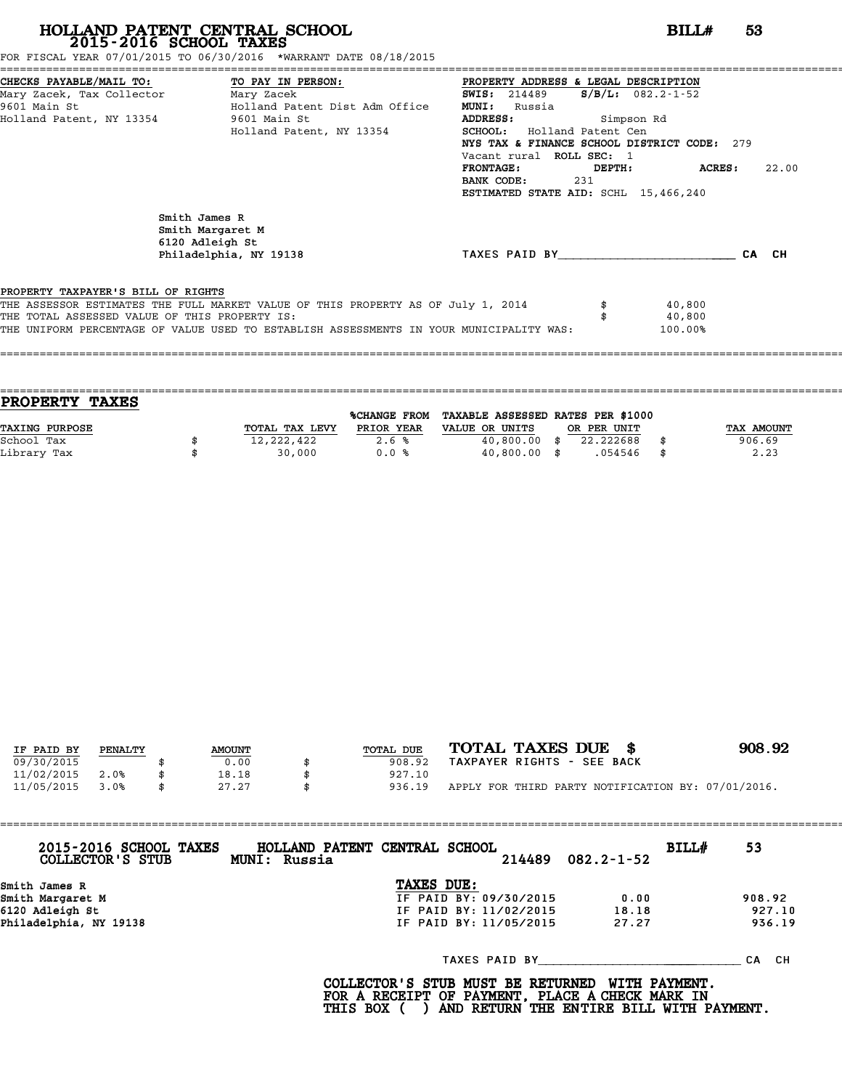FOR FISCAL YEAR 07/01/2015 TO 06/30/2016 \*WARRANT DATE 08/18/2015

| CHECKS PAYABLE/MAIL TO: TO PAY IN PERSON:     |                                                                                         | PROPERTY ADDRESS & LEGAL DESCRIPTION        |        |                         |       |
|-----------------------------------------------|-----------------------------------------------------------------------------------------|---------------------------------------------|--------|-------------------------|-------|
| Mary Zacek, Tax Collector ________ Mary Zacek |                                                                                         | <b>SWIS:</b> 214489                         |        | $S/B/L: 082.2 - 1 - 52$ |       |
| 9601 Main St                                  | Holland Patent Dist Adm Office                                                          | <b>MUNI:</b><br>Russia                      |        |                         |       |
| Holland Patent, NY 13354                      | 9601 Main St                                                                            | <b>ADDRESS:</b><br>Simpson Rd               |        |                         |       |
|                                               | Holland Patent, NY 13354                                                                | SCHOOL: Holland Patent Cen                  |        |                         |       |
|                                               |                                                                                         | NYS TAX & FINANCE SCHOOL DISTRICT CODE: 279 |        |                         |       |
|                                               |                                                                                         | Vacant rural ROLL SEC: 1                    |        |                         |       |
|                                               |                                                                                         | <b>FRONTAGE:</b>                            | DEPTH: | ACRES :                 | 22.00 |
|                                               |                                                                                         | BANK CODE:                                  | 231    |                         |       |
|                                               |                                                                                         | ESTIMATED STATE AID: SCHL 15,466,240        |        |                         |       |
|                                               | Smith James R<br>Smith Margaret M<br>6120 Adleigh St<br>Philadelphia, NY 19138          | TAXES PAID BY TAXES                         |        |                         | CA CH |
| PROPERTY TAXPAYER'S BILL OF RIGHTS            |                                                                                         |                                             |        |                         |       |
|                                               | THE ASSESSOR ESTIMATES THE FULL MARKET VALUE OF THIS PROPERTY AS OF July 1, 2014        |                                             |        | 40,800                  |       |
| THE TOTAL ASSESSED VALUE OF THIS PROPERTY IS: |                                                                                         |                                             |        | 40,800                  |       |
|                                               | THE UNIFORM PERCENTAGE OF VALUE USED TO ESTABLISH ASSESSMENTS IN YOUR MUNICIPALITY WAS: |                                             |        | 100.00%                 |       |
|                                               |                                                                                         |                                             |        |                         |       |
|                                               |                                                                                         |                                             |        |                         |       |

| PROPERTY TAXES |                |              |                                   |             |            |
|----------------|----------------|--------------|-----------------------------------|-------------|------------|
|                |                | %CHANGE FROM | TAXABLE ASSESSED RATES PER \$1000 |             |            |
| TAXING PURPOSE | TOTAL TAX LEVY | PRIOR YEAR   | VALUE OR UNITS                    | OR PER UNIT | TAX AMOUNT |
| School Tax     | 12,222,422     | 2.6%         | $40,800.00$ \$                    | 22.222688   | 906.69     |
| Library Tax    | 30,000         | 0.0%         | $40,800.00$ \$                    | .054546     | \$<br>2.23 |
|                |                |              |                                   |             |            |

| IF PAID BY | PENALTY | <b>AMOUNT</b> | TOTAL DUE | TOTAL TAXES DUE \$                                 | 908.92 |
|------------|---------|---------------|-----------|----------------------------------------------------|--------|
| 09/30/2015 |         | 0.00          | 908.92    | TAXPAYER RIGHTS - SEE BACK                         |        |
| 11/02/2015 | 2.0%    | 18.18         | 927.10    |                                                    |        |
| 11/05/2015 | 3.0%    | 27.27         | 936.19    | APPLY FOR THIRD PARTY NOTIFICATION BY: 07/01/2016. |        |
|            |         |               |           |                                                    |        |

| 2015-2016 SCHOOL TAXES<br>COLLECTOR'S STUB | HOLLAND PATENT CENTRAL SCHOOL<br>MUNI: Russia |                        | 214489 | $082.2 - 1 - 52$ | BILL# | 53        |
|--------------------------------------------|-----------------------------------------------|------------------------|--------|------------------|-------|-----------|
| Smith James R                              |                                               | TAXES DUE:             |        |                  |       |           |
| Smith Margaret M                           |                                               | IF PAID BY: 09/30/2015 |        | 0.00             |       | 908.92    |
| 6120 Adleigh St                            |                                               | IF PAID BY: 11/02/2015 |        | 18.18            |       | 927.10    |
| Philadelphia, NY 19138                     |                                               | IF PAID BY: 11/05/2015 |        | 27.27            |       | 936.19    |
|                                            |                                               | TAXES PAID BY          |        |                  |       | CH.<br>СA |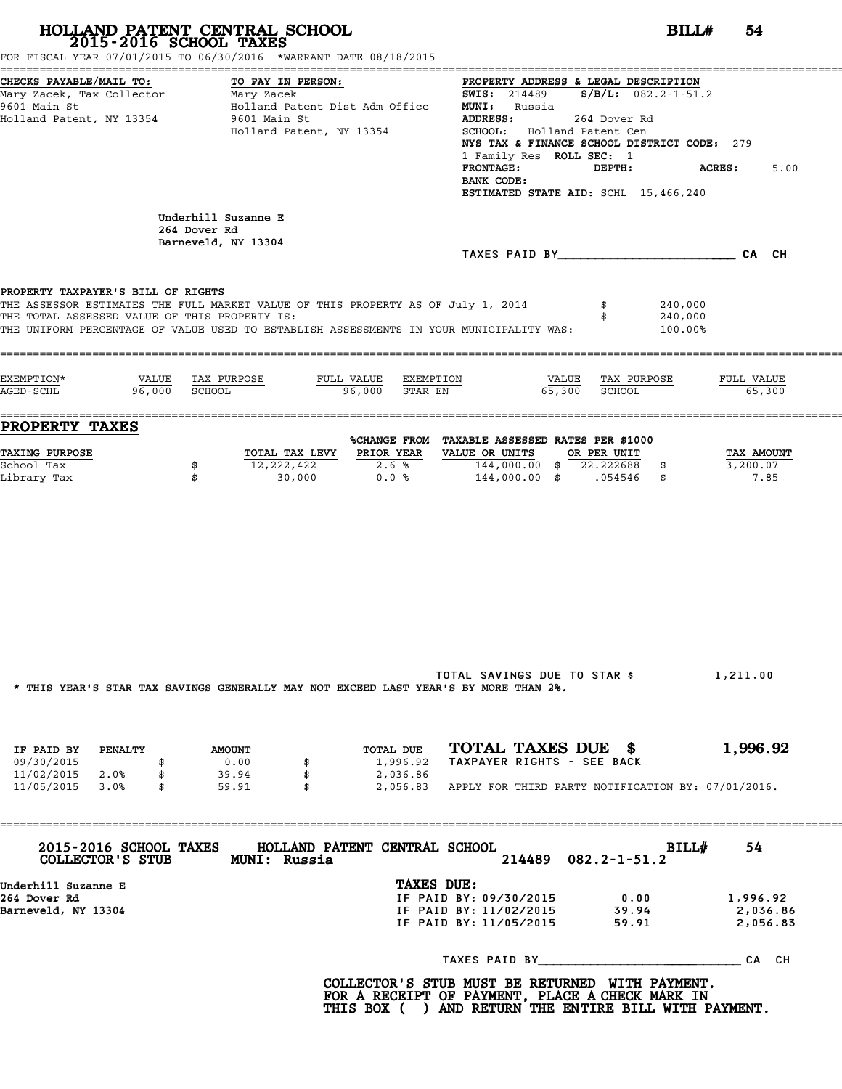| CHECKS PAYABLE/MAIL TO:<br>TO PAY IN PERSON:<br>PROPERTY ADDRESS & LEGAL DESCRIPTION<br>Mary Zacek, Tax Collector Mary Zacek<br><b>SWIS:</b> 214489 <b>S/B/L:</b> 082.2-1-51.2<br>Holland Patent Dist Adm Office<br>9601 Main St<br><b>MUNI:</b> Russia<br>Holland Patent, NY 13354 9601 Main St<br>ADDRESS:<br>264 Dover Rd<br>SCHOOL: Holland Patent Cen<br>Holland Patent, NY 13354<br>NYS TAX & FINANCE SCHOOL DISTRICT CODE: 279<br>1 Family Res ROLL SEC: 1<br>ACRES:<br><b>FRONTAGE:</b><br>DEPTH:<br>BANK CODE:<br>ESTIMATED STATE AID: SCHL 15,466,240<br>Underhill Suzanne E<br>264 Dover Rd<br>Barneveld, NY 13304 | 5.00                           |
|-------------------------------------------------------------------------------------------------------------------------------------------------------------------------------------------------------------------------------------------------------------------------------------------------------------------------------------------------------------------------------------------------------------------------------------------------------------------------------------------------------------------------------------------------------------------------------------------------------------------------------|--------------------------------|
|                                                                                                                                                                                                                                                                                                                                                                                                                                                                                                                                                                                                                               |                                |
| TAXES PAID BY CA CH<br>PROPERTY TAXPAYER'S BILL OF RIGHTS<br>THE ASSESSOR ESTIMATES THE FULL MARKET VALUE OF THIS PROPERTY AS OF July 1, 2014<br>240,000                                                                                                                                                                                                                                                                                                                                                                                                                                                                      |                                |
| THE TOTAL ASSESSED VALUE OF THIS PROPERTY IS:<br>240,000<br>THE UNIFORM PERCENTAGE OF VALUE USED TO ESTABLISH ASSESSMENTS IN YOUR MUNICIPALITY WAS:<br>100.00%                                                                                                                                                                                                                                                                                                                                                                                                                                                                |                                |
| EXEMPTION*<br>VALUE TAX PURPOSE<br>FULL VALUE EXEMPTION<br>VALUE TAX PURPOSE<br>65.300<br><b>SCHOOL</b><br>96,000<br>AGED-SCHL<br>96,000<br>STAR EN<br>SCHOOL                                                                                                                                                                                                                                                                                                                                                                                                                                                                 | FULL VALUE<br>65,300           |
| PROPERTY TAXES<br>%CHANGE FROM TAXABLE ASSESSED RATES PER \$1000<br><b>TAXING PURPOSE</b><br>TOTAL TAX LEVY PRIOR YEAR VALUE OR UNITS OR PER UNIT<br>144,000.00 \$ 22.222688 \$<br>School Tax<br>$12,222,422$ 2.6%<br>\$<br>$30,000$ 0.0 % 144,000.00 \$ .054546 \$<br>Library Tax<br>\$                                                                                                                                                                                                                                                                                                                                      | TAX AMOUNT<br>3,200.07<br>7.85 |

TOTAL SAVINGS DUE TO STAR \$ 1,211.00 \* THIS YEAR'S STAR TAX SAVINGS GENERALLY MAY NOT EXCEED LAST YEAR'S BY MORE THAN 2%.

| IF PAID BY | PENALTY | <b>AMOUNT</b> | TOTAL DUE | TOTAL TAXES DUE \$                                 | 1,996.92 |
|------------|---------|---------------|-----------|----------------------------------------------------|----------|
| 09/30/2015 |         | 0.00          | 1,996.92  | TAXPAYER RIGHTS - SEE BACK                         |          |
| 11/02/2015 | 2.0%    | 39.94         | 2,036.86  |                                                    |          |
| 11/05/2015 | 3.0%    | \$<br>59.91   | 2,056.83  | APPLY FOR THIRD PARTY NOTIFICATION BY: 07/01/2016. |          |

| 2015-2016 SCHOOL TAXES<br>COLLECTOR'S STUB | HOLLAND PATENT CENTRAL SCHOOL<br>MUNI: Russia | 214489                 | <b>BILL#</b><br>$082.2 - 1 - 51.2$ | 54       |
|--------------------------------------------|-----------------------------------------------|------------------------|------------------------------------|----------|
| Underhill Suzanne E                        |                                               | TAXES DUE:             |                                    |          |
| 264 Dover Rd                               |                                               | IF PAID BY: 09/30/2015 | 0.00                               | 1,996.92 |
| Barneveld, NY 13304                        |                                               | IF PAID BY: 11/02/2015 | 39.94                              | 2,036.86 |
|                                            |                                               | IF PAID BY: 11/05/2015 | 59.91                              | 2,056.83 |

TAXES PAID BY\_\_\_\_\_\_\_\_\_\_\_\_\_\_\_\_\_\_\_\_\_ \_\_\_\_\_\_\_\_\_\_ CA CH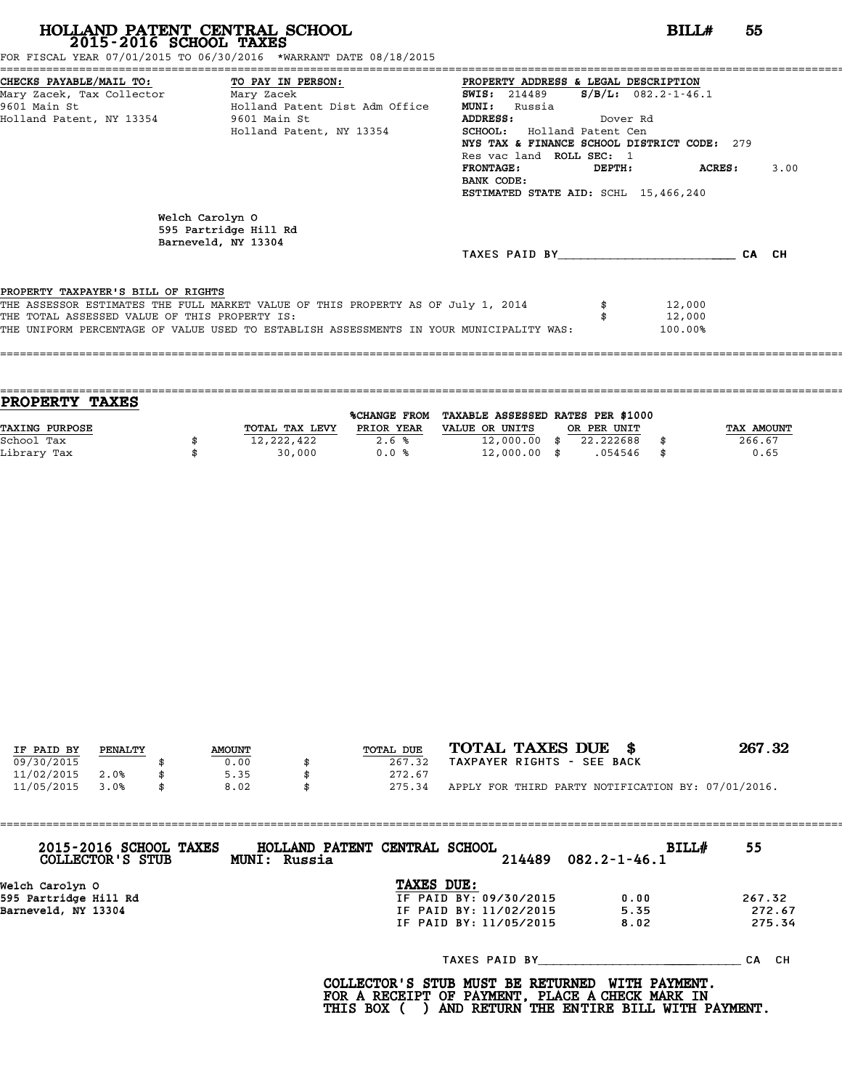FOR FISCAL YEAR 07/01/2015 TO 06/30/2016 \*WARRANT DATE 08/18/2015

| CHECKS PAYABLE/MAIL TO: TO PAY IN PERSON:     |                                                                                         | PROPERTY ADDRESS & LEGAL DESCRIPTION        |          |                        |       |      |
|-----------------------------------------------|-----------------------------------------------------------------------------------------|---------------------------------------------|----------|------------------------|-------|------|
| Mary Zacek, Tax Collector Mary Zacek          |                                                                                         | <b>SWIS:</b> 214489                         |          | $S/B/L$ : 082.2-1-46.1 |       |      |
| 9601 Main St                                  | Holland Patent Dist Adm Office                                                          | <b>MUNI:</b><br>Russia                      |          |                        |       |      |
| Holland Patent, NY 13354                      | 9601 Main St                                                                            | <b>ADDRESS:</b>                             | Dover Rd |                        |       |      |
|                                               | Holland Patent, NY 13354                                                                | SCHOOL: Holland Patent Cen                  |          |                        |       |      |
|                                               |                                                                                         | NYS TAX & FINANCE SCHOOL DISTRICT CODE: 279 |          |                        |       |      |
|                                               |                                                                                         | Res vac land ROLL SEC: 1                    |          |                        |       |      |
|                                               |                                                                                         | <b>FRONTAGE :</b>                           | DEPTH:   | ACRES :                |       | 3.00 |
|                                               |                                                                                         | BANK CODE:                                  |          |                        |       |      |
|                                               |                                                                                         | ESTIMATED STATE AID: SCHL 15,466,240        |          |                        |       |      |
|                                               | Welch Carolyn O<br>595 Partridge Hill Rd<br>Barneveld, NY 13304                         | TAXES PAID BY                               |          |                        | CA CH |      |
| PROPERTY TAXPAYER'S BILL OF RIGHTS            |                                                                                         |                                             |          |                        |       |      |
|                                               | THE ASSESSOR ESTIMATES THE FULL MARKET VALUE OF THIS PROPERTY AS OF July 1, 2014        |                                             |          | 12,000                 |       |      |
| THE TOTAL ASSESSED VALUE OF THIS PROPERTY IS: |                                                                                         |                                             |          | 12,000                 |       |      |
|                                               | THE UNIFORM PERCENTAGE OF VALUE USED TO ESTABLISH ASSESSMENTS IN YOUR MUNICIPALITY WAS: |                                             |          | 100.00%                |       |      |
|                                               |                                                                                         |                                             |          |                        |       |      |
|                                               |                                                                                         |                                             |          |                        |       |      |
|                                               |                                                                                         |                                             |          |                        |       |      |

| <b>PROPERTY TAXES</b> |                |              |                                   |             |      |            |
|-----------------------|----------------|--------------|-----------------------------------|-------------|------|------------|
|                       |                | %CHANGE FROM | TAXABLE ASSESSED RATES PER \$1000 |             |      |            |
| <b>TAXING PURPOSE</b> | TOTAL TAX LEVY | PRIOR YEAR   | VALUE OR UNITS                    | OR PER UNIT |      | TAX AMOUNT |
| School Tax            | 12,222,422     | 2.6%         | $12,000.00$ \$                    | 22.222688   |      | 266.67     |
| Library Tax           | 30,000         | 0.0%         | $12,000.00$ \$                    | .054546     | - \$ | 0.65       |
|                       |                |              |                                   |             |      |            |

| IF PAID BY | PENALTY |  | <b>AMOUNT</b> | TOTAL DUE | TOTAL TAXES DUE \$                                 | 267.32 |
|------------|---------|--|---------------|-----------|----------------------------------------------------|--------|
| 09/30/2015 |         |  | 0.00          | 267.32    | TAXPAYER RIGHTS - SEE BACK                         |        |
| 11/02/2015 | 2.0%    |  | 5.35          | 272.67    |                                                    |        |
| 11/05/2015 | 3.0%    |  | 8.02          | 275.34    | APPLY FOR THIRD PARTY NOTIFICATION BY: 07/01/2016. |        |

| 2015-2016 SCHOOL TAXES<br>COLLECTOR'S STUB | HOLLAND PATENT CENTRAL SCHOOL<br>MUNI: Russia | $214489$ $082.2 - 1 - 46.1$ | BILL#<br>55 |
|--------------------------------------------|-----------------------------------------------|-----------------------------|-------------|
| Welch Carolyn O                            | TAXES DUE:                                    |                             |             |
| 595 Partridge Hill Rd                      | IF PAID BY: 09/30/2015                        | 0.00                        | 267.32      |
| Barneveld, NY 13304                        | IF PAID BY: 11/02/2015                        | 5.35                        | 272.67      |
|                                            | IF PAID BY: 11/05/2015                        | 8.02                        | 275.34      |
|                                            |                                               | TAXES PAID BY               | CA CH       |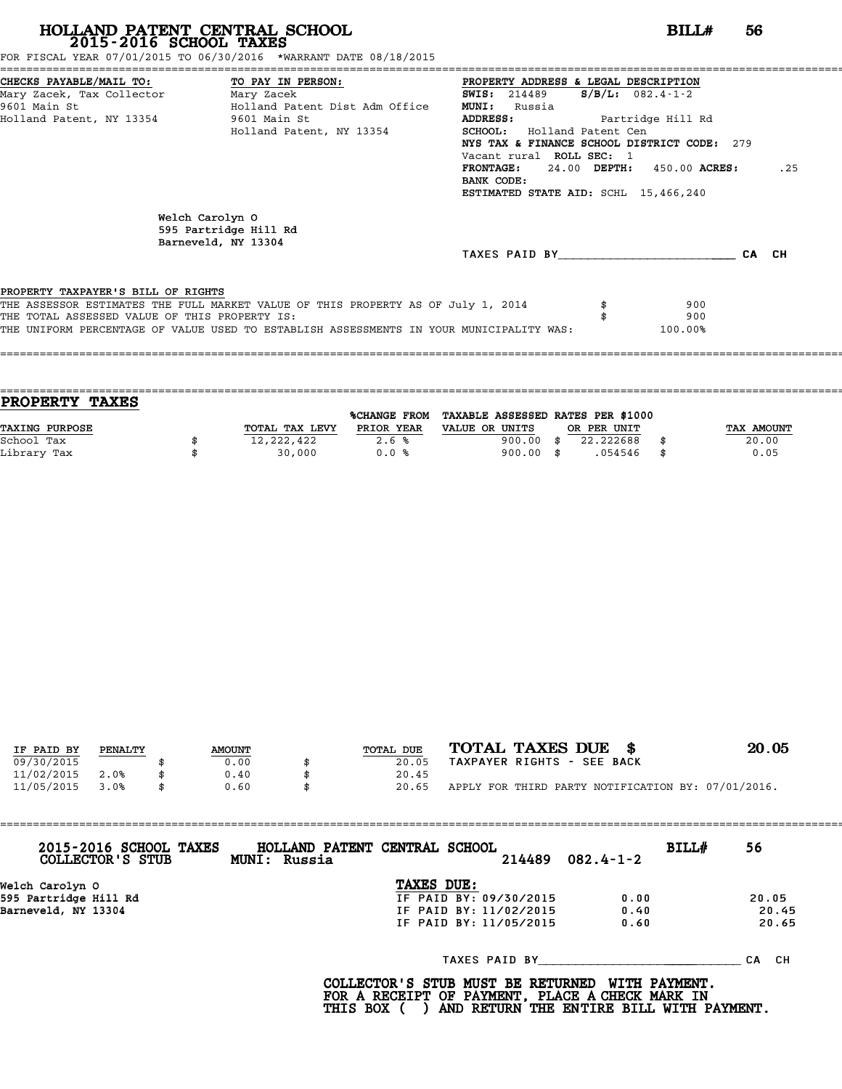FOR FISCAL YEAR 07/01/2015 TO 06/30/2016 \*WARRANT DATE 08/18/2015

| CHECKS PAYABLE/MAIL TO: TO PAY IN PERSON:     |                                                                                         | PROPERTY ADDRESS & LEGAL DESCRIPTION        |                            |       |     |
|-----------------------------------------------|-----------------------------------------------------------------------------------------|---------------------------------------------|----------------------------|-------|-----|
| Mary Zacek, Tax Collector Mary Zacek          |                                                                                         | <b>SWIS:</b> 214489                         | $S/B/L: 082.4 - 1 - 2$     |       |     |
| 9601 Main St                                  | Holland Patent Dist Adm Office                                                          | <b>MUNI:</b><br>Russia                      |                            |       |     |
| Holland Patent, NY 13354                      | 9601 Main St                                                                            | ADDRESS:                                    | Partridge Hill Rd          |       |     |
|                                               | Holland Patent, NY 13354                                                                | <b>SCHOOL:</b> Holland Patent Cen           |                            |       |     |
|                                               |                                                                                         | NYS TAX & FINANCE SCHOOL DISTRICT CODE: 279 |                            |       |     |
|                                               |                                                                                         | Vacant rural ROLL SEC: 1                    |                            |       |     |
|                                               |                                                                                         | <b>FRONTAGE:</b>                            | 24.00 DEPTH: 450.00 ACRES: |       | .25 |
|                                               |                                                                                         | BANK CODE:                                  |                            |       |     |
|                                               |                                                                                         | ESTIMATED STATE AID: SCHL 15,466,240        |                            |       |     |
|                                               | Welch Carolyn O<br>595 Partridge Hill Rd<br>Barneveld, NY 13304                         |                                             |                            |       |     |
|                                               |                                                                                         | TAXES PAID BY                               |                            | CA CH |     |
|                                               |                                                                                         |                                             |                            |       |     |
| PROPERTY TAXPAYER'S BILL OF RIGHTS            |                                                                                         |                                             |                            |       |     |
|                                               | THE ASSESSOR ESTIMATES THE FULL MARKET VALUE OF THIS PROPERTY AS OF July 1, 2014        |                                             | 900                        |       |     |
| THE TOTAL ASSESSED VALUE OF THIS PROPERTY IS: |                                                                                         |                                             | 900                        |       |     |
|                                               | THE UNIFORM PERCENTAGE OF VALUE USED TO ESTABLISH ASSESSMENTS IN YOUR MUNICIPALITY WAS: |                                             | 100.00%                    |       |     |
|                                               |                                                                                         |                                             |                            |       |     |
|                                               |                                                                                         |                                             |                            |       |     |

| <b>PROPERTY TAXES</b> |                |                     |                                   |             |            |
|-----------------------|----------------|---------------------|-----------------------------------|-------------|------------|
|                       |                | <b>%CHANGE FROM</b> | TAXABLE ASSESSED RATES PER \$1000 |             |            |
| <b>TAXING PURPOSE</b> | TOTAL TAX LEVY | PRIOR YEAR          | VALUE OR UNITS                    | OR PER UNIT | TAX AMOUNT |
| School Tax            | 12,222,422     | 2.6%                | 900.00                            | 22.222688   | 20.00      |
| Library Tax           | 30,000         | 0.0%                | $900.00$ \$                       | .054546     | \$<br>0.05 |
|                       |                |                     |                                   |             |            |

| IF PAID BY | PENALTY |  | <b>AMOUNT</b> | TOTAL DUE | TOTAL TAXES DUE \$                                 | 20.05 |
|------------|---------|--|---------------|-----------|----------------------------------------------------|-------|
| 09/30/2015 |         |  | 0.00          | 20.05     | TAXPAYER RIGHTS - SEE BACK                         |       |
|            |         |  |               |           |                                                    |       |
| 11/02/2015 | 2.0%    |  | 0.40          | 20.45     |                                                    |       |
| 11/05/2015 | 3.0%    |  | 0.60          | 20.65     | APPLY FOR THIRD PARTY NOTIFICATION BY: 07/01/2016. |       |

| 2015-2016 SCHOOL TAXES<br>COLLECTOR'S STUB | HOLLAND PATENT CENTRAL SCHOOL<br>MUNI: Russia |                        | 214489 | $082.4 - 1 - 2$ | BILL# | 56        |
|--------------------------------------------|-----------------------------------------------|------------------------|--------|-----------------|-------|-----------|
| Welch Carolyn O                            |                                               | TAXES DUE:             |        |                 |       |           |
| 595 Partridge Hill Rd                      |                                               | IF PAID BY: 09/30/2015 |        | 0.00            |       | 20.05     |
| Barneveld, NY 13304                        |                                               | IF PAID BY: 11/02/2015 |        | 0.40            |       | 20.45     |
|                                            |                                               | IF PAID BY: 11/05/2015 |        | 0.60            |       | 20.65     |
|                                            |                                               | TAXES PAID BY          |        |                 |       | CH.<br>СA |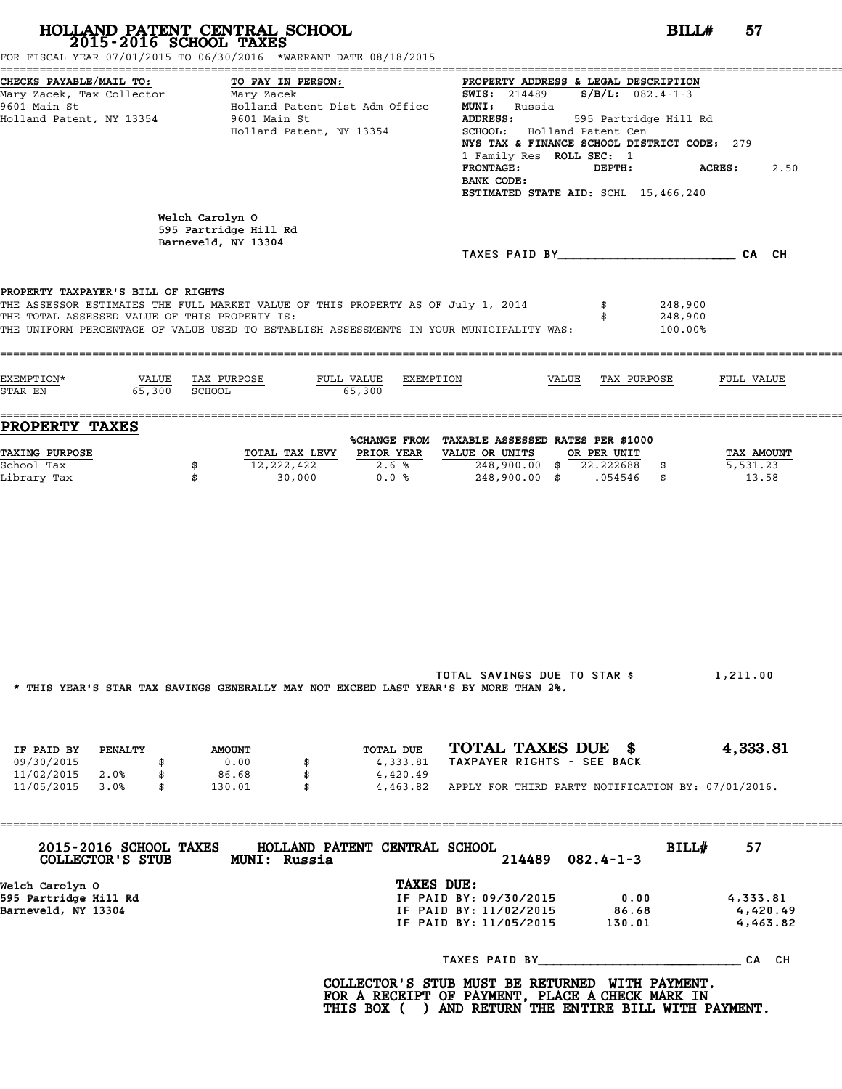| 2015-2016 SCHOOL TAXES<br>FOR FISCAL YEAR 07/01/2015 TO 06/30/2016 *WARRANT DATE 08/18/2015                                                                                                                                                                        | HOLLAND PATENT CENTRAL SCHOOL                                                                   |                       |                                                                                                                             |                                                                                                                                                                                                                     | BILLH<br>57                      |
|--------------------------------------------------------------------------------------------------------------------------------------------------------------------------------------------------------------------------------------------------------------------|-------------------------------------------------------------------------------------------------|-----------------------|-----------------------------------------------------------------------------------------------------------------------------|---------------------------------------------------------------------------------------------------------------------------------------------------------------------------------------------------------------------|----------------------------------|
| CHECKS PAYABLE/MAIL TO:<br>9601 Main St<br>Holland Patent, NY 13354                                                                                                                                                                                                | TO PAY IN PERSON:<br>Holland Patent Dist Adm Office<br>9601 Main St<br>Holland Patent, NY 13354 |                       | <b>MUNI:</b> Russia<br>ADDRESS:<br>SCHOOL: Holland Patent Cen<br>1 Family Res ROLL SEC: 1<br><b>FRONTAGE:</b><br>BANK CODE: | PROPERTY ADDRESS & LEGAL DESCRIPTION<br><b>SWIS:</b> 214489 <b>S/B/L:</b> $082.4 - 1 - 3$<br>595 Partridge Hill Rd<br>NYS TAX & FINANCE SCHOOL DISTRICT CODE: 279<br>DEPTH:<br>ESTIMATED STATE AID: SCHL 15,466,240 | <b>ACRES :</b><br>2.50           |
|                                                                                                                                                                                                                                                                    | Welch Carolyn O<br>595 Partridge Hill Rd<br>Barneveld, NY 13304                                 |                       |                                                                                                                             | TAXES PAID BY CA CH                                                                                                                                                                                                 |                                  |
| PROPERTY TAXPAYER'S BILL OF RIGHTS<br>THE ASSESSOR ESTIMATES THE FULL MARKET VALUE OF THIS PROPERTY AS OF July 1, 2014<br>THE TOTAL ASSESSED VALUE OF THIS PROPERTY IS:<br>THE UNIFORM PERCENTAGE OF VALUE USED TO ESTABLISH ASSESSMENTS IN YOUR MUNICIPALITY WAS: |                                                                                                 |                       |                                                                                                                             | \$<br>248,900<br>248,900<br>100.00%                                                                                                                                                                                 |                                  |
| EXEMPTION*<br>65,300 SCHOOL<br>STAR EN                                                                                                                                                                                                                             | VALUE TAX PURPOSE<br>FULL VALUE                                                                 | EXEMPTION<br>65,300   |                                                                                                                             | VALUE TAX PURPOSE                                                                                                                                                                                                   | FULL VALUE                       |
| <b>PROPERTY TAXES</b>                                                                                                                                                                                                                                              |                                                                                                 |                       |                                                                                                                             |                                                                                                                                                                                                                     |                                  |
| <b>TAXING PURPOSE</b><br>School Tax<br>Library Tax                                                                                                                                                                                                                 | TOTAL TAX LEVY PRIOR YEAR<br>12,222,422<br>\$<br>\$<br>30,000                                   | 2.6%<br>0.0%          | %CHANGE FROM TAXABLE ASSESSED RATES PER \$1000<br>VALUE OR UNITS<br>248,900.00 \$ 22.222688 \$                              | OR PER UNIT<br>248,900.00 \$ .054546 \$                                                                                                                                                                             | TAX AMOUNT<br>5,531.23<br>13.58  |
| * THIS YEAR'S STAR TAX SAVINGS GENERALLY MAY NOT EXCEED LAST YEAR'S BY MORE THAN 2%.                                                                                                                                                                               |                                                                                                 |                       | TOTAL SAVINGS DUE TO STAR \$                                                                                                |                                                                                                                                                                                                                     | 1,211.00                         |
|                                                                                                                                                                                                                                                                    |                                                                                                 |                       |                                                                                                                             |                                                                                                                                                                                                                     |                                  |
| IF PAID BY<br>PENALTY<br>09/30/2015<br>\$                                                                                                                                                                                                                          | <b>AMOUNT</b><br>0.00<br>\$                                                                     | TOTAL DUE<br>4,333.81 | TOTAL TAXES DUE \$<br>TAXPAYER RIGHTS - SEE BACK                                                                            |                                                                                                                                                                                                                     | 4,333.81                         |
| 11/02/2015<br>2.0%<br>\$<br>11/05/2015<br>3.0%<br>\$                                                                                                                                                                                                               | 86.68<br>\$<br>130.01<br>\$                                                                     | 4,420.49<br>4,463.82  |                                                                                                                             | APPLY FOR THIRD PARTY NOTIFICATION BY: 07/01/2016.                                                                                                                                                                  |                                  |
| 2015-2016 SCHOOL TAXES<br>COLLECTOR'S STUB                                                                                                                                                                                                                         | HOLLAND PATENT CENTRAL SCHOOL<br>MUNI: Russia                                                   |                       | 214489                                                                                                                      | BILL#<br>$082.4 - 1 - 3$                                                                                                                                                                                            | 57                               |
| Welch Carolyn O<br>595 Partridge Hill Rd<br>Barneveld, NY 13304                                                                                                                                                                                                    |                                                                                                 | TAXES DUE:            | IF PAID BY: 09/30/2015<br>IF PAID BY: 11/02/2015<br>IF PAID BY: 11/05/2015                                                  | 0.00<br>86.68<br>130.01                                                                                                                                                                                             | 4,333.81<br>4,420.49<br>4,463.82 |
|                                                                                                                                                                                                                                                                    |                                                                                                 |                       |                                                                                                                             |                                                                                                                                                                                                                     |                                  |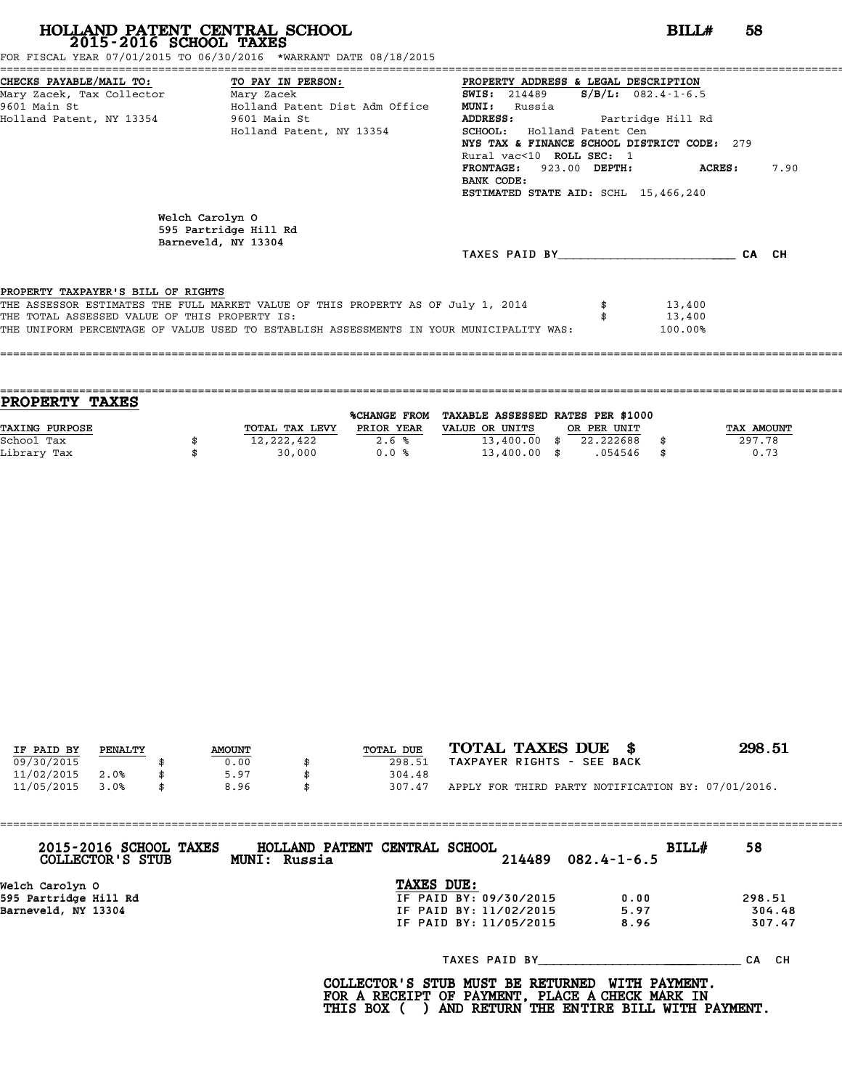FOR FISCAL YEAR 07/01/2015 TO 06/30/2016 \*WARRANT DATE 08/18/2015

| CHECKS PAYABLE/MAIL TO: TO PAY IN PERSON:     |                                                                                         | PROPERTY ADDRESS & LEGAL DESCRIPTION        |                          |       |      |
|-----------------------------------------------|-----------------------------------------------------------------------------------------|---------------------------------------------|--------------------------|-------|------|
| Mary Zacek, Tax Collector Mary Zacek          |                                                                                         | <b>SWIS:</b> 214489                         | $S/B/L: 082.4 - 1 - 6.5$ |       |      |
| 9601 Main St                                  | Holland Patent Dist Adm Office                                                          | <b>MUNI:</b><br>Russia                      |                          |       |      |
| Holland Patent, NY 13354 5601 Main St         |                                                                                         | <b>ADDRESS:</b>                             | Partridge Hill Rd        |       |      |
|                                               | Holland Patent, NY 13354                                                                | SCHOOL: Holland Patent Cen                  |                          |       |      |
|                                               |                                                                                         | NYS TAX & FINANCE SCHOOL DISTRICT CODE: 279 |                          |       |      |
|                                               |                                                                                         | Rural vac<10 ROLL SEC: 1                    |                          |       |      |
|                                               |                                                                                         | FRONTAGE: 923.00 DEPTH: ACRES:              |                          |       | 7.90 |
|                                               |                                                                                         | BANK CODE:                                  |                          |       |      |
|                                               |                                                                                         | ESTIMATED STATE AID: SCHL 15,466,240        |                          |       |      |
|                                               | Welch Carolyn O<br>595 Partridge Hill Rd                                                |                                             |                          |       |      |
|                                               | Barneveld, NY 13304                                                                     |                                             |                          |       |      |
|                                               |                                                                                         | TAXES PAID BY TAXES                         |                          | CA CH |      |
| PROPERTY TAXPAYER'S BILL OF RIGHTS            |                                                                                         |                                             |                          |       |      |
|                                               | THE ASSESSOR ESTIMATES THE FULL MARKET VALUE OF THIS PROPERTY AS OF July 1, 2014        |                                             | 13,400                   |       |      |
| THE TOTAL ASSESSED VALUE OF THIS PROPERTY IS: |                                                                                         |                                             | 13,400                   |       |      |
|                                               | THE UNIFORM PERCENTAGE OF VALUE USED TO ESTABLISH ASSESSMENTS IN YOUR MUNICIPALITY WAS: |                                             | 100.00%                  |       |      |
|                                               |                                                                                         |                                             |                          |       |      |
|                                               |                                                                                         |                                             |                          |       |      |
|                                               |                                                                                         |                                             |                          |       |      |

| <b>TAXES</b><br><b>PROPERTY</b> |                |                     |                                   |             |            |
|---------------------------------|----------------|---------------------|-----------------------------------|-------------|------------|
|                                 |                | <b>%CHANGE FROM</b> | TAXABLE ASSESSED RATES PER \$1000 |             |            |
| <b>TAXING PURPOSE</b>           | TOTAL TAX LEVY | PRIOR YEAR          | VALUE OR UNITS                    | OR PER UNIT | TAX AMOUNT |
| School Tax                      | 12,222,422     | 2.6%                | $13,400.00$ \$                    | 22.222688   | 297.78     |
| Library Tax                     | 30,000         | 0.0%                | $13,400.00$ \$                    | .054546     | \$<br>0.73 |
|                                 |                |                     |                                   |             |            |

| IF PAID BY | PENALTY |  | <b>AMOUNT</b> | TOTAL DUE | TOTAL TAXES DUE \$                                 | 298.51 |
|------------|---------|--|---------------|-----------|----------------------------------------------------|--------|
|            |         |  |               |           |                                                    |        |
| 09/30/2015 |         |  | 0.00          | 298.51    | TAXPAYER RIGHTS - SEE BACK                         |        |
| 11/02/2015 | 2.0%    |  | 5.97          | 304.48    |                                                    |        |
| 11/05/2015 | 3.0%    |  | 8.96          | 307.47    | APPLY FOR THIRD PARTY NOTIFICATION BY: 07/01/2016. |        |

| 2015-2016 SCHOOL TAXES<br>COLLECTOR'S STUB | HOLLAND PATENT CENTRAL SCHOOL<br>MUNI: Russia |            |                        | $214489$ $082.4 - 1 - 6.5$ | BILL# | 58     |
|--------------------------------------------|-----------------------------------------------|------------|------------------------|----------------------------|-------|--------|
| Welch Carolyn O                            |                                               | TAXES DUE: |                        |                            |       |        |
| 595 Partridge Hill Rd                      |                                               |            | IF PAID BY: 09/30/2015 | 0.00                       |       | 298.51 |
| Barneveld, NY 13304                        |                                               |            | IF PAID BY: 11/02/2015 | 5.97                       |       | 304.48 |
|                                            |                                               |            | IF PAID BY: 11/05/2015 | 8.96                       |       | 307.47 |
|                                            |                                               |            | TAXES PAID BY          |                            |       | CA CH  |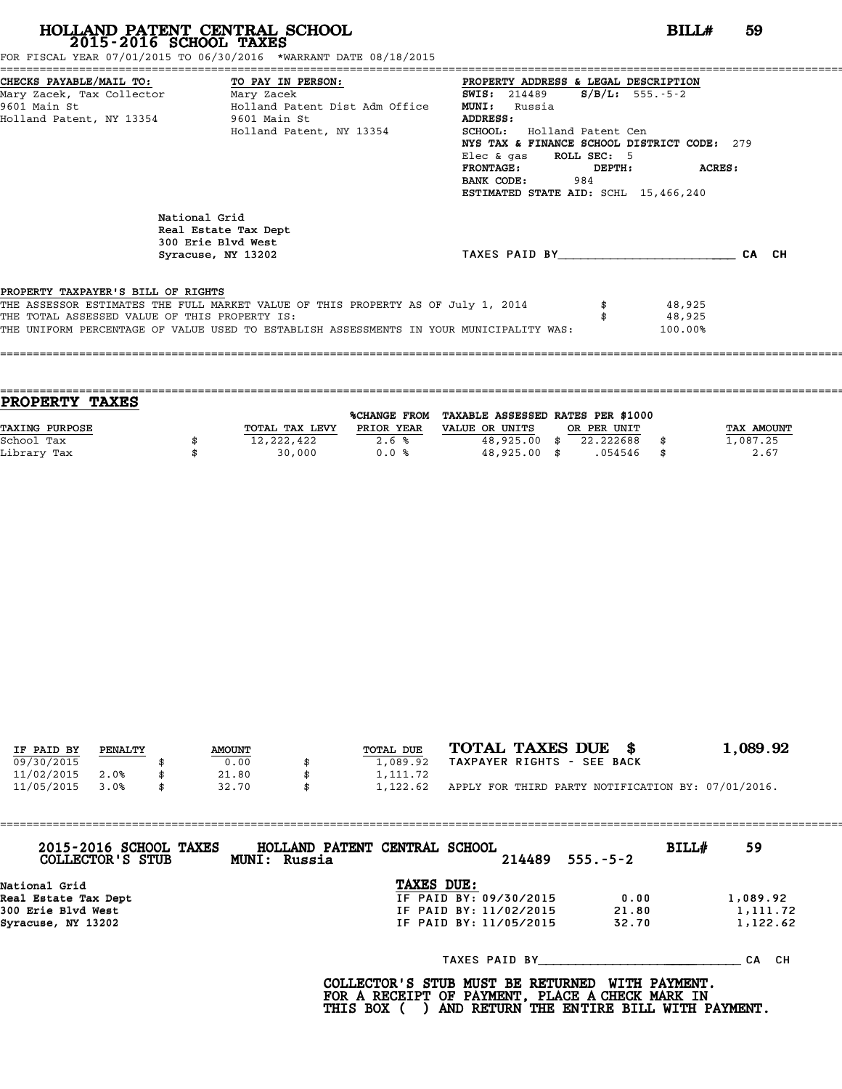FOR FISCAL YEAR 07/01/2015 TO 06/30/2016 \*WARRANT DATE 08/18/2015

| CHECKS PAYABLE/MAIL TO: TO PAY IN PERSON:     |                                                                                         | PROPERTY ADDRESS & LEGAL DESCRIPTION        |        |                       |       |
|-----------------------------------------------|-----------------------------------------------------------------------------------------|---------------------------------------------|--------|-----------------------|-------|
| Mary Zacek, Tax Collector Mary Zacek          |                                                                                         | <b>SWIS:</b> 214489                         |        | $S/B/L: 555. - 5 - 2$ |       |
| 9601 Main St                                  | Holland Patent Dist Adm Office                                                          | <b>MUNI:</b><br>Russia                      |        |                       |       |
| Holland Patent, NY 13354 9601 Main St         |                                                                                         | ADDRESS:                                    |        |                       |       |
|                                               | Holland Patent, NY 13354                                                                | <b>SCHOOL:</b> Holland Patent Cen           |        |                       |       |
|                                               |                                                                                         | NYS TAX & FINANCE SCHOOL DISTRICT CODE: 279 |        |                       |       |
|                                               |                                                                                         | Elec & gas ROLL SEC: 5                      |        |                       |       |
|                                               |                                                                                         | <b>FRONTAGE :</b>                           | DEPTH: | ACRES:                |       |
|                                               |                                                                                         | BANK CODE:<br>984                           |        |                       |       |
|                                               |                                                                                         | ESTIMATED STATE AID: SCHL 15,466,240        |        |                       |       |
|                                               | National Grid<br>Real Estate Tax Dept<br>300 Erie Blvd West<br>Syracuse, NY 13202       | TAXES PAID BY                               |        |                       | CA CH |
|                                               |                                                                                         |                                             |        |                       |       |
| PROPERTY TAXPAYER'S BILL OF RIGHTS            |                                                                                         |                                             |        |                       |       |
|                                               | THE ASSESSOR ESTIMATES THE FULL MARKET VALUE OF THIS PROPERTY AS OF July 1, 2014        |                                             |        | 48,925                |       |
| THE TOTAL ASSESSED VALUE OF THIS PROPERTY IS: |                                                                                         |                                             |        | 48,925                |       |
|                                               | THE UNIFORM PERCENTAGE OF VALUE USED TO ESTABLISH ASSESSMENTS IN YOUR MUNICIPALITY WAS: |                                             |        | 100.00%               |       |
|                                               |                                                                                         |                                             |        |                       |       |
|                                               |                                                                                         |                                             |        |                       |       |
|                                               |                                                                                         |                                             |        |                       |       |

| PROPERTY TAXES        |                |                     |                                   |             |      |                   |
|-----------------------|----------------|---------------------|-----------------------------------|-------------|------|-------------------|
|                       |                | <b>%CHANGE FROM</b> | TAXABLE ASSESSED RATES PER \$1000 |             |      |                   |
| <b>TAXING PURPOSE</b> | TOTAL TAX LEVY | PRIOR YEAR          | VALUE OR UNITS                    | OR PER UNIT |      | <b>TAX AMOUNT</b> |
| School Tax            | 12,222,422     | 2.6%                | 48,925.00                         | 22.222688   |      | 1,087.25          |
| Library Tax           | 30,000         | 0.0%                | $48,925.00$ \$                    | .054546     | - \$ | 2.67              |
|                       |                |                     |                                   |             |      |                   |

| IF PAID BY | PENALTY | <b>AMOUNT</b> | TOTAL DUE | TOTAL TAXES DUE \$                                 | 1,089.92 |
|------------|---------|---------------|-----------|----------------------------------------------------|----------|
| 09/30/2015 |         | 0.00          | 1,089.92  | TAXPAYER RIGHTS - SEE BACK                         |          |
| 11/02/2015 | 2.0%    | 21.80         | 1,111.72  |                                                    |          |
| 11/05/2015 | 3.0%    | \$<br>32.70   | 1,122.62  | APPLY FOR THIRD PARTY NOTIFICATION BY: 07/01/2016. |          |

| 2015-2016 SCHOOL TAXES<br>COLLECTOR'S STUB | HOLLAND PATENT CENTRAL SCHOOL<br>MUNI: Russia |                        | $214489$ $555. -5-2$ | BILL# | 59        |
|--------------------------------------------|-----------------------------------------------|------------------------|----------------------|-------|-----------|
| National Grid                              |                                               | <b>TAXES DUE:</b>      |                      |       |           |
| Real Estate Tax Dept                       |                                               | IF PAID BY: 09/30/2015 | 0.00                 |       | 1,089.92  |
| 300 Erie Blvd West                         |                                               | IF PAID BY: 11/02/2015 | 21.80                |       | 1,111.72  |
| Syracuse, NY 13202                         |                                               | IF PAID BY: 11/05/2015 | 32.70                |       | 1,122.62  |
|                                            |                                               | TAXES PAID BY          |                      |       | CH.<br>СA |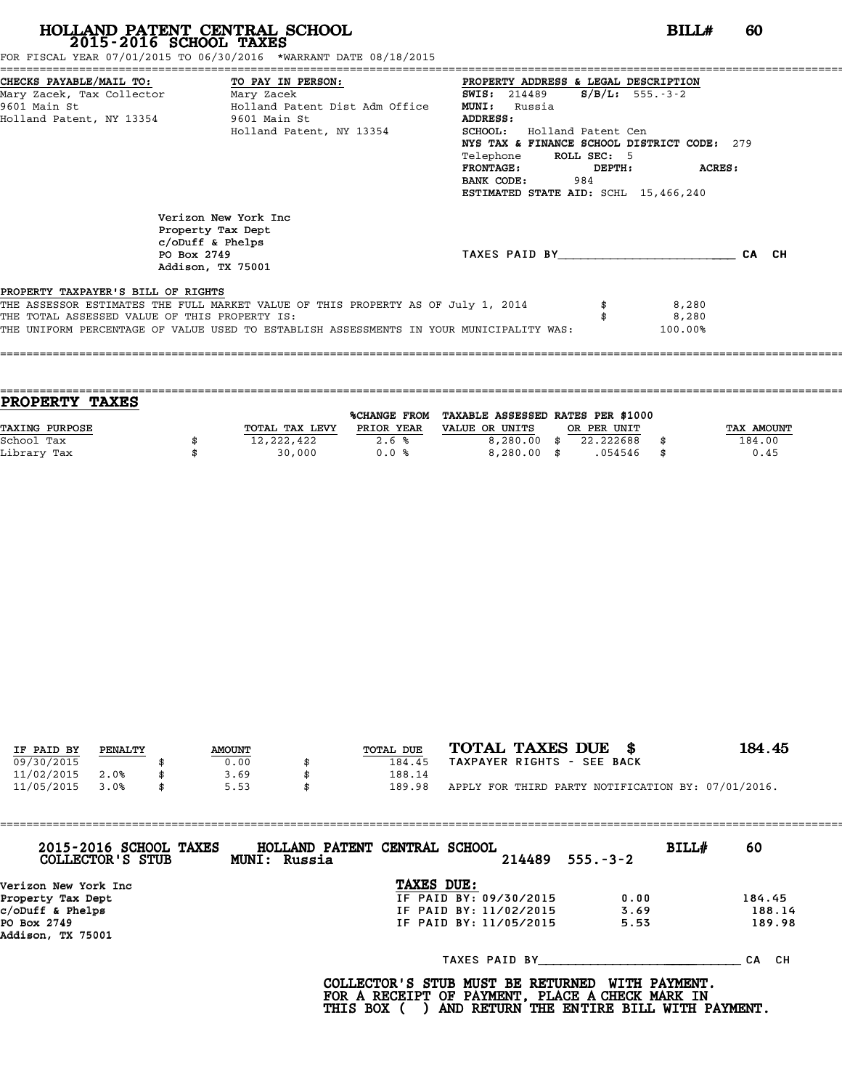FOR FISCAL YEAR 07/01/2015 TO 06/30/2016 \*WARRANT DATE 08/18/2015

|                                               | CHECKS PAYABLE/MAIL TO: TO PAY IN PERSON:                                                            | PROPERTY ADDRESS & LEGAL DESCRIPTION        |  |
|-----------------------------------------------|------------------------------------------------------------------------------------------------------|---------------------------------------------|--|
|                                               | Mary Zacek, Tax Collector Mary Zacek                                                                 | $S/B/L$ : 555.-3-2<br><b>SWIS:</b> 214489   |  |
| 9601 Main St                                  | Holland Patent Dist Adm Office                                                                       | <b>MUNI:</b><br>Russia                      |  |
|                                               | Holland Patent, NY 13354 9601 Main St                                                                | ADDRESS:                                    |  |
|                                               | Holland Patent, NY 13354                                                                             | <b>SCHOOL:</b><br>Holland Patent Cen        |  |
|                                               |                                                                                                      | NYS TAX & FINANCE SCHOOL DISTRICT CODE: 279 |  |
|                                               |                                                                                                      | ROLL SEC: 5<br>Telephone                    |  |
|                                               |                                                                                                      | <b>FRONTAGE:</b><br>ACRES:<br>DEPTH:        |  |
|                                               |                                                                                                      | BANK CODE:<br>984                           |  |
|                                               |                                                                                                      | ESTIMATED STATE AID: SCHL 15,466,240        |  |
|                                               | Verizon New York Inc<br>Property Tax Dept<br>$c/$ oDuff & Phelps<br>PO Box 2749<br>Addison, TX 75001 | TAXES PAID BY CA CH                         |  |
| PROPERTY TAXPAYER'S BILL OF RIGHTS            |                                                                                                      |                                             |  |
|                                               | THE ASSESSOR ESTIMATES THE FULL MARKET VALUE OF THIS PROPERTY AS OF July 1, 2014                     | 8,280                                       |  |
| THE TOTAL ASSESSED VALUE OF THIS PROPERTY IS: |                                                                                                      | 8,280                                       |  |
|                                               | THE UNIFORM PERCENTAGE OF VALUE USED TO ESTABLISH ASSESSMENTS IN YOUR MUNICIPALITY WAS:              | 100.00%                                     |  |
|                                               |                                                                                                      |                                             |  |

| <b>TAXES</b><br><b>PROPERTY</b> |                |              |                                   |             |      |            |
|---------------------------------|----------------|--------------|-----------------------------------|-------------|------|------------|
|                                 |                | %CHANGE FROM | TAXABLE ASSESSED RATES PER \$1000 |             |      |            |
| <b>TAXING PURPOSE</b>           | TOTAL TAX LEVY | PRIOR YEAR   | VALUE OR UNITS                    | OR PER UNIT |      | TAX AMOUNT |
| School Tax                      | 12,222,422     | 2.6%         | $8,280.00$ \$                     | 22.222688   |      | 184.00     |
| Library Tax                     | 30,000         | 0.0%         | $8,280.00$ \$                     | .054546     | - \$ | 0.45       |
|                                 |                |              |                                   |             |      |            |

====================================================================================================================================

|            |         |               |           | TOTAL TAXES DUE \$                                 | 184.45 |
|------------|---------|---------------|-----------|----------------------------------------------------|--------|
| IF PAID BY | PENALTY | <b>AMOUNT</b> | TOTAL DUE |                                                    |        |
| 09/30/2015 |         | 0.00          | 184.45    | TAXPAYER RIGHTS - SEE BACK                         |        |
| 11/02/2015 | 2.0%    | 3.69          | 188.14    |                                                    |        |
| 11/05/2015 | 3.0%    | \$<br>5.53    | 189.98    | APPLY FOR THIRD PARTY NOTIFICATION BY: 07/01/2016. |        |

| 2015-2016 SCHOOL TAXES<br>COLLECTOR'S STUB | <b>BILL#</b><br>$214489$ $555. -3-2$ | 60     |
|--------------------------------------------|--------------------------------------|--------|
| Verizon New York Inc                       |                                      |        |
| Property Tax Dept                          | 0.00                                 | 184.45 |
| c/oDuff & Phelps                           | 3.69                                 | 188.14 |
| PO Box 2749<br>Addison, TX 75001           | 5.53                                 | 189.98 |
|                                            | TAXES PAID BY                        | CA CH  |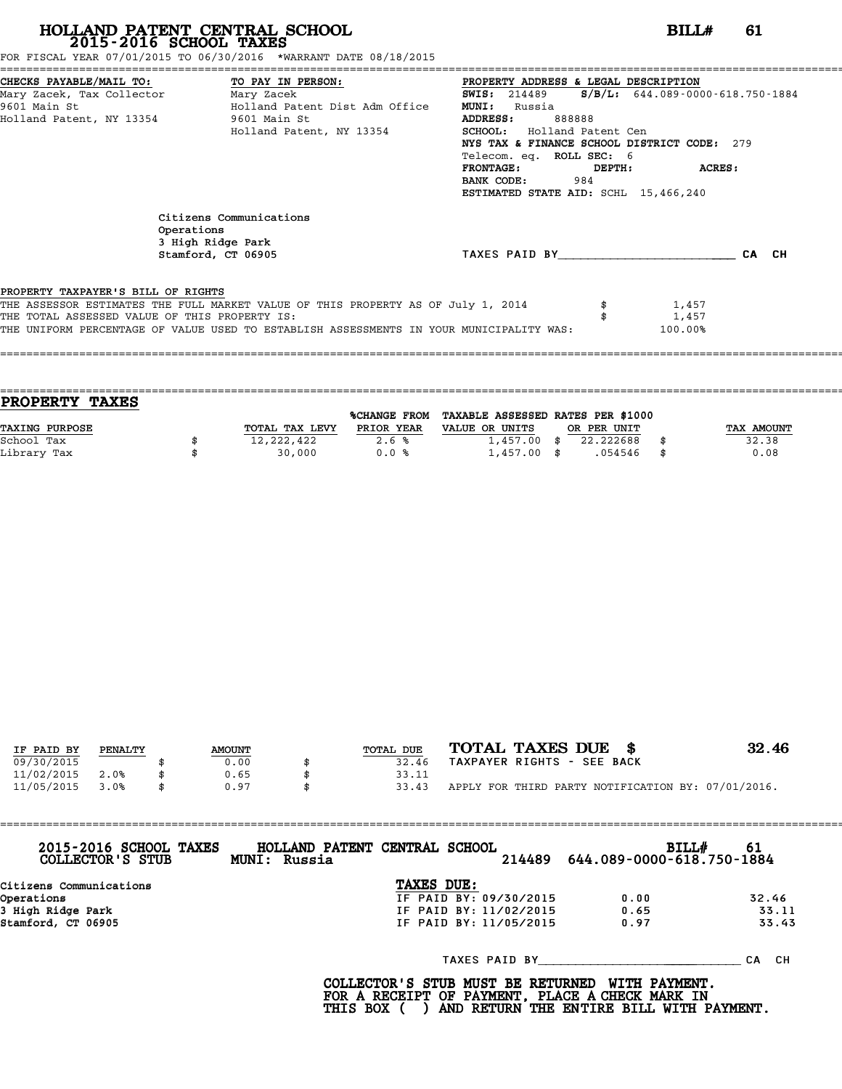| FOR FISCAL YEAR 07/01/2015 TO 06/30/2016  *WARRANT DATE 08/18/2015 |  |
|--------------------------------------------------------------------|--|
|--------------------------------------------------------------------|--|

|                                               | FOR FISCAL YEAR 07/01/2015 TO 06/30/2016 *WARRANT DATE 08/18/2015                       |                                                                 |
|-----------------------------------------------|-----------------------------------------------------------------------------------------|-----------------------------------------------------------------|
| CHECKS PAYABLE/MAIL TO: TO PAY IN PERSON:     |                                                                                         | PROPERTY ADDRESS & LEGAL DESCRIPTION                            |
|                                               | Mary Zacek, Tax Collector           Mary Zacek                                          | $S/B/L: 644.089 - 0000 - 618.750 - 1884$<br><b>SWIS:</b> 214489 |
| 9601 Main St                                  | Holland Patent Dist Adm Office                                                          | <b>MUNI:</b><br>Russia                                          |
| Holland Patent, NY 13354 9601 Main St         |                                                                                         | <b>ADDRESS:</b><br>888888                                       |
|                                               | Holland Patent, NY 13354                                                                | SCHOOL: Holland Patent Cen                                      |
|                                               |                                                                                         | NYS TAX & FINANCE SCHOOL DISTRICT CODE: 279                     |
|                                               |                                                                                         | Telecom. eq. ROLL SEC: 6                                        |
|                                               |                                                                                         | <b>FRONTAGE:</b><br>ACRES:<br>DEPTH:                            |
|                                               |                                                                                         | <b>BANK CODE:</b> 984                                           |
|                                               |                                                                                         | ESTIMATED STATE AID: SCHL 15,466,240                            |
|                                               | Citizens Communications                                                                 |                                                                 |
| Operations                                    |                                                                                         |                                                                 |
|                                               | 3 High Ridge Park                                                                       |                                                                 |
|                                               | Stamford, CT 06905                                                                      | TAXES PAID BY CA CH                                             |
|                                               |                                                                                         |                                                                 |
| PROPERTY TAXPAYER'S BILL OF RIGHTS            |                                                                                         |                                                                 |
|                                               | THE ASSESSOR ESTIMATES THE FULL MARKET VALUE OF THIS PROPERTY AS OF July 1, 2014        | 1,457                                                           |
| THE TOTAL ASSESSED VALUE OF THIS PROPERTY IS: |                                                                                         | 1,457                                                           |
|                                               | THE UNIFORM PERCENTAGE OF VALUE USED TO ESTABLISH ASSESSMENTS IN YOUR MUNICIPALITY WAS: | 100.00%                                                         |
|                                               |                                                                                         |                                                                 |
|                                               |                                                                                         |                                                                 |
|                                               |                                                                                         |                                                                 |

| <b>PROPERTY</b><br><b>TAXES</b> |                |                     |                                   |             |            |
|---------------------------------|----------------|---------------------|-----------------------------------|-------------|------------|
|                                 |                | <b>%CHANGE FROM</b> | TAXABLE ASSESSED RATES PER \$1000 |             |            |
| TAXING PURPOSE                  | TOTAL TAX LEVY | PRIOR YEAR          | VALUE OR UNITS                    | OR PER UNIT | TAX AMOUNT |
| School Tax                      | 12,222,422     | 2.6%                | $1,457.00$ \$                     | 22,222688   | 32.38      |
| Library Tax                     | 30,000         | 0.0%                | $1,457.00$ \$                     | .054546     | \$<br>0.08 |
|                                 |                |                     |                                   |             |            |

| IF PAID BY | PENALTY | <b>AMOUNT</b> | TOTAL DUE | TOTAL TAXES DUE \$                                 | 32.46 |
|------------|---------|---------------|-----------|----------------------------------------------------|-------|
|            |         |               |           | TAXPAYER RIGHTS - SEE BACK                         |       |
| 09/30/2015 |         | 0.00          | 32.46     |                                                    |       |
| 11/02/2015 | 2.0%    | 0.65          | 33.11     |                                                    |       |
| 11/05/2015 | 3.0%    | 0.97          | 33.43     | APPLY FOR THIRD PARTY NOTIFICATION BY: 07/01/2016. |       |

| 2015-2016 SCHOOL TAXES<br>COLLECTOR'S STUB | HOLLAND PATENT CENTRAL SCHOOL<br>MUNI: Russia |            |                        | 214489                 | BILL#<br>644.089-0000-618.750-1884 | 61        |
|--------------------------------------------|-----------------------------------------------|------------|------------------------|------------------------|------------------------------------|-----------|
| Citizens Communications                    |                                               | TAXES DUE: |                        |                        |                                    |           |
| Operations                                 |                                               |            |                        | IF PAID BY: 09/30/2015 | 0.00                               | 32.46     |
| 3 High Ridge Park                          |                                               |            | IF PAID BY: 11/02/2015 |                        | 0.65                               | 33.11     |
| Stamford, CT 06905                         |                                               |            | IF PAID BY: 11/05/2015 |                        | 0.97                               | 33.43     |
|                                            |                                               |            | TAXES PAID BY          |                        |                                    | CH.<br>СA |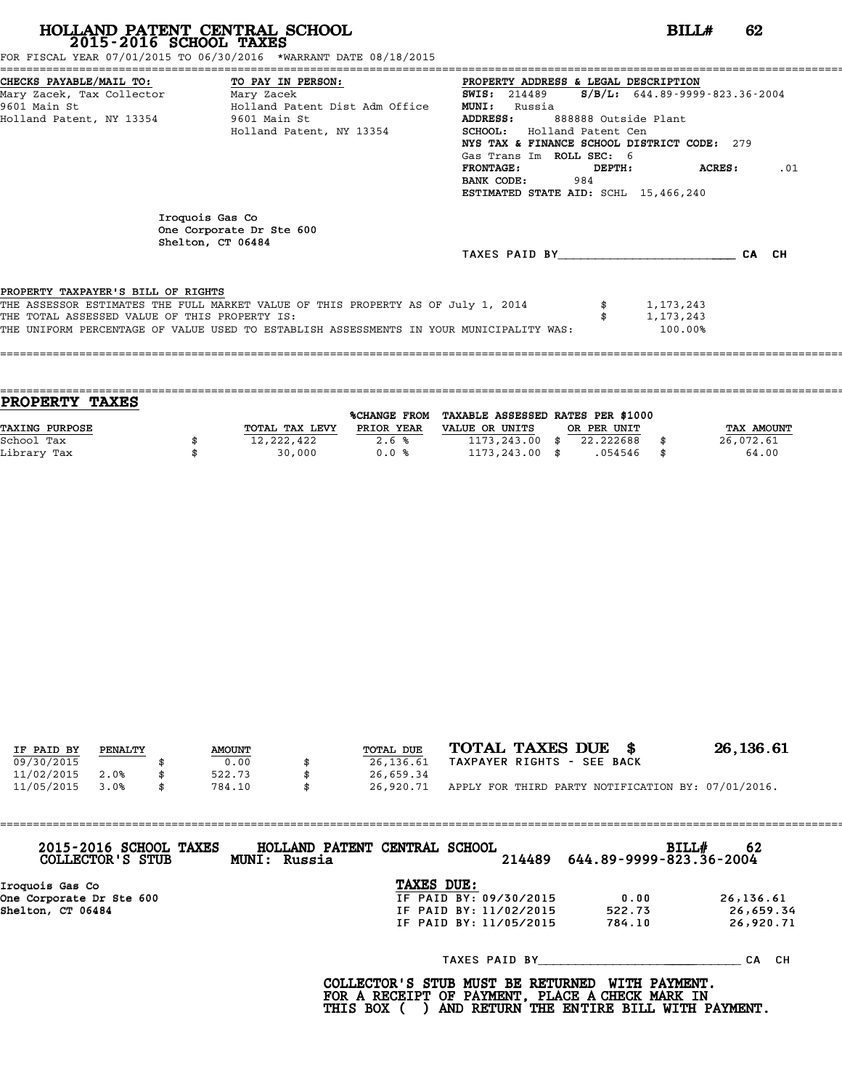| HOLLAND PATENT CENTRAL SCHOOL                                                               | BIIJ# | 62 |  |
|---------------------------------------------------------------------------------------------|-------|----|--|
| 2015-2016 SCHOOL TAXES<br>FOR FISCAL YEAR 07/01/2015 TO 06/30/2016 *WARRANT DATE 08/18/2015 |       |    |  |
|                                                                                             |       |    |  |

| FOR FISCAL YEAR 07/01/2015 TO 06/30/2016 *WARRANT DATE 08/18/2015                                                               |                                                                                                                                                         |
|---------------------------------------------------------------------------------------------------------------------------------|---------------------------------------------------------------------------------------------------------------------------------------------------------|
| CHECKS PAYABLE/MAIL TO:<br>TO PAY IN PERSON:<br>Mary Zacek, Tax Collector ________ Mary Zacek<br>Holland Patent Dist Adm Office | PROPERTY ADDRESS & LEGAL DESCRIPTION<br>$S/B/L: 644.89 - 9999 - 823.36 - 2004$<br><b>SWIS:</b> 214489<br><b>MUNI:</b><br>Russia                         |
| Holland Patent, NY 13354<br>9601 Main St                                                                                        | <b>ADDRESS:</b><br>888888 Outside Plant<br><b>SCHOOL:</b> Holland Patent Cen<br>NYS TAX & FINANCE SCHOOL DISTRICT CODE: 279<br>Gas Trans Im ROLL SEC: 6 |
|                                                                                                                                 | <b>ACRES:</b><br><b>FRONTAGE :</b><br>DEPTH:<br>.01<br>BANK CODE:<br>984<br>ESTIMATED STATE AID: SCHL 15,466,240                                        |
| Iroquois Gas Co<br>One Corporate Dr Ste 600<br>Shelton, CT 06484                                                                | CA CH<br>TAXES PAID BY                                                                                                                                  |
| PROPERTY TAXPAYER'S BILL OF RIGHTS                                                                                              | THE ASSESSOR ESTIMATES THE FULL MARKET VALUE OF THIS PROPERTY AS OF July 1, 2014<br>1,173,243                                                           |
|                                                                                                                                 | Holland Patent, NY 13354                                                                                                                                |

| <b>PROPERTY TAXES</b> |                |              |                                   |             |                   |
|-----------------------|----------------|--------------|-----------------------------------|-------------|-------------------|
|                       |                | %CHANGE FROM | TAXABLE ASSESSED RATES PER \$1000 |             |                   |
| TAXING PURPOSE        | TOTAL TAX LEVY | PRIOR YEAR   | VALUE OR UNITS                    | OR PER UNIT | <b>TAX AMOUNT</b> |
| School Tax            | 12,222,422     | 2.6%         | $1173, 243.00$ \$                 | 22.222688   | 26,072.61         |
| Library Tax           | 30,000         | 0.0%         | $1173, 243.00$ \$                 | .054546     | 64.00             |
|                       |                |              |                                   |             |                   |

====================================================================================================================================

| IF PAID BY | PENALTY | <b>AMOUNT</b> | TOTAL DUE       | TOTAL TAXES DUE \$                                 | 26,136.61 |
|------------|---------|---------------|-----------------|----------------------------------------------------|-----------|
| 09/30/2015 |         | 0.00          | 26,136.61       | TAXPAYER RIGHTS - SEE BACK                         |           |
| 11/02/2015 | 2.0%    | 522.73        | 26,659.34       |                                                    |           |
| 11/05/2015 | 3.0%    | \$<br>784.10  | \$<br>26,920.71 | APPLY FOR THIRD PARTY NOTIFICATION BY: 07/01/2016. |           |

| 2015-2016 SCHOOL TAXES<br>COLLECTOR'S STUB | MUNI: Russia | HOLLAND PATENT CENTRAL SCHOOL<br>214489 |        | BILL#<br>62<br>644.89-9999-823.36-2004 |
|--------------------------------------------|--------------|-----------------------------------------|--------|----------------------------------------|
| Iroquois Gas Co                            |              | TAXES DUE:                              |        |                                        |
| One Corporate Dr Ste 600                   |              | IF PAID BY: 09/30/2015                  | 0.00   | 26,136.61                              |
| Shelton, CT 06484                          |              | IF PAID BY: 11/02/2015                  | 522.73 | 26,659.34                              |
|                                            |              | IF PAID BY: 11/05/2015                  | 784.10 | 26,920.71                              |
|                                            |              | TAXES PAID BY                           |        | CH.<br>СA                              |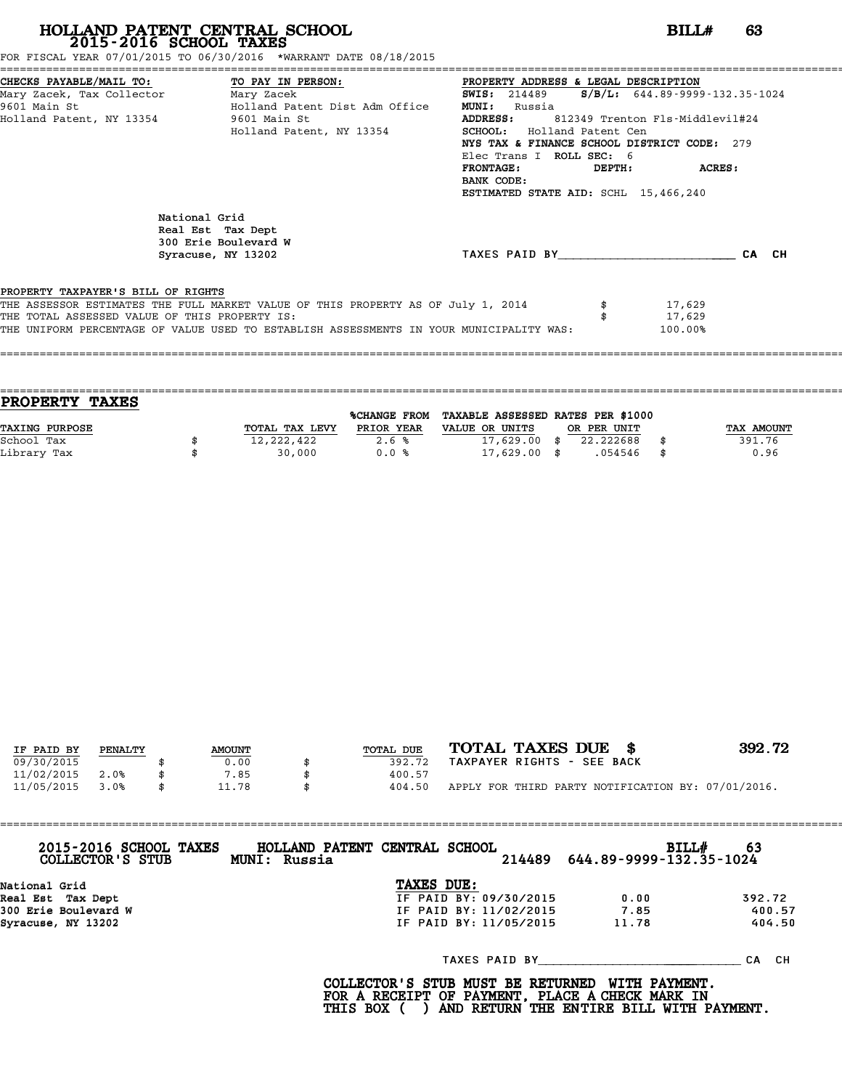FOR FISCAL YEAR 07/01/2015 TO 06/30/2016 \*WARRANT DATE 08/18/2015

|                                               | CHECKS PAYABLE/MAIL TO: TO PAY IN PERSON:                                               | PROPERTY ADDRESS & LEGAL DESCRIPTION                      |        |
|-----------------------------------------------|-----------------------------------------------------------------------------------------|-----------------------------------------------------------|--------|
| Mary Zacek, Tax Collector Mary Zacek          |                                                                                         | <b>SWIS:</b> 214489 <b>S/B/L:</b> 644.89-9999-132.35-1024 |        |
| 9601 Main St                                  | Holland Patent Dist Adm Office                                                          | <b>MUNI:</b><br>Russia                                    |        |
|                                               | Holland Patent, NY 13354 9601 Main St                                                   | <b>ADDRESS:</b><br>812349 Trenton Fls-Middlevil#24        |        |
|                                               | Holland Patent, NY 13354                                                                | SCHOOL: Holland Patent Cen                                |        |
|                                               |                                                                                         | NYS TAX & FINANCE SCHOOL DISTRICT CODE: 279               |        |
|                                               |                                                                                         | Elec Trans I ROLL SEC: 6                                  |        |
|                                               |                                                                                         | <b>FRONTAGE:</b><br>DEPTH:                                | ACRES: |
|                                               |                                                                                         | BANK CODE:                                                |        |
|                                               |                                                                                         | ESTIMATED STATE AID: SCHL 15,466,240                      |        |
|                                               | National Grid<br>Real Est Tax Dept<br>300 Erie Boulevard W<br>Syracuse, NY 13202        | TAXES PAID BY CA CH                                       |        |
| PROPERTY TAXPAYER'S BILL OF RIGHTS            |                                                                                         |                                                           |        |
|                                               | THE ASSESSOR ESTIMATES THE FULL MARKET VALUE OF THIS PROPERTY AS OF July 1, 2014        | 17,629                                                    |        |
| THE TOTAL ASSESSED VALUE OF THIS PROPERTY IS: |                                                                                         | 17,629                                                    |        |
|                                               | THE UNIFORM PERCENTAGE OF VALUE USED TO ESTABLISH ASSESSMENTS IN YOUR MUNICIPALITY WAS: | 100.00%                                                   |        |
|                                               |                                                                                         |                                                           |        |

|                | <b>%CHANGE FROM</b> |                |      |                             |             |                                   |
|----------------|---------------------|----------------|------|-----------------------------|-------------|-----------------------------------|
| TOTAL TAX LEVY | PRIOR YEAR          | VALUE OR UNITS |      |                             |             | TAX AMOUNT                        |
| 12,222,422     | 2.6%                |                | - \$ | 22.222688                   |             | 391.76                            |
| 30,000         | 0.0%                |                |      | .054546                     | - \$        | 0.96                              |
|                |                     |                |      | 17,629.00<br>$17,629.00$ \$ | OR PER UNIT | TAXABLE ASSESSED RATES PER \$1000 |

====================================================================================================================================

| IF PAID BY | PENALTY | <b>AMOUNT</b> | TOTAL DUE | TOTAL TAXES DUE \$                                 | 392.72 |
|------------|---------|---------------|-----------|----------------------------------------------------|--------|
| 09/30/2015 |         | 0.00          | 392.72    | TAXPAYER RIGHTS - SEE BACK                         |        |
| 11/02/2015 | 2.0%    | 7.85          | 400.57    |                                                    |        |
| 11/05/2015 | 3.0%    | \$<br>11.78   | 404.50    | APPLY FOR THIRD PARTY NOTIFICATION BY: 07/01/2016. |        |

| 2015-2016 SCHOOL TAXES<br>COLLECTOR'S STUB | HOLLAND PATENT CENTRAL SCHOOL<br>MUNI: Russia | 214489 644.89-9999-132.35-1024 | BILLH<br>-63 |
|--------------------------------------------|-----------------------------------------------|--------------------------------|--------------|
| National Grid                              | TAXES DUE:                                    |                                |              |
| Real Est Tax Dept                          | IF PAID BY: 09/30/2015                        | 0.00                           | 392.72       |
| 300 Erie Boulevard W                       | IF PAID BY: 11/02/2015                        | 7.85                           | 400.57       |
| Syracuse, NY 13202                         | IF PAID BY: 11/05/2015                        | 11.78                          | 404.50       |
|                                            |                                               | TAXES PAID BY                  | CA CH        |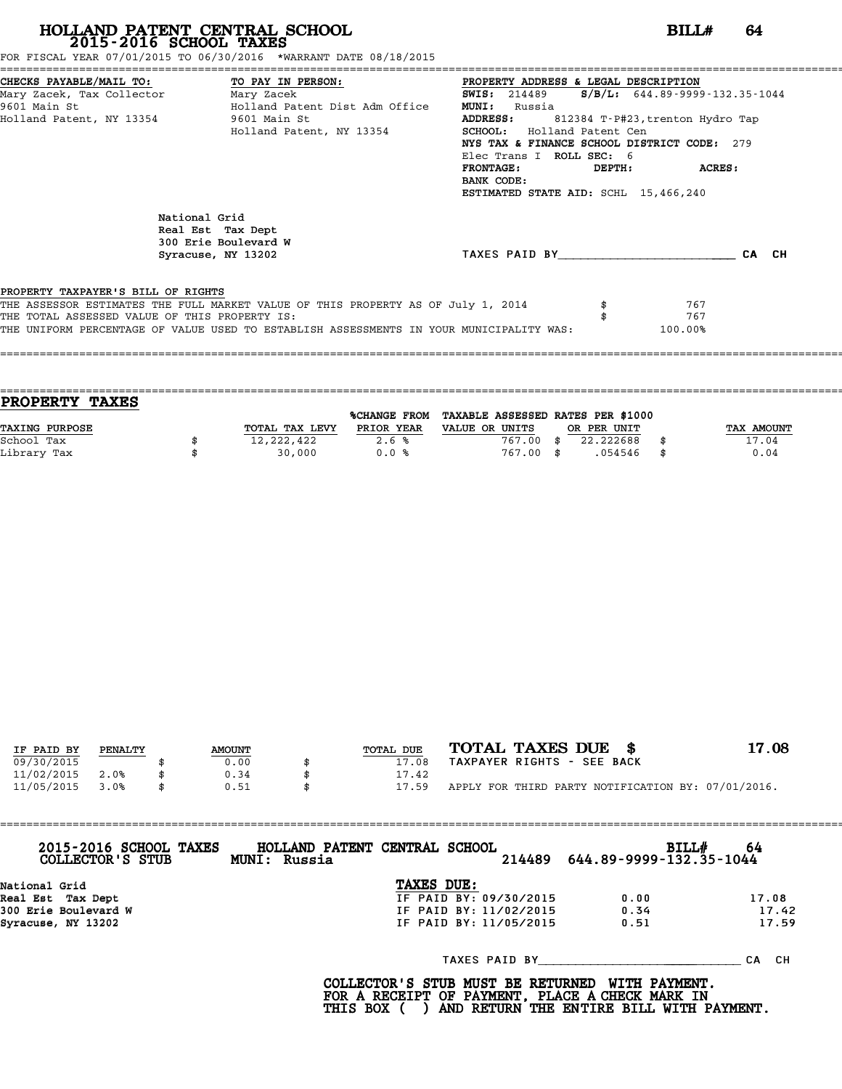FOR FISCAL YEAR 07/01/2015 TO 06/30/2016 \*WARRANT DATE 08/18/2015

|                                                | CHECKS PAYABLE/MAIL TO:             TO PAY IN PERSON:                     PROPERTY ADDRESS & LEGAL DESCRIPTION                    |                                                    |                                        |
|------------------------------------------------|-----------------------------------------------------------------------------------------------------------------------------------|----------------------------------------------------|----------------------------------------|
| Mary Zacek, Tax Collector ________ Mary Zacek  |                                                                                                                                   | <b>SWIS:</b> 214489                                | $S/B/L: 644.89 - 9999 - 132.35 - 1044$ |
| 9601 Main St<br>Holland Patent Dist Adm Office |                                                                                                                                   | <b>MUNI:</b><br>Russia                             |                                        |
| Holland Patent, NY 13354 5601 Main St          |                                                                                                                                   | <b>ADDRESS:</b><br>812384 T-P#23,trenton Hydro Tap |                                        |
|                                                | Holland Patent, NY 13354                                                                                                          | SCHOOL: Holland Patent Cen                         |                                        |
|                                                |                                                                                                                                   | NYS TAX & FINANCE SCHOOL DISTRICT CODE: 279        |                                        |
|                                                |                                                                                                                                   | Elec Trans I ROLL SEC: 6                           |                                        |
|                                                |                                                                                                                                   | <b>FRONTAGE:</b><br>DEPTH:                         | <b>ACRES:</b>                          |
|                                                |                                                                                                                                   | BANK CODE:                                         |                                        |
|                                                |                                                                                                                                   | ESTIMATED STATE AID: SCHL 15,466,240               |                                        |
| National Grid                                  | Real Est Tax Dept<br>300 Erie Boulevard W<br>Syracuse, NY 13202                                                                   | TAXES PAID BY                                      | CA CH                                  |
| PROPERTY TAXPAYER'S BILL OF RIGHTS             | THE ASSESSOR ESTIMATES THE FULL MARKET VALUE OF THIS PROPERTY AS OF July 1, 2014<br>THE TOTAL ASSESSED VALUE OF THIS PROPERTY IS: |                                                    | 767<br>767                             |

| <b>PROPERTY TAXES</b> |                |              |                                   |             |            |
|-----------------------|----------------|--------------|-----------------------------------|-------------|------------|
|                       |                | %CHANGE FROM | TAXABLE ASSESSED RATES PER \$1000 |             |            |
| TAXING PURPOSE        | TOTAL TAX LEVY | PRIOR YEAR   | VALUE OR UNITS                    | OR PER UNIT | TAX AMOUNT |
| School Tax            | 12,222,422     | 2.6%         | 767.00                            | 22.222688   | 17.04      |
| Library Tax           | 30,000         | 0.0%         | 767.00 \$                         | .054546     | \$<br>0.04 |
|                       |                |              |                                   |             |            |

| IF PAID BY | PENALTY | <b>AMOUNT</b> | TOTAL DUE | TOTAL TAXES DUE \$                                 | 17.08 |
|------------|---------|---------------|-----------|----------------------------------------------------|-------|
| 09/30/2015 |         | 0.00          | 17.08     | TAXPAYER RIGHTS - SEE BACK                         |       |
|            |         |               |           |                                                    |       |
| 11/02/2015 | 2.0%    | 0.34          | 17.42     |                                                    |       |
| 11/05/2015 | 3.0%    | \$<br>0.51    | 17.59     | APPLY FOR THIRD PARTY NOTIFICATION BY: 07/01/2016. |       |

| 2015-2016 SCHOOL TAXES<br>COLLECTOR'S STUB | HOLLAND PATENT CENTRAL SCHOOL<br>MUNI: Russia |                        | BILL#<br>214489   644.89-9999-132.35-1044 | -64   |
|--------------------------------------------|-----------------------------------------------|------------------------|-------------------------------------------|-------|
| National Grid                              | TAXES DUE:                                    |                        |                                           |       |
| Real Est Tax Dept                          |                                               | IF PAID BY: 09/30/2015 | 0.00                                      | 17.08 |
| 300 Erie Boulevard W                       |                                               | IF PAID BY: 11/02/2015 | 0.34                                      | 17.42 |
| Syracuse, NY 13202                         |                                               | IF PAID BY: 11/05/2015 | 0.51                                      | 17.59 |
|                                            |                                               | TAXES PAID BY          |                                           | CA CH |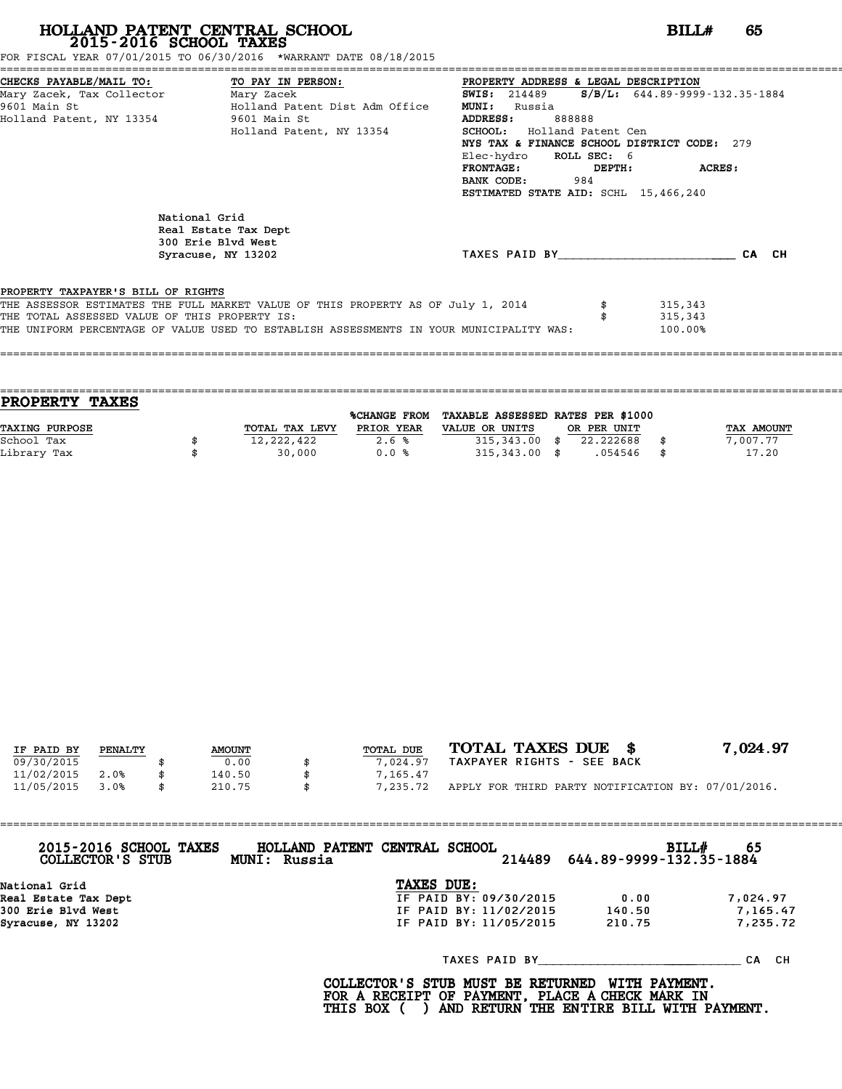FOR FISCAL YEAR 07/01/2015 TO 06/30/2016 \*WARRANT DATE 08/18/2015

| CHECKS PAYABLE/MAIL TO: TO PAY IN PERSON:     |                                                                                         | PROPERTY ADDRESS & LEGAL DESCRIPTION |        |                                             |
|-----------------------------------------------|-----------------------------------------------------------------------------------------|--------------------------------------|--------|---------------------------------------------|
| Mary Zacek, Tax Collector Mary Zacek          |                                                                                         | <b>SWIS:</b> 214489                  |        | $S/B/L: 644.89 - 9999 - 132.35 - 1884$      |
| 9601 Main St                                  | Holland Patent Dist Adm Office                                                          | <b>MUNI:</b><br>Russia               |        |                                             |
| Holland Patent, NY 13354 9601 Main St         |                                                                                         | ADDRESS:<br>888888                   |        |                                             |
|                                               | Holland Patent, NY 13354                                                                | <b>SCHOOL:</b> Holland Patent Cen    |        |                                             |
|                                               |                                                                                         |                                      |        | NYS TAX & FINANCE SCHOOL DISTRICT CODE: 279 |
|                                               |                                                                                         | Elec-hydro ROLL SEC: 6               |        |                                             |
|                                               |                                                                                         | $\tt FRONTAGE:$                      | DEPTH: | ACRES:                                      |
|                                               |                                                                                         | <b>BANK CODE:</b> 984                |        |                                             |
|                                               |                                                                                         | ESTIMATED STATE AID: SCHL 15,466,240 |        |                                             |
|                                               | National Grid<br>Real Estate Tax Dept<br>300 Erie Blvd West<br>Syracuse, NY 13202       |                                      |        | TAXES PAID BY CA CH                         |
| PROPERTY TAXPAYER'S BILL OF RIGHTS            |                                                                                         |                                      |        |                                             |
|                                               | THE ASSESSOR ESTIMATES THE FULL MARKET VALUE OF THIS PROPERTY AS OF July 1, 2014        |                                      |        | 315,343                                     |
| THE TOTAL ASSESSED VALUE OF THIS PROPERTY IS: |                                                                                         |                                      |        | 315,343                                     |
|                                               | THE UNIFORM PERCENTAGE OF VALUE USED TO ESTABLISH ASSESSMENTS IN YOUR MUNICIPALITY WAS: |                                      |        | 100.00%                                     |
|                                               |                                                                                         |                                      |        |                                             |
|                                               |                                                                                         |                                      |        |                                             |

| <b>TAXES</b><br><b>PROPERTY</b> |                |                     |                                   |             |             |
|---------------------------------|----------------|---------------------|-----------------------------------|-------------|-------------|
|                                 |                | <b>%CHANGE FROM</b> | TAXABLE ASSESSED RATES PER \$1000 |             |             |
| <b>TAXING PURPOSE</b>           | TOTAL TAX LEVY | PRIOR YEAR          | VALUE OR UNITS                    | OR PER UNIT | TAX AMOUNT  |
| School Tax                      | 12,222,422     | 2.6%                | $315,343.00$ \$                   | 22.222688   | 7,007.77    |
| Library Tax                     | 30,000         | 0.0%                | $315,343.00$ \$                   | .054546     | \$<br>17.20 |
|                                 |                |                     |                                   |             |             |

| IF PAID BY | PENALTY | <b>AMOUNT</b> | TOTAL DUE | TOTAL TAXES DUE \$                                 | 7,024.97 |
|------------|---------|---------------|-----------|----------------------------------------------------|----------|
| 09/30/2015 |         | 0.00          | 7,024.97  | TAXPAYER RIGHTS - SEE BACK                         |          |
| 11/02/2015 | 2.0%    | 140.50        | 7,165.47  |                                                    |          |
| 11/05/2015 | 3.0%    | \$<br>210.75  | 7,235.72  | APPLY FOR THIRD PARTY NOTIFICATION BY: 07/01/2016. |          |

| 2015-2016 SCHOOL TAXES<br>COLLECTOR'S STUB | HOLLAND PATENT CENTRAL SCHOOL<br><b>MUNI: Russia</b> |            | 214489                 | 644.89-9999-132.35-1884 | BILL#<br>65 |
|--------------------------------------------|------------------------------------------------------|------------|------------------------|-------------------------|-------------|
| National Grid                              |                                                      | TAXES DUE: |                        |                         |             |
| Real Estate Tax Dept                       |                                                      |            | IF PAID BY: 09/30/2015 | 0.00                    | 7,024.97    |
| 300 Erie Blvd West                         |                                                      |            | IF PAID BY: 11/02/2015 | 140.50                  | 7,165.47    |
| Syracuse, NY 13202                         |                                                      |            | IF PAID BY: 11/05/2015 | 210.75                  | 7,235.72    |
|                                            |                                                      |            | TAXES PAID BY          |                         | CH.<br>СA   |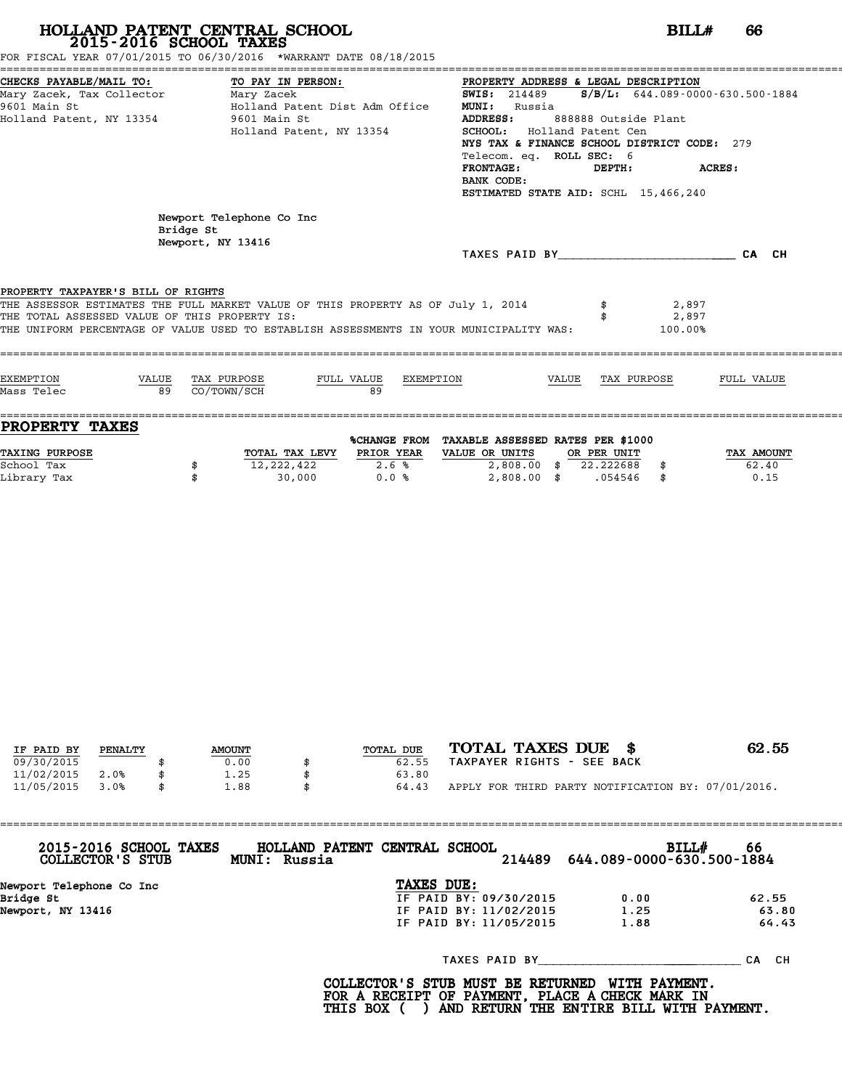FOR FISCAL YEAR 07/01/2015 TO 06/30/2016 \*WARRANT DATE 08/18/2015

|                                               | CHECKS PAYABLE/MAIL TO: TO PAY IN PERSON: PROPERTY ADDRESS & LEGAL DESCRIPTION          |                                               |                      |       |
|-----------------------------------------------|-----------------------------------------------------------------------------------------|-----------------------------------------------|----------------------|-------|
| Mary Zacek, Tax Collector Mary Zacek          |                                                                                         | SWIS: 214489 S/B/L: 644.089-0000-630.500-1884 |                      |       |
| 9601 Main St                                  | Holland Patent Dist Adm Office                                                          | <b>MUNI:</b><br>Russia                        |                      |       |
| Holland Patent, NY 13354 9601 Main St         |                                                                                         | <b>ADDRESS:</b>                               | 888888 Outside Plant |       |
|                                               | Holland Patent, NY 13354                                                                | <b>SCHOOL:</b> Holland Patent Cen             |                      |       |
|                                               |                                                                                         | NYS TAX & FINANCE SCHOOL DISTRICT CODE: 279   |                      |       |
|                                               |                                                                                         | Telecom. eq. ROLL SEC: 6                      |                      |       |
|                                               |                                                                                         | FRONTAGE:                                     | DEPTH: ACRES:        |       |
|                                               |                                                                                         | BANK CODE:                                    |                      |       |
|                                               |                                                                                         | ESTIMATED STATE AID: SCHL 15,466,240          |                      |       |
|                                               |                                                                                         |                                               |                      |       |
| Bridge St                                     | Newport Telephone Co Inc                                                                |                                               |                      |       |
|                                               | Newport, NY 13416                                                                       |                                               |                      |       |
|                                               |                                                                                         | TAXES PAID BY                                 |                      | CA CH |
|                                               |                                                                                         |                                               |                      |       |
|                                               |                                                                                         |                                               |                      |       |
| PROPERTY TAXPAYER'S BILL OF RIGHTS            |                                                                                         |                                               |                      |       |
|                                               | THE ASSESSOR ESTIMATES THE FULL MARKET VALUE OF THIS PROPERTY AS OF July 1, 2014        |                                               | 2,897                |       |
| THE TOTAL ASSESSED VALUE OF THIS PROPERTY IS: |                                                                                         |                                               | 2,897                |       |
|                                               | THE UNIFORM PERCENTAGE OF VALUE USED TO ESTABLISH ASSESSMENTS IN YOUR MUNICIPALITY WAS: |                                               | 100.00%              |       |
|                                               |                                                                                         |                                               |                      |       |
|                                               |                                                                                         |                                               |                      |       |

| FULL VALUE<br>TAX PURPOSE<br>FULL VALUE<br>EXEMPTION<br>EXEMPTION<br>TAX PURPOSE<br>VALUE<br>VALUE<br>Mass Telec<br>89<br>CO/TOWN/SCH<br>89<br>PROPERTY TAXES |  |
|---------------------------------------------------------------------------------------------------------------------------------------------------------------|--|
|                                                                                                                                                               |  |
|                                                                                                                                                               |  |
|                                                                                                                                                               |  |
|                                                                                                                                                               |  |

| PROPERTY TAXES |                |              |                                   |             |            |
|----------------|----------------|--------------|-----------------------------------|-------------|------------|
|                |                | %CHANGE FROM | TAXABLE ASSESSED RATES PER \$1000 |             |            |
| TAXING PURPOSE | TOTAL TAX LEVY | PRIOR YEAR   | VALUE OR UNITS                    | OR PER UNIT | TAX AMOUNT |
| School Tax     | 12,222,422     | 2.6%         | 2,808.00                          | 22.222688   | 62.40      |
| Library Tax    | 30,000         | 0.0%         | 2,808.00                          | .054546     | 0.15       |

|            |         |               |           | TOTAL TAXES DUE \$                                 | 62.55 |
|------------|---------|---------------|-----------|----------------------------------------------------|-------|
| IF PAID BY | PENALTY | <b>AMOUNT</b> | TOTAL DUE |                                                    |       |
| 09/30/2015 |         | 0.00          | 62.55     | TAXPAYER RIGHTS - SEE BACK                         |       |
| 11/02/2015 | 2.0%    | 1.25          | 63.80     |                                                    |       |
| 11/05/2015 | 3.0%    | 1.88          | 64.43     | APPLY FOR THIRD PARTY NOTIFICATION BY: 07/01/2016. |       |

| 2015-2016 SCHOOL TAXES<br>COLLECTOR'S STUB | HOLLAND PATENT CENTRAL SCHOOL<br><b>MUNI: Russia</b> |                        | 214489 | BILL#<br>644.089-0000-630.500-1884 | 66        |
|--------------------------------------------|------------------------------------------------------|------------------------|--------|------------------------------------|-----------|
| Newport Telephone Co Inc                   |                                                      | TAXES DUE:             |        |                                    |           |
| Bridge St                                  |                                                      | IF PAID BY: 09/30/2015 |        | 0.00                               | 62.55     |
| Newport, NY 13416                          |                                                      | IF PAID BY: 11/02/2015 |        | 1.25                               | 63.80     |
|                                            |                                                      | IF PAID BY: 11/05/2015 |        | 1.88                               | 64.43     |
|                                            |                                                      | TAXES PAID BY          |        |                                    | CH.<br>СA |